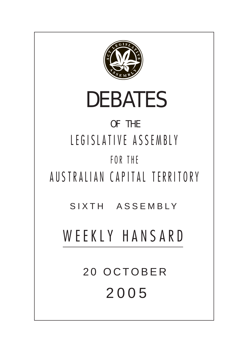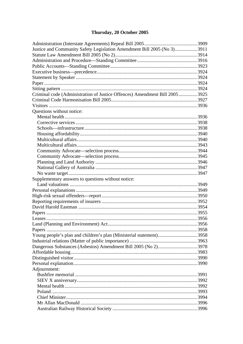# Thursday, 20 October 2005

| Justice and Community Safety Legislation Amendment Bill 2005 (No 3) 3911     |  |
|------------------------------------------------------------------------------|--|
|                                                                              |  |
|                                                                              |  |
|                                                                              |  |
|                                                                              |  |
|                                                                              |  |
|                                                                              |  |
|                                                                              |  |
| Criminal code (Administration of Justice Offences) Amendment Bill 2005  3925 |  |
|                                                                              |  |
|                                                                              |  |
| Questions without notice:                                                    |  |
|                                                                              |  |
|                                                                              |  |
|                                                                              |  |
|                                                                              |  |
|                                                                              |  |
|                                                                              |  |
|                                                                              |  |
|                                                                              |  |
|                                                                              |  |
|                                                                              |  |
|                                                                              |  |
| Supplementary answers to questions without notice:                           |  |
|                                                                              |  |
|                                                                              |  |
|                                                                              |  |
|                                                                              |  |
|                                                                              |  |
|                                                                              |  |
|                                                                              |  |
|                                                                              |  |
|                                                                              |  |
| Young people's plan and children's plan (Ministerial statement)3958          |  |
|                                                                              |  |
|                                                                              |  |
|                                                                              |  |
|                                                                              |  |
|                                                                              |  |
| Adjournment:                                                                 |  |
|                                                                              |  |
|                                                                              |  |
|                                                                              |  |
|                                                                              |  |
|                                                                              |  |
|                                                                              |  |
|                                                                              |  |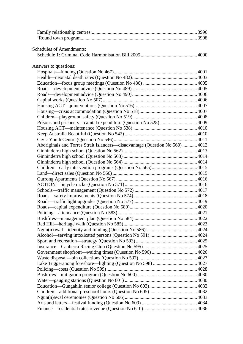| <b>Schedules of Amendments:</b>                                             |  |
|-----------------------------------------------------------------------------|--|
|                                                                             |  |
| Answers to questions:                                                       |  |
|                                                                             |  |
|                                                                             |  |
|                                                                             |  |
|                                                                             |  |
|                                                                             |  |
|                                                                             |  |
|                                                                             |  |
|                                                                             |  |
|                                                                             |  |
| Prisons and prisoners—capital expenditure (Question No 528)  4009           |  |
|                                                                             |  |
|                                                                             |  |
|                                                                             |  |
| Aboriginals and Torres Strait Islanders-disadvantage (Question No 560) 4012 |  |
|                                                                             |  |
|                                                                             |  |
|                                                                             |  |
|                                                                             |  |
|                                                                             |  |
|                                                                             |  |
|                                                                             |  |
|                                                                             |  |
|                                                                             |  |
|                                                                             |  |
|                                                                             |  |
|                                                                             |  |
|                                                                             |  |
|                                                                             |  |
|                                                                             |  |
|                                                                             |  |
|                                                                             |  |
|                                                                             |  |
|                                                                             |  |
|                                                                             |  |
|                                                                             |  |
|                                                                             |  |
|                                                                             |  |
|                                                                             |  |
|                                                                             |  |
|                                                                             |  |
|                                                                             |  |
|                                                                             |  |
|                                                                             |  |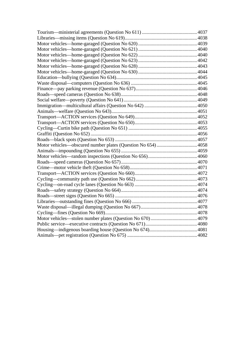| Motor vehicles—obscured number plates (Question No 654)  4058 |  |
|---------------------------------------------------------------|--|
|                                                               |  |
|                                                               |  |
|                                                               |  |
|                                                               |  |
|                                                               |  |
|                                                               |  |
|                                                               |  |
|                                                               |  |
|                                                               |  |
|                                                               |  |
|                                                               |  |
|                                                               |  |
|                                                               |  |
|                                                               |  |
|                                                               |  |
|                                                               |  |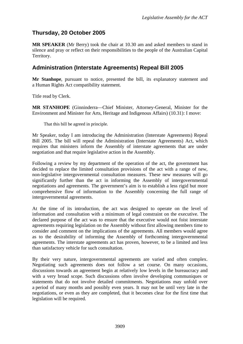# <span id="page-5-0"></span>**Thursday, 20 October 2005**

**MR SPEAKER** (Mr Berry) took the chair at 10.30 am and asked members to stand in silence and pray or reflect on their responsibilities to the people of the Australian Capital Territory.

# **Administration (Interstate Agreements) Repeal Bill 2005**

**Mr Stanhope**, pursuant to notice, presented the bill, its explanatory statement and a Human Rights Act compatibility statement.

Title read by Clerk.

**MR STANHOPE** (Ginninderra—Chief Minister, Attorney-General, Minister for the Environment and Minister for Arts, Heritage and Indigenous Affairs) (10.31): I move:

That this bill be agreed in principle.

Mr Speaker, today I am introducing the Administration (Interstate Agreements) Repeal Bill 2005. The bill will repeal the Administration (Interstate Agreements) Act, which requires that ministers inform the Assembly of interstate agreements that are under negotiation and that require legislative action in the Assembly.

Following a review by my department of the operation of the act, the government has decided to replace the limited consultation provisions of the act with a range of new, non-legislative intergovernmental consultation measures. These new measures will go significantly further than the act in informing the Assembly of intergovernmental negotiations and agreements. The government's aim is to establish a less rigid but more comprehensive flow of information to the Assembly concerning the full range of intergovernmental agreements.

At the time of its introduction, the act was designed to operate on the level of information and consultation with a minimum of legal constraint on the executive. The declared purpose of the act was to ensure that the executive would not foist interstate agreements requiring legislation on the Assembly without first allowing members time to consider and comment on the implications of the agreements. All members would agree as to the desirability of informing the Assembly of forthcoming intergovernmental agreements. The interstate agreements act has proven, however, to be a limited and less than satisfactory vehicle for such consultation.

By their very nature, intergovernmental agreements are varied and often complex. Negotiating such agreements does not follow a set course. On many occasions, discussions towards an agreement begin at relatively low levels in the bureaucracy and with a very broad scope. Such discussions often involve developing communiques or statements that do not involve detailed commitments. Negotiations may unfold over a period of many months and possibly even years. It may not be until very late in the negotiations, or even as they are completed, that it becomes clear for the first time that legislation will be required.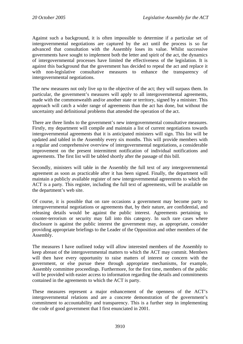Against such a background, it is often impossible to determine if a particular set of intergovernmental negotiations are captured by the act until the process is so far advanced that consultation with the Assembly loses its value. Whilst successive governments have sought to implement both the letter and spirit of the act, the dynamics of intergovernmental processes have limited the effectiveness of the legislation. It is against this background that the government has decided to repeal the act and replace it with non-legislative consultative measures to enhance the transparency of intergovernmental negotiations.

The new measures not only live up to the objective of the act; they will surpass them. In particular, the government's measures will apply to all intergovernmental agreements, made with the commonwealth and/or another state or territory, signed by a minister. This approach will catch a wider range of agreements than the act has done, but without the uncertainty and definitional problems that attended the operation of the act.

There are three limbs to the government's new intergovernmental consultative measures. Firstly, my department will compile and maintain a list of current negotiations towards intergovernmental agreements that it is anticipated ministers will sign. This list will be updated and tabled in the Assembly every six months. This will provide members with a regular and comprehensive overview of intergovernmental negotiations, a considerable improvement on the present intermittent notification of individual notifications and agreements. The first list will be tabled shortly after the passage of this bill.

Secondly, ministers will table in the Assembly the full text of any intergovernmental agreement as soon as practicable after it has been signed. Finally, the department will maintain a publicly available register of new intergovernmental agreements to which the ACT is a party. This register, including the full text of agreements, will be available on the department's web site.

Of course, it is possible that on rare occasions a government may become party to intergovernmental negotiations or agreements that, by their nature, are confidential, and releasing details would be against the public interest. Agreements pertaining to counter-terrorism or security may fall into this category. In such rare cases where disclosure is against the public interest the government may, as appropriate, consider providing appropriate briefings to the Leader of the Opposition and other members of the Assembly.

The measures I have outlined today will allow interested members of the Assembly to keep abreast of the intergovernmental matters to which the ACT may commit. Members will then have every opportunity to raise matters of interest or concern with the government, or else pursue these through appropriate mechanisms, for example, Assembly committee proceedings. Furthermore, for the first time, members of the public will be provided with easier access to information regarding the details and commitments contained in the agreements to which the ACT is party.

These measures represent a major enhancement of the openness of the ACT's intergovernmental relations and are a concrete demonstration of the government's commitment to accountability and transparency. This is a further step in implementing the code of good government that I first enunciated in 2001.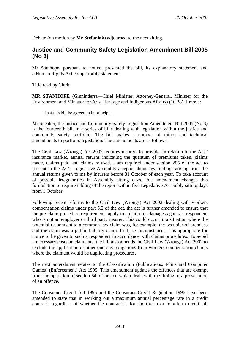<span id="page-7-0"></span>Debate (on motion by **Mr Stefaniak**) adjourned to the next sitting.

# **Justice and Community Safety Legislation Amendment Bill 2005 (No 3)**

Mr Stanhope, pursuant to notice, presented the bill, its explanatory statement and a Human Rights Act compatibility statement.

Title read by Clerk.

**MR STANHOPE** (Ginninderra—Chief Minister, Attorney-General, Minister for the Environment and Minister for Arts, Heritage and Indigenous Affairs) (10.38): I move:

That this bill be agreed to in principle.

Mr Speaker, the Justice and Community Safety Legislation Amendment Bill 2005 (No 3) is the fourteenth bill in a series of bills dealing with legislation within the justice and community safety portfolio. The bill makes a number of minor and technical amendments to portfolio legislation. The amendments are as follows.

The Civil Law (Wrongs) Act 2002 requires insurers to provide, in relation to the ACT insurance market, annual returns indicating the quantum of premiums taken, claims made, claims paid and claims refused. I am required under section 205 of the act to present to the ACT Legislative Assembly a report about key findings arising from the annual returns given to me by insurers before 31 October of each year. To take account of possible irregularities in Assembly sitting days, this amendment changes this formulation to require tabling of the report within five Legislative Assembly sitting days from 1 October.

Following recent reforms to the Civil Law (Wrongs) Act 2002 dealing with workers compensation claims under part 5.2 of the act, the act is further amended to ensure that the pre-claim procedure requirements apply to a claim for damages against a respondent who is not an employer or third party insurer. This could occur in a situation where the potential respondent to a common law claim was, for example, the occupier of premises and the claim was a public liability claim. In these circumstances, it is appropriate for notice to be given to such a respondent in accordance with claims procedures. To avoid unnecessary costs on claimants, the bill also amends the Civil Law (Wrongs) Act 2002 to exclude the application of other onerous obligations from workers compensation claims where the claimant would be duplicating procedures.

The next amendment relates to the Classification (Publications, Films and Computer Games) (Enforcement) Act 1995. This amendment updates the offences that are exempt from the operation of section 64 of the act, which deals with the timing of a prosecution of an offence.

The Consumer Credit Act 1995 and the Consumer Credit Regulation 1996 have been amended to state that in working out a maximum annual percentage rate in a credit contract, regardless of whether the contract is for short-term or long-term credit, all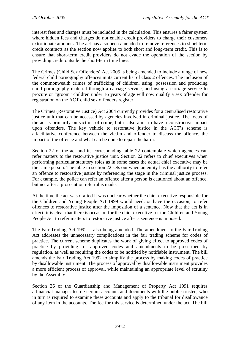interest fees and charges must be included in the calculation. This ensures a fairer system where hidden fees and charges do not enable credit providers to charge their customers extortionate amounts. The act has also been amended to remove references to short-term credit contracts as the section now applies to both short and long-term credit. This is to ensure that short-term credit providers do not evade the operation of the section by providing credit outside the short-term time lines.

The Crimes (Child Sex Offenders) Act 2005 is being amended to include a range of new federal child pornography offences in its current list of class 2 offences. The inclusion of the commonwealth crimes of trafficking of children, using, possession and producing child pornography material through a carriage service, and using a carriage service to procure or "groom" children under 16 years of age will now qualify a sex offender for registration on the ACT child sex offenders register.

The Crimes (Restorative Justice) Act 2004 currently provides for a centralised restorative justice unit that can be accessed by agencies involved in criminal justice. The focus of the act is primarily on victims of crime, but it also aims to have a constructive impact upon offenders. The key vehicle to restorative justice in the ACT's scheme is a facilitative conference between the victim and offender to discuss the offence, the impact of the offence and what can be done to repair the harm.

Section 22 of the act and its corresponding table 22 contemplate which agencies can refer matters to the restorative justice unit. Section 22 refers to chief executives when performing particular statutory roles as in some cases the actual chief executive may be the same person. The table in section 22 sets out when an entity has the authority to refer an offence to restorative justice by referencing the stage in the criminal justice process. For example, the police can refer an offence after a person is cautioned about an offence, but not after a prosecution referral is made.

At the time the act was drafted it was unclear whether the chief executive responsible for the Children and Young People Act 1999 would need, or have the occasion, to refer offences to restorative justice after the imposition of a sentence. Now that the act is in effect, it is clear that there is occasion for the chief executive for the Children and Young People Act to refer matters to restorative justice after a sentence is imposed.

The Fair Trading Act 1992 is also being amended. The amendment to the Fair Trading Act addresses the unnecessary complications in the fair trading scheme for codes of practice. The current scheme duplicates the work of giving effect to approved codes of practice by providing for approved codes and amendments to be prescribed by regulation, as well as requiring the codes to be notified by notifiable instrument. The bill amends the Fair Trading Act 1992 to simplify the process by making codes of practice by disallowable instrument. The process of approval by disallowable instrument provides a more efficient process of approval, while maintaining an appropriate level of scrutiny by the Assembly.

Section 26 of the Guardianship and Management of Property Act 1991 requires a financial manager to file certain accounts and documents with the public trustee, who in turn is required to examine these accounts and apply to the tribunal for disallowance of any item in the accounts. The fee for this service is determined under the act. The bill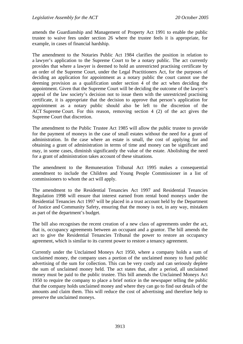amends the Guardianship and Management of Property Act 1991 to enable the public trustee to waive fees under section 26 where the trustee feels it is appropriate, for example, in cases of financial hardship.

The amendment to the Notaries Public Act 1984 clarifies the position in relation to a lawyer's application to the Supreme Court to be a notary public. The act currently provides that where a lawyer is deemed to hold an unrestricted practising certificate by an order of the Supreme Court, under the Legal Practitioners Act, for the purposes of deciding an application for appointment as a notary public the court cannot use the deeming provision as a qualification under section 4 of the act when deciding the appointment. Given that the Supreme Court will be deciding the outcome of the lawyer's appeal of the law society's decision not to issue them with the unrestricted practising certificate, it is appropriate that the decision to approve that person's application for appointment as a notary public should also be left to the discretion of the ACT Supreme Court. For this reason, removing section 4 (2) of the act gives the Supreme Court that discretion.

The amendment to the Public Trustee Act 1985 will allow the public trustee to provide for the payment of moneys in the case of small estates without the need for a grant of administration. In the case where an estate is small, the cost of applying for and obtaining a grant of administration in terms of time and money can be significant and may, in some cases, diminish significantly the value of the estate. Abolishing the need for a grant of administration takes account of these situations.

The amendment to the Remuneration Tribunal Act 1995 makes a consequential amendment to include the Children and Young People Commissioner in a list of commissioners to whom the act will apply.

The amendment to the Residential Tenancies Act 1997 and Residential Tenancies Regulation 1998 will ensure that interest earned from rental bond moneys under the Residential Tenancies Act 1997 will be placed in a trust account held by the Department of Justice and Community Safety, ensuring that the money is not, in any way, mistaken as part of the department's budget.

The bill also recognises the recent creation of a new class of agreements under the act, that is, occupancy agreements between an occupant and a grantor. The bill amends the act to give the Residential Tenancies Tribunal the power to restore an occupancy agreement, which is similar to its current power to restore a tenancy agreement.

Currently under the Unclaimed Moneys Act 1950, where a company holds a sum of unclaimed money, the company uses a portion of the unclaimed money to fund public advertising of the sum for collection. This can be very costly and can seriously deplete the sum of unclaimed money held. The act states that, after a period, all unclaimed money must be paid to the public trustee. This bill amends the Unclaimed Moneys Act 1950 to require the company to place a brief notice in the newspaper telling the public that the company holds unclaimed money and where they can go to find out details of the amounts and claim them. This will reduce the cost of advertising and therefore help to preserve the unclaimed moneys.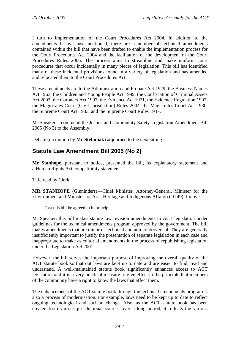<span id="page-10-0"></span>I turn to implementation of the Court Procedures Act 2004. In addition to the amendments I have just mentioned, there are a number of technical amendments contained within the bill that have been drafted to enable the implementation process for the Court Procedures Act 2004 and the facilitation of the development of the Court Procedures Rules 2006. The process aims to streamline and make uniform court procedures that occur incidentally in many pieces of legislation. This bill has identified many of these incidental provisions found in a variety of legislation and has amended and relocated them to the Court Procedures Act.

These amendments are to the Administration and Probate Act 1929, the Business Names Act 1963, the Children and Young People Act 1999, the Confiscation of Criminal Assets Act 2003, the Coroners Act 1997, the Evidence Act 1971, the Evidence Regulation 1992, the Magistrates Court (Civil Jurisdiction) Rules 2004, the Magistrates Court Act 1930, the Supreme Court Act 1933, and the Supreme Court Rules 1937.

Mr Speaker, I commend the Justice and Community Safety Legislation Amendment Bill 2005 (No 3) to the Assembly.

Debate (on motion by **Mr Stefaniak**) adjourned to the next sitting.

# **Statute Law Amendment Bill 2005 (No 2)**

**Mr Stanhope**, pursuant to notice, presented the bill, its explanatory statement and a Human Rights Act compatibility statement

Title read by Clerk.

**MR STANHOPE** (Ginninderra—Chief Minister, Attorney-General, Minister for the Environment and Minister for Arts, Heritage and Indigenous Affairs) (10.49): I move

That this bill be agreed to in principle.

Mr Speaker, this bill makes statute law revision amendments to ACT legislation under guidelines for the technical amendments program approved by the government. The bill makes amendments that are minor or technical and non-controversial. They are generally insufficiently important to justify the presentation of separate legislation in each case and inappropriate to make as editorial amendments in the process of republishing legislation under the Legislation Act 2001.

However, the bill serves the important purpose of improving the overall quality of the ACT statute book so that out laws are kept up to date and are easier to find, read and understand. A well-maintained statute book significantly enhances access to ACT legislation and it is a very practical measure to give effect to the principle that members of the community have a right to know the laws that affect them.

The enhancement of the ACT statute book through the technical amendments program is also a process of modernisation. For example, laws need to be kept up to date to reflect ongoing technological and societal change. Also, as the ACT statute book has been created from various jurisdictional sources over a long period, it reflects the various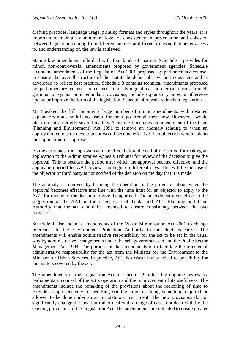drafting practices, language usage, printing formats and styles throughout the years. It is important to maintain a minimum level of consistency in presentation and cohesion between legislation coming from different sources at different times so that better access to, and understanding of, the law is achieved.

Statute law amendment bills deal with four kinds of matters. Schedule 1 provides for minor, non-controversial amendments proposed by government agencies. Schedule 2 contains amendments of the Legislation Act 2001 proposed by parliamentary counsel to ensure the overall structure of the statute book is cohesive and consistent and is developed to reflect best practice. Schedule 3 contains technical amendments proposed by parliamentary counsel to correct minor typographical or clerical errors through grammar or syntax, omit redundant provisions, include explanatory notes or otherwise update or improve the form of the legislation. Schedule 4 repeals redundant legislation.

Mr Speaker, the bill contains a large number of minor amendments with detailed explanatory notes, so it is not useful for me to go through them now. However, I would like to mention briefly several matters. Schedule 1 includes an amendment of the Land (Planning and Environment) Act 1991 to remove an anomaly relating to when an approval to conduct a development would become effective if an objection were made to the application for approval.

As the act stands, the approval can take effect before the end of the period for making an application to the Administrative Appeals Tribunal for review of the decision to give the approval. This is because the period after which the approval became effective, and the application period for AAT review, can begin on different days. This will be the case if the objector or third party is not notified of the decision on the day that it is made.

The anomaly is removed by bringing the operation of the provision about when the approval becomes effective into line with the time limit for an objector to apply to the AAT for review of the decision to give the approval. The amendment gives effect to the suggestion of the AAT in the recent case of Tonks and ACT Planning and Land Authority that the act should be amended to ensure consistency between the two provisions.

Schedule 1 also includes amendments of the Waste Minimisation Act 2001 to change references to the Environment Protection Authority to the chief executive. The amendments will enable administrative responsibility for the act to be set in the usual way by administrative arrangements under the self-government act and the Public Sector Management Act 1994. The purpose of the amendments is to facilitate the transfer of administrative responsibility for the act from the Minister for the Environment to the Minister for Urban Services. In practice, ACT No Waste has practical responsibility for the matters covered by the act.

The amendments of the Legislation Act in schedule 2 reflect the ongoing review by parliamentary counsel of the act's operation and the improvement of its usefulness. The amendments include the remaking of the provisions about the reckoning of time to provide comprehensively for working out the time for doing something required or allowed to be done under an act or statutory instrument. The new provisions do not significantly change the law, but rather deal with a range of cases not dealt with by the existing provisions of the Legislation Act. The amendments are intended to create greater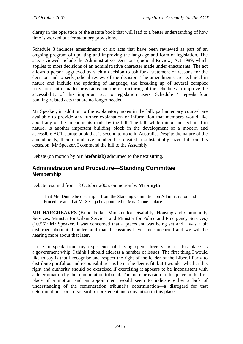<span id="page-12-0"></span>clarity in the operation of the statute book that will lead to a better understanding of how time is worked out for statutory provisions.

Schedule 3 includes amendments of six acts that have been reviewed as part of an ongoing program of updating and improving the language and form of legislation. The acts reviewed include the Administrative Decisions (Judicial Review) Act 1989, which applies to most decisions of an administrative character made under enactments. The act allows a person aggrieved by such a decision to ask for a statement of reasons for the decision and to seek judicial review of the decision. The amendments are technical in nature and include the updating of language, the breaking up of several complex provisions into smaller provisions and the restructuring of the schedules to improve the accessibility of this important act to legislation users. Schedule 4 repeals four banking-related acts that are no longer needed.

Mr Speaker, in addition to the explanatory notes in the bill, parliamentary counsel are available to provide any further explanation or information that members would like about any of the amendments made by the bill. The bill, while minor and technical in nature, is another important building block in the development of a modern and accessible ACT statute book that is second to none in Australia. Despite the nature of the amendments, their cumulative number has created a substantially sized bill on this occasion. Mr Speaker, I commend the bill to the Assembly.

Debate (on motion by **Mr Stefaniak**) adjourned to the next sitting.

## **Administration and Procedure—Standing Committee Membership**

Debate resumed from 18 October 2005, on motion by **Mr Smyth**:

That Mrs Dunne be discharged from the Standing Committee on Administration and Procedure and that Mr Seselja be appointed in Mrs Dunne's place.

**MR HARGREAVES** (Brindabella—Minister for Disability, Housing and Community Services, Minister for Urban Services and Minister for Police and Emergency Services) (10.56): Mr Speaker, I was concerned that a precedent was being set and I was a bit disturbed about it. I understand that discussions have since occurred and we will be hearing more about that later.

I rise to speak from my experience of having spent three years in this place as a government whip. I think I should address a number of issues. The first thing I would like to say is that I recognise and respect the right of the leader of the Liberal Party to distribute portfolios and responsibilities as he or she deems fit, but I wonder whether this right and authority should be exercised if exercising it appears to be inconsistent with a determination by the remuneration tribunal. The mere provision to this place in the first place of a motion and an appointment would seem to indicate either a lack of understanding of the remuneration tribunal's determination—a disregard for that determination—or a disregard for precedent and convention in this place.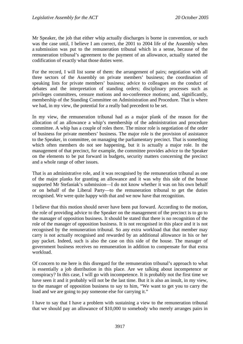Mr Speaker, the job that either whip actually discharges is borne in convention, or such was the case until, I believe I am correct, the 2001 to 2004 life of the Assembly when a submission was put to the remuneration tribunal which in a sense, because of the remuneration tribunal's agreement to the payment of an allowance, actually started the codification of exactly what those duties were.

For the record, I will list some of them: the arrangement of pairs; negotiation with all three sectors of the Assembly on private members' business; the coordination of speaking lists for private members' business; advice to colleagues on the conduct of debates and the interpretation of standing orders; disciplinary processes such as privileges committees, censure motions and no-conference motions; and, significantly, membership of the Standing Committee on Administration and Procedure. That is where we had, in my view, the potential for a really bad precedent to be set.

In my view, the remuneration tribunal had as a major plank of the reason for the allocation of an allowance a whip's membership of the administration and procedure committee. A whip has a couple of roles there. The minor role is negotiation of the order of business for private members' business. The major role is the provision of assistance to the Speaker, in committee, on managing the parliamentary precinct. That is something which often members do not see happening, but it is actually a major role. In the management of that precinct, for example, the committee provides advice to the Speaker on the elements to be put forward in budgets, security matters concerning the precinct and a whole range of other issues.

That is an administrative role, and it was recognised by the remuneration tribunal as one of the major planks for granting an allowance and it was why this side of the house supported Mr Stefaniak's submission—I do not know whether it was on his own behalf or on behalf of the Liberal Party—to the remuneration tribunal to get the duties recognised. We were quite happy with that and we now have that recognition.

I believe that this motion should never have been put forward. According to the motion, the role of providing advice to the Speaker on the management of the precinct is to go to the manager of opposition business. It should be stated that there is no recognition of the role of the manager of opposition business. It is not recognised in this place and it is not recognised by the remuneration tribunal. So any extra workload that that member may carry is not actually recognised and rewarded by an additional allowance in his or her pay packet. Indeed, such is also the case on this side of the house. The manager of government business receives no remuneration in addition to compensate for that extra workload.

Of concern to me here is this disregard for the remuneration tribunal's approach to what is essentially a job distribution in this place. Are we talking about incompetence or conspiracy? In this case, I will go with incompetence. It is probably not the first time we have seen it and it probably will not be the last time. But it is also an insult, in my view, to the manager of opposition business to say to him, "We want to get you to carry the load and we are going to pay someone else for carrying it."

I have to say that I have a problem with sustaining a view to the remuneration tribunal that we should pay an allowance of \$10,000 to somebody who merely arranges pairs in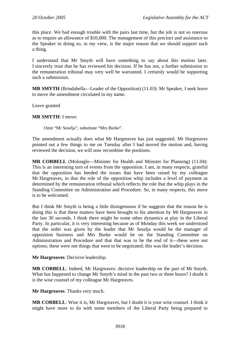this place. We had enough trouble with the pairs last time, but the job is not so onerous as to require an allowance of \$10,000. The management of this precinct and assistance to the Speaker in doing so, in my view, is the major reason that we should support such a thing.

I understand that Mr Smyth will have something to say about this motion later. I sincerely trust that he has reviewed his decision. If he has not, a further submission to the remuneration tribunal may very well be warranted. I certainly would be supporting such a submission.

**MR SMYTH** (Brindabella—Leader of the Opposition) (11.03): Mr Speaker, I seek leave to move the amendment circulated in my name.

Leave granted

#### **MR SMYTH**: I move:

Omit "Mr Seselja", substitute "Mrs Burke".

The amendment actually does what Mr Hargreaves has just suggested. Mr Hargreaves pointed out a few things to me on Tuesday after I had moved the motion and, having reviewed the decision, we will now recombine the positions.

**MR CORBELL** (Molonglo—Minister for Health and Minister for Planning) (11.04): This is an interesting turn of events from the opposition. I am, in many respects, grateful that the opposition has heeded the issues that have been raised by my colleague Mr Hargreaves, in that the role of the opposition whip includes a level of payment as determined by the remuneration tribunal which reflects the role that the whip plays in the Standing Committee on Administration and Procedure. So, in many respects, this move is to be welcomed.

But I think Mr Smyth is being a little disingenuous if he suggests that the reason he is doing this is that these matters have been brought to his attention by Mr Hargreaves in the last 30 seconds. I think there might be some other dynamics at play in the Liberal Party. In particular, it is very interesting because as of Monday this week we understood that the order was given by the leader that Mr Seselja would be the manager of opposition business and Mrs Burke would be on the Standing Committee on Administration and Procedure and that that was to be the end of it—these were not options; these were not things that were to be negotiated; this was the leader's decision.

**Mr Hargreaves**: Decisive leadership.

**MR CORBELL**: Indeed, Mr Hargreaves: decisive leadership on the part of Mr Smyth. What has happened to change Mr Smyth's mind in the past two or three hours? I doubt it is the wise counsel of my colleague Mr Hargreaves.

**Mr Hargreaves**: Thanks very much.

**MR CORBELL**: Wise it is, Mr Hargreaves, but I doubt it is your wise counsel. I think it might have more to do with some members of the Liberal Party being prepared to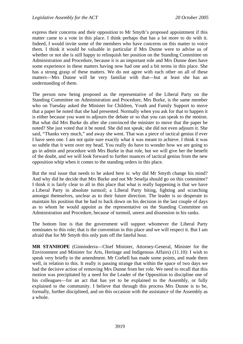express their concerns and their opposition to Mr Smyth's proposed appointment if this matter came to a vote in this place. I think perhaps that has a lot more to do with it. Indeed, I would invite some of the members who have concerns on this matter to voice them. I think it would be valuable in particular if Mrs Dunne were to advise us of whether or not she is still happy to relinquish her position on the Standing Committee on Administration and Procedure, because it is an important role and Mrs Dunne does have some experience in these matters having now had one and a bit terms in this place. She has a strong grasp of these matters. We do not agree with each other on all of these matters—Mrs Dunne will be very familiar with that—but at least she has an understanding of them.

The person now being proposed as the representative of the Liberal Party on the Standing Committee on Administration and Procedure, Mrs Burke, is the same member who on Tuesday asked the Minister for Children, Youth and Family Support to move that a paper be noted that she had presented. Normally when you ask for that to happen it is either because you want to adjourn the debate or so that you can speak to the motion. But what did Mrs Burke do after she convinced the minister to move that the paper be noted? She just voted that it be noted. She did not speak; she did not even adjourn it. She said, "Thanks very much," and away she went. That was a piece of tactical genius if ever I have seen one. I am not quite sure exactly what it was meant to achieve. I think it was so subtle that it went over my head. You really do have to wonder how we are going to go in admin and procedure with Mrs Burke in that role, but we will give her the benefit of the doubt, and we will look forward to further nuances of tactical genius from the new opposition whip when it comes to the standing orders in this place.

But the real issue that needs to be asked here is: why did Mr Smyth change his mind? And why did he decide that Mrs Burke and not Mr Seselja should go on this committee? I think it is fairly clear to all in this place that what is really happening is that we have a Liberal Party in absolute turmoil; a Liberal Party biting, fighting and scratching amongst themselves, unclear as to their future direction. The leader is so desperate to maintain his position that he had to back down on his decision in the last couple of days as to whom he would appoint as the representative on the Standing Committee on Administration and Procedure, because of turmoil, unrest and dissension in his ranks.

The bottom line is that the government will support whomever the Liberal Party nominates to this role; that is the convention in this place and we will respect it. But I am afraid that for Mr Smyth this only puts off the fateful hour.

**MR STANHOPE** (Ginninderra—Chief Minister, Attorney-General, Minister for the Environment and Minister for Arts, Heritage and Indigenous Affairs) (11.10): I wish to speak very briefly to the amendment. Mr Corbell has made some points, and made them well, in relation to this. It really is passing strange that within the space of two days we had the decisive action of removing Mrs Dunne from her role. We need to recall that this motion was precipitated by a need for the Leader of the Opposition to discipline one of his colleagues—for an act that has yet to be explained to the Assembly, or fully explained to the community. I believe that through this process Mrs Dunne is to be, formally, further disciplined, and on this occasion with the assistance of the Assembly as a whole.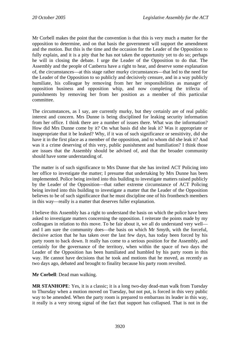Mr Corbell makes the point that the convention is that this is very much a matter for the opposition to determine, and on that basis the government will support the amendment and the motion. But this is the time and the occasion for the Leader of the Opposition to fully explain, and it is a pity that he has not taken the opportunity yet to do so; perhaps he will in closing the debate. I urge the Leader of the Opposition to do that. The Assembly and the people of Canberra have a right to hear, and deserve some explanation of, the circumstances—at this stage rather murky circumstances—that led to the need for the Leader of the Opposition to so publicly and decisively censure, and in a way publicly humiliate, his colleague by removing from her her responsibilities as manager of opposition business and opposition whip, and now completing the trifecta of punishments by removing her from her position as a member of this particular committee.

The circumstances, as I say, are currently murky, but they certainly are of real public interest and concern. Mrs Dunne is being disciplined for leaking security information from her office. I think there are a number of issues there. What was the information? How did Mrs Dunne come by it? On what basis did she leak it? Was it appropriate or inappropriate that it be leaked? Why, if it was of such significance or sensitivity, did she have it in the first place as a member of the opposition, and to whom did she leak it? And was it a crime deserving of this very, public punishment and humiliation? I think those are issues that the Assembly should be advised of, and that the broader community should have some understanding of.

The matter is of such significance to Mrs Dunne that she has invited ACT Policing into her office to investigate the matter; I presume that undertaking by Mrs Dunne has been implemented. Police being invited into this building to investigate matters raised publicly by the Leader of the Opposition—that rather extreme circumstance of ACT Policing being invited into this building to investigate a matter that the Leader of the Opposition believes to be of such significance that he must discipline one of his frontbench members in this way—really is a matter that deserves fuller explanation.

I believe this Assembly has a right to understand the basis on which the police have been asked to investigate matters concerning the opposition. I reiterate the points made by my colleagues in relation to this move. To be fair about it, we all do understand very well and I am sure the community does—the basis on which Mr Smyth, with the forceful, decisive action that he has taken over the last few days, has today been forced by his party room to back down. It really has come to a serious position for the Assembly, and certainly for the governance of the territory, when within the space of two days the Leader of the Opposition has been humiliated and humbled by his party room in this way. He cannot have decisions that he took and motions that he moved, as recently as two days ago, debated and brought to finality because his party room revolted.

**Mr Corbell**: Dead man walking.

**MR STANHOPE**: Yes, it is a classic; it is a long two-day dead-man walk from Tuesday to Thursday when a motion moved on Tuesday, but not put, is forced in this very public way to be amended. When the party room is prepared to embarrass its leader in this way, it really is a very strong signal of the fact that support has collapsed. That is not in the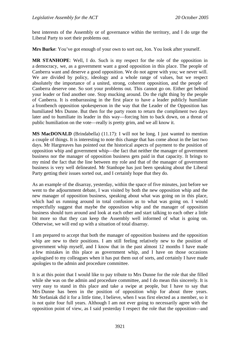best interests of the Assembly or of governance within the territory, and I do urge the Liberal Party to sort their problems out.

**Mrs Burke**: You've got enough of your own to sort out, Jon. You look after yourself.

**MR STANHOPE**: Well, I do. Such is my respect for the role of the opposition in a democracy, we, as a government want a good opposition in this place. The people of Canberra want and deserve a good opposition. We do not agree with you; we never will. We are divided by policy, ideology and a whole range of values, but we respect absolutely the importance of a united, strong, coherent opposition, and the people of Canberra deserve one. So sort your problems out. This cannot go on. Either get behind your leader or find another one. Stop mucking around. Do the right thing by the people of Canberra. It is embarrassing in the first place to have a leader publicly humiliate a frontbench opposition spokesperson in the way that the Leader of the Opposition has humiliated Mrs Dunne. But then for the party room to return the compliment two days later and to humiliate its leader in this way—forcing him to back down, on a threat of public humiliation on the vote—really is pretty grim, and we all know it.

**MS MacDONALD** (Brindabella) (11.17): I will not be long. I just wanted to mention a couple of things. It is interesting to note this change that has come about in the last two days. Mr Hargreaves has pointed out the historical aspects of payment to the position of opposition whip and government whip—the fact that neither the manager of government business nor the manager of opposition business gets paid in that capacity. It brings to my mind the fact that the line between my role and that of the manager of government business is very well delineated. Mr Stanhope has just been speaking about the Liberal Party getting their issues sorted out, and I certainly hope that they do.

As an example of the disarray, yesterday, within the space of five minutes, just before we went to the adjournment debate, I was visited by both the new opposition whip and the new manager of opposition business, speaking about what was going on in this place, which had us running around in total confusion as to what was going on. I would respectfully suggest that maybe the opposition whip and the manager of opposition business should turn around and look at each other and start talking to each other a little bit more so that they can keep the Assembly well informed of what is going on. Otherwise, we will end up with a situation of total disarray.

I am prepared to accept that both the manager of opposition business and the opposition whip are new to their positions. I am still feeling relatively new to the position of government whip myself, and I know that in the past almost 12 months I have made a few mistakes in this place as government whip, and I have on those occasions apologised to my colleagues when it has put them out of sorts, and certainly I have made apologies to the admin and procedure committee.

It is at this point that I would like to pay tribute to Mrs Dunne for the role that she filled while she was on the admin and procedure committee, and I do mean this sincerely. It is very easy to stand in this place and take a swipe at people, but I have to say that Mrs Dunne has been in the position of opposition whip for about three years. Mr Stefaniak did it for a little time, I believe, when I was first elected as a member, so it is not quite four full years. Although I am not ever going to necessarily agree with the opposition point of view, as I said yesterday I respect the role that the opposition—and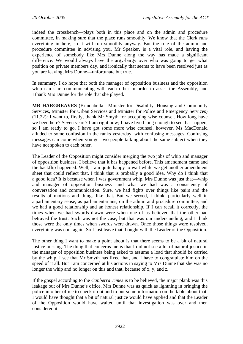indeed the crossbench—plays both in this place and on the admin and procedure committee, in making sure that the place runs smoothly. We know that the Clerk runs everything in here, so it will run smoothly anyway. But the role of the admin and procedure committee in advising you, Mr Speaker, is a vital role, and having the experience of somebody like Mrs Dunne along the way has made a significant difference. We would always have the argy-bargy over who was going to get what position on private members day, and ironically that seems to have been resolved just as you are leaving, Mrs Dunne—unfortunate but true.

In summary, I do hope that both the manager of opposition business and the opposition whip can start communicating with each other in order to assist the Assembly, and I thank Mrs Dunne for the role that she played.

**MR HARGREAVES** (Brindabella—Minister for Disability, Housing and Community Services, Minister for Urban Services and Minister for Police and Emergency Services) (11.22): I want to, firstly, thank Mr Smyth for accepting wise counsel. How long have we been here? Seven years? I am right now; I have lived long enough to see that happen, so I am ready to go. I have got some more wise counsel, however. Ms MacDonald alluded to some confusion in the ranks yesterday, with confusing messages. Confusing messages can come when you get two people talking about the same subject when they have not spoken to each other.

The Leader of the Opposition might consider merging the two jobs of whip and manager of opposition business. I believe that it has happened before. This amendment came and the backflip happened. Well, I am quite happy to wait while we get another amendment sheet that could reflect that. I think that is probably a good idea. Why do I think that a good idea? It is because when I was government whip, Mrs Dunne was just that—whip and manager of opposition business—and what we had was a consistency of conversation and communication. Sure, we had fights over things like pairs and the results of motions and things like that. But we served, I think, particularly well in a parliamentary sense, as parliamentarians, on the admin and procedure committee, and we had a good relationship and an honest relationship. If I can recall it correctly, the times when we had swords drawn were when one of us believed that the other had betrayed the trust. Such was not the case, but that was our understanding, and I think those were the only times when swords were drawn. Once those things were resolved, everything was cool again. So I just leave that thought with the Leader of the Opposition.

The other thing I want to make a point about is that there seems to be a bit of natural justice missing. The thing that concerns me is that I did not see a lot of natural justice in the manager of opposition business being asked to assume a load that should be carried by the whip. I see that Mr Smyth has fixed that, and I have to congratulate him on the speed of it all. But I am concerned at his actions in saying to Mrs Dunne that she was no longer the whip and no longer on this and that, because of x, y, and z.

If the gospel according to the *Canberra Times* is to be believed, the major plank was this leakage out of Mrs Dunne's office. Mrs Dunne was as quick as lightning in bringing the police into her office to check it out and to put some information on the table about that. I would have thought that a bit of natural justice would have applied and that the Leader of the Opposition would have waited until that investigation was over and then considered it.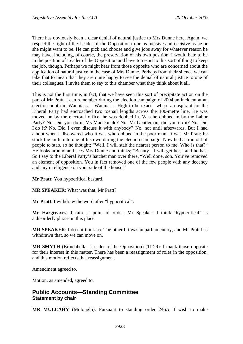<span id="page-19-0"></span>There has obviously been a clear denial of natural justice to Mrs Dunne here. Again, we respect the right of the Leader of the Opposition to be as incisive and decisive as he or she might want to be. He can pick and choose and give jobs away for whatever reason he may have, including, of course, the preservation of his own position. I would hate to be in the position of Leader of the Opposition and have to resort to this sort of thing to keep the job, though. Perhaps we might hear from those opposite who are concerned about the application of natural justice in the case of Mrs Dunne. Perhaps from their silence we can take that to mean that they are quite happy to see the denial of natural justice to one of their colleagues. I invite them to say to this chamber what they think about it all.

This is not the first time, in fact, that we have seen this sort of precipitate action on the part of Mr Pratt. I can remember during the election campaign of 2004 an incident at an election booth in Wanniassa—Wanniassa High to be exact—where an aspirant for the Liberal Party had encroached two toenail lengths across the 100-metre line. He was moved on by the electoral office; he was dobbed in. Was he dobbed in by the Labor Party? No. Did you do it, Ms MacDonald? No. Mr Gentleman, did you do it? No. Did I do it? No. Did I even discuss it with anybody? No, not until afterwards. But I had a hoot when I discovered who it was who dobbed in the poor man. It was Mr Pratt; he stuck the knife into one of his own during the election campaign. Now he has run out of people to stab, so he thought; "Well, I will stab the nearest person to me. Who is that?" He looks around and sees Mrs Dunne and thinks; "Beauty—I will get her," and he has. So I say to the Liberal Party's hatchet man over there, "Well done, son. You've removed an element of opposition. You in fact removed one of the few people with any decency and any intelligence on your side of the house."

**Mr Pratt**: You hypocritical bastard.

**MR SPEAKER**: What was that, Mr Pratt?

**Mr Pratt**: I withdraw the word after "hypocritical".

**Mr Hargreaves**: I raise a point of order, Mr Speaker: I think 'hypocritical" is a disorderly phrase in this place.

**MR SPEAKER**: I do not think so. The other bit was unparliamentary, and Mr Pratt has withdrawn that, so we can move on.

**MR SMYTH** (Brindabella—Leader of the Opposition) (11.29): I thank those opposite for their interest in this matter. There has been a reassignment of roles in the opposition, and this motion reflects that reassignment.

Amendment agreed to.

Motion, as amended, agreed to.

### **Public Accounts—Standing Committee Statement by chair**

**MR MULCAHY** (Molonglo): Pursuant to standing order 246A, I wish to make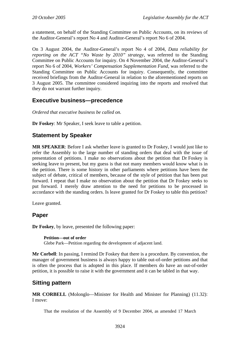<span id="page-20-0"></span>a statement, on behalf of the Standing Committee on Public Accounts, on its reviews of the Auditor-General's report No 4 and Auditor-General's report No 6 of 2004.

On 3 August 2004, the Auditor-General's report No 4 of 2004, *Data reliability for reporting on the ACT "No Waste by 2010" strategy*, was referred to the Standing Committee on Public Accounts for inquiry. On 4 November 2004, the Auditor-General's report No 6 of 2004, *Workers' Compensation Supplementation Fund*, was referred to the Standing Committee on Public Accounts for inquiry. Consequently, the committee received briefings from the Auditor-General in relation to the aforementioned reports on 3 August 2005. The committee considered inquiring into the reports and resolved that they do not warrant further inquiry.

# **Executive business—precedence**

*Ordered that executive business be called on.* 

**Dr Foskey**: Mr Speaker, I seek leave to table a petition.

## **Statement by Speaker**

**MR SPEAKER**: Before I ask whether leave is granted to Dr Foskey, I would just like to refer the Assembly to the large number of standing orders that deal with the issue of presentation of petitions. I make no observations about the petition that Dr Foskey is seeking leave to present, but my guess is that not many members would know what is in the petition. There is some history in other parliaments where petitions have been the subject of debate, critical of members, because of the style of petition that has been put forward. I repeat that I make no observation about the petition that Dr Foskey seeks to put forward. I merely draw attention to the need for petitions to be processed in accordance with the standing orders. Is leave granted for Dr Foskey to table this petition?

Leave granted.

## **Paper**

**Dr Foskey**, by leave, presented the following paper:

#### **Petition—out of order**

Glebe Park—Petition regarding the development of adjacent land.

**Mr Corbell**: In passing, I remind Dr Foskey that there is a procedure. By convention, the manager of government business is always happy to table out-of-order petitions and that is often the process that is adopted in this place. If members do have an out-of-order petition, it is possible to raise it with the government and it can be tabled in that way.

## **Sitting pattern**

**MR CORBELL** (Molonglo—Minister for Health and Minister for Planning) (11.32): I move:

That the resolution of the Assembly of 9 December 2004, as amended 17 March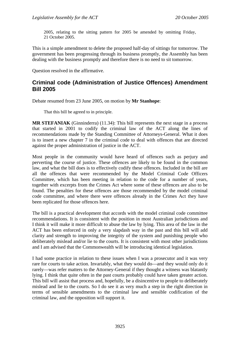<span id="page-21-0"></span>2005, relating to the sitting pattern for 2005 be amended by omitting Friday, 21 October 2005.

This is a simple amendment to delete the proposed half-day of sittings for tomorrow. The government has been progressing through its business promptly, the Assembly has been dealing with the business promptly and therefore there is no need to sit tomorrow.

Question resolved in the affirmative.

## **Criminal code (Administration of Justice Offences) Amendment Bill 2005**

Debate resumed from 23 June 2005, on motion by **Mr Stanhope**:

That this bill be agreed to in principle.

**MR STEFANIAK** (Ginninderra) (11.34): This bill represents the next stage in a process that started in 2001 to codify the criminal law of the ACT along the lines of recommendations made by the Standing Committee of Attorneys-General. What it does is to insert a new chapter 7 in the criminal code to deal with offences that are directed against the proper administration of justice in the ACT.

Most people in the community would have heard of offences such as perjury and perverting the course of justice. These offences are likely to be found in the common law, and what the bill does is to effectively codify these offences. Included in the bill are all the offences that were recommended by the Model Criminal Code Officers Committee, which has been meeting in relation to the code for a number of years, together with excerpts from the Crimes Act where some of these offences are also to be found. The penalties for these offences are those recommended by the model criminal code committee, and where there were offences already in the Crimes Act they have been replicated for those offences here.

The bill is a practical development that accords with the model criminal code committee recommendations. It is consistent with the position in most Australian jurisdictions and I think it will make it more difficult to abuse the law by lying. This area of the law in the ACT has been enforced in only a very slapdash way in the past and this bill will add clarity and strength to improving the integrity of the system and punishing people who deliberately mislead and/or lie to the courts. It is consistent with most other jurisdictions and I am advised that the Commonwealth will be introducing identical legislation.

I had some practice in relation to these issues when I was a prosecutor and it was very rare for courts to take action. Invariably, what they would do—and they would only do it rarely—was refer matters to the Attorney-General if they thought a witness was blatantly lying. I think that quite often in the past courts probably could have taken greater action. This bill will assist that process and, hopefully, be a disincentive to people to deliberately mislead and lie to the courts. So I do see it as very much a step in the right direction in terms of sensible amendments to the criminal law and sensible codification of the criminal law, and the opposition will support it.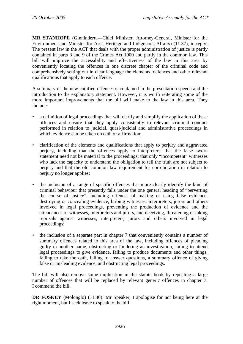**MR STANHOPE** (Ginninderra—Chief Minister, Attorney-General, Minister for the Environment and Minister for Arts, Heritage and Indigenous Affairs) (11.37), in reply: The present law in the ACT that deals with the proper administration of justice is partly contained in parts 8 and 9 of the Crimes Act 1900 and partly in the common law. This bill will improve the accessibility and effectiveness of the law in this area by conveniently locating the offences in one discrete chapter of the criminal code and comprehensively setting out in clear language the elements, defences and other relevant qualifications that apply to each offence.

A summary of the new codified offences is contained in the presentation speech and the introduction to the explanatory statement. However, it is worth reiterating some of the more important improvements that the bill will make to the law in this area. They include:

- a definition of legal proceedings that will clarify and simplify the application of these offences and ensure that they apply consistently to relevant criminal conduct performed in relation to judicial, quasi-judicial and administrative proceedings in which evidence can be taken on oath or affirmation;
- clarification of the elements and qualifications that apply to perjury and aggravated perjury, including that the offences apply to interpreters; that the false sworn statement need not be material to the proceedings; that only "incompetent" witnesses who lack the capacity to understand the obligation to tell the truth are not subject to perjury and that the old common law requirement for corroboration in relation to perjury no longer applies;
- the inclusion of a range of specific offences that more clearly identify the kind of criminal behaviour that presently falls under the one general heading of "perverting the course of justice", including offences of making or using false evidence, destroying or concealing evidence, bribing witnesses, interpreters, jurors and others involved in legal proceedings, preventing the production of evidence and the attendances of witnesses, interpreters and jurors, and deceiving, threatening or taking reprisals against witnesses, interpreters, jurors and others involved in legal proceedings;
- the inclusion of a separate part in chapter 7 that conveniently contains a number of summary offences related to this area of the law, including offences of pleading guilty in another name, obstructing or hindering an investigation, failing to attend legal proceedings to give evidence, failing to produce documents and other things, failing to take the oath, failing to answer questions, a summary offence of giving false or misleading evidence, and obstructing legal proceedings.

The bill will also remove some duplication in the statute book by repealing a large number of offences that will be replaced by relevant generic offences in chapter 7. I commend the bill.

**DR FOSKEY** (Molonglo) (11.40): Mr Speaker, I apologise for not being here at the right moment, but I seek leave to speak to the bill.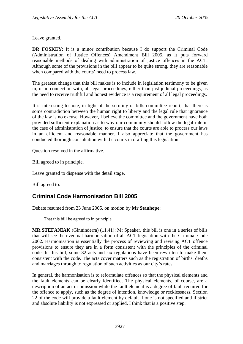<span id="page-23-0"></span>Leave granted.

**DR FOSKEY**: It is a minor contribution because I do support the Criminal Code (Administration of Justice Offences) Amendment Bill 2005, as it puts forward reasonable methods of dealing with administration of justice offences in the ACT. Although some of the provisions in the bill appear to be quite strong, they are reasonable when compared with the courts' need to process law.

The greatest change that this bill makes is to include in legislation testimony to be given in, or in connection with, all legal proceedings, rather than just judicial proceedings, as the need to receive truthful and honest evidence is a requirement of all legal proceedings.

It is interesting to note, in light of the scrutiny of bills committee report, that there is some contradiction between the human right to liberty and the legal rule that ignorance of the law is no excuse. However, I believe the committee and the government have both provided sufficient explanation as to why our community should follow the legal rule in the case of administration of justice, to ensure that the courts are able to process our laws in an efficient and reasonable manner. I also appreciate that the government has conducted thorough consultation with the courts in drafting this legislation.

Question resolved in the affirmative.

Bill agreed to in principle.

Leave granted to dispense with the detail stage.

Bill agreed to.

# **Criminal Code Harmonisation Bill 2005**

Debate resumed from 23 June 2005, on motion by **Mr Stanhope**:

That this bill be agreed to in principle.

**MR STEFANIAK** (Ginninderra) (11.41): Mr Speaker, this bill is one in a series of bills that will see the eventual harmonisation of all ACT legislation with the Criminal Code 2002. Harmonisation is essentially the process of reviewing and revising ACT offence provisions to ensure they are in a form consistent with the principles of the criminal code. In this bill, some 32 acts and six regulations have been rewritten to make them consistent with the code. The acts cover matters such as the registration of births, deaths and marriages through to regulation of such activities as our city's rates.

In general, the harmonisation is to reformulate offences so that the physical elements and the fault elements can be clearly identified. The physical elements, of course, are a description of an act or omission while the fault element is a degree of fault required for the offence to apply, such as the degree of intention, knowledge or recklessness. Section 22 of the code will provide a fault element by default if one is not specified and if strict and absolute liability is not expressed or applied. I think that is a positive step.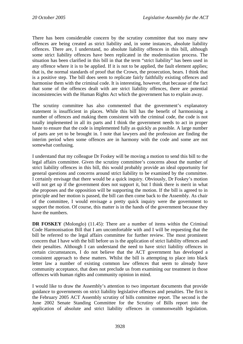There has been considerable concern by the scrutiny committee that too many new offences are being created as strict liability and, in some instances, absolute liability offences. There are, I understand, no absolute liability offences in this bill, although some strict liability offences have been replicated in the modernisation process. The situation has been clarified in this bill in that the term "strict liability" has been used in any offence where it is to be applied. If it is not to be applied, the fault element applies; that is, the normal standards of proof that the Crown, the prosecution, bears. I think that is a positive step. The bill does seem to replicate fairly faithfully existing offences and harmonise them with the criminal code. It is interesting, however, that because of the fact that some of the offences dealt with are strict liability offences, there are potential inconsistencies with the Human Rights Act which the government has to explain away.

The scrutiny committee has also commented that the government's explanatory statement is insufficient in places. While this bill has the benefit of harmonising a number of offences and making them consistent with the criminal code, the code is not totally implemented in all its parts and I think the government needs to act in proper haste to ensure that the code is implemented fully as quickly as possible. A large number of parts are yet to be brought in. I note that lawyers and the profession are finding the interim period when some offences are in harmony with the code and some are not somewhat confusing.

I understand that my colleague Dr Foskey will be moving a motion to send this bill to the legal affairs committee. Given the scrutiny committee's concerns about the number of strict liability offences in this bill, this would probably provide an ideal opportunity for general questions and concerns around strict liability to be examined by the committee. I certainly envisage that there would be a quick inquiry. Obviously, Dr Foskey's motion will not get up if the government does not support it, but I think there is merit in what she proposes and the opposition will be supporting the motion. If the bill is agreed to in principle and her motion is passed, the bill can then come back to the Assembly. As chair of the committee, I would envisage a pretty quick inquiry were the government to support the motion. Of course, this matter is in the hands of the government because they have the numbers.

**DR FOSKEY** (Molonglo) (11.45): There are a number of items within the Criminal Code Harmonisation Bill that I am uncomfortable with and I will be requesting that the bill be referred to the legal affairs committee for further review. The most prominent concern that I have with the bill before us is the application of strict liability offences and their penalties. Although I can understand the need to have strict liability offences in certain circumstances, I do not believe that the ACT government has developed a consistent approach to these matters. Whilst the bill is attempting to place into black letter law a number of existing common law offences that seem to already have community acceptance, that does not preclude us from examining our treatment in those offences with human rights and community opinion in mind.

I would like to draw the Assembly's attention to two important documents that provide guidance to governments on strict liability legislative offences and penalties. The first is the February 2005 ACT Assembly scrutiny of bills committee report. The second is the June 2002 Senate Standing Committee for the Scrutiny of Bills report into the application of absolute and strict liability offences in commonwealth legislation.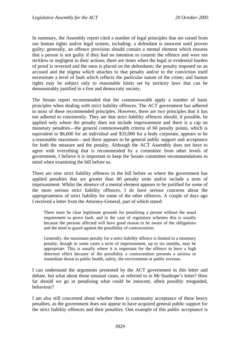In summary, the Assembly report cited a number of legal principles that are raised from our human rights and/or legal system, including: a defendant is innocent until proven guilty; generally, an offence provision should contain a mental element which ensures that a person is not guilty if they had no intention to commit the offence and were not reckless or negligent in their actions; there are times when the legal or evidential burden of proof is reversed and the onus is placed on the defendants; the penalty imposed on an accused and the stigma which attaches to that penalty and/or to the conviction itself necessitate a level of fault which reflects the particular nature of the crime; and human rights may be subject only to reasonable limits set by territory laws that can be demonstrably justified in a free and democratic society.

The Senate report recommended that the commonwealth apply a number of basic principles when dealing with strict liability offences. The ACT government has adhered to most of these recommended principles. However, there are two principles that it has not adhered to consistently. They are that strict liability offences should, if possible, be applied only where the penalty does not include imprisonment and there is a cap on monetary penalties—the general commonwealth criteria of 60 penalty points, which is equivalent to \$6,600 for an individual and \$33,000 for a body corporate, appears to be a reasonable maximum—and there appears to be general public support and acceptance for both the measure and the penalty. Although the ACT Assembly does not have to agree with everything that is recommended by a committee from other levels of government, I believe it is important to keep the Senate committee recommendations in mind when examining the bill before us.

There are nine strict liability offences in the bill before us where the government has applied penalties that are greater than 60 penalty units and/or include a term of imprisonment. Whilst the absence of a mental element appears to be justified for some of the more serious strict liability offences, I do have serious concerns about the appropriateness of strict liability for some of the other offences. A couple of days ago I received a letter from the Attorney-General, part of which stated:

There must be clear legitimate grounds for penalising a person without the usual requirement to prove fault, and in the case of regulatory schemes this is usually because the persons affected will have good reason to be aware of the obligations and the need to guard against the possibility of contravention.

Generally, the maximum penalty for a strict liability offence is limited to a monetary penalty, though in some cases a term of imprisonment, up to six months, may be appropriate. This is usually where it is important for the offence to have a high deterrent effect because of the possibility a contravention presents a serious or immediate threat to public health, safety, the environment or public revenue.

I can understand the arguments presented by the ACT government in this letter and debate, but what about those unusual cases, as referred to in Mr Stanhope's letter? How far should we go in penalising what could be innocent, albeit possibly misguided, behaviour?

I am also still concerned about whether there is community acceptance of these heavy penalties, as the government does not appear to have acquired general public support for the strict liability offences and their penalties. One example of this public acceptance is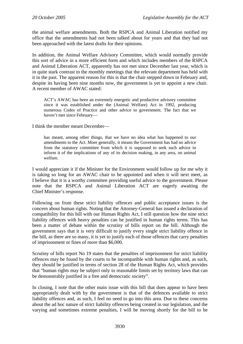the animal welfare amendments. Both the RSPCA and Animal Liberation notified my office that the amendments had not been talked about for years and that they had not been approached with the latest drafts for their opinions.

In addition, the Animal Welfare Advisory Committee, which would normally provide this sort of advice in a more efficient form and which includes members of the RSPCA and Animal Liberation ACT, apparently has not met since December last year, which is in quite stark contrast to the monthly meetings that the relevant department has held with it in the past. The apparent reason for this is that the chair stepped down in February and, despite its having been nine months now, the government is yet to appoint a new chair. A recent member of AWAC stated:

ACT's AWAC has been an extremely energetic and productive advisory committee since it was established under the (Animal Welfare) Act in 1992, producing numerous Codes of Practice and other advice to government. The fact that we haven't met since February—

I think the member meant December—

has meant, among other things, that we have no idea what has happened to our amendments to the Act. More generally, it means the Government has had no advice from the statutory committee from which it is supposed to seek such advice to inform it of the implications of any of its decision making, in any area, on animal welfare.

I would appreciate it if the Minister for the Environment would follow up for me why it is taking so long for an AWAC chair to be appointed and when it will next meet, as I believe that it is a worthy committee providing useful advice to the government. Please note that the RSPCA and Animal Liberation ACT are eagerly awaiting the Chief Minister's response.

Following on from these strict liability offences and public acceptance issues is the concern about human rights. Noting that the Attorney-General has issued a declaration of compatibility for this bill with our Human Rights Act, I still question how the nine strict liability offences with heavy penalties can be justified in human rights terms. This has been a matter of debate within the scrutiny of bills report on the bill. Although the government says that it is very difficult to justify every single strict liability offence in the bill, as there are so many, it is yet to justify each of those offences that carry penalties of imprisonment or fines of more than \$6,000.

Scrutiny of bills report No 19 states that the penalties of imprisonment for strict liability offences may be found by the courts to be incompatible with human rights and, as such, they should be justified in terms of section 28 of the Human Rights Act, which provides that "human rights may be subject only to reasonable limits set by territory laws that can be demonstrably justified in a free and democratic society".

In closing, I note that the other main issue with this bill that does appear to have been appropriately dealt with by the government is that of the defences available to strict liability offences and, as such, I feel no need to go into this area. Due to these concerns about the ad hoc nature of strict liability offences being created in our legislation, and the varying and sometimes extreme penalties, I will be moving shortly for the bill to be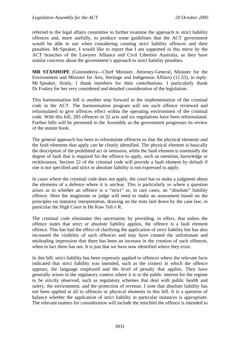referred to the legal affairs committee to further examine the approach to strict liability offences and, more usefully, to produce some guidelines that the ACT government would be able to use when considering creating strict liability offences and their penalties. Mr Speaker, I would like to report that I am supported in this move by the ACT branches of the Lawyers Alliance and Civil Liberties Australia, as they have similar concerns about the government's approach to strict liability penalties.

**MR STANHOPE** (Ginninderra—Chief Minister, Attorney-General, Minister for the Environment and Minister for Arts, Heritage and Indigenous Affairs) (11.55), in reply: Mr Speaker, firstly, I thank members for their contributions. I particularly thank Dr Foskey for her very considered and detailed consideration of the legislation.

This harmonisation bill is another step forward in the implementation of the criminal code in the ACT. The harmonisation program will see each offence reviewed and reformulated to give offences effect within the operating environment of the criminal code. With this bill, 283 offences in 32 acts and six regulations have been reformulated. Further bills will be presented to the Assembly as the government progresses its review of the statute book.

The general approach has been to reformulate offences so that the physical elements and the fault elements that apply can be clearly identified. The physical element is basically the description of the prohibited act or omission, while the fault element is essentially the degree of fault that is required for the offence to apply, such as intention, knowledge or recklessness. Section 22 of the criminal code will provide a fault element by default if one is not specified and strict or absolute liability is not expressed to apply.

In cases where the criminal code does not apply, the court has to make a judgment about the elements of a defence where it is unclear. This is particularly so where a question arises as to whether an offence is a "strict" or, in rare cases, an "absolute" liability offence. Here the magistrate or judge will need to make an assessment based on the principles on statutory interpretation, drawing on the tests laid down by the case law, in particular the High Court in He Kaw Teh v R.

The criminal code eliminates this uncertainty by providing, in effect, that unless the offence states that strict or absolute liability applies, the offence is a fault element offence. This has had the effect of clarifying the application of strict liability but has also increased the visibility of such offences and may have created the unfortunate and misleading impression that there has been an increase in the creation of such offences, when in fact there has not. It is just that we have now identified where they exist.

In this bill, strict liability has been expressly applied to offences where the relevant facts indicated that strict liability was intended, such as the context in which the offence appears, the language employed and the level of penalty that applies. They have generally arisen in the regulatory context where it is in the public interest for the regime to be strictly observed, such as regulatory schemes that deal with public health and safety, the environment, and the protection of revenue. I note that absolute liability has not been applied at all to offences or physical elements in this bill. It is a question of balance whether the application of strict liability in particular instances is appropriate. The relevant matters for consideration will include the mischief the offence is intended to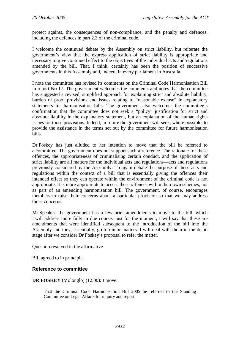protect against, the consequences of non-compliance, and the penalty and defences, including the defences in part 2.3 of the criminal code.

I welcome the continued debate by the Assembly on strict liability, but reiterate the government's view that the express application of strict liability is appropriate and necessary to give continued effect to the objectives of the individual acts and regulations amended by the bill. That, I think, certainly has been the position of successive governments in this Assembly and, indeed, in every parliament in Australia.

I note the committee has revised its comments on the Criminal Code Harmonisation Bill in report No 17. The government welcomes the comments and notes that the committee has suggested a revised, simplified approach for explaining strict and absolute liability, burden of proof provisions and issues relating to "reasonable excuse" in explanatory statements for harmonisation bills. The government also welcomes the committee's confirmation that the committee does not seek a "policy" justification for strict and absolute liability in the explanatory statement, but an explanation of the human rights issues for those provisions. Indeed, in future the government will seek, where possible, to provide the assistance in the terms set out by the committee for future harmonisation bills.

Dr Foskey has just alluded to her intention to move that the bill be referred to a committee. The government does not support such a reference. The rationale for these offences, the appropriateness of criminalising certain conduct, and the application of strict liability are all matters for the individual acts and regulations—acts and regulations previously considered by the Assembly. To again debate the purpose of these acts and regulations within the context of a bill that is essentially giving the offences their intended effect so they can operate within the environment of the criminal code is not appropriate. It is more appropriate to access these offences within their own schemes, not as part of an amending harmonisation bill. The government, of course, encourages members to raise their concerns about a particular provision so that we may address those concerns.

Mr Speaker, the government has a few brief amendments to move to the bill, which I will address more fully in due course. Just for the moment, I will say that these are amendments that were identified subsequent to the introduction of the bill into the Assembly and they, essentially, go to minor matters. I will deal with them in the detail stage after we consider Dr Foskey's proposal to refer the matter.

Question resolved in the affirmative.

Bill agreed to in principle.

#### **Reference to committee**

#### **DR FOSKEY** (Molonglo) (12.00): I move:

That the Criminal Code Harmonisation Bill 2005 be referred to the Standing Committee on Legal Affairs for inquiry and report.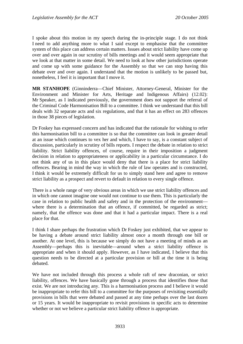I spoke about this motion in my speech during the in-principle stage. I do not think I need to add anything more to what I said except to emphasise that the committee system of this place can address certain matters. Issues about strict liability have come up over and over again in our scrutiny of bills meetings and it would seem appropriate that we look at that matter in some detail. We need to look at how other jurisdictions operate and come up with some guidance for the Assembly so that we can stop having this debate over and over again. I understand that the motion is unlikely to be passed but, nonetheless, I feel it is important that I move it.

**MR STANHOPE** (Ginninderra—Chief Minister, Attorney-General, Minister for the Environment and Minister for Arts, Heritage and Indigenous Affairs) (12.02): Mr Speaker, as I indicated previously, the government does not support the referral of the Criminal Code Harmonisation Bill to a committee. I think we understand that this bill deals with 32 separate acts and six regulations, and that it has an effect on 283 offences in those 38 pieces of legislation.

Dr Foskey has expressed concern and has indicated that the rationale for wishing to refer this harmonisation bill to a committee is so that the committee can look in greater detail at an issue which continues to vex her and which, I have to say, is a constant subject of discussion, particularly in scrutiny of bills reports. I respect the debate in relation to strict liability. Strict liability offences, of course, require in their imposition a judgment decision in relation to appropriateness or applicability in a particular circumstance. I do not think any of us in this place would deny that there is a place for strict liability offences. Bearing in mind the way in which the rule of law operates and is constructed, I think it would be extremely difficult for us to simply stand here and agree to remove strict liability as a prospect and revert to default in relation to every single offence.

There is a whole range of very obvious areas in which we use strict liability offences and in which one cannot imagine one would not continue to use them. This is particularly the case in relation to public health and safety and in the protection of the environment where there is a determination that an offence, if committed, be regarded as strict; namely, that the offence was done and that it had a particular impact. There is a real place for that.

I think I share perhaps the frustration which Dr Foskey just exhibited, that we appear to be having a debate around strict liability almost once a month through one bill or another. At one level, this is because we simply do not have a meeting of minds as an Assembly—perhaps this is inevitable—around when a strict liability offence is appropriate and when it should apply. However, as I have indicated, I believe that this question needs to be directed at a particular provision or bill at the time it is being debated.

We have not included through this process a whole raft of new draconian, or strict liability, offences. We have basically gone through a process that identifies those that exist. We are not introducing any. This is a harmonisation process and I believe it would be inappropriate to refer this bill to a committee for the purposes of revisiting essentially provisions in bills that were debated and passed at any time perhaps over the last dozen or 15 years. It would be inappropriate to revisit provisions in specific acts to determine whether or not we believe a particular strict liability offence is appropriate.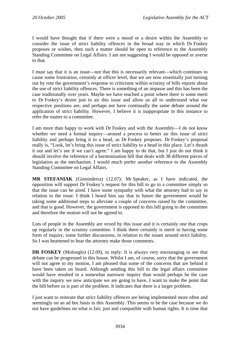I would have thought that if there were a mood or a desire within the Assembly to consider the issue of strict liability offences in the broad way in which Dr Foskey proposes or wishes, then such a matter should be open to reference to the Assembly Standing Committee on Legal Affairs. I am not suggesting I would be opposed or averse to that.

I must say that it is an issue—not that this is necessarily relevant—which continues to cause some frustration, certainly at officer level, that we are now essentially just turning out by rote the government's response to criticisms within scrutiny of bills reports about the use of strict liability offences. There is something of an impasse and this has been the case traditionally over years. Maybe we have reached a point where there is some merit to Dr Foskey's desire just to air this issue and allow us all to understand what our respective positions are, and perhaps not have continually the same debate around the application of strict liability. However, I believe it is inappropriate in this instance to refer the matter to a committee.

I am more than happy to work with Dr Foskey and with the Assembly—I do not know whether we need a formal inquiry—around a process to better air this issue of strict liability and perhaps bring it to a head, as Dr Foskey proposes. Dr Foskey's proposal really is, "Look, let's bring this issue of strict liability to a head in this place. Let's thrash it out and let's see if we can't agree." I am happy to do that, but I just do not think it should involve the reference of a harmonisation bill that deals with 38 different pieces of legislation as the mechanism. I would much prefer another reference to the Assembly Standing Committee on Legal Affairs.

**MR STEFANIAK** (Ginninderra) (12.07): Mr Speaker, as I have indicated, the opposition will support Dr Foskey's request for this bill to go to a committee simply so that the issue can be aired. I have some sympathy with what the attorney had to say in relation to the issue. I think I heard him say that in future the government would be taking some additional steps to alleviate a couple of concerns raised by the committee, and that is good. However, the government is opposed to this bill going to the committee and therefore the motion will not be agreed to.

Lots of people in the Assembly are vexed by this issue and it is certainly one that crops up regularly in the scrutiny committee. I think there certainly is merit in having some form of inquiry, some further discussions, in relation to the issues around strict liability. So I was heartened to hear the attorney make those comments.

**DR FOSKEY** (Molonglo) (12.09), in reply: It is always very encouraging to see that debate can be progressed in this house. Whilst I am, of course, sorry that the government will not agree to my motion, I am pleased that some of the concerns that are behind it have been taken on board. Although sending this bill to the legal affairs committee would have resulted in a somewhat narrower inquiry than would perhaps be the case with the inquiry we now anticipate we are going to have, I want to make the point that the bill before us is part of the problem. It indicates that there is a larger problem.

I just want to reiterate that strict liability offences are being implemented more often and seemingly on an ad hoc basis in this Assembly. This seems to be the case because we do not have guidelines on what is fair, just and compatible with human rights. It is time that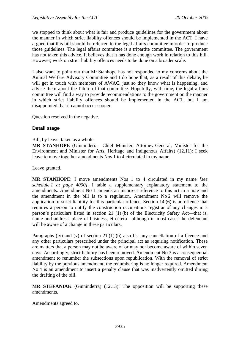we stopped to think about what is fair and produce guidelines for the government about the manner in which strict liability offences should be implemented in the ACT. I have argued that this bill should be referred to the legal affairs committee in order to produce those guidelines. The legal affairs committee is a tripartite committee. The government has not taken this advice. It believes that it has done enough work in relation to this bill. However, work on strict liability offences needs to be done on a broader scale.

I also want to point out that Mr Stanhope has not responded to my concerns about the Animal Welfare Advisory Committee and I do hope that, as a result of this debate, he will get in touch with members of AWAC, just so they know what is happening, and advise them about the future of that committee. Hopefully, with time, the legal affairs committee will find a way to provide recommendations to the government on the manner in which strict liability offences should be implemented in the ACT, but I am disappointed that it cannot occur sooner.

Question resolved in the negative.

### **Detail stage**

Bill, by leave, taken as a whole.

**MR STANHOPE** (Ginninderra—Chief Minister, Attorney-General, Minister for the Environment and Minister for Arts, Heritage and Indigenous Affairs) (12.11): I seek leave to move together amendments Nos 1 to 4 circulated in my name.

Leave granted.

**MR STANHOPE**: I move amendments Nos 1 to 4 circulated in my name *[see schedule 1 at page 4000]*. I table a supplementary explanatory statement to the amendments. Amendment No 1 amends an incorrect reference to this act in a note and the amendment in the bill is to a regulation. Amendment No 2 will remove the application of strict liability for this particular offence. Section 14 (6) is an offence that requires a person to notify the construction occupations registrar of any changes in a person's particulars listed in section 21 (1) (b) of the Electricity Safety Act—that is, name and address, place of business, et cetera—although in most cases the defendant will be aware of a change in these particulars.

Paragraphs (iv) and (v) of section 21 (1) (b) also list any cancellation of a licence and any other particulars prescribed under the principal act as requiring notification. These are matters that a person may not be aware of or may not become aware of within seven days. Accordingly, strict liability has been removed. Amendment No 3 is a consequential amendment to renumber the subsections upon republication. With the removal of strict liability by the previous amendment, the renumbering is no longer required. Amendment No 4 is an amendment to insert a penalty clause that was inadvertently omitted during the drafting of the bill.

**MR STEFANIAK** (Ginninderra) (12.13): The opposition will be supporting these amendments.

Amendments agreed to.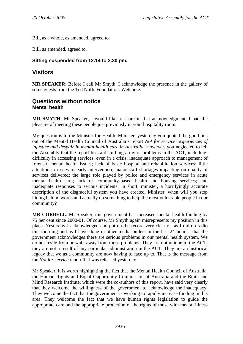<span id="page-32-0"></span>Bill, as a whole, as amended, agreed to.

Bill, as amended, agreed to.

## **Sitting suspended from 12.14 to 2.30 pm.**

## **Visitors**

**MR SPEAKER**: Before I call Mr Smyth, I acknowledge the presence in the gallery of some guests from the Ted Noffs Foundation. Welcome.

## **Questions without notice Mental health**

**MR SMYTH**: Mr Speaker, I would like to share in that acknowledgment. I had the pleasure of meeting these people just previously in your hospitality room.

My question is to the Minister for Health. Minister, yesterday you quoted the good bits out of the Mental Health Council of Australia's report *Not for service: experiences of injustice and despair in mental health care in Australia.* However, you neglected to tell the Assembly that the report lists a disturbing array of problems in the ACT, including: difficulty in accessing services, even in a crisis; inadequate approach to management of forensic mental health issues; lack of basic hospital and rehabilitation services; little attention to issues of early intervention; major staff shortages impacting on quality of services delivered; the large role played by police and emergency services in acute mental health care; lack of community-based health and housing services; and inadequate responses to serious incidents. In short, minister, a horrifyingly accurate description of the disgraceful system you have created. Minister, when will you stop hiding behind words and actually do something to help the most vulnerable people in our community?

**MR CORBELL**: Mr Speaker, this government has increased mental health funding by 75 per cent since 2000-01. Of course, Mr Smyth again misrepresents my position in this place. Yesterday I acknowledged and put on the record very clearly—as I did on radio this morning and as I have done in other media outlets in the last 24 hours—that the government acknowledges there are serious problems in our mental health system. We do not resile from or walk away from those problems. They are not unique to the ACT; they are not a result of any particular administration in the ACT. They are an historical legacy that we as a community are now having to face up to. That is the message from the *Not for service* report that was released yesterday.

Mr Speaker, it is worth highlighting the fact that the Mental Health Council of Australia, the Human Rights and Equal Opportunity Commission of Australia and the Brain and Mind Research Institute, which were the co-authors of this report, have said very clearly that they welcome the willingness of the government to acknowledge the inadequacy. They welcome the fact that the government is working to rapidly increase funding in this area. They welcome the fact that we have human rights legislation to guide the appropriate care and the appropriate protection of the rights of those with mental illness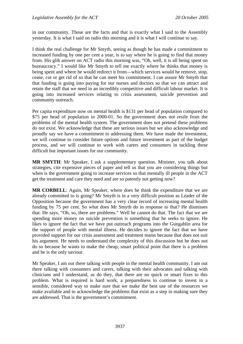in our community. Those are the facts and that is exactly what I said to the Assembly yesterday. It is what I said on radio this morning and it is what I will continue to say.

I think the real challenge for Mr Smyth, seeing as though he has made a commitment to increased funding by one per cent a year, is to say where he is going to find that money from. His glib answer on ACT radio this morning was, "Oh, well, it is all being spent on bureaucracy." I would like Mr Smyth to tell me exactly where he thinks that money is being spent and where he would redirect it from—which services would he remove, stop, cease, cut or get rid of so that he can meet his commitment. I can assure Mr Smyth that that funding is going into paying for our nurses and doctors so that we can attract and retain the staff that we need in an incredibly competitive and difficult labour market. It is going into increased services relating to crisis assessment, suicide prevention and community outreach.

Per capita expenditure now on mental health is \$131 per head of population compared to \$75 per head of population in 2000-01. So the government does not resile from the problems of the mental health system. The government does not pretend these problems do not exist. We acknowledge that these are serious issues but we also acknowledge and proudly say we have a commitment to addressing them. We have made the investment, we will continue to consider future options and future investment as part of the budget process, and we will continue to work with carers and consumers in tackling these difficult but important issues for our community.

**MR SMYTH**: Mr Speaker, I ask a supplementary question. Minister, you talk about strategies, cite expensive pieces of paper and tell us that you are considering things but when is the government going to increase services so that mentally ill people in the ACT get the treatment and care they need and are so patently not getting now?

**MR CORBELL**: Again, Mr Speaker, where does he think the expenditure that we are already committed to is going? Mr Smyth is in a very difficult position as Leader of the Opposition because the government has a very clear record of increasing mental health funding by 75 per cent. So what does Mr Smyth do in response to that? He dismisses that. He says, "Oh, so, there are problems." Well he cannot do that. The fact that we are spending more money on suicide prevention is something that he seeks to ignore. He likes to ignore the fact that we have put outreach programs into the Gungahlin area for the support of people with mental illness. He decides to ignore the fact that we have provided support for our crisis assessment and treatment teams because that does not suit his argument. He needs to understand the complexity of this discussion but he does not do so because he wants to make the cheap, smart political point that there is a problem and he is the only saviour.

Mr Speaker, I am out there talking with people in the mental health community. I am out there talking with consumers and carers, talking with their advocates and talking with clinicians and I understand, as do they, that there are no quick or smart fixes to this problem. What is required is hard work, a preparedness to continue to invest in a sensible, considered way to make sure that we make the best use of the resources we make available and to acknowledge the problems that exist as a step in making sure they are addressed. That is the government's commitment.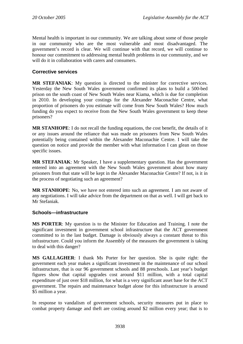<span id="page-34-0"></span>Mental health is important in our community. We are talking about some of those people in our community who are the most vulnerable and most disadvantaged. The government's record is clear. We will continue with that record, we will continue to honour our commitment to addressing mental health problems in our community, and we will do it in collaboration with carers and consumers.

### **Corrective services**

**MR STEFANIAK**: My question is directed to the minister for corrective services. Yesterday the New South Wales government confirmed its plans to build a 500-bed prison on the south coast of New South Wales near Kiama, which is due for completion in 2010. In developing your costings for the Alexander Maconachie Centre, what proportion of prisoners do you estimate will come from New South Wales? How much funding do you expect to receive from the New South Wales government to keep these prisoners?

**MR STANHOPE**: I do not recall the funding equations, the cost benefit, the details of it or any issues around the reliance that was made on prisoners from New South Wales potentially being contained within the Alexander Maconachie Centre. I will take the question on notice and provide the member with what information I can glean on those specific issues.

**MR STEFANIAK**: Mr Speaker, I have a supplementary question. Has the government entered into an agreement with the New South Wales government about how many prisoners from that state will be kept in the Alexander Maconachie Centre? If not, is it in the process of negotiating such an agreement?

**MR STANHOPE**: No, we have not entered into such an agreement. I am not aware of any negotiations. I will take advice from the department on that as well. I will get back to Mr Stefaniak.

#### **Schools—infrastructure**

**MS PORTER**: My question is to the Minister for Education and Training. I note the significant investment in government school infrastructure that the ACT government committed to in the last budget. Damage is obviously always a constant threat to this infrastructure. Could you inform the Assembly of the measures the government is taking to deal with this danger?

**MS GALLAGHER**: I thank Ms Porter for her question. She is quite right: the government each year makes a significant investment in the maintenance of our school infrastructure, that is our 96 government schools and 88 preschools. Last year's budget figures show that capital upgrades cost around \$11 million, with a total capital expenditure of just over \$18 million, for what is a very significant asset base for the ACT government. The repairs and maintenance budget alone for this infrastructure is around \$5 million a year.

In response to vandalism of government schools, security measures put in place to combat property damage and theft are costing around \$2 million every year; that is to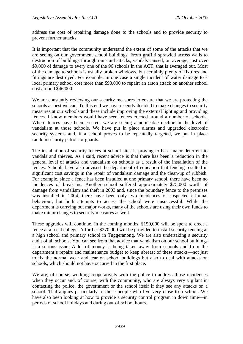address the cost of repairing damage done to the schools and to provide security to prevent further attacks.

It is important that the community understand the extent of some of the attacks that we are seeing on our government school buildings. From graffiti sprawled across walls to destruction of buildings through ram-raid attacks, vandals caused, on average, just over \$9,000 of damage to every one of the 96 schools in the ACT; that is averaged out. Most of the damage to schools is usually broken windows, but certainly plenty of fixtures and fittings are destroyed. For example, in one case a single incident of water damage to a local primary school cost more than \$90,000 to repair; an arson attack on another school cost around \$46,000.

We are constantly reviewing our security measures to ensure that we are protecting the schools as best we can. To this end we have recently decided to make changes to security measures at our schools and these include improving the external lighting and providing fences. I know members would have seen fences erected around a number of schools. Where fences have been erected, we are seeing a noticeable decline in the level of vandalism at those schools. We have put in place alarms and upgraded electronic security systems and, if a school proves to be repeatedly targeted, we put in place random security patrols or guards.

The installation of security fences at school sites is proving to be a major deterrent to vandals and thieves. As I said, recent advice is that there has been a reduction in the general level of attacks and vandalism on schools as a result of the installation of the fences. Schools have also advised the department of education that fencing resulted in significant cost savings in the repair of vandalism damage and the clean-up of rubbish. For example, since a fence has been installed at one primary school, there have been no incidences of break-ins. Another school suffered approximately \$75,000 worth of damage from vandalism and theft in 2003 and, since the boundary fence to the premises was installed in 2004, there have been only two incidences of suspected criminal behaviour, but both attempts to access the school were unsuccessful. While the department is carrying out major works, many of the schools are using their own funds to make minor changes to security measures as well.

These upgrades will continue. In the coming months, \$150,000 will be spent to erect a fence at a local college. A further \$270,000 will be provided to install security fencing at a high school and primary school in Tuggeranong. We are also undertaking a security audit of all schools. You can see from that advice that vandalism on our school buildings is a serious issue. A lot of money is being taken away from schools and from the department's repairs and maintenance budget to keep abreast of these attacks—not just to fix the normal wear and tear on school buildings but also to deal with attacks on schools, which should not have occurred in the first place.

We are, of course, working cooperatively with the police to address those incidences when they occur and, of course, with the community, who are always very vigilant in contacting the police, the government or the school itself if they see any attacks on a school. That applies particularly to those people who live very close to a school. We have also been looking at how to provide a security control program in down time—in periods of school holidays and during out-of-school hours.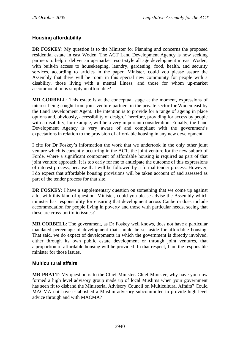# **Housing affordability**

**DR FOSKEY:** My question is to the Minister for Planning and concerns the proposed residential estate in east Woden. The ACT Land Development Agency is now seeking partners to help it deliver an up-market resort-style all age development in east Woden, with built-in access to housekeeping, laundry, gardening, food, health, and security services, according to articles in the paper. Minister, could you please assure the Assembly that there will be room in this special new community for people with a disability, those living with a mental illness, and those for whom up-market accommodation is simply unaffordable?

**MR CORBELL**: This estate is at the conceptual stage at the moment, expressions of interest being sought from joint venture partners in the private sector for Woden east by the Land Development Agent. The intention is to provide for a range of ageing in place options and, obviously, accessibility of design. Therefore, providing for access by people with a disability, for example, will be a very important consideration. Equally, the Land Development Agency is very aware of and compliant with the government's expectations in relation to the provision of affordable housing in any new development.

I cite for Dr Foskey's information the work that we undertook in the only other joint venture which is currently occurring in the ACT, the joint venture for the new suburb of Forde, where a significant component of affordable housing is required as part of that joint venture approach. It is too early for me to anticipate the outcome of this expressions of interest process, because that will be followed by a formal tender process. However, I do expect that affordable housing provisions will be taken account of and assessed as part of the tender process for that site.

**DR FOSKEY:** I have a supplementary question on something that we come up against a lot with this kind of question. Minister, could you please advise the Assembly which minister has responsibility for ensuring that development across Canberra does include accommodation for people living in poverty and those with particular needs, seeing that these are cross-portfolio issues?

**MR CORBELL:** The government, as Dr Foskey well knows, does not have a particular mandated percentage of development that should be set aside for affordable housing. That said, we do expect of developments in which the government is directly involved, either through its own public estate development or through joint ventures, that a proportion of affordable housing will be provided. In that respect, I am the responsible minister for those issues.

## **Multicultural affairs**

**MR PRATT**: My question is to the Chief Minister. Chief Minister, why have you now formed a high level advisory group made up of local Muslims when your government has seen fit to disband the Ministerial Advisory Council on Multicultural Affairs? Could MACMA not have established a Muslim advisory subcommittee to provide high-level advice through and with MACMA?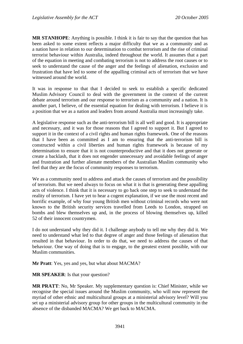**MR STANHOPE**: Anything is possible. I think it is fair to say that the question that has been asked to some extent reflects a major difficulty that we as a community and as a nation have in relation to our determination to combat terrorism and the rise of criminal terrorist behaviour within Australia, indeed throughout the world. It assumes that a part of the equation in meeting and combating terrorism is not to address the root causes or to seek to understand the cause of the anger and the feelings of alienation, exclusion and frustration that have led to some of the appalling criminal acts of terrorism that we have witnessed around the world.

It was in response to that that I decided to seek to establish a specific dedicated Muslim Advisory Council to deal with the government in the context of the current debate around terrorism and our response to terrorism as a community and a nation. It is another part, I believe, of the essential equation for dealing with terrorism. I believe it is a position that we as a nation and leaders from around Australia must increasingly take.

A legislative response such as the anti-terrorism bill is all well and good. It is appropriate and necessary, and it was for those reasons that I agreed to support it. But I agreed to support it in the context of a civil rights and human rights framework. One of the reasons that I have been as committed as I am to ensuring that the anti-terrorism bill is constructed within a civil liberties and human rights framework is because of my determination to ensure that it is not counterproductive and that it does not generate or create a backlash, that it does not engender unnecessary and avoidable feelings of anger and frustration and further alienate members of the Australian Muslim community who feel that they are the focus of community responses to terrorism.

We as a community need to address and attack the causes of terrorism and the possibility of terrorism. But we need always to focus on what it is that is generating these appalling acts of violence. I think that it is necessary to go back one step to seek to understand the reality of terrorism. I have yet to hear a cogent explanation, if we use the most recent and horrific example, of why four young British men without criminal records who were not known to the British security services travelled from Leeds to London, strapped on bombs and blew themselves up and, in the process of blowing themselves up, killed 52 of their innocent countrymen.

I do not understand why they did it. I challenge anybody to tell me why they did it. We need to understand what led to that degree of anger and those feelings of alienation that resulted in that behaviour. In order to do that, we need to address the causes of that behaviour. One way of doing that is to engage, to the greatest extent possible, with our Muslim communities.

**Mr Pratt**: Yes, yes and yes, but what about MACMA?

**MR SPEAKER**: Is that your question?

**MR PRATT**: No, Mr Speaker. My supplementary question is: Chief Minister, while we recognise the special issues around the Muslim community, who will now represent the myriad of other ethnic and multicultural groups at a ministerial advisory level? Will you set up a ministerial advisory group for other groups in the multicultural community in the absence of the disbanded MACMA? We get back to MACMA.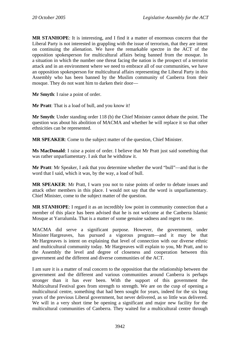**MR STANHOPE**: It is interesting, and I find it a matter of enormous concern that the Liberal Party is not interested in grappling with the issue of terrorism, that they are intent on continuing the alienation. We have the remarkable spectre in the ACT of the opposition spokesperson for multicultural affairs being banned from the mosque. In a situation in which the number one threat facing the nation is the prospect of a terrorist attack and in an environment where we need to embrace all of our communities, we have an opposition spokesperson for multicultural affairs representing the Liberal Party in this Assembly who has been banned by the Muslim community of Canberra from their mosque. They do not want him to darken their door—

**Mr Smyth**: I raise a point of order.

**Mr Pratt**: That is a load of bull, and you know it!

**Mr Smyth**: Under standing order 118 (b) the Chief Minister cannot debate the point. The question was about his abolition of MACMA and whether he will replace it so that other ethnicities can be represented.

**MR SPEAKER**: Come to the subject matter of the question, Chief Minister.

**Ms MacDonald**: I raise a point of order. I believe that Mr Pratt just said something that was rather unparliamentary. I ask that he withdraw it.

**Mr Pratt**: Mr Speaker, I ask that you determine whether the word "bull"—and that is the word that I said, which it was, by the way, a load of bull.

**MR SPEAKER**: Mr Pratt, I warn you not to raise points of order to debate issues and attack other members in this place. I would not say that the word is unparliamentary. Chief Minister, come to the subject matter of the question.

**MR STANHOPE**: I regard it as an incredibly low point in community connection that a member of this place has been advised that he is not welcome at the Canberra Islamic Mosque at Yarralumla. That is a matter of some genuine sadness and regret to me.

MACMA did serve a significant purpose. However, the government, under Minister Hargreaves, has pursued a vigorous program—and it may be that Mr Hargreaves is intent on explaining that level of connection with our diverse ethnic and multicultural community today. Mr Hargreaves will explain to you, Mr Pratt, and to the Assembly the level and degree of closeness and cooperation between this government and the different and diverse communities of the ACT.

I am sure it is a matter of real concern to the opposition that the relationship between the government and the different and various communities around Canberra is perhaps stronger than it has ever been. With the support of this government the Multicultural Festival goes from strength to strength. We are on the cusp of opening a multicultural centre, something that had been sought for years, indeed for the six long years of the previous Liberal government, but never delivered, as so little was delivered. We will in a very short time be opening a significant and major new facility for the multicultural communities of Canberra. They waited for a multicultural centre through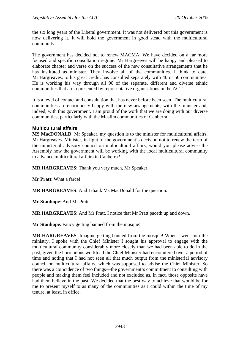the six long years of the Liberal government. It was not delivered but this government is now delivering it. It will hold the government in good stead with the multicultural community.

The government has decided not to renew MACMA. We have decided on a far more focused and specific consultation regime. Mr Hargreaves will be happy and pleased to elaborate chapter and verse on the success of the new consultative arrangements that he has instituted as minister. They involve all of the communities. I think to date, Mr Hargreaves, to his great credit, has consulted separately with 40 or 50 communities. He is working his way through all 90 of the separate, different and diverse ethnic communities that are represented by representative organisations in the ACT.

It is a level of contact and consultation that has never before been seen. The multicultural communities are enormously happy with the new arrangements, with the minister and, indeed, with this government. I am proud of the work that we are doing with our diverse communities, particularly with the Muslim communities of Canberra.

## **Multicultural affairs**

**MS MacDONALD:** Mr Speaker, my question is to the minister for multicultural affairs, Mr Hargreaves. Minister, in light of the government's decision not to renew the term of the ministerial advisory council on multicultural affairs, would you please advise the Assembly how the government will be working with the local multicultural community to advance multicultural affairs in Canberra?

**MR HARGREAVES**: Thank you very much, Mr Speaker.

**Mr Pratt**: What a farce!

**MR HARGREAVES**: And I thank Ms MacDonald for the question.

**Mr Stanhope**: And Mr Pratt.

**MR HARGREAVES**: And Mr Pratt. I notice that Mr Pratt paceth up and down.

**Mr Stanhope**: Fancy getting banned from the mosque!

**MR HARGREAVES**: Imagine getting banned from the mosque! When I went into the ministry, I spoke with the Chief Minister I sought his approval to engage with the multicultural community considerably more closely than we had been able to do in the past, given the horrendous workload the Chief Minister had encountered over a period of time and noting that I had not seen all that much output from the ministerial advisory council on multicultural affairs, which was supposed to advise the Chief Minister. So there was a coincidence of two things—the government's commitment to consulting with people and making them feel included and not excluded as, in fact, those opposite have had them believe in the past. We decided that the best way to achieve that would be for me to present myself to as many of the communities as I could within the time of my tenure, at least, in office.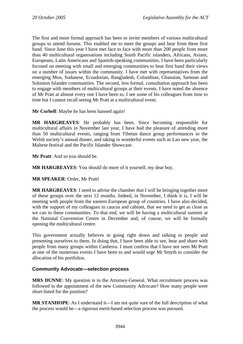The first and more formal approach has been to invite members of various multicultural groups to attend forums. This enabled me to meet the groups and hear from them first hand. Since June this year I have met face to face with more than 200 people from more than 40 multicultural organisations including South Pacific islanders, Africans, Asians, Europeans, Latin Americans and Spanish-speaking communities. I have been particularly focused on meeting with small and emerging communities to hear first hand their views on a number of issues within the community. I have met with representatives from the emerging Mon, Sudanese, Ecuadorian, Bangladesh, Columbian, Ghanaian, Samoan and Solomon Islander communities. The second, less formal, consultation approach has been to engage with members of multicultural groups at their events. I have noted the absence of Mr Pratt at almost every one I have been to. I see some of his colleagues from time to time but I cannot recall seeing Mr Pratt at a multicultural event.

**Mr Corbell**: Maybe he has been banned again!

**MR HARGREAVES**: He probably has been. Since becoming responsible for multicultural affairs in November last year, I have had the pleasure of attending more than 50 multicultural events, ranging from Tibetan dance group performances to the Welsh society's annual dinner, and taking in wonderful events such as Lao new year, the Maltese festival and the Pacific Islander Showcase.

**Mr Pratt**: And so you should be.

**MR HARGREAVES**: You should do more of it yourself, my dear boy.

**MR SPEAKER**: Order, Mr Pratt!

**MR HARGREAVES**: I need to advise the chamber that I will be bringing together more of these groups over the next 12 months. Indeed, in November, I think it is, I will be meeting with people from the eastern European group of countries. I have also decided, with the support of my colleagues in caucus and cabinet, that we need to get as close as we can to these communities. To that end, we will be having a multicultural summit at the National Convention Centre in December and, of course, we will be formally opening the multicultural centre.

This government actually believes in going right down and talking to people and presenting ourselves to them. In doing that, I have been able to see, hear and share with people from many groups within Canberra. I must confess that I have not seen Mr Pratt at one of the numerous events I have been to and would urge Mr Smyth to consider the allocation of his portfolios.

## **Community Advocate—selection process**

**MRS DUNNE**: My question is to the Attorney-General. What recruitment process was followed in the appointment of the new Community Advocate? How many people were short-listed for the position?

**MR STANHOPE**: As I understand it—I am not quite sure of the full description of what the process would be—a rigorous merit-based selection process was pursued.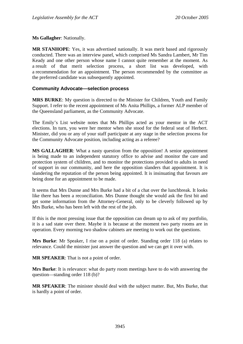**Ms Gallagher**: Nationally.

**MR STANHOPE**: Yes, it was advertised nationally. It was merit based and rigorously conducted. There was an interview panel, which comprised Ms Sandra Lambert, Mr Tim Keady and one other person whose name I cannot quite remember at the moment. As a result of that merit selection process, a short list was developed, with a recommendation for an appointment. The person recommended by the committee as the preferred candidate was subsequently appointed.

### **Community Advocate—selection process**

**MRS BURKE**: My question is directed to the Minister for Children, Youth and Family Support. I refer to the recent appointment of Ms Anita Phillips, a former ALP member of the Queensland parliament, as the Community Advocate.

The Emily's List website notes that Ms Phillips acted as your mentor in the ACT elections. In turn, you were her mentor when she stood for the federal seat of Herbert. Minister, did you or any of your staff participate at any stage in the selection process for the Community Advocate position, including acting as a referee?

**MS GALLAGHER**: What a nasty question from the opposition! A senior appointment is being made to an independent statutory office to advise and monitor the care and protection system of children, and to monitor the protections provided to adults in need of support in our community, and here the opposition slanders that appointment. It is slandering the reputation of the person being appointed. It is insinuating that favours are being done for an appointment to be made.

It seems that Mrs Dunne and Mrs Burke had a bit of a chat over the lunchbreak. It looks like there has been a reconciliation. Mrs Dunne thought she would ask the first bit and get some information from the Attorney-General, only to be cleverly followed up by Mrs Burke, who has been left with the rest of the job.

If this is the most pressing issue that the opposition can dream up to ask of my portfolio, it is a sad state over there. Maybe it is because at the moment two party rooms are in operation. Every morning two shadow cabinets are meeting to work out the questions.

**Mrs Burke**: Mr Speaker, I rise on a point of order. Standing order 118 (a) relates to relevance. Could the minister just answer the question and we can get it over with.

**MR SPEAKER**: That is not a point of order.

**Mrs Burke**: It is relevance: what do party room meetings have to do with answering the question—standing order 118 (b)?

**MR SPEAKER**: The minister should deal with the subject matter. But, Mrs Burke, that is hardly a point of order.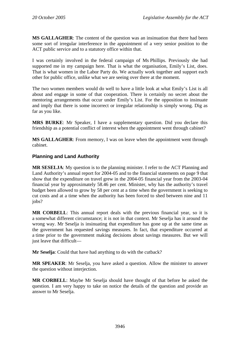**MS GALLAGHER**: The content of the question was an insinuation that there had been some sort of irregular interference in the appointment of a very senior position to the ACT public service and to a statutory office within that.

I was certainly involved in the federal campaign of Ms Phillips. Previously she had supported me in my campaign here. That is what the organisation, Emily's List, does. That is what women in the Labor Party do. We actually work together and support each other for public office, unlike what we are seeing over there at the moment.

The two women members would do well to have a little look at what Emily's List is all about and engage in some of that cooperation. There is certainly no secret about the mentoring arrangements that occur under Emily's List. For the opposition to insinuate and imply that there is some incorrect or irregular relationship is simply wrong. Dig as far as you like.

**MRS BURKE**: Mr Speaker, I have a supplementary question. Did you declare this friendship as a potential conflict of interest when the appointment went through cabinet?

**MS GALLAGHER**: From memory, I was on leave when the appointment went through cabinet.

## **Planning and Land Authority**

**MR SESELJA**: My question is to the planning minister. I refer to the ACT Planning and Land Authority's annual report for 2004-05 and to the financial statements on page 9 that show that the expenditure on travel grew in the 2004-05 financial year from the 2003-04 financial year by approximately 58.46 per cent. Minister, why has the authority's travel budget been allowed to grow by 58 per cent at a time when the government is seeking to cut costs and at a time when the authority has been forced to shed between nine and 11 jobs?

**MR CORBELL**: This annual report deals with the previous financial year, so it is a somewhat different circumstance; it is not in that context. Mr Seselja has it around the wrong way. Mr Seselja is insinuating that expenditure has gone up at the same time as the government has requested savings measures. In fact, that expenditure occurred at a time prior to the government making decisions about savings measures. But we will just leave that difficult—

**Mr Seselja**: Could that have had anything to do with the cutback?

**MR SPEAKER**: Mr Seselja, you have asked a question. Allow the minister to answer the question without interjection.

**MR CORBELL**: Maybe Mr Seselja should have thought of that before he asked the question. I am very happy to take on notice the details of the question and provide an answer to Mr Seselja.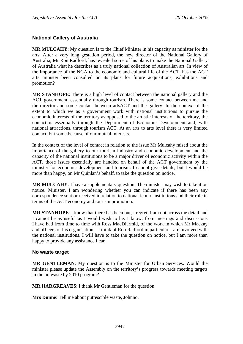## **National Gallery of Australia**

**MR MULCAHY**: My question is to the Chief Minister in his capacity as minister for the arts. After a very long gestation period, the new director of the National Gallery of Australia, Mr Ron Radford, has revealed some of his plans to make the National Gallery of Australia what he describes as a truly national collection of Australian art. In view of the importance of the NGA to the economic and cultural life of the ACT, has the ACT arts minister been consulted on its plans for future acquisitions, exhibitions and promotion?

**MR STANHOPE**: There is a high level of contact between the national gallery and the ACT government, essentially through tourism. There is some contact between me and the director and some contact between artsACT and the gallery. In the context of the extent to which we as a government work with national institutions to pursue the economic interests of the territory as opposed to the artistic interests of the territory, the contact is essentially through the Department of Economic Development and, with national attractions, through tourism ACT. At an arts to arts level there is very limited contact, but some because of our mutual interests.

In the context of the level of contact in relation to the issue Mr Mulcahy raised about the importance of the gallery to our tourism industry and economic development and the capacity of the national institutions to be a major driver of economic activity within the ACT, those issues essentially are handled on behalf of the ACT government by the minister for economic development and tourism. I cannot give details, but I would be more than happy, on Mr Quinlan's behalf, to take the question on notice.

**MR MULCAHY**: I have a supplementary question. The minister may wish to take it on notice. Minister, I am wondering whether you can indicate if there has been any correspondence sent or received in relation to national iconic institutions and their role in terms of the ACT economy and tourism promotion.

**MR STANHOPE**: I know that there has been but, I regret, I am not across the detail and I cannot be as useful as I would wish to be. I know, from meetings and discussions I have had from time to time with Ross MacDiarmid, of the work in which Mr Mackay and officers of his organisation—I think of Ron Radford in particular—are involved with the national institutions. I will have to take the question on notice, but I am more than happy to provide any assistance I can.

### **No waste target**

**MR GENTLEMAN**: My question is to the Minister for Urban Services. Would the minister please update the Assembly on the territory's progress towards meeting targets in the no waste by 2010 program?

**MR HARGREAVES**: I thank Mr Gentleman for the question.

**Mrs Dunne**: Tell me about putrescible waste, Johnno.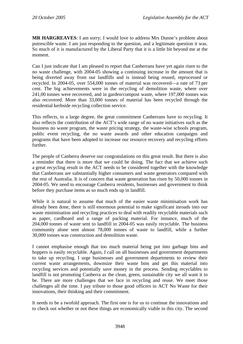**MR HARGREAVES**: I am sorry; I would love to address Mrs Dunne's problem about putrescible waste. I am just responding to the question, and a legitimate question it was. So much of it is manufactured by the Liberal Party that it is a little bit beyond me at the moment.

Can I just indicate that I am pleased to report that Canberrans have yet again risen to the no waste challenge, with 2004-05 showing a continuing increase in the amount that is being diverted away from our landfills and is instead being reused, reprocessed or recycled. In 2004-05, over 554,000 tonnes of material was recovered—a rate of 73 per cent. The big achievements were in the recycling of demolition waste, where over 241,00 tonnes were recovered, and in garden/compost waste, where 197,000 tonnes was also recovered. More than 33,000 tonnes of material has been recycled through the residential kerbside recycling collection service.

This reflects, to a large degree, the great commitment Canberrans have to recycling. It also reflects the contribution of the ACT's wide range of no waste initiatives such as the business no waste program, the waste pricing strategy, the waste-wise schools program, public event recycling, the no waste awards and other education campaigns and programs that have been adopted to increase our resource recovery and recycling efforts further.

The people of Canberra deserve our congratulations on this great result. But there is also a reminder that there is more that we could be doing. The fact that we achieve such a great recycling result in the ACT needs to be considered together with the knowledge that Canberrans are substantially higher consumers and waste generators compared with the rest of Australia. It is of concern that waste generation has risen by 50,000 tonnes in 2004-05. We need to encourage Canberra residents, businesses and government to think before they purchase items as so much ends up in landfill.

While it is natural to assume that much of the easier waste minimisation work has already been done, there is still enormous potential to make significant inroads into our waste minimisation and recycling practices to deal with readily recyclable materials such as paper, cardboard and a range of packing material. For instance, much of the 204,000 tonnes of waste sent to landfill in 2004-05 was easily recyclable. The business community alone sent almost 78,000 tonnes of waste to landfill, while a further 30,000 tonnes was construction and demolition waste.

I cannot emphasise enough that too much material being put into garbage bins and hoppers is easily recyclable. Again, I call on all businesses and government departments to take up recycling. I urge businesses and government departments to review their current waste arrangements, downsize their waste bins and get this material into recycling services and potentially save money in the process. Sending recyclables to landfill is not promoting Canberra as the clean, green, sustainable city we all want it to be. There are more challenges that we face in recycling and reuse. We meet those challenges all the time. I pay tribute to those good officers in ACT No Waste for their innovations, their thinking and their commitment.

It needs to be a twofold approach. The first one is for us to continue the innovations and to check out whether or not these things are economically viable in this city. The second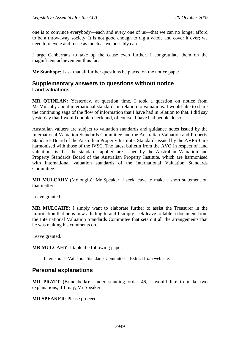one is to convince everybody—each and every one of us—that we can no longer afford to be a throwaway society. It is not good enough to dig a whole and cover it over; we need to recycle and reuse as much as we possibly can.

I urge Canberrans to take up the cause even further. I congratulate them on the magnificent achievement thus far.

**Mr Stanhope**: I ask that all further questions be placed on the notice paper.

# **Supplementary answers to questions without notice Land valuations**

**MR QUINLAN:** Yesterday, at question time, I took a question on notice from Mr Mulcahy about international standards in relation to valuations. I would like to share the continuing saga of the flow of information that I have had in relation to that. I did say yesterday that I would double-check and, of course, I have had people do so.

Australian valuers are subject to valuation standards and guidance notes issued by the International Valuation Standards Committee and the Australian Valuation and Property Standards Board of the Australian Property Institute. Standards issued by the AVPSB are harmonised with those of the IVSC. The latest bulletin from the AVO in respect of land valuations is that the standards applied are issued by the Australian Valuation and Property Standards Board of the Australian Property Institute, which are harmonised with international valuation standards of the International Valuation Standards Committee.

**MR MULCAHY** (Molonglo): Mr Speaker, I seek leave to make a short statement on that matter.

Leave granted.

**MR MULCAHY**: I simply want to elaborate further to assist the Treasurer in the information that he is now alluding to and I simply seek leave to table a document from the International Valuation Standards Committee that sets out all the arrangements that he was making his comments on.

Leave granted.

**MR MULCAHY**: I table the following paper:

International Valuation Standards Committee—Extract from web site.

# **Personal explanations**

**MR PRATT** (Brindabella): Under standing order 46, I would like to make two explanations, if I may, Mr Speaker.

**MR SPEAKER**: Please proceed.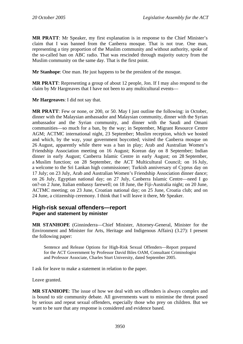**MR PRATT**: Mr Speaker, my first explanation is in response to the Chief Minister's claim that I was banned from the Canberra mosque. That is not true. One man, representing a tiny proportion of the Muslim community and without authority, spoke of the so-called ban on ABC radio. That was rescinded through majority outcry from the Muslim community on the same day. That is the first point.

**Mr Stanhope**: One man. He just happens to be the president of the mosque.

**MR PRATT**: Representing a group of about 12 people, Jon. If I may also respond to the claim by Mr Hargreaves that I have not been to any multicultural events—

**Mr Hargreaves**: I did not say that.

**MR PRATT**: Few or none, or 200, or 50. May I just outline the following: in October, dinner with the Malaysian ambassador and Malaysian community, dinner with the Syrian ambassador and the Syrian community, and dinner with the Saudi and Omani communities—so much for a ban, by the way; in September, Migrant Resource Centre AGM; ACTMC international night, 23 September; Muslim reception, which we hosted and which, by the way, your government boycotted; visited the Canberra mosque on 26 August, apparently while there was a ban in play; Arab and Australian Women's Friendship Association meeting on 16 August; Korean day on 8 September; Indian dinner in early August; Canberra Islamic Centre in early August; on 28 September, a Muslim function; on 28 September, the ACT Multicultural Council; on 16 July, a welcome to the Sri Lankan high commissioner; Turkish anniversary of Cyprus day on 17 July; on 23 July, Arab and Australian Women's Friendship Association dinner dance; on 26 July, Egyptian national day; on 27 July, Canberra Islamic Centre—need I go on?-on 2 June, Italian embassy farewell; on 18 June, the Fiji-Australia night; on 20 June, ACTMC meeting; on 23 June, Croatian national day; on 25 June, Croatia club; and on 24 June, a citizenship ceremony. I think that I will leave it there, Mr Speaker.

# **High-risk sexual offenders—report Paper and statement by minister**

**MR STANHOPE** (Ginninderra—Chief Minister, Attorney-General, Minister for the Environment and Minister for Arts, Heritage and Indigenous Affairs) (3.27): I present the following paper:

Sentence and Release Options for High-Risk Sexual Offenders—Report prepared for the ACT Government by Professor David Biles OAM, Consultant Criminologist and Professor Associate, Charles Sturt University, dated September 2005.

I ask for leave to make a statement in relation to the paper.

Leave granted.

**MR STANHOPE**: The issue of how we deal with sex offenders is always complex and is bound to stir community debate. All governments want to minimise the threat posed by serious and repeat sexual offenders, especially those who prey on children. But we want to be sure that any response is considered and evidence based.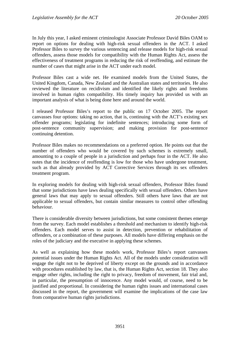In July this year, I asked eminent criminologist Associate Professor David Biles OAM to report on options for dealing with high-risk sexual offenders in the ACT. I asked Professor Biles to survey the various sentencing and release models for high-risk sexual offenders, assess those models for compatibility with the Human Rights Act, assess the effectiveness of treatment programs in reducing the risk of reoffending, and estimate the number of cases that might arise in the ACT under each model.

Professor Biles cast a wide net. He examined models from the United States, the United Kingdom, Canada, New Zealand and the Australian states and territories. He also reviewed the literature on recidivism and identified the likely rights and freedoms involved in human rights compatibility. His timely inquiry has provided us with an important analysis of what is being done here and around the world.

I released Professor Biles's report to the public on 17 October 2005. The report canvasses four options: taking no action, that is, continuing with the ACT's existing sex offender programs; legislating for indefinite sentences; introducing some form of post-sentence community supervision; and making provision for post-sentence continuing detention.

Professor Biles makes no recommendations on a preferred option. He points out that the number of offenders who would be covered by such schemes is extremely small, amounting to a couple of people in a jurisdiction and perhaps four in the ACT. He also notes that the incidence of reoffending is low for those who have undergone treatment, such as that already provided by ACT Corrective Services through its sex offenders treatment program.

In exploring models for dealing with high-risk sexual offenders, Professor Biles found that some jurisdictions have laws dealing specifically with sexual offenders. Others have general laws that may apply to sexual offenders. Still others have laws that are not applicable to sexual offenders, but contain similar measures to control other offending behaviour.

There is considerable diversity between jurisdictions, but some consistent themes emerge from the survey. Each model establishes a threshold and mechanism to identify high-risk offenders. Each model serves to assist in detection, prevention or rehabilitation of offenders, or a combination of these purposes. All models have differing emphasis on the roles of the judiciary and the executive in applying these schemes.

As well as explaining how these models work, Professor Biles's report canvasses potential issues under the Human Rights Act. All of the models under consideration will engage the right not to be deprived of liberty except on the grounds and in accordance with procedures established by law, that is, the Human Rights Act, section 18. They also engage other rights, including the right to privacy, freedom of movement, fair trial and, in particular, the presumption of innocence. Any model would, of course, need to be justified and proportional. In considering the human rights issues and international cases discussed in the report, the government will examine the implications of the case law from comparative human rights jurisdictions.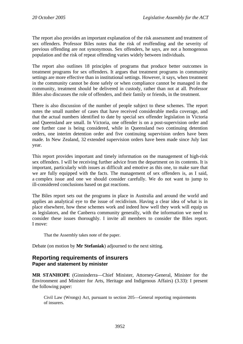The report also provides an important explanation of the risk assessment and treatment of sex offenders. Professor Biles notes that the risk of reoffending and the severity of previous offending are not synonymous. Sex offenders, he says, are not a homogenous population and the risk of repeat offending varies widely between individuals.

The report also outlines 18 principles of programs that produce better outcomes in treatment programs for sex offenders. It argues that treatment programs in community settings are more effective than in institutional settings. However, it says, when treatment in the community cannot be done safely or when compliance cannot be managed in the community, treatment should be delivered in custody, rather than not at all. Professor Biles also discusses the role of offenders, and their family or friends, in the treatment.

There is also discussion of the number of people subject to these schemes. The report notes the small number of cases that have received considerable media coverage, and that the actual numbers identified to date by special sex offender legislation in Victoria and Queensland are small. In Victoria, one offender is on a post-supervision order and one further case is being considered, while in Queensland two continuing detention orders, one interim detention order and five continuing supervision orders have been made. In New Zealand, 32 extended supervision orders have been made since July last year.

This report provides important and timely information on the management of high-risk sex offenders. I will be receiving further advice from the department on its contents. It is important, particularly with issues as difficult and emotive as this one, to make sure that we are fully equipped with the facts. The management of sex offenders is, as I said, a complex issue and one we should consider carefully. We do not want to jump to ill-considered conclusions based on gut reactions.

The Biles report sets out the programs in place in Australia and around the world and applies an analytical eye to the issue of recidivism. Having a clear idea of what is in place elsewhere, how these schemes work and indeed how well they work will equip us as legislators, and the Canberra community generally, with the information we need to consider these issues thoroughly. I invite all members to consider the Biles report. I move:

That the Assembly takes note of the paper.

Debate (on motion by **Mr Stefaniak**) adjourned to the next sitting.

## **Reporting requirements of insurers Paper and statement by minister**

**MR STANHOPE** (Ginninderra—Chief Minister, Attorney-General, Minister for the Environment and Minister for Arts, Heritage and Indigenous Affairs) (3.33): I present the following paper:

Civil Law (Wrongs) Act, pursuant to section 205—General reporting requirements of insurers.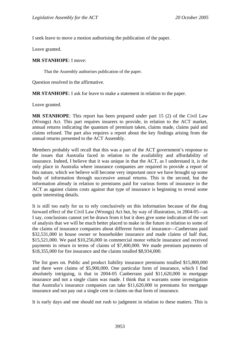I seek leave to move a motion authorising the publication of the paper.

Leave granted.

#### **MR STANHOPE**: I move:

That the Assembly authorises publication of the paper.

Question resolved in the affirmative.

**MR STANHOPE**: I ask for leave to make a statement in relation to the paper.

Leave granted.

**MR STANHOPE**: This report has been prepared under part 15 (2) of the Civil Law (Wrongs) Act. This part requires insurers to provide, in relation to the ACT market, annual returns indicating the quantum of premium taken, claims made, claims paid and claims refused. The part also requires a report about the key findings arising from the annual returns presented to the ACT Assembly.

Members probably will recall that this was a part of the ACT government's response to the issues that Australia faced in relation to the availability and affordability of insurance. Indeed, I believe that it was unique in that the ACT, as I understand it, is the only place in Australia where insurance companies are required to provide a report of this nature, which we believe will become very important once we have brought up some body of information through successive annual returns. This is the second, but the information already in relation to premiums paid for various forms of insurance in the ACT as against claims costs against that type of insurance is beginning to reveal some quite interesting details.

It is still too early for us to rely conclusively on this information because of the drag forward effect of the Civil Law (Wrongs) Act but, by way of illustration, in 2004-05—as I say, conclusions cannot yet be drawn from it but it does give some indication of the sort of analysis that we will be much better placed to make in the future in relation to some of the claims of insurance companies about different forms of insurance—Canberrans paid \$32,531,000 in house owner or householder insurance and made claims of half that, \$15,521,000. We paid \$10,256,000 in commercial motor vehicle insurance and received payments in return in terms of claims of \$7,400,000. We made premium payments of \$18,355,000 for fire insurance and the claims totalled \$8,934,000.

The list goes on. Public and product liability insurance premiums totalled \$15,800,000 and there were claims of \$5,900,000. One particular form of insurance, which I find absolutely intriguing, is that in 2004-05 Canberrans paid \$11,620,000 in mortgage insurance and not a single claim was made. I think that it warrants some investigation that Australia's insurance companies can take \$11,620,000 in premiums for mortgage insurance and not pay out a single cent in claims on that form of insurance.

It is early days and one should not rush to judgment in relation to these matters. This is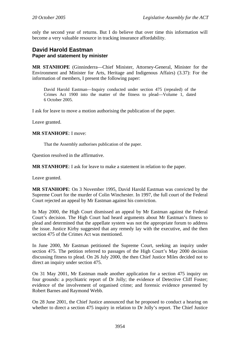only the second year of returns. But I do believe that over time this information will become a very valuable resource in tracking insurance affordability.

## **David Harold Eastman Paper and statement by minister**

**MR STANHOPE** (Ginninderra—Chief Minister, Attorney-General, Minister for the Environment and Minister for Arts, Heritage and Indigenous Affairs) (3.37): For the information of members, I present the following paper:

David Harold Eastman—Inquiry conducted under section 475 (repealed) of the Crimes Act 1900 into the matter of the fitness to plead—Volume 1, dated 6 October 2005.

I ask for leave to move a motion authorising the publication of the paper.

Leave granted.

### **MR STANHOPE**: I move:

That the Assembly authorises publication of the paper.

Question resolved in the affirmative.

**MR STANHOPE**: I ask for leave to make a statement in relation to the paper.

Leave granted.

**MR STANHOPE**: On 3 November 1995, David Harold Eastman was convicted by the Supreme Court for the murder of Colin Winchester. In 1997, the full court of the Federal Court rejected an appeal by Mr Eastman against his conviction.

In May 2000, the High Court dismissed an appeal by Mr Eastman against the Federal Court's decision. The High Court had heard arguments about Mr Eastman's fitness to plead and determined that the appellate system was not the appropriate forum to address the issue. Justice Kirby suggested that any remedy lay with the executive, and the then section 475 of the Crimes Act was mentioned.

In June 2000, Mr Eastman petitioned the Supreme Court, seeking an inquiry under section 475. The petition referred to passages of the High Court's May 2000 decision discussing fitness to plead. On 26 July 2000, the then Chief Justice Miles decided not to direct an inquiry under section 475.

On 31 May 2001, Mr Eastman made another application for a section 475 inquiry on four grounds: a psychiatric report of Dr Jolly; the evidence of Detective Cliff Foster; evidence of the involvement of organised crime; and forensic evidence presented by Robert Barnes and Raymond Webb.

On 28 June 2001, the Chief Justice announced that he proposed to conduct a hearing on whether to direct a section 475 inquiry in relation to Dr Jolly's report. The Chief Justice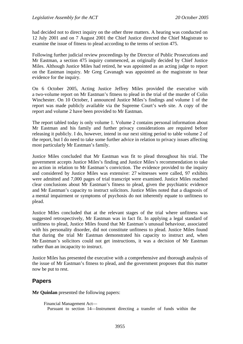had decided not to direct inquiry on the other three matters. A hearing was conducted on 12 July 2001 and on 7 August 2001 the Chief Justice directed the Chief Magistrate to examine the issue of fitness to plead according to the terms of section 475.

Following further judicial review proceedings by the Director of Public Prosecutions and Mr Eastman, a section 475 inquiry commenced, as originally decided by Chief Justice Miles. Although Justice Miles had retired, he was appointed as an acting judge to report on the Eastman inquiry. Mr Greg Cavanagh was appointed as the magistrate to hear evidence for the inquiry.

On 6 October 2005, Acting Justice Jeffrey Miles provided the executive with a two-volume report on Mr Eastman's fitness to plead in the trial of the murder of Colin Winchester. On 10 October, I announced Justice Miles's findings and volume 1 of the report was made publicly available via the Supreme Court's web site. A copy of the report and volume 2 have been provided to Mr Eastman.

The report tabled today is only volume 1. Volume 2 contains personal information about Mr Eastman and his family and further privacy considerations are required before releasing it publicly. I do, however, intend in our next sitting period to table volume 2 of the report, but I do need to take some further advice in relation to privacy issues affecting most particularly Mr Eastman's family.

Justice Miles concluded that Mr Eastman was fit to plead throughout his trial. The government accepts Justice Miles's finding and Justice Miles's recommendation to take no action in relation to Mr Eastman's conviction. The evidence provided to the inquiry and considered by Justice Miles was extensive: 27 witnesses were called, 97 exhibits were admitted and 7,000 pages of trial transcript were examined. Justice Miles reached clear conclusions about Mr Eastman's fitness to plead, given the psychiatric evidence and Mr Eastman's capacity to instruct solicitors. Justice Miles noted that a diagnosis of a mental impairment or symptoms of psychosis do not inherently equate to unfitness to plead.

Justice Miles concluded that at the relevant stages of the trial where unfitness was suggested retrospectively, Mr Eastman was in fact fit. In applying a legal standard of unfitness to plead, Justice Miles found that Mr Eastman's unusual behaviour, associated with his personality disorder, did not constitute unfitness to plead. Justice Miles found that during the trial Mr Eastman demonstrated his capacity to instruct and, when Mr Eastman's solicitors could not get instructions, it was a decision of Mr Eastman rather than an incapacity to instruct.

Justice Miles has presented the executive with a comprehensive and thorough analysis of the issue of Mr Eastman's fitness to plead, and the government proposes that this matter now be put to rest.

# **Papers**

**Mr Quinlan** presented the following papers:

Financial Management Act— Pursuant to section 14—Instrument directing a transfer of funds within the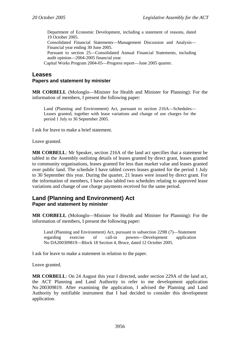Department of Economic Development, including a statement of reasons, dated 19 October 2005.

Consolidated Financial Statements—Management Discussion and Analysis— Financial year ending 30 June 2005.

Pursuant to section 25—Consolidated Annual Financial Statements, including audit opinion—2004-2005 financial year.

Capital Works Program 2004-05—Progress report—June 2005 quarter.

# **Leases**

### **Papers and statement by minister**

**MR CORBELL** (Molonglo—Minister for Health and Minister for Planning): For the information of members, I present the following paper:

Land (Planning and Environment) Act, pursuant to section 216A—Schedules— Leases granted, together with lease variations and change of use charges for the period 1 July to 30 September 2005.

I ask for leave to make a brief statement.

Leave granted.

**MR CORBELL**: Mr Speaker, section 216A of the land act specifies that a statement be tabled in the Assembly outlining details of leases granted by direct grant, leases granted to community organisations, leases granted for less than market value and leases granted over public land. The schedule I have tabled covers leases granted for the period 1 July to 30 September this year. During the quarter, 21 leases were issued by direct grant. For the information of members, I have also tabled two schedules relating to approved lease variations and change of use charge payments received for the same period.

## **Land (Planning and Environment) Act Paper and statement by minister**

**MR CORBELL** (Molonglo—Minister for Health and Minister for Planning): For the information of members, I present the following paper:

Land (Planning and Environment) Act, pursuant to subsection 229B (7)—Statement regarding exercise of call-in powers—Development application No DA200309819—Block 18 Section 4, Bruce, dated 12 October 2005.

I ask for leave to make a statement in relation to the paper.

Leave granted.

**MR CORBELL**: On 24 August this year I directed, under section 229A of the land act, the ACT Planning and Land Authority to refer to me development application No 200309819. After examining the application, I advised the Planning and Land Authority by notifiable instrument that I had decided to consider this development application.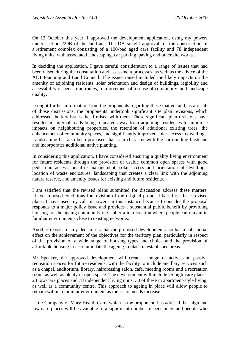On 12 October this year, I approved the development application, using my powers under section 229B of the land act. The DA sought approval for the construction of a retirement complex consisting of a 100-bed aged care facility and 78 independent living units, with associated landscaping, car parking, paving and other site works.

In deciding the application, I gave careful consideration to a range of issues that had been raised during the consultation and assessment processes, as well as the advice of the ACT Planning and Land Council. The issues raised included the likely impacts on the amenity of adjoining residents, solar orientation and design of buildings, legibility and accessibility of pedestrian routes, reinforcement of a sense of community, and landscape quality.

I sought further information from the proponents regarding these matters and, as a result of those discussions, the proponents undertook significant site plan revisions, which addressed the key issues that I raised with them. These significant plan revisions have resulted in internal roads being relocated away from adjoining residences to minimise impacts on neighbouring properties, the retention of additional existing trees, the enhancement of community spaces, and significantly improved solar access to dwellings. Landscaping has also been proposed that is in character with the surrounding bushland and incorporates additional native planting.

In considering this application, I have considered ensuring a quality living environment for future residents through the provision of usable common open spaces with good pedestrian access, bushfire management, solar access and orientation of dwellings, location of waste enclosures, landscaping that creates a clear link with the adjoining nature reserve, and amenity issues for existing and future residents.

I am satisfied that the revised plans submitted for discussion address these matters. I have imposed conditions for revision of the original proposal based on these revised plans. I have used my call-in powers in this instance because I consider the proposal responds to a major policy issue and provides a substantial public benefit by providing housing for the ageing community in Canberra in a location where people can remain in familiar environments close to existing networks.

Another reason for my decision is that the proposed development also has a substantial effect on the achievement of the objectives for the territory plan, particularly in respect of the provision of a wide range of housing types and choice and the provision of affordable housing to accommodate the ageing in place in established areas.

Mr Speaker, the approved development will create a range of active and passive recreation spaces for future residents, with the facility to include ancillary services such as a chapel, auditorium, library, hairdressing salon, cafe, meeting rooms and a recreation room, as well as plenty of open space. The development will include 75 high-care places, 23 low-care places and 78 independent living units, 30 of these in apartment-style living, as well as a community centre. This approach to ageing in place will allow people to remain within a familiar environment as their care needs increase.

Little Company of Mary Health Care, which is the proponent, has advised that high and low care places will be available to a significant number of pensioners and people who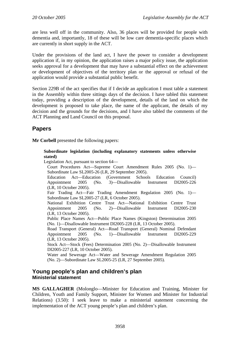are less well off in the community. Also, 36 places will be provided for people with dementia and, importantly, 18 of these will be low care dementia-specific places which are currently in short supply in the ACT.

Under the provisions of the land act, I have the power to consider a development application if, in my opinion, the application raises a major policy issue, the application seeks approval for a development that may have a substantial effect on the achievement or development of objectives of the territory plan or the approval or refusal of the application would provide a substantial public benefit.

Section 229B of the act specifies that if I decide an application I must table a statement in the Assembly within three sittings days of the decision. I have tabled this statement today, providing a description of the development, details of the land on which the development is proposed to take place, the name of the applicant, the details of my decision and the grounds for the decisions, and I have also tabled the comments of the ACT Planning and Land Council on this proposal.

# **Papers**

**Mr Corbell** presented the following papers:

#### **Subordinate legislation (including explanatory statements unless otherwise stated)**

Legislation Act, pursuant to section 64—

Court Procedures Act—Supreme Court Amendment Rules 2005 (No. 1)— Subordinate Law SL2005-26 (LR, 29 September 2005). Education Act—Education (Government Schools Education Council) Appointment 2005 (No. 3)—Disallowable Instrument DI2005-226 (LR, 10 October 2005).

Fair Trading Act—Fair Trading Amendment Regulation 2005 (No. 1)— Subordinate Law SL2005-27 (LR, 6 October 2005).

National Exhibition Centre Trust Act—National Exhibition Centre Trust Appointment 2005 (No. 2)—Disallowable Instrument DI2005-230 (LR, 13 October 2005).

Public Place Names Act—Public Place Names (Kingston) Determination 2005 (No. 1)—Disallowable Instrument DI2005-228 (LR, 13 October 2005).

Road Transport (General) Act—Road Transport (General) Nominal Defendant Appointment 2005 (No. 1)—Disallowable Instrument DI2005-229 (LR, 13 October 2005).

Stock Act—Stock (Fees) Determination 2005 (No. 2)—Disallowable Instrument DI2005-227 (LR, 10 October 2005).

Water and Sewerage Act—Water and Sewerage Amendment Regulation 2005 (No. 2)—Subordinate Law SL2005-25 (LR, 27 September 2005).

## **Young people's plan and children's plan Ministerial statement**

**MS GALLAGHER** (Molonglo—Minister for Education and Training, Minister for Children, Youth and Family Support, Minister for Women and Minister for Industrial Relations) (3.50): I seek leave to make a ministerial statement concerning the implementation of the ACT young people's plan and children's plan.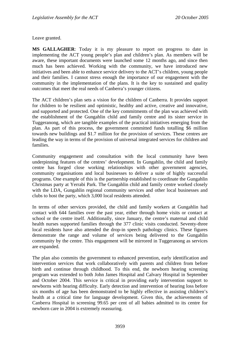Leave granted.

**MS GALLAGHER**: Today it is my pleasure to report on progress to date in implementing the ACT young people's plan and children's plan. As members will be aware, these important documents were launched some 12 months ago, and since then much has been achieved. Working with the community, we have introduced new initiatives and been able to enhance service delivery to the ACT's children, young people and their families. I cannot stress enough the importance of our engagement with the community in the implementation of the plans. It is the key to sustained and quality outcomes that meet the real needs of Canberra's younger citizens.

The ACT children's plan sets a vision for the children of Canberra. It provides support for children to be resilient and optimistic, healthy and active, creative and innovative, and supported and protected. One of the key commitments of the plan was achieved with the establishment of the Gungahlin child and family centre and its sister service in Tuggeranong, which are tangible examples of the practical initiatives emerging from the plan. As part of this process, the government committed funds totalling \$6 million towards new buildings and \$1.7 million for the provision of services. These centres are leading the way in terms of the provision of universal integrated services for children and families.

Community engagement and consultation with the local community have been underpinning features of the centres' development. In Gungahlin, the child and family centre has forged close working relationships with other government agencies, community organisations and local businesses to deliver a suite of highly successful programs. One example of this is the partnership established to coordinate the Gungahlin Christmas party at Yerrabi Park. The Gungahlin child and family centre worked closely with the LDA, Gungahlin regional community services and other local businesses and clubs to host the party, which 3,000 local residents attended.

In terms of other services provided, the child and family workers at Gungahlin had contact with 644 families over the past year, either through home visits or contact at school or the centre itself. Additionally, since January, the centre's maternal and child health nurses supported families through the 377 clinic visits conducted. Seventy-three local residents have also attended the drop-in speech pathology clinics. These figures demonstrate the range and volume of services being delivered to the Gungahlin community by the centre. This engagement will be mirrored in Tuggeranong as services are expanded.

The plan also commits the government to enhanced prevention, early identification and intervention services that work collaboratively with parents and children from before birth and continue through childhood. To this end, the newborn hearing screening program was extended to both John James Hospital and Calvary Hospital in September and October 2004. This service is critical in providing early intervention support to newborns with hearing difficulty. Early detection and intervention of hearing loss before six months of age has been demonstrated to be highly effective in assisting children's health at a critical time for language development. Given this, the achievements of Canberra Hospital in screening 99.65 per cent of all babies admitted to its centre for newborn care in 2004 is extremely reassuring.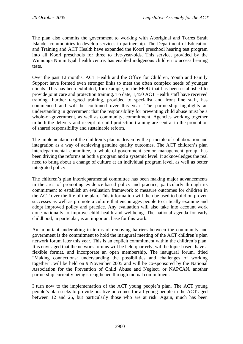The plan also commits the government to working with Aboriginal and Torres Strait Islander communities to develop services in partnership. The Department of Education and Training and ACT Health have expanded the Koori preschool hearing test program into all Koori preschools for three to five-year-olds. This service, provided by the Winnunga Nimmityjah health centre, has enabled indigenous children to access hearing tests.

Over the past 12 months, ACT Health and the Office for Children, Youth and Family Support have formed even stronger links to meet the often complex needs of younger clients. This has been exhibited, for example, in the MOU that has been established to provide joint care and protection training. To date, 1,450 ACT Health staff have received training. Further targeted training, provided to specialist and front line staff, has commenced and will be continued over this year. The partnership highlights an understanding in government that the responsibility for preventing child abuse must be a whole-of-government, as well as community, commitment. Agencies working together in both the delivery and receipt of child protection training are central to the promotion of shared responsibility and sustainable reform.

The implementation of the children's plan is driven by the principle of collaboration and integration as a way of achieving genuine quality outcomes. The ACT children's plan interdepartmental committee, a whole-of-government senior management group, has been driving the reforms at both a program and a systemic level. It acknowledges the real need to bring about a change of culture at an individual program level, as well as better integrated policy.

The children's plan interdepartmental committee has been making major advancements in the area of promoting evidence-based policy and practice, particularly through its commitment to establish an evaluation framework to measure outcomes for children in the ACT over the life of the plan. This information will then be used to build on proven successes as well as promote a culture that encourages people to critically examine and adopt improved policy and practice. Any evaluation will also take into account work done nationally to improve child health and wellbeing. The national agenda for early childhood, in particular, is an important base for this work.

An important undertaking in terms of removing barriers between the community and government is the commitment to hold the inaugural meeting of the ACT children's plan network forum later this year. This is an explicit commitment within the children's plan. It is envisaged that the network forums will be held quarterly, will be topic-based, have a flexible format, and incorporate an open membership. The inaugural forum, titled "Making connections: understanding the possibilities and challenges of working together", will be held on 9 November 2005 and will be co-sponsored by the National Association for the Prevention of Child Abuse and Neglect, or NAPCAN, another partnership currently being strengthened through mutual commitment.

I turn now to the implementation of the ACT young people's plan. The ACT young people's plan seeks to provide positive outcomes for all young people in the ACT aged between 12 and 25, but particularly those who are at risk. Again, much has been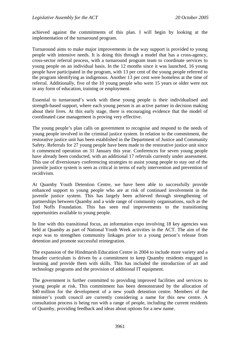achieved against the commitments of this plan. I will begin by looking at the implementation of the turnaround program.

Turnaround aims to make major improvements in the way support is provided to young people with intensive needs. It is doing this through a model that has a cross-agency, cross-sector referral process, with a turnaround program team to coordinate services to young people on an individual basis. In the 12 months since it was launched, 16 young people have participated in the program, with 13 per cent of the young people referred to the program identifying as indigenous. Another 13 per cent were homeless at the time of referral. Additionally, five of the 10 young people who were 15 years or older were not in any form of education, training or employment.

Essential to turnaround's work with these young people is their individualised and strength-based support, where each young person is an active partner in decision making about their lives. At this early stage, there is encouraging evidence that the model of coordinated case management is proving very effective.

The young people's plan calls on government to recognise and respond to the needs of young people involved in the criminal justice system. In relation to the commitment, the restorative justice unit has been established in the Department of Justice and Community Safety. Referrals for 27 young people have been made to the restorative justice unit since it commenced operation on 31 January this year. Conferences for seven young people have already been conducted, with an additional 17 referrals currently under assessment. This use of diversionary conferencing strategies to assist young people to stay out of the juvenile justice system is seen as critical in terms of early intervention and prevention of recidivism.

At Quamby Youth Detention Centre, we have been able to successfully provide enhanced support to young people who are at risk of continued involvement in the juvenile justice system. This has largely been achieved through strengthening of partnerships between Quamby and a wide range of community organisations, such as the Ted Noffs Foundation. This has seen real improvements to the transitioning opportunities available to young people.

In line with this transitional focus, an information expo involving 18 key agencies was held at Quamby as part of National Youth Week activities in the ACT. The aim of the expo was to strengthen community linkages prior to a young person's release from detention and promote successful reintegration.

The expansion of the Hindmarsh Education Centre in 2004 to include more variety and a broader curriculum is driven by a commitment to keep Quamby residents engaged in learning and provide them with skills. This has included the introduction of art and technology programs and the provision of additional IT equipment.

The government is further committed to providing improved facilities and services to young people at risk. This commitment has been demonstrated by the allocation of \$40 million for the development of a new youth detention centre. Members of the minister's youth council are currently considering a name for this new centre. A consultation process is being run with a range of people, including the current residents of Quamby, providing feedback and ideas about options for a new name.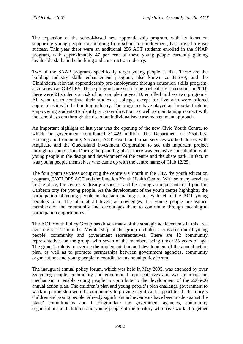The expansion of the school-based new apprenticeship program, with its focus on supporting young people transitioning from school to employment, has proved a great success. This year there were an additional 256 ACT students enrolled in the SNAP program, with approximately 47 per cent of these young people currently gaining invaluable skills in the building and construction industry.

Two of the SNAP programs specifically target young people at risk. These are the building industry skills enhancement program, also known as BISEP, and the Ginninderra relevant apprenticeship pre-employment through education skills program, also known as GRAPES. These programs are seen to be particularly successful. In 2004, there were 24 students at risk of not completing year 10 enrolled in these two programs. All went on to continue their studies at college, except for five who were offered apprenticeships in the building industry. The programs have played an important role in empowering students to identify a career direction, as well as maintaining contact with the school system through the use of an individualised case management approach.

An important highlight of last year was the opening of the new Civic Youth Centre, to which the government contributed \$1.425 million. The Department of Disability, Housing and Community Services, ACT Health and urban services worked closely with Anglicare and the Queensland Investment Corporation to see this important project through to completion. During the planning phase there was extensive consultation with young people in the design and development of the centre and the skate park. In fact, it was young people themselves who came up with the centre name of Club 12/25.

The four youth services occupying the centre are Youth in the City, the youth education program, CYCLOPS ACT and the Junction Youth Health Centre. With so many services in one place, the centre is already a success and becoming an important focal point in Canberra city for young people. As the development of the youth centre highlights, the participation of young people in decision making is a key tenet of the ACT young people's plan. The plan at all levels acknowledges that young people are valued members of the community and encourages them to contribute through meaningful participation opportunities.

The ACT Youth Policy Group has driven many of the strategic achievements in this area over the last 12 months. Membership of the group includes a cross-section of young people, community and government representatives. There are 12 community representatives on the group, with seven of the members being under 25 years of age. The group's role is to oversee the implementation and development of the annual action plan, as well as to promote partnerships between government agencies, community organisations and young people to coordinate an annual policy forum.

The inaugural annual policy forum, which was held in May 2005, was attended by over 85 young people, community and government representatives and was an important mechanism to enable young people to contribute to the development of the 2005-06 annual action plan. The children's plan and young people's plan challenge government to work in partnership with the community to provide significant support for the territory's children and young people. Already significant achievements have been made against the plans' commitments and I congratulate the government agencies, community organisations and children and young people of the territory who have worked together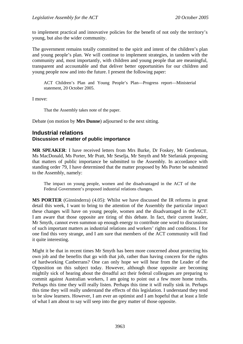to implement practical and innovative policies for the benefit of not only the territory's young, but also the wider community.

The government remains totally committed to the spirit and intent of the children's plan and young people's plan. We will continue to implement strategies, in tandem with the community and, most importantly, with children and young people that are meaningful, transparent and accountable and that deliver better opportunities for our children and young people now and into the future. I present the following paper:

ACT Children's Plan and Young People's Plan—Progress report—Ministerial statement, 20 October 2005.

I move:

That the Assembly takes note of the paper.

Debate (on motion by **Mrs Dunne**) adjourned to the next sitting.

## **Industrial relations Discussion of matter of public importance**

**MR SPEAKER**: I have received letters from Mrs Burke, Dr Foskey, Mr Gentleman, Ms MacDonald, Ms Porter, Mr Pratt, Mr Seselja, Mr Smyth and Mr Stefaniak proposing that matters of public importance be submitted to the Assembly. In accordance with standing order 79, I have determined that the matter proposed by Ms Porter be submitted to the Assembly, namely:

The impact on young people, women and the disadvantaged in the ACT of the Federal Government's proposed industrial relations changes.

**MS PORTER** (Ginninderra) (4.05): Whilst we have discussed the IR reforms in great detail this week, I want to bring to the attention of the Assembly the particular impact these changes will have on young people, women and the disadvantaged in the ACT. I am aware that those opposite are tiring of this debate. In fact, their current leader, Mr Smyth, cannot even summon up enough energy to contribute one word to discussions of such important matters as industrial relations and workers' rights and conditions. I for one find this very strange, and I am sure that members of the ACT community will find it quite interesting.

Might it be that in recent times Mr Smyth has been more concerned about protecting his own job and the benefits that go with that job, rather than having concern for the rights of hardworking Canberrans? One can only hope we will hear from the Leader of the Opposition on this subject today. However, although those opposite are becoming mightily sick of hearing about the dreadful act their federal colleagues are preparing to commit against Australian workers, I am going to point out a few more home truths. Perhaps this time they will really listen. Perhaps this time it will really sink in. Perhaps this time they will really understand the effects of this legislation. I understand they tend to be slow learners. However, I am ever an optimist and I am hopeful that at least a little of what I am about to say will seep into the grey matter of those opposite.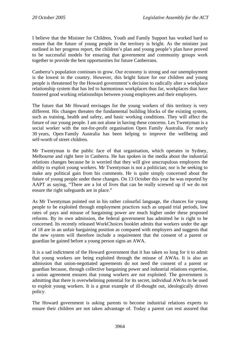I believe that the Minister for Children, Youth and Family Support has worked hard to ensure that the future of young people in the territory is bright. As the minister just outlined in her progress report, the children's plan and young people's plan have proved to be successful models for ensuring that government and community groups work together to provide the best opportunities for future Canberrans.

Canberra's population continues to grow. Our economy is strong and our unemployment is the lowest in the country. However, this bright future for our children and young people is threatened by the Howard government's decision to radically alter a workplace relationship system that has led to harmonious workplaces thus far, workplaces that have fostered good working relationships between young employees and their employers.

The future that Mr Howard envisages for the young workers of this territory is very different. His changes threaten the fundamental building blocks of the existing system, such as training, health and safety, and basic working conditions. They will affect the future of our young people. I am not alone in having these concerns. Les Twentyman is a social worker with the not-for-profit organisation Open Family Australia. For nearly 30 years, Open Family Australia has been helping to improve the wellbeing and self-worth of street children.

Mr Twentyman is the public face of that organisation, which operates in Sydney, Melbourne and right here in Canberra. He has spoken in the media about the industrial relations changes because he is worried that they will give unscrupulous employers the ability to exploit young workers. Mr Twentyman is not a politician; nor is he seeking to make any political gain from his comments. He is quite simply concerned about the future of young people under these changes. On 13 October this year he was reported by AAPT as saying, "There are a lot of lives that can be really screwed up if we do not ensure the right safeguards are in place."

As Mr Twentyman pointed out in his rather colourful language, the chances for young people to be exploited through employment practices such as unpaid trial periods, low rates of pays and misuse of bargaining power are much higher under these proposed reforms. By its own admission, the federal government has admitted he is right to be concerned. Its recently released WorkChoices booklet admits that workers under the age of 18 are in an unfair bargaining position as compared with employers and suggests that the new system will therefore include a requirement that the consent of a parent or guardian be gained before a young person signs an AWA.

It is a sad indictment of the Howard government that it has taken so long for it to admit that young workers are being exploited through the misuse of AWAs. It is also an admission that union-negotiated agreements do not need the consent of a parent or guardian because, through collective bargaining power and industrial relations expertise, a union agreement ensures that young workers are not exploited. The government is admitting that there is overwhelming potential for its secret, individual AWAs to be used to exploit young workers. It is a great example of ill-thought out, ideologically driven policy.

The Howard government is asking parents to become industrial relations experts to ensure their children are not taken advantage of. Today a parent can rest assured that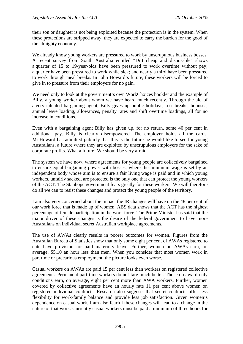their son or daughter is not being exploited because the protection is in the system. When these protections are stripped away, they are expected to carry the burden for the good of the almighty economy.

We already know young workers are pressured to work by unscrupulous business bosses. A recent survey from South Australia entitled "Dirt cheap and disposable" shows a quarter of 15 to 19-year-olds have been pressured to work overtime without pay; a quarter have been pressured to work while sick; and nearly a third have been pressured to work through meal breaks. In John Howard's future, these workers will be forced to give in to pressure from their employers for no gain.

We need only to look at the government's own WorkChoices booklet and the example of Billy, a young worker about whom we have heard much recently. Through the aid of a very talented bargaining agent, Billy gives up public holidays, rest breaks, bonuses, annual leave loading, allowances, penalty rates and shift overtime loadings, all for no increase in conditions.

Even with a bargaining agent Billy has given up, for no return, some 40 per cent in additional pay. Billy is clearly disempowered. The employer holds all the cards. Mr Howard has admitted publicly that this is the future he would like to see for young Australians, a future where they are exploited by unscrupulous employers for the sake of corporate profits. What a future! We should be very afraid.

The system we have now, where agreements for young people are collectively bargained to ensure equal bargaining power with bosses, where the minimum wage is set by an independent body whose aim is to ensure a fair living wage is paid and in which young workers, unfairly sacked, are protected is the only one that can protect the young workers of the ACT. The Stanhope government fears greatly for these workers. We will therefore do all we can to resist these changes and protect the young people of the territory.

I am also very concerned about the impact the IR changes will have on the 48 per cent of our work force that is made up of women. ABS data shows that the ACT has the highest percentage of female participation in the work force. The Prime Minister has said that the major driver of these changes is the desire of the federal government to have more Australians on individual secret Australian workplace agreements.

The use of AWAs clearly results in poorer outcomes for women. Figures from the Australian Bureau of Statistics show that only some eight per cent of AWAs registered to date have provision for paid maternity leave. Further, women on AWAs earn, on average, \$5.10 an hour less than men. When you consider that most women work in part time or precarious employment, the picture looks even worse.

Casual workers on AWAs are paid 15 per cent less than workers on registered collective agreements. Permanent part-time workers do not fare much better. Those on award only conditions earn, on average, eight per cent more than AWA workers. Further, women covered by collective agreements have an hourly rate 11 per cent above women on registered individual contracts. Research also suggests that secret contracts offer less flexibility for work-family balance and provide less job satisfaction. Given women's dependence on casual work, I am also fearful these changes will lead to a change in the nature of that work. Currently casual workers must be paid a minimum of three hours for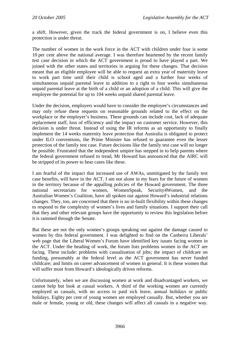a shift. However, given the track the federal government is on, I believe even this protection is under threat.

The number of women in the work force in the ACT with children under four is some 10 per cent above the national average. I was therefore heartened by the recent family test case decision in which the ACT government is proud to have played a part. We joined with the other states and territories in arguing for these changes. That decision meant that an eligible employee will be able to request an extra year of maternity leave to work part time until their child is school aged and a further four weeks of simultaneous unpaid parental leave in addition to a right to four weeks simultaneous unpaid parental leave at the birth of a child or an adoption of a child. This will give the employee the potential for up to 104 weeks unpaid shared parental leave.

Under the decision, employers would have to consider the employee's circumstances and may only refuse these requests on reasonable grounds related to the effect on the workplace or the employer's business. These grounds can include cost, lack of adequate replacement staff, loss of efficiency and the impact on customer service. However, this decision is under threat. Instead of using the IR reforms as an opportunity to finally implement the 14 weeks maternity leave protection that Australia is obligated to protect under ILO conventions, the Prime Minister has refused to guarantee even the lesser protection of the family test case. Future decisions like the family test case will no longer be possible. Frustrated that the independent umpire has stepped in to help parents where the federal government refused to tread, Mr Howard has announced that the AIRC will be stripped of its power to hear cases like these.

I am fearful of the impact that increased use of AWAs, unmitigated by the family test case benefits, will have in the ACT. I am not alone in my fears for the future of women in the territory because of the appalling policies of the Howard government. The three national secretariats for women, WomenSpeak, Security4Women, and the Australian Women's Coalition, have all spoken out against Howard's industrial relations changes. They, too, are concerned that there is no in-built flexibility within these changes to respond to the complexity of women's lives and family situations. I support their call that they and other relevant groups have the opportunity to review this legislation before it is rammed through the Senate.

But these are not the only women's groups speaking out against the damage caused to women by this federal government. I was delighted to find on the Canberra Liberals' web page that the Liberal Women's Forum have identified key issues facing women in the ACT. Under the heading of work, the forum lists problems women in the ACT are facing. These include: problems with casualisation of jobs; the impact of childcare on funding, presumably at the federal level as the ACT government has never funded childcare; and limits on career advancement of women in general. It is these women that will suffer most from Howard's ideologically driven reforms.

Unfortunately, when we are discussing women at work and disadvantaged workers, we cannot help but look at casual workers. A third of the working women are currently employed as casuals, with no access to paid sick leave, annual holidays or public holidays. Eighty per cent of young women are employed casually. But, whether you are male or female, young or old, these changes will affect all casuals in a negative way.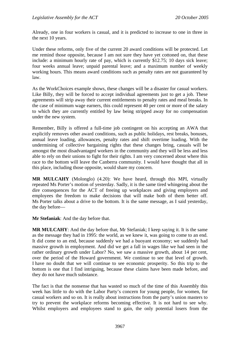Already, one in four workers is casual, and it is predicted to increase to one in three in the next 10 years.

Under these reforms, only five of the current 20 award conditions will be protected. Let me remind those opposite, because I am not sure they have yet cottoned on, that these include: a minimum hourly rate of pay, which is currently \$12.75; 10 days sick leave; four weeks annual leave; unpaid parental leave; and a maximum number of weekly working hours. This means award conditions such as penalty rates are not guaranteed by law.

As the WorkChoices example shows, these changes will be a disaster for casual workers. Like Billy, they will be forced to accept individual agreements just to get a job. These agreements will strip away their current entitlements to penalty rates and meal breaks. In the case of minimum wage earners, this could represent 40 per cent or more of the salary to which they are currently entitled by law being stripped away for no compensation under the new system.

Remember, Billy is offered a full-time job contingent on his accepting an AWA that explicitly removes other award conditions, such as public holidays, rest breaks, bonuses, annual leave loading, allowances, penalty rates and shift overtime loading. With the undermining of collective bargaining rights that these changes bring, casuals will be amongst the most disadvantaged workers in the community and they will be less and less able to rely on their unions to fight for their rights. I am very concerned about where this race to the bottom will leave the Canberra community. I would have thought that all in this place, including those opposite, would share my concern.

**MR MULCAHY** (Molonglo) (4.20): We have heard, through this MPI, virtually repeated Ms Porter's motion of yesterday. Sadly, it is the same tired whingeing about the dire consequences for the ACT of freeing up workplaces and giving employers and employees the freedom to make decisions that will make both of them better off. Ms Porter talks about a drive to the bottom. It is the same message, as I said yesterday, the day before—

**Mr Stefaniak**: And the day before that.

**MR MULCAHY**: And the day before that, Mr Stefaniak; I keep saying it. It is the same as the message they had in 1995: the world, as we knew it, was going to come to an end. It did come to an end, because suddenly we had a buoyant economy; we suddenly had massive growth in employment. And did we get a fall in wages like we had seen in the rather ordinary growth under Labor? No, we saw a massive growth, about 14 per cent, over the period of the Howard government. We continue to see that level of growth. I have no doubt that we will continue to see economic prosperity. So this trip to the bottom is one that I find intriguing, because these claims have been made before, and they do not have much substance.

The fact is that the nonsense that has wasted so much of the time of this Assembly this week has little to do with the Labor Party's concern for young people, for women, for casual workers and so on. It is really about instructions from the party's union masters to try to prevent the workplace reforms becoming effective. It is not hard to see why. Whilst employers and employees stand to gain, the only potential losers from the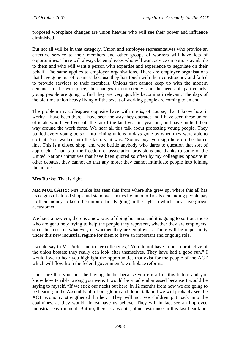proposed workplace changes are union heavies who will see their power and influence diminished.

But not all will be in that category. Union and employee representatives who provide an effective service to their members and other groups of workers will have lots of opportunities. There will always be employees who will want advice on options available to them and who will want a person with expertise and experience to negotiate on their behalf. The same applies to employer organisations. There are employer organisations that have gone out of business because they lost touch with their constituency and failed to provide services to their members. Unions that cannot keep up with the modern demands of the workplace, the changes in our society, and the needs of, particularly, young people are going to find they are very quickly becoming irrelevant. The days of the old time union heavy living off the sweat of working people are coming to an end.

The problem my colleagues opposite have with me is, of course, that I know how it works: I have been there; I have seen the way they operate; and I have seen these union officials who have lived off the fat of the land year in, year out, and have bullied their way around the work force. We hear all this talk about protecting young people. They bullied every young person into joining unions in days gone by when they were able to do that. You walked into the factory; it was: "Sonny boy, you sign here on the dotted line. This is a closed shop, and woe betide anybody who dares to question that sort of approach." Thanks to the freedom of association provisions and thanks to some of the United Nations initiatives that have been quoted so often by my colleagues opposite in other debates, they cannot do that any more; they cannot intimidate people into joining the unions.

**Mrs Burke**: That is right.

**MR MULCAHY**: Mrs Burke has seen this from where she grew up, where this all has its origins of closed shops and standover tactics by union officials demanding people pay up their money to keep the union officials going in the style to which they have grown accustomed.

We have a new era; there is a new way of doing business and it is going to sort out those who are genuinely trying to help the people they represent, whether they are employers, small business or whatever, or whether they are employees. There will be opportunity under this new industrial regime for them to have an important and ongoing role.

I would say to Ms Porter and to her colleagues, "You do not have to be so protective of the union bosses; they really can look after themselves. They have had a good run." I would love to hear you highlight the opportunities that exist for the people of the ACT which will flow from the federal government's workplace reforms.

I am sure that you must be having doubts because you ran all of this before and you know how terribly wrong you were. I would be a tad embarrassed because I would be saying to myself, "If we stick our necks out here, in 12 months from now we are going to be hearing in the Assembly all of our gloom and doom talk and we will probably see the ACT economy strengthened further." They will not see children put back into the coalmines, as they would almost have us believe. They will in fact see an improved industrial environment. But no, there is absolute, blind resistance in this last heartland,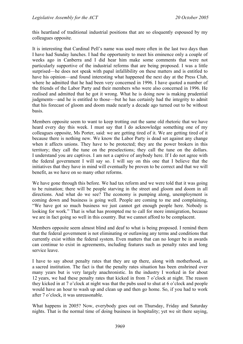this heartland of traditional industrial positions that are so eloquently espoused by my colleagues opposite.

It is interesting that Cardinal Pell's name was used more often in the last two days than I have had Sunday lunches. I had the opportunity to meet his eminence only a couple of weeks ago in Canberra and I did hear him make some comments that were not particularly supportive of the industrial reforms that are being proposed. I was a little surprised—he does not speak with papal infallibility on these matters and is entitled to have his opinion—and found interesting what happened the next day at the Press Club, where he admitted that he had been very concerned in 1996. I have quoted a number of the friends of the Labor Party and their members who were also concerned in 1996. He realised and admitted that he got it wrong. What he is doing now is making prudential judgments—and he is entitled to those—but he has certainly had the integrity to admit that his forecast of gloom and doom made nearly a decade ago turned out to be without basis.

Members opposite seem to want to keep trotting out the same old rhetoric that we have heard every day this week. I must say that I do acknowledge something one of my colleagues opposite, Ms Porter, said: we are getting tired of it. We are getting tired of it because there is nothing new. We know the Labor Party is dead set against any change when it affects unions. They have to be protected; they are the power brokers in this territory; they call the tune on the preselections; they call the tune on the dollars. I understand you are captives. I am not a captive of anybody here. If I do not agree with the federal government I will say so. I will say on this one that I believe that the initiatives that they have in mind will eventually be proven to be correct and that we will benefit, as we have on so many other reforms.

We have gone through this before. We had tax reform and we were told that it was going to be ruination; there will be people starving in the street and gloom and doom in all directions. And what do we see? The economy is pumping along, unemployment is coming down and business is going well. People are coming to me and complaining, "We have got so much business we just cannot get enough people here. Nobody is looking for work." That is what has prompted me to call for more immigration, because we are in fact going so well in this country. But we cannot afford to be complacent.

Members opposite seem almost blind and deaf to what is being proposed. I remind them that the federal government is not eliminating or outlawing any terms and conditions that currently exist within the federal system. Even matters that can no longer be in awards can continue to exist in agreements, including features such as penalty rates and long service leave.

I have to say about penalty rates that they are up there, along with motherhood, as a sacred institution. The fact is that the penalty rates situation has been enshrined over many years but is very largely anachronistic. In the industry I worked in for about 12 years, we had these penalty rates that kicked in from 7 o'clock at night. The reason they kicked in at 7 o'clock at night was that the pubs used to shut at 6 o'clock and people would have an hour to wash up and clean up and then go home. So, if you had to work after 7 o'clock, it was unreasonable.

What happens in 2005? Now, everybody goes out on Thursday, Friday and Saturday nights. That is the normal time of doing business in hospitality; yet we sit there saying,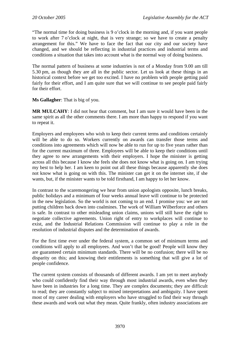"The normal time for doing business is 9 o'clock in the morning and, if you want people to work after 7 o'clock at night, that is very strange; so we have to create a penalty arrangement for this." We have to face the fact that our city and our society have changed, and we should be reflecting in industrial practices and industrial terms and conditions a situation that takes into account what is the normal way of doing business.

The normal pattern of business at some industries is not of a Monday from 9.00 am till 5.30 pm, as though they are all in the public sector. Let us look at these things in an historical context before we get too excited. I have no problem with people getting paid fairly for their effort, and I am quite sure that we will continue to see people paid fairly for their effort.

**Ms Gallagher**: That is big of you.

**MR MULCAHY**: I did not hear that comment, but I am sure it would have been in the same spirit as all the other comments there. I am more than happy to respond if you want to repeat it.

Employers and employees who wish to keep their current terms and conditions certainly will be able to do so. Workers currently on awards can transfer those terms and conditions into agreements which will now be able to run for up to five years rather than for the current maximum of three. Employees will be able to keep their conditions until they agree to new arrangements with their employers. I hope the minister is getting across all this because I know she feels she does not know what is going on. I am trying my best to help her. I am keen to point out all these things because apparently she does not know what is going on with this. The minister can get it on the internet site, if she wants, but, if the minister wants to be told firsthand, I am happy to let her know.

In contrast to the scaremongering we hear from union apologists opposite, lunch breaks, public holidays and a minimum of four weeks annual leave will continue to be protected in the new legislation. So the world is not coming to an end. I promise you: we are not putting children back down into coalmines. The work of William Wilberforce and others is safe. In contrast to other misleading union claims, unions will still have the right to negotiate collective agreements. Union right of entry to workplaces will continue to exist, and the Industrial Relations Commission will continue to play a role in the resolution of industrial disputes and the determination of awards.

For the first time ever under the federal system, a common set of minimum terms and conditions will apply to all employees. And won't that be good! People will know they are guaranteed certain minimum standards. There will be no confusion; there will be no disparity on this; and knowing their entitlements is something that will give a lot of people confidence.

The current system consists of thousands of different awards. I am yet to meet anybody who could confidently find their way through most industrial awards, even when they have been in industries for a long time. They are complex documents; they are difficult to read; they are constantly subject to mixed interpretations and ambiguity. I have spent most of my career dealing with employers who have struggled to find their way through these awards and work out what they mean. Quite frankly, often industry associations are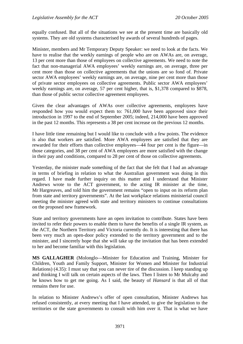equally confused. But all of the situations we see at the present time are basically old systems. They are old systems characterised by awards of several hundreds of pages.

Minister, members and Mr Temporary Deputy Speaker: we need to look at the facts. We have to realise that the weekly earnings of people who are on AWAs are, on average, 13 per cent more than those of employees on collective agreements. We need to note the fact that non-managerial AWA employees' weekly earnings are, on average, three per cent more than those on collective agreements that the unions are so fond of. Private sector AWA employees' weekly earnings are, on average, nine per cent more than those of private sector employees on collective agreements. Public sector AWA employees' weekly earnings are, on average, 57 per cent higher, that is, \$1,378 compared to \$878, than those of public sector collective agreement employees.

Given the clear advantages of AWAs over collective agreements, employees have responded how you would expect them to: 761,000 have been approved since their introduction in 1997 to the end of September 2005; indeed, 214,000 have been approved in the past 12 months. This represents a 38 per cent increase on the previous 12 months.

I have little time remaining but I would like to conclude with a few points. The evidence is also that workers are satisfied. More AWA employees are satisfied that they are rewarded for their efforts than collective employees—44 four per cent is the figure—in those categories, and 38 per cent of AWA employees are more satisfied with the change in their pay and conditions, compared to 28 per cent of those on collective agreements.

Yesterday, the minister made something of the fact that she felt that I had an advantage in terms of briefing in relation to what the Australian government was doing in this regard. I have made further inquiry on this matter and I understand that Minister Andrews wrote to the ACT government, to the acting IR minister at the time, Mr Hargreaves, and told him the government remains "open to input on its reform plan from state and territory governments". At the last workplace relations ministerial council meeting the minister agreed with state and territory ministers to continue consultations on the proposed new framework.

State and territory governments have an open invitation to contribute. States have been invited to refer their powers to enable them to have the benefits of a single IR system, as the ACT, the Northern Territory and Victoria currently do. It is interesting that there has been very much an open-door policy extended to the territory government and to the minister, and I sincerely hope that she will take up the invitation that has been extended to her and become familiar with this legislation.

**MS GALLAGHER** (Molonglo—Minister for Education and Training, Minister for Children, Youth and Family Support, Minister for Women and Minister for Industrial Relations) (4.35): I must say that you can never tire of the discussion. I keep standing up and thinking I will talk on certain aspects of the laws. Then I listen to Mr Mulcahy and he knows how to get me going. As I said, the beauty of *Hansard* is that all of that remains there for use.

In relation to Minister Andrews's offer of open consultation, Minister Andrews has refused consistently, at every meeting that I have attended, to give the legislation to the territories or the state governments to consult with him over it. That is what we have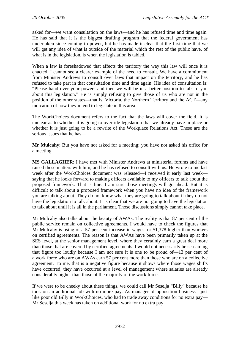asked for—we want consultation on the laws—and he has refused time and time again. He has said that it is the biggest drafting program that the federal government has undertaken since coming to power, but he has made it clear that the first time that we will get any idea of what is outside of the material which the rest of the public have, of what is in the legislation, is when the legislation is tabled.

When a law is foreshadowed that affects the territory the way this law will once it is enacted, I cannot see a clearer example of the need to consult. We have a commitment from Minister Andrews to consult over laws that impact on the territory, and he has refused to take part in that consultation time and time again. His idea of consultation is: "Please hand over your powers and then we will be in a better position to talk to you about this legislation." He is simply refusing to give those of us who are not in the position of the other states—that is, Victoria, the Northern Territory and the ACT—any indication of how they intend to legislate in this area.

The WorkChoices document refers to the fact that the laws will cover the field. It is unclear as to whether it is going to override legislation that we already have in place or whether it is just going to be a rewrite of the Workplace Relations Act. These are the serious issues that he has—

**Mr Mulcahy**: But you have not asked for a meeting; you have not asked his office for a meeting.

**MS GALLAGHER**: I have met with Minister Andrews at ministerial forums and have raised these matters with him, and he has refused to consult with us. He wrote to me last week after the WorkChoices document was released—I received it early last week saying that he looks forward to making officers available to my officers to talk about the proposed framework. That is fine. I am sure those meetings will go ahead. But it is difficult to talk about a proposed framework when you have no idea of the framework you are talking about. They do not know what they are going to talk about if they do not have the legislation to talk about. It is clear that we are not going to have the legislation to talk about until it is all in the parliament. Those discussions simply cannot take place.

Mr Mulcahy also talks about the beauty of AWAs. The reality is that 87 per cent of the public service remain on collective agreements. I would have to check the figures that Mr Mulcahy is using of a 57 per cent increase in wages, or \$1,378 higher than workers on certified agreements. The reason is that AWAs have been primarily taken up at the SES level, at the senior management level, where they certainly earn a great deal more than those that are covered by certified agreements. I would not necessarily be screaming that figure too loudly because I am not sure it is one to be proud of—13 per cent of a work force who are on AWAs earn 57 per cent more than those who are on a collective agreement. To me, that is a negative figure because it shows where those wages shifts have occurred; they have occurred at a level of management where salaries are already considerably higher than those of the majority of the work force.

If we were to be cheeky about these things, we could call Mr Seselja "Billy" because he took on an additional job with no more pay. As manager of opposition business—just like poor old Billy in WorkChoices, who had to trade away conditions for no extra pay— Mr Seselja this week has taken on additional work for no extra pay.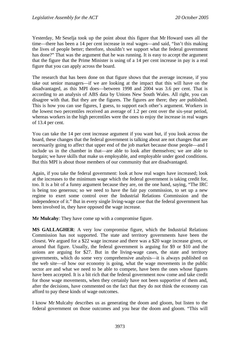Yesterday, Mr Seselja took up the point about this figure that Mr Howard uses all the time—there has been a 14 per cent increase in real wages—and said, "Isn't this making the lives of people better; therefore, shouldn't we support what the federal government has done?" That was the argument that he was running. It is easy to accept the argument that the figure that the Prime Minister is using of a 14 per cent increase in pay is a real figure that you can apply across the board.

The research that has been done on that figure shows that the average increase, if you take out senior managers—if we are looking at the impact that this will have on the disadvantaged, as this MPI does—between 1998 and 2004 was 3.6 per cent. That is according to an analysis of ABS data by Unions New South Wales. All right, you can disagree with that. But they are the figures. The figures are there; they are published. This is how you can use figures, I guess, to support each other's argument. Workers in the lowest two percentiles received an average of 1.2 per cent over the six-year period, whereas workers in the high percentiles were the ones to enjoy the increase in real wages of 13.4 per cent.

You can take the 14 per cent increase argument if you want but, if you look across the board, these changes that the federal government is talking about are not changes that are necessarily going to affect that upper end of the job market because those people—and I include us in the chamber in that—are able to look after themselves; we are able to bargain; we have skills that make us employable, and employable under good conditions. But this MPI is about those members of our community that are disadvantaged.

Again, if you take the federal government: look at how real wages have increased; look at the increases to the minimum wage which the federal government is taking credit for, too. It is a bit of a funny argument because they are, on the one hand, saying, "The IRC is being too generous; so we need to have the fair pay commission, to set up a new regime to exert some control over the Industrial Relations Commission and the independence of it." But in every single living-wage case that the federal government has been involved in, they have opposed the wage increase.

**Mr Mulcahy**: They have come up with a compromise figure.

**MS GALLAGHER**: A very low compromise figure, which the Industrial Relations Commission has not supported. The state and territory governments have been the closest. We argued for a \$22 wage increase and there was a \$20 wage increase given, or around that figure. Usually, the federal government is arguing for \$9 or \$10 and the unions are arguing for \$27. But in the living-wage cases, the state and territory governments, which do some very comprehensive analysis—it is always published on the web site—of how our economy is going, what the wage movements in the public sector are and what we need to be able to compete, have been the ones whose figures have been accepted. It is a bit rich that the federal government now come and take credit for those wage movements, when they certainly have not been supportive of them and, after the decisions, have commented on the fact that they do not think the economy can afford to pay these kinds of wage outcomes.

I know Mr Mulcahy describes us as generating the doom and gloom, but listen to the federal government on those outcomes and you hear the doom and gloom. "This will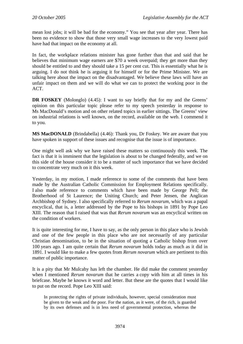mean lost jobs; it will be bad for the economy." You see that year after year. There has been no evidence to show that those very small wage increases to the very lowest paid have had that impact on the economy at all.

In fact, the workplace relations minister has gone further than that and said that he believes that minimum wage earners are \$70 a week overpaid; they get more than they should be entitled to and they should take a 15 per cent cut. This is essentially what he is arguing. I do not think he is arguing it for himself or for the Prime Minister. We are talking here about the impact on the disadvantaged. We believe these laws will have an unfair impact on them and we will do what we can to protect the working poor in the ACT.

**DR FOSKEY** (Molonglo) (4.45): I want to say briefly that for my and the Greens' opinion on this particular topic please refer to my speech yesterday in response to Ms MacDonald's motion and on other related topics in earlier sittings. The Greens' view on industrial relations is well known, on the record, available on the web. I commend it to you.

**MS MacDONALD** (Brindabella) (4.46): Thank you, Dr Foskey. We are aware that you have spoken in support of these issues and recognise that the issue is of importance.

One might well ask why we have raised these matters so continuously this week. The fact is that it is imminent that the legislation is about to be changed federally, and we on this side of the house consider it to be a matter of such importance that we have decided to concentrate very much on it this week.

Yesterday, in my motion, I made reference to some of the comments that have been made by the Australian Catholic Commission for Employment Relations specifically. I also made reference to comments which have been made by George Pell; the Brotherhood of St Laurence; the Uniting Church; and Peter Jensen, the Anglican Archbishop of Sydney. I also specifically referred to *Rerum novarum*, which was a papal encyclical, that is, a letter addressed by the Pope to his bishops in 1891 by Pope Leo XIII. The reason that I raised that was that *Rerum novarum* was an encyclical written on the condition of workers.

It is quite interesting for me, I have to say, as the only person in this place who is Jewish and one of the few people in this place who are not necessarily of any particular Christian denomination, to be in the situation of quoting a Catholic bishop from over 100 years ago. I am quite certain that *Rerum novarum* holds today as much as it did in 1891. I would like to make a few quotes from *Rerum novarum* which are pertinent to this matter of public importance.

It is a pity that Mr Mulcahy has left the chamber. He did make the comment yesterday when I mentioned *Rerum novarum* that he carries a copy with him at all times in his briefcase. Maybe he knows it word and letter. But these are the quotes that I would like to put on the record. Pope Leo XIII said:

In protecting the rights of private individuals, however, special consideration must be given to the weak and the poor. For the nation, as it were, of the rich, is guarded by its own defenses and is in less need of governmental protection, whereas the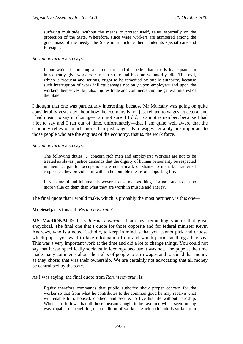suffering multitude, without the means to protect itself, relies especially on the protection of the State. Wherefore, since wage workers are numbered among the great mass of the needy, the State must include them under its special care and foresight.

#### *Rerum novarum* also says:

Labor which is too long and too hard and the belief that pay is inadequate not infrequently give workers cause to strike and become voluntarily idle. This evil, which is frequent and serious, ought to be remedied by public authority, because such interruption of work inflicts damage not only upon employers and upon the workers themselves, but also injures trade and commerce and the general interest of the State.

I thought that one was particularly interesting, because Mr Mulcahy was going on quite considerably yesterday about how the economy is not just related to wages, et cetera, and I had meant to say in closing—I am not sure if I did; I cannot remember, because I had a lot to say and I ran out of time, unfortunately—that I am quite well aware that the economy relies on much more than just wages. Fair wages certainly are important to those people who are the engines of the economy, that is, the work force.

#### *Rerum novarum* also says:

The following duties … concern rich men and employers: Workers are not to be treated as slaves; justice demands that the dignity of human personality be respected in them … gainful occupations are not a mark of shame to man, but rather of respect, as they provide him with an honourable means of supporting life.

It is shameful and inhuman, however, to use men as things for gain and to put no more value on them than what they are worth in muscle and energy.

The final quote that I would make, which is probably the most pertinent, is this one—

#### **Mr Seselja**: Is this still *Rerum novarum*?

**MS MacDONALD**: It is *Rerum novarum*. I am just reminding you of that great encyclical. The final one that I quote for those opposite and for federal minister Kevin Andrews, who is a noted Catholic, to keep in mind is that you cannot pick and choose which popes you want to take information from and which particular things they say. This was a very important work at the time and did a lot to change things. You could not say that it was specifically socialist in ideology because it was not. The pope at the time made many comments about the rights of people to earn wages and to spend that money as they chose; that was their ownership. We are certainly not advocating that all money be centralised by the state.

As I was saying, the final quote from *Rerum novarum* is:

Equity therefore commands that public authority show proper concern for the worker so that from what he contributes to the common good he may receive what will enable him, housed, clothed, and secure, to live his life without hardship. Whence, it follows that all those measures ought to be favoured which seem in any way capable of benefiting the condition of workers. Such solicitude is so far from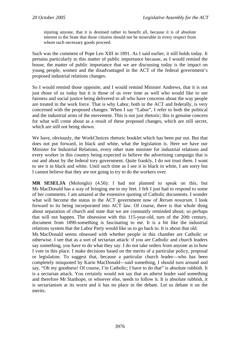injuring anyone, that it is destined rather to benefit all, because it is of absolute interest to the State that those citizens should not be miserable in every respect from whom such necessary goods proceed.

Such was the comment of Pope Leo XIII in 1891. As I said earlier, it still holds today. It pertains particularly to this matter of public importance because, as I would remind the house, the matter of public importance that we are discussing today is the impact on young people, women and the disadvantaged in the ACT of the federal government's proposed industrial relations changes.

So I would remind those opposite, and I would remind Minister Andrews, that it is not just those of us today but it is those of us over time as well who would like to see fairness and social justice being delivered to all who have concerns about the way people are treated in the work force. That is why Labor, both in the ACT and federally, is very concerned with the proposed changes. When I say "Labor", I refer to both the political and the industrial arms of the movement. This is not just rhetoric; this is genuine concern for what will come about as a result of these proposed changes, which are still secret, which are still not being shown.

We have, obviously, the WorkChoices rhetoric booklet which has been put out. But that does not put forward, in black and white, what the legislation is. Here we have our Minister for Industrial Relations, every other state minister for industrial relations and every worker in this country being expected to believe the advertising campaign that is out and about by the federal tory government. Quite frankly, I do not trust them. I want to see it in black and white. Until such time as I see it in black in white, I am sorry but I cannot believe that they are not going to try to do the workers over.

**MR SESELJA** (Molonglo) (4.56): I had not planned to speak on this, but Ms MacDonald has a way of bringing me to my feet. I felt I just had to respond to some of her comments. I am amazed at the extensive quoting of Catholic documents. I wonder what will become the status in the ACT government now of *Rerum novarum*. I look forward to its being incorporated into ACT law. Of course, there is that whole thing about separation of church and state that we are constantly reminded about; so perhaps that will not happen. The obsession with this 115-year-old, turn of the 20th century, document from 1890-something is fascinating to me. It is a bit like the industrial relations system that the Labor Party would like us to go back to. It is about that old.

Ms MacDonald seems obsessed with whether people in this chamber are Catholic or otherwise. I see that as a sort of sectarian attack: if you are Catholic and church leaders say something, you have to do what they say. I do not take orders from anyone as to how I vote in this place. I make decisions based on the merits of a particular policy, proposal or legislation. To suggest that, because a particular church leader—who has been completely misquoted by Karin MacDonald—said something, I should turn around and say, "Oh my goodness! Of course, I'm Catholic; I have to do that" is absolute rubbish. It is a sectarian attack. You certainly would not say that an atheist leader said something and therefore Mr Stanhope, or whoever else, needs to follow it. It is absolute rubbish, it is sectarianism at its worst and it has no place in the debate. Let us debate it on the merits.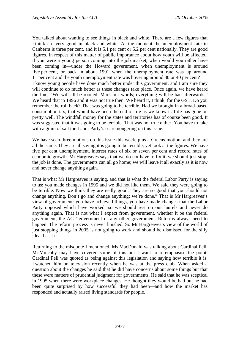You talked about wanting to see things in black and white. There are a few figures that I think are very good in black and white. At the moment the unemployment rate in Canberra is three per cent, and it is 5.1 per cent or 5.2 per cent nationally. They are good figures. In respect of this matter of public importance about how youth will be affected, if you were a young person coming into the job market, when would you rather have been coming in—under the Howard government, when unemployment is around five per cent, or back in about 1991 when the unemployment rate was up around 11 per cent and the youth unemployment rate was hovering around 30 or 40 per cent? I know young people have done much better under this government, and I am sure they will continue to do much better as these changes take place. Once again, we have heard the line, "We will all be rooned. Mark our words; everything will be bad afterwards." We heard that in 1996 and it was not true then. We heard it, I think, for the GST. Do you remember the roll back? That was going to be terrible. Had we brought in a broad-based consumption tax, that would have been the end of life as we know it. Life has gone on pretty well. The windfall money for the states and territories has of course been good. It was suggested that it was going to be terrible. That was not true either. You have to take with a grain of salt the Labor Party's scaremongering on this issue.

We have seen three motions on this issue this week, plus a Greens motion, and they are all the same. They are all saying it is going to be terrible, yet look at the figures. We have five per cent unemployment, interest rates of six or seven per cent and record rates of economic growth. Mr Hargreaves says that we do not have to fix it, we should just stop; the job is done. The governments can all go home; we will leave it all exactly as it is now and never change anything again.

That is what Mr Hargreaves is saying, and that is what the federal Labor Party is saying to us: you made changes in 1995 and we did not like them. We said they were going to be terrible. Now we think they are really good. They are so good that you should not change anything. Don't go and change anything; we're done." That is Mr Hargreaves's view of government: you have achieved things, you have made changes that the Labor Party opposed which have worked, so we should rest on our laurels and never do anything again. That is not what I expect from government, whether it be the federal government, the ACT government or any other government. Reforms always need to happen. The reform process is never finished. So Mr Hargreaves's view of the world of just stopping things in 2005 is not going to work and should be dismissed for the silly idea that it is.

Returning to the misquote I mentioned, Ms MacDonald was talking about Cardinal Pell. Mr Mulcahy may have covered some of this but I want to re-emphasise the point. Cardinal Pell was quoted as being against this legislation and saying how terrible it is. I watched him on television recently when he was at the press club. When asked a question about the changes he said that he did have concerns about some things but that these were matters of prudential judgment for governments. He said that he was sceptical in 1995 when there were workplace changes. He thought they would be bad but he had been quite surprised by how successful they had been—and how the market has responded and actually raised living standards for people.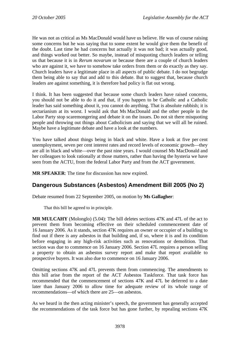He was not as critical as Ms MacDonald would have us believe. He was of course raising some concerns but he was saying that to some extent he would give them the benefit of the doubt. Last time he had concerns but actually it was not bad; it was actually good, and things worked out better. So maybe, instead of misquoting church leaders or telling us that because it is in *Rerum novarum* or because there are a couple of church leaders who are against it, we have to somehow take orders from them or do exactly as they say. Church leaders have a legitimate place in all aspects of public debate. I do not begrudge them being able to say that and add to this debate. But to suggest that, because church leaders are against something, it is therefore bad policy is flat out wrong.

I think. It has been suggested that because some church leaders have raised concerns, you should not be able to do it and that, if you happen to be Catholic and a Catholic leader has said something about it, you cannot do anything. That is absolute rubbish; it is sectarianism at its worst. I would ask that Ms MacDonald and the other people in the Labor Party stop scaremongering and debate it on the issues. Do not sit there misquoting people and throwing out things about Catholicism and saying that we will all be ruined. Maybe have a legitimate debate and have a look at the numbers.

You have talked about things being in black and white. Have a look at five per cent unemployment, seven per cent interest rates and record levels of economic growth—they are all in black and white—over the past nine years. I would counsel Ms MacDonald and her colleagues to look rationally at those matters, rather than having the hysteria we have seen from the ACTU, from the federal Labor Party and from the ACT government.

**MR SPEAKER**: The time for discussion has now expired.

## **Dangerous Substances (Asbestos) Amendment Bill 2005 (No 2)**

Debate resumed from 22 September 2005, on motion by **Ms Gallagher**:

That this bill be agreed to in principle.

**MR MULCAHY** (Molonglo) (5.04): The bill deletes sections 47K and 47L of the act to prevent them from becoming effective on their scheduled commencement date of 16 January 2006. As it stands, section 47K requires an owner or occupier of a building to find out if there is any asbestos in that building and, if so, where it is and its condition before engaging in any high-risk activities such as renovations or demolition. That section was due to commence on 16 January 2006. Section 47L requires a person selling a property to obtain an asbestos survey report and make that report available to prospective buyers. It was also due to commence on 16 January 2006.

Omitting sections 47K and 47L prevents them from commencing. The amendments to this bill arise from the report of the ACT Asbestos Taskforce. That task force has recommended that the commencement of sections 47K and 47L be deferred to a date later than January 2006 to allow time for adequate review of its whole range of recommendations—of which there are 25—on asbestos.

As we heard in the then acting minister's speech, the government has generally accepted the recommendations of the task force but has gone further, by repealing sections 47K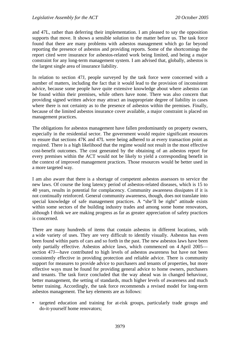and 47L, rather than deferring their implementation. I am pleased to say the opposition supports that move. It shows a sensible solution to the matter before us. The task force found that there are many problems with asbestos management which go far beyond reporting the presence of asbestos and providing reports. Some of the shortcomings the report cited were insurance for asbestos-related work being limited, and being a major constraint for any long-term management system. I am advised that, globally, asbestos is the largest single area of insurance liability.

In relation to section 47J, people surveyed by the task force were concerned with a number of matters, including the fact that it would lead to the provision of inconsistent advice, because some people have quite extensive knowledge about where asbestos can be found within their premises, while others have none. There was also concern that providing signed written advice may attract an inappropriate degree of liability in cases where there is not certainty as to the presence of asbestos within the premises. Finally, because of the limited asbestos insurance cover available, a major constraint is placed on management practices.

The obligations for asbestos management have fallen predominantly on property owners, especially in the residential sector. The government would require significant resources to ensure that sections 47K and 47L were being adhered to at every transaction point as required. There is a high likelihood that the regime would not result in the most effective cost-benefit outcomes. The cost generated by the obtaining of an asbestos report for every premises within the ACT would not be likely to yield a corresponding benefit in the context of improved management practices. Those resources would be better used in a more targeted way.

I am also aware that there is a shortage of competent asbestos assessors to service the new laws. Of course the long latency period of asbestos-related diseases, which is 15 to 40 years, results in potential for complacency. Community awareness dissipates if it is not continually reinforced. General community awareness, though, does not translate into special knowledge of safe management practices. A "she'll be right" attitude exists within some sectors of the building industry trades and among some home renovators, although I think we are making progress as far as greater appreciation of safety practices is concerned.

There are many hundreds of items that contain asbestos in different locations, with a wide variety of uses. They are very difficult to identify visually. Asbestos has even been found within parts of cars and so forth in the past. The new asbestos laws have been only partially effective. Asbestos advice laws, which commenced on 4 April 2005 section 47J—have contributed to high levels of asbestos awareness but have not been consistently effective in providing protection and reliable advice. There is community support for measures to provide advice to purchasers and tenants of properties, but more effective ways must be found for providing general advice to home owners, purchasers and tenants. The task force concluded that the way ahead was in changed behaviour, better management, the setting of standards, much higher levels of awareness and much better training. Accordingly, the task force recommends a revised model for long-term asbestos management. The key elements are as follows:

• targeted education and training for at-risk groups, particularly trade groups and do-it-yourself home renovators;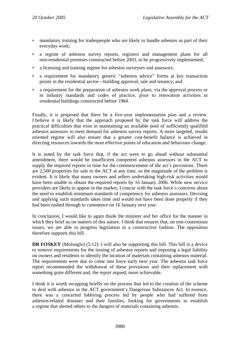- mandatory training for tradespeople who are likely to handle asbestos as part of their everyday work;
- a regime of asbestos survey reports, registers and management plans for all non-residential premises constructed before 2003, to be progressively implemented;
- a licensing and training regime for asbestos surveyors and assessors;
- a requirement for mandatory generic "asbestos advice" forms at key transaction points in the residential sector—building approval, sale and tenancy; and
- a requirement for the preparation of asbestos work plans, via the approval process or in industry standards and codes of practice, prior to renovation activities in residential buildings constructed before 1984.

Finally, it is proposed that there be a five-year implementation plan and a review. I believe it is likely that the approach proposed by the task force will address the practical difficulties that exist in maintaining an available pool of sufficiently qualified asbestos assessors to meet demand for asbestos survey reports. A more targeted, results oriented regime will also ensure that a greater cost-benefit balance is achieved in directing resources towards the most effective points of education and behaviour change.

It is noted by the task force that, if the act were to go ahead without substantial amendment, there would be insufficient competent asbestos assessors in the ACT to supply the required reports in time for the commencement of the act's provisions. There are 2,500 properties for sale in the ACT at any time, so the magnitude of the problem is evident. It is likely that many owners and sellers undertaking high-risk activities would have been unable to obtain the required reports by 16 January 2006. While new service providers are likely to appear in the market, I concur with the task force's concerns about the need to establish minimum standards of competency for asbestos assessors. Devising and applying such standards takes time and would not have been done properly if they had been rushed through to commence on 16 January next year.

In conclusion, I would like to again thank the minister and her office for the manner in which they brief us on matters of this nature. I think that ensures that, on non-contentious issues, we are able to progress legislation in a constructive fashion. The opposition therefore supports this bill.

**DR FOSKEY** (Molonglo) (5.12): I will also be supporting this bill. This bill is a device to remove requirements for the issuing of asbestos reports and imposing a legal liability on owners and residents to identify the location of materials containing asbestos material. The requirements were due to come into force early next year. The asbestos task force report recommended the withdrawal of these provisions and their replacement with something quite different and, the report argued, more achievable.

I think it is worth recapping briefly on the process that led to the creation of the scheme to deal with asbestos in the ACT government's Dangerous Substances Act. In essence, there was a concerted lobbying process led by people who had suffered from asbestos-related diseases and their families, looking for governments to establish a regime that alerted others to the dangers of materials containing asbestos.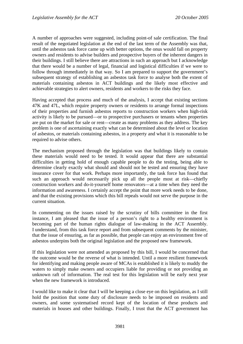A number of approaches were suggested, including point-of sale certification. The final result of the negotiated legislation at the end of the last term of the Assembly was that, until the asbestos task force came up with better options, the onus would fall on property owners and residents to advise builders and prospective buyers of the inherent dangers in their buildings. I still believe there are attractions in such an approach but I acknowledge that there would be a number of legal, financial and logistical difficulties if we were to follow through immediately in that way. So I am prepared to support the government's subsequent strategy of establishing an asbestos task force to analyse both the extent of materials containing asbestos in ACT buildings and the likely most effective and achievable strategies to alert owners, residents and workers to the risks they face.

Having accepted that process and much of the analysis, I accept that existing sections 47K and 47L, which require property owners or residents to arrange formal inspections of their properties and furnish asbestos reports to construction workers when high-risk activity is likely to be pursued—or to prospective purchasers or tenants when properties are put on the market for sale or rent—create as many problems as they address. The key problem is one of ascertaining exactly what can be determined about the level or location of asbestos, or materials containing asbestos, in a property and what it is reasonable to be required to advise others.

The mechanism proposed through the legislation was that buildings likely to contain these materials would need to be tested. It would appear that there are substantial difficulties in getting hold of enough capable people to do the testing, being able to determine clearly exactly what should and should not be tested and ensuring they have insurance cover for that work. Perhaps more importantly, the task force has found that such an approach would necessarily pick up all the people most at risk—chiefly construction workers and do-it-yourself home renovators—at a time when they need the information and awareness. I certainly accept the point that more work needs to be done, and that the existing provisions which this bill repeals would not serve the purpose in the current situation.

In commenting on the issues raised by the scrutiny of bills committee in the first instance, I am pleased that the issue of a person's right to a healthy environment is becoming part of the human rights dialogue of law-making in the ACT Assembly. I understand, from this task force report and from subsequent comments by the minister, that the issue of ensuring, as far as possible, that people can enjoy an environment free of asbestos underpins both the original legislation and the proposed new framework.

If this legislation were not amended as proposed by this bill, I would be concerned that the outcome would be the reverse of what is intended. Until a more resilient framework for identifying and making people aware of MCAs is established it is likely to muddy the waters to simply make owners and occupiers liable for providing or not providing an unknown raft of information. The real test for this legislation will be early next year when the new framework is introduced.

I would like to make it clear that I will be keeping a close eye on this legislation, as I still hold the position that some duty of disclosure needs to be imposed on residents and owners, and some systematised record kept of the location of these products and materials in houses and other buildings. Finally, I trust that the ACT government has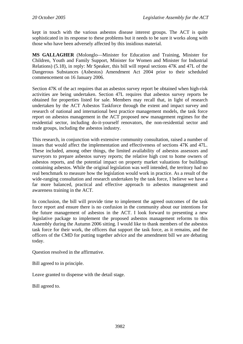kept in touch with the various asbestos disease interest groups. The ACT is quite sophisticated in its response to these problems but it needs to be sure it works along with those who have been adversely affected by this insidious material.

**MS GALLAGHER** (Molonglo—Minister for Education and Training, Minister for Children, Youth and Family Support, Minister for Women and Minister for Industrial Relations) (5.18), in reply: Mr Speaker, this bill will repeal sections 47K and 47L of the Dangerous Substances (Asbestos) Amendment Act 2004 prior to their scheduled commencement on 16 January 2006.

Section 47K of the act requires that an asbestos survey report be obtained when high-risk activities are being undertaken. Section 47L requires that asbestos survey reports be obtained for properties listed for sale. Members may recall that, in light of research undertaken by the ACT Asbestos Taskforce through the extent and impact survey and research of national and international best practice management models, the task force report on asbestos management in the ACT proposed new management regimes for the residential sector, including do-it-yourself renovators, the non-residential sector and trade groups, including the asbestos industry.

This research, in conjunction with extensive community consultation, raised a number of issues that would affect the implementation and effectiveness of sections 47K and 47L. These included, among other things, the limited availability of asbestos assessors and surveyors to prepare asbestos survey reports; the relative high cost to home owners of asbestos reports, and the potential impact on property market valuations for buildings containing asbestos. While the original legislation was well intended, the territory had no real benchmark to measure how the legislation would work in practice. As a result of the wide-ranging consultation and research undertaken by the task force, I believe we have a far more balanced, practical and effective approach to asbestos management and awareness training in the ACT.

In conclusion, the bill will provide time to implement the agreed outcomes of the task force report and ensure there is no confusion in the community about our intentions for the future management of asbestos in the ACT. I look forward to presenting a new legislative package to implement the proposed asbestos management reforms to this Assembly during the Autumn 2006 sitting. I would like to thank members of the asbestos task force for their work, the officers that support the task force, as it remains, and the officers of the CMD for putting together advice and the amendment bill we are debating today.

Question resolved in the affirmative.

Bill agreed to in principle.

Leave granted to dispense with the detail stage.

Bill agreed to.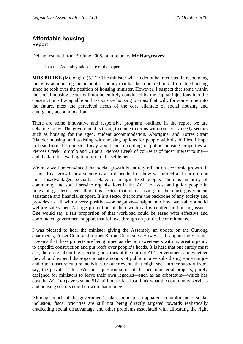## **Affordable housing Report**

Debate resumed from 30 June 2005, on motion by **Mr Hargreaves**:

That the Assembly takes note of the paper.

**MRS BURKE** (Molonglo) (5.21): The minister will no doubt be interested in responding today by announcing the amount of money that has been poured into affordable housing since he took over the position of housing minister. However, I suspect that some within the social housing sector will not be entirely convinced by the capital injections into the construction of adaptable and responsive housing options that will, for some time into the future, meet the perceived needs of the core clientele of social housing and emergency accommodation.

There are some innovative and responsive programs outlined in the report we are debating today. The government is trying to come to terms with some very needy sectors such as housing for the aged, student accommodation, Aboriginal and Torres Strait Islander housing, and assisting with housing options for people with disabilities. I hope to hear from the minister today about the rebuilding of public housing properties at Pierces Creek, Stromlo and Uriarra. Pierces Creek of course is of most interest to me and the families waiting to return to the settlement.

We may well be convinced that social growth is entirely reliant on economic growth. It is not. Real growth in a society is also dependent on how we protect and nurture our most disadvantaged, socially isolated or marginalized people. There is an army of community and social service organisations in the ACT to assist and guide people in times of greatest need. It is this sector that is deserving of the most government assistance and financial support. It is a sector that forms the backbone of any society and provides us all with a very positive—or negative—insight into how we value a solid welfare safety net. A large proportion of their workload is centred on housing issues. One would say a fair proportion of that workload could be eased with effective and coordinated government support that follows through on political commitments.

I was pleased to hear the minister giving the Assembly an update on the Currong apartments, Fraser Court and former Burnie Court sites. However, disappointingly to me, it seems that these projects are being timed as election sweeteners with no great urgency to expedite construction and put roofs over people's heads. It is here that one surely must ask, therefore, about the spending priorities of the current ACT government and whether they should expend disproportionate amounts of public money subsidising some unique and often obscure cultural activities or other events that might seek further support from, say, the private sector. We must question some of the pet ministerial projects, purely designed for ministers to leave their own legacies—such as an arboretum—which has cost the ACT taxpayers some \$12 million so far. Just think what the community services and housing sectors could do with that money.

Although much of the government's plans point to an apparent commitment to social inclusion, fiscal priorities are still not being directly targeted towards realistically eradicating social disadvantage and other problems associated with allocating the right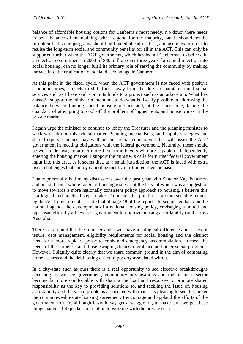balance of affordable housing options for Canberra's most needy. No doubt there needs to be a balance of maintaining what is good for the majority, but it should not be forgotten that some programs should be funded ahead of the grandiose ones in order to realise the long-term social and community benefits for all in the ACT. This can only be supported further when the ACT government, which has led all Canberrans to believe in an election commitment in 2004 of \$30 million over three years for capital injection into social housing, can no longer fulfil its primary role of serving the community by making inroads into the eradication of social disadvantage in Canberra.

At this point in the fiscal cycle, when the ACT government is not faced with positive economic times, it elects to shift focus away from the duty to maintain sound social services and, as I have said, commits funds to a project such as an arboretum. What lies ahead? I support the minister's intentions to do what is fiscally possible in addressing the balance between funding social housing options and, at the same time, facing the quandary of attempting to cool off the problem of higher rents and house prices in the private market.

I again urge the minister to continue to lobby the Treasurer and the planning minister to work with him on this critical matter. Planning mechanisms, land supply strategies and shared equity schemes may well be the crucial components that will assist the ACT government in meeting obligations with the federal government. Naturally, these should be well under way to attract more first home buyers who are capable of independently entering the housing market. I support the minister's calls for further federal government input into this area, as it seems that, as a small jurisdiction, the ACT is faced with extra fiscal challenges that simply cannot be met by our limited revenue base.

I have personally had many discussions over the past year with Senator Kay Patterson and her staff on a whole range of housing issues, not the least of which was a suggestion to move towards a more nationally consistent policy approach to housing. I believe this is a logical and practical step to take. To bolster this point, it is a quite sensible request by the ACT government—I note that at page 48 of the report—to see placed back on the national agenda the development of a national housing policy, envisaging a united and bipartisan effort by all levels of government to improve housing affordability right across Australia.

There is no doubt that the minister and I will have ideological differences on issues of tenure, debt management, eligibility requirements for social housing and the distinct need for a more rapid response to crisis and emergency accommodation, to meet the needs of the homeless and those escaping domestic violence and other social problems. However, I signify quite clearly that we share common ground in the aim of combating homelessness and the debilitating effect of poverty associated with it.

In a city-state such as ours there is a real opportunity to see effective breakthroughs occurring as we see government, community organisations and the business sector become far more comfortable with sharing the load and resources to promote shared responsibility as the key to providing solutions to, and tackling the issue of, housing affordability and the social problems associated with that. It is pleasing to see that under the commonwealth-state housing agreement. I encourage and applaud the efforts of the government to date, although I would say get a wriggle on, to make sure we get these things nailed a bit quicker, in relation to working with the private sector.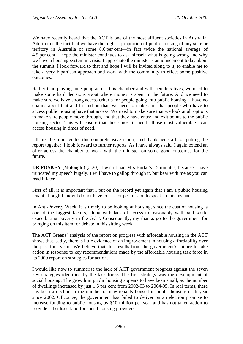We have recently heard that the ACT is one of the most affluent societies in Australia. Add to this the fact that we have the highest proportion of public housing of any state or territory in Australia of some 8.6 per cent—in fact twice the national average of 4.5 per cent. I hope the minister continues to ask himself what is going wrong and why we have a housing system in crisis. I appreciate the minister's announcement today about the summit. I look forward to that and hope I will be invited along to it, to enable me to take a very bipartisan approach and work with the community to effect some positive outcomes.

Rather than playing ping-pong across this chamber and with people's lives, we need to make some hard decisions about where money is spent in the future. And we need to make sure we have strong access criteria for people going into public housing. I have no qualms about that and I stand on that: we need to make sure that people who have to access public housing have that access. We need to make sure that we look at all options to make sure people move through, and that they have entry and exit points to the public housing sector. This will ensure that those most in need—those most vulnerable—can access housing in times of need.

I thank the minister for this comprehensive report, and thank her staff for putting the report together. I look forward to further reports. As I have always said, I again extend an offer across the chamber to work with the minister on some good outcomes for the future.

**DR FOSKEY** (Molonglo) (5.30): I wish I had Mrs Burke's 15 minutes, because I have truncated my speech hugely. I will have to gallop through it, but bear with me as you can read it later.

First of all, it is important that I put on the record yet again that I am a public housing tenant, though I know I do not have to ask for permission to speak in this instance.

In Anti-Poverty Week, it is timely to be looking at housing, since the cost of housing is one of the biggest factors, along with lack of access to reasonably well paid work, exacerbating poverty in the ACT. Consequently, my thanks go to the government for bringing on this item for debate in this sitting week.

The ACT Greens' analysis of the report on progress with affordable housing in the ACT shows that, sadly, there is little evidence of an improvement in housing affordability over the past four years. We believe that this results from the government's failure to take action in response to key recommendations made by the affordable housing task force in its 2000 report on strategies for action.

I would like now to summarise the lack of ACT government progress against the seven key strategies identified by the task force. The first strategy was the development of social housing. The growth in public housing appears to have been small, as the number of dwellings increased by just 1.6 per cent from 2002-03 to 2004-05. In real terms, there has been a decline in the number of new tenants housed in public housing each year since 2002. Of course, the government has failed to deliver on an election promise to increase funding to public housing by \$10 million per year and has not taken action to provide subsidised land for social housing providers.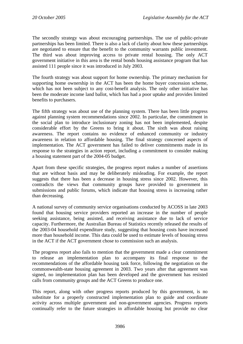The secondly strategy was about encouraging partnerships. The use of public-private partnerships has been limited. There is also a lack of clarity about how these partnerships are negotiated to ensure that the benefit to the community warrants public investment. The third was about improving access to private rental housing. The only ACT government initiative in this area is the rental bonds housing assistance program that has assisted 111 people since it was introduced in July 2003.

The fourth strategy was about support for home ownership. The primary mechanism for supporting home ownership in the ACT has been the home buyer concession scheme, which has not been subject to any cost-benefit analysis. The only other initiative has been the moderate income land ballot, which has had a poor uptake and provides limited benefits to purchasers.

The fifth strategy was about use of the planning system. There has been little progress against planning system recommendations since 2002. In particular, the commitment in the social plan to introduce inclusionary zoning has not been implemented, despite considerable effort by the Greens to bring it about. The sixth was about raising awareness. The report contains no evidence of enhanced community or industry awareness in relation to affordable housing. The final strategy concerned aspects of implementation. The ACT government has failed to deliver commitments made in its response to the strategies in action report, including a commitment to consider making a housing statement part of the 2004-05 budget.

Apart from these specific strategies, the progress report makes a number of assertions that are without basis and may be deliberately misleading. For example, the report suggests that there has been a decrease in housing stress since 2002. However, this contradicts the views that community groups have provided to government in submissions and public forums, which indicate that housing stress is increasing rather than decreasing.

A national survey of community service organisations conducted by ACOSS in late 2003 found that housing service providers reported an increase in the number of people seeking assistance, being assisted, and receiving assistance due to lack of service capacity. Furthermore, the Australian Bureau of Statistics recently released the results of the 2003-04 household expenditure study, suggesting that housing costs have increased more than household income. This data could be used to estimate levels of housing stress in the ACT if the ACT government chose to commission such an analysis.

The progress report also fails to mention that the government made a clear commitment to release an implementation plan to accompany its final response to the recommendations of the affordable housing task force, following the negotiation on the commonwealth-state housing agreement in 2003. Two years after that agreement was signed, no implementation plan has been developed and the government has resisted calls from community groups and the ACT Greens to produce one.

This report, along with other progress reports produced by this government, is no substitute for a properly constructed implementation plan to guide and coordinate activity across multiple government and non-government agencies. Progress reports continually refer to the future strategies in affordable housing but provide no clear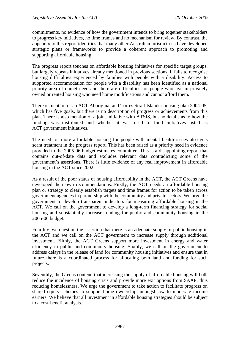commitments, no evidence of how the government intends to bring together stakeholders to progress key initiatives, no time frames and no mechanism for review. By contrast, the appendix to this report identifies that many other Australian jurisdictions have developed strategic plans or frameworks to provide a coherent approach to promoting and supporting affordable housing.

The progress report touches on affordable housing initiatives for specific target groups, but largely repeats initiatives already mentioned in previous sections. It fails to recognise housing difficulties experienced by families with people with a disability. Access to supported accommodation for people with a disability has been identified as a national priority area of unmet need and there are difficulties for people who live in privately owned or rented housing who need home modifications and cannot afford them.

There is mention of an ACT Aboriginal and Torres Strait Islander housing plan 2004-05, which has five goals, but there is no description of progress or achievements from this plan. There is also mention of a joint initiative with ATSIS, but no details as to how the funding was distributed and whether it was used to fund initiatives listed as ACT government initiatives.

The need for more affordable housing for people with mental health issues also gets scant treatment in the progress report. This has been raised as a priority need in evidence provided to the 2005-06 budget estimates committee. This is a disappointing report that contains out-of-date data and excludes relevant data contradicting some of the government's assertions. There is little evidence of any real improvement in affordable housing in the ACT since 2002.

As a result of the poor status of housing affordability in the ACT, the ACT Greens have developed their own recommendations. Firstly, the ACT needs an affordable housing plan or strategy to clearly establish targets and time frames for action to be taken across government agencies in partnership with the community and private sectors. We urge the government to develop transparent indicators for measuring affordable housing in the ACT. We call on the government to develop a long-term financing strategy for social housing and substantially increase funding for public and community housing in the 2005-06 budget.

Fourthly, we question the assertion that there is an adequate supply of public housing in the ACT and we call on the ACT government to increase supply through additional investment. Fifthly, the ACT Greens support more investment in energy and water efficiency in public and community housing. Sixthly, we call on the government to address delays in the release of land for community housing initiatives and ensure that in future there is a coordinated process for allocating both land and funding for such projects.

Seventhly, the Greens contend that increasing the supply of affordable housing will both reduce the incidence of housing crisis and provide more exit options from SAAP, thus reducing homelessness. We urge the government to take action to facilitate progress on shared equity schemes to support home ownership amongst low to moderate income earners. We believe that all investment in affordable housing strategies should be subject to a cost-benefit analysis.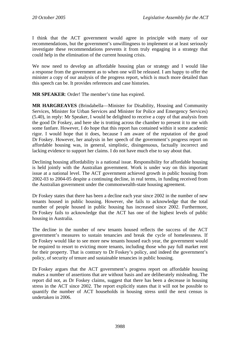I think that the ACT government would agree in principle with many of our recommendations, but the government's unwillingness to implement or at least seriously investigate these recommendations prevents it from truly engaging in a strategy that could help in the elimination of the current housing crisis.

We now need to develop an affordable housing plan or strategy and I would like a response from the government as to when one will be released. I am happy to offer the minister a copy of our analysis of the progress report, which is much more detailed than this speech can be. It provides references and case histories.

**MR SPEAKER**: Order! The member's time has expired.

**MR HARGREAVES** (Brindabella—Minister for Disability, Housing and Community Services, Minister for Urban Services and Minister for Police and Emergency Services) (5.40), in reply: Mr Speaker, I would be delighted to receive a copy of that analysis from the good Dr Foskey, and here she is trotting across the chamber to present it to me with some fanfare. However, I do hope that this report has contained within it some academic rigor. I would hope that it does, because I am aware of the reputation of the good Dr Foskey. However, her analysis in her speech of the government's progress report on affordable housing was, in general, simplistic, disingenuous, factually incorrect and lacking evidence to support her claims. I do not have much else to say about that.

Declining housing affordability is a national issue. Responsibility for affordable housing is held jointly with the Australian government. Work is under way on this important issue at a national level. The ACT government achieved growth in public housing from 2002-03 to 2004-05 despite a continuing decline, in real terms, in funding received from the Australian government under the commonwealth-state housing agreement.

Dr Foskey states that there has been a decline each year since 2002 in the number of new tenants housed in public housing. However, she fails to acknowledge that the total number of people housed in public housing has increased since 2002. Furthermore, Dr Foskey fails to acknowledge that the ACT has one of the highest levels of public housing in Australia.

The decline in the number of new tenants housed reflects the success of the ACT government's measures to sustain tenancies and break the cycle of homelessness. If Dr Foskey would like to see more new tenants housed each year, the government would be required to resort to evicting more tenants, including those who pay full market rent for their property. That is contrary to Dr Foskey's policy, and indeed the government's policy, of security of tenure and sustainable tenancies in public housing.

Dr Foskey argues that the ACT government's progress report on affordable housing makes a number of assertions that are without basis and are deliberately misleading. The report did not, as Dr Foskey claims, suggest that there has been a decrease in housing stress in the ACT since 2002. The report explicitly states that it will not be possible to quantify the number of ACT households in housing stress until the next census is undertaken in 2006.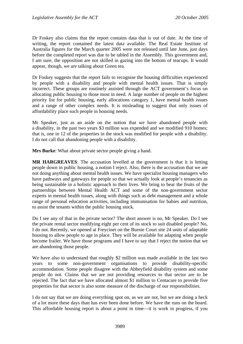Dr Foskey also claims that the report contains data that is out of date. At the time of writing, the report contained the latest data available. The Real Estate Institute of Australia figures for the March quarter 2005 were not released until late June, just days before the completed report was due to be tabled in the Assembly. This government and, I am sure, the opposition are not skilled in gazing into the bottom of teacups. It would appear, though, we are talking about Green tea.

Dr Foskey suggests that the report fails to recognise the housing difficulties experienced by people with a disability and people with mental health issues. That is simply incorrect. These groups are routinely assisted through the ACT government's focus on allocating public housing to those most in need. A large number of people on the highest priority list for public housing, early allocations category 1, have mental health issues and a range of other complex needs. It is misleading to suggest that only issues of affordability place such people in housing needs.

Mr Speaker, just as an aside on the notion that we have abandoned people with a disability, in the past two years \$3 million was expended and we modified 910 homes; that is, one in 12 of the properties in the stock was modified for people with a disability. I do not call that abandoning people with a disability.

**Mrs Burke**: What about private sector people giving a hand.

**MR HARGREAVES**: The accusation levelled at the government is that it is letting people down in public housing, a notion I reject. Also, there is the accusation that we are not doing anything about mental health issues. We have specialist housing managers who have pathways and gateways for people so that we actually look at people's tenancies as being sustainable in a holistic approach to their lives. We bring to bear the fruits of the partnerships between Mental Health ACT and some of the non-government sector experts in mental health issues, along with things such as debt management and a whole range of personal education activities, including immunisation for babies and nutrition, to assist the tenants within the public housing stock.

Do I see any of that in the private sector? The short answer is no, Mr Speaker. Do I see the private rental sector modifying eight per cent of its stock to suit disabled people? No, I do not. Recently, we opened at Freycinet on the Burnie Court site 24 units of adaptable housing to allow people to age in place. They will be available for adapting when people become frailer. We have those programs and I have to say that I reject the notion that we are abandoning those people.

We have also to understand that roughly \$2 million was made available in the last two years to some non-government organisations to provide disability-specific accommodation. Some people disagree with the Abbeyfield disability system and some people do not. Claims that we are not providing resources to that sector are to be rejected. The fact that we have allocated almost \$1 million to Centacare to provide five properties for that sector is also some measure of the discharge of our responsibilities.

I do not say that we are doing everything spot on, as we are not, but we are doing a heck of a lot more these days than has ever been done before. We have the runs on the board. This affordable housing report is about a point in time—it is work in progress, if you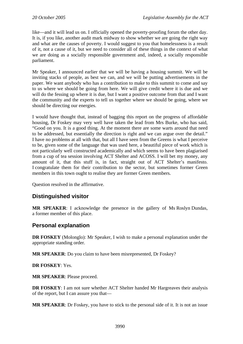like—and it will lead us on. I officially opened the poverty-proofing forum the other day. It is, if you like, another audit mark midway to show whether we are going the right way and what are the causes of poverty. I would suggest to you that homelessness is a result of it, not a cause of it, but we need to consider all of these things in the context of what we are doing as a socially responsible government and, indeed, a socially responsible parliament.

Mr Speaker, I announced earlier that we will be having a housing summit. We will be inviting stacks of people, as best we can, and we will be putting advertisements in the paper. We want anybody who has a contribution to make to this summit to come and say to us where we should be going from here. We will give credit where it is due and we will do the fessing up where it is due, but I want a positive outcome from that and I want the community and the experts to tell us together where we should be going, where we should be directing our energies.

I would have thought that, instead of bagging this report on the progress of affordable housing, Dr Foskey may very well have taken the lead from Mrs Burke, who has said, "Good on you. It is a good thing. At the moment there are some warts around that need to be addressed, but essentially the direction is right and we can argue over the detail." I have no problems at all with that, but all I have seen from the Greens is what I perceive to be, given some of the language that was used here, a beautiful piece of work which is not particularly well constructed academically and which seems to have been plagiarised from a cup of tea session involving ACT Shelter and ACOSS. I will bet my money, any amount of it, that this stuff is, in fact, straight out of ACT Shelter's manifesto. I congratulate them for their contribution to the sector, but sometimes former Green members in this town ought to realise they are former Green members.

Question resolved in the affirmative.

## **Distinguished visitor**

**MR SPEAKER**: I acknowledge the presence in the gallery of Ms Roslyn Dundas, a former member of this place.

## **Personal explanation**

**DR FOSKEY** (Molonglo): Mr Speaker, I wish to make a personal explanation under the appropriate standing order.

**MR SPEAKER**: Do you claim to have been misrepresented, Dr Foskey?

**DR FOSKEY**: Yes.

**MR SPEAKER**: Please proceed.

**DR FOSKEY**: I am not sure whether ACT Shelter handed Mr Hargreaves their analysis of the report, but I can assure you that—

**MR SPEAKER**: Dr Foskey, you have to stick to the personal side of it. It is not an issue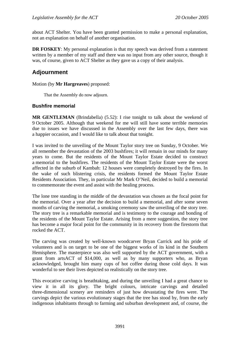about ACT Shelter. You have been granted permission to make a personal explanation, not an explanation on behalf of another organisation.

**DR FOSKEY:** My personal explanation is that my speech was derived from a statement written by a member of my staff and there was no input from any other source, though it was, of course, given to ACT Shelter as they gave us a copy of their analysis.

## **Adjournment**

#### Motion (by **Mr Hargreaves**) proposed:

That the Assembly do now adjourn.

## **Bushfire memorial**

**MR GENTLEMAN** (Brindabella) (5.52): I rise tonight to talk about the weekend of 9 October 2005. Although that weekend for me will still have some terrible memories due to issues we have discussed in the Assembly over the last few days, there was a happier occasion, and I would like to talk about that tonight.

I was invited to the unveiling of the Mount Taylor story tree on Sunday, 9 October. We all remember the devastation of the 2003 bushfires; it will remain in our minds for many years to come. But the residents of the Mount Taylor Estate decided to construct a memorial to the bushfires. The residents of the Mount Taylor Estate were the worst affected in the suburb of Kambah: 12 houses were completely destroyed by the fires. In the wake of such blistering crisis, the residents formed the Mount Taylor Estate Residents Association. They, in particular Mr Mark O'Neil, decided to build a memorial to commemorate the event and assist with the healing process.

The lone tree standing in the middle of the devastation was chosen as the focal point for the memorial. Over a year after the decision to build a memorial, and after some seven months of carving the memorial, a smoking ceremony saw the unveiling of the story tree. The story tree is a remarkable memorial and is testimony to the courage and bonding of the residents of the Mount Taylor Estate. Arising from a mere suggestion, the story tree has become a major focal point for the community in its recovery from the firestorm that rocked the ACT.

The carving was created by well-known woodcarver Bryan Carrick and his pride of volunteers and is on target to be one of the biggest works of its kind in the Southern Hemisphere. The masterpiece was also well supported by the ACT government, with a grant from artsACT of \$14,000, as well as by many supporters who, as Bryan acknowledged, brought him many cups of hot coffee during those cold days. It was wonderful to see their lives depicted so realistically on the story tree.

This evocative carving is breathtaking, and during the unveiling I had a great chance to view it in all its glory. The bright colours, intricate carvings and detailed three-dimensional scenery are reminders of just how devastating the fires were. The carvings depict the various evolutionary stages that the tree has stood by, from the early indigenous inhabitants through to farming and suburban development and, of course, the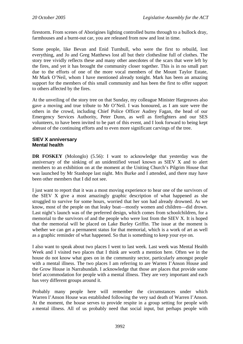firestorm. From scenes of Aborigines lighting controlled burns through to a bullock dray, farmhouses and a burnt-out car, you are released from now and lost in time.

Some people, like Bevan and Enid Turnbull, who were the first to rebuild, lost everything, and Jo and Greg Matthews lost all but their clothesline full of clothes. The story tree vividly reflects these and many other anecdotes of the scars that were left by the fires, and yet it has brought the community closer together. This is in no small part due to the efforts of one of the more vocal members of the Mount Taylor Estate, Mr Mark O'Neil, whom I have mentioned already tonight. Mark has been an amazing support for the members of this small community and has been the first to offer support to others affected by the fires.

At the unveiling of the story tree on that Sunday, my colleague Minister Hargreaves also gave a moving and true tribute to Mr O'Neil. I was honoured, as I am sure were the others in the crowd, including Chief Police Officer Audrey Fagan, the head of our Emergency Services Authority, Peter Dunn, as well as firefighters and our SES volunteers, to have been invited to be part of this event, and I look forward to being kept abreast of the continuing efforts and to even more significant carvings of the tree.

## **SIEV X anniversary Mental health**

**DR FOSKEY** (Molonglo) (5.56): I want to acknowledge that yesterday was the anniversary of the sinking of an unidentified vessel known as SIEV X and to alert members to an exhibition on at the moment at the Uniting Church's Pilgrim House that was launched by Mr Stanhope last night. Mrs Burke and I attended, and there may have been other members that I did not see.

I just want to report that it was a most moving experience to hear one of the survivors of the SIEV X give a most amazingly graphic description of what happened as she struggled to survive for some hours, worried that her son had already drowned. As we know, most of the people on that leaky boat—mostly women and children—did drown. Last night's launch was of the preferred design, which comes from schoolchildren, for a memorial to the survivors of and the people who were lost from the SIEV X. It is hoped that the memorial will be placed on Lake Burley Griffin. The issue at the moment is whether we can get a permanent status for that memorial, which is a work of art as well as a graphic reminder of what happened. So that is something to keep your eye on.

I also want to speak about two places I went to last week. Last week was Mental Health Week and I visited two places that I think are worth a mention here. Often we in the house do not know what goes on in the community sector, particularly amongst people with a mental illness. The two places I am referring to are Warren I'Anson House and the Grow House in Narrabundah. I acknowledge that those are places that provide some brief accommodation for people with a mental illness. They are very important and each has very different groups around it.

Probably many people here will remember the circumstances under which Warren I'Anson House was established following the very sad death of Warren I'Anson. At the moment, the house serves to provide respite in a group setting for people with a mental illness. All of us probably need that social input, but perhaps people with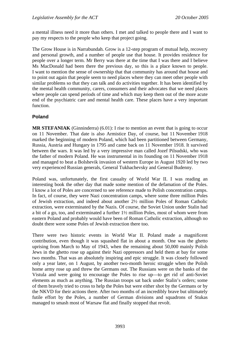a mental illness need it more than others. I met and talked to people there and I want to pay my respects to the people who keep that project going.

The Grow House is in Narrabundah. Grow is a 12-step program of mutual help, recovery and personal growth, and a number of people use that house. It provides residence for people over a longer term. Mr Berry was there at the time that I was there and I believe Ms MacDonald had been there the previous day, so this is a place known to people. I want to mention the sense of ownership that that community has around that house and to point out again that people seem to need places where they can meet other people with similar problems so that they can talk and do activities together. It has been identified by the mental health community, carers, consumers and their advocates that we need places where people can spend periods of time and which may keep them out of the more acute end of the psychiatric care and mental health care. These places have a very important function.

## **Poland**

**MR STEFANIAK** (Ginninderra) (6.01): I rise to mention an event that is going to occur on 11 November. That date is also Armistice Day, of course, but 11 November 1918 marked the beginning of modern Poland, which had been partitioned between Germany, Russia, Austria and Hungary in 1795 and came back on 11 November 1918. It survived between the wars. It was led by a very impressive man called Jozef Pilsudski, who was the father of modern Poland. He was instrumental in its founding on 11 November 1918 and managed to beat a Bolshevik invasion of western Europe in August 1920 led by two very experienced Russian generals, General Tukhachevsky and General Budenny.

Poland was, unfortunately, the first casualty of World War II. I was reading an interesting book the other day that made some mention of the defamation of the Poles. I know a lot of Poles are concerned to see reference made to Polish concentration camps. In fact, of course, they were Nazi concentration camps, where some three million Poles of Jewish extraction, and indeed about another 2½ million Poles of Roman Catholic extraction, were exterminated by the Nazis. Of course, the Soviet Union under Stalin had a bit of a go, too, and exterminated a further 1½ million Poles, most of whom were from eastern Poland and probably would have been of Roman Catholic extraction, although no doubt there were some Poles of Jewish extraction there too.

There were two historic events in World War II. Poland made a magnificent contribution, even though it was squashed flat in about a month. One was the ghetto uprising from March to May of 1943, when the remaining about 50,000 mainly Polish Jews in the ghetto rose up against their Nazi oppressors and held them at bay for some two months. That was an absolutely inspiring and epic struggle. It was closely followed only a year later, on 1 August, by another two-month heroic struggle when the Polish home army rose up and threw the Germans out. The Russians were on the banks of the Vistula and were going to encourage the Poles to rise up—to get rid of anti-Soviet elements as much as anything. The Russian troops sat back under Stalin's orders; some of them bravely tried to cross to help the Poles but were either shot by the Germans or by the NKVD for their actions there. After two months of an incredibly brave but ultimately futile effort by the Poles, a number of German divisions and squadrons of Stukas managed to smash most of Warsaw flat and finally stopped that revolt.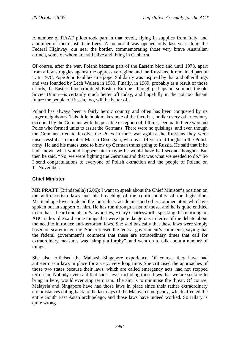A number of RAAF pilots took part in that revolt, flying in supplies from Italy, and a number of them lost their lives. A memorial was opened only last year along the Federal Highway, out near the border, commemorating those very brave Australian airmen, some of whom are still alive and living in Canberra.

Of course, after the war, Poland became part of the Eastern bloc and until 1978, apart from a few struggles against the oppressive regime and the Russians, it remained part of it. In 1978, Pope John Paul became pope. Solidarity was inspired by that and other things and was founded by Lech Walesa in 1980. Finally, in 1989, probably as a result of those efforts, the Eastern bloc crumbled. Eastern Europe—though perhaps not so much the old Soviet Union—is certainly much better off today, and hopefully in the not too distant future the people of Russia, too, will be better off.

Poland has always been a fairly heroic country and often has been conquered by its larger neighbours. This little book makes note of the fact that, unlike every other country occupied by the Germans with the possible exception of, I think, Denmark, there were no Poles who formed units to assist the Germans. There were no quislings, and even though the Germans tried to involve the Poles in their war against the Russians they were unsuccessful. I remember Marian Domagala, who as a 14-year-old fought in the Polish army. He and his mates used to blow up German trains going to Russia. He said that if he had known what would happen later maybe he would have had second thoughts. But then he said, "No, we were fighting the Germans and that was what we needed to do." So I send congratulations to everyone of Polish extraction and the people of Poland on 11 November.

## **Chief Minister**

**MR PRATT** (Brindabella) (6.06): I want to speak about the Chief Minister's position on the anti-terrorism laws and his breaching of the confidentiality of the legislation. Mr Stanhope loves to detail the journalists, academics and other commentators who have spoken out in support of him. He has run through a list of those, and he is quite entitled to do that. I heard one of Jon's favourites, Hilary Charlesworth, speaking this morning on ABC radio. She said some things that were quite dangerous in terms of the debate about the need to introduce anti-terrorism laws. She said basically that these laws were simply based on scaremongering. She criticised the federal government's comments, saying that the federal government's comment that these are extraordinary times that call for extraordinary measures was "simply a furphy", and went on to talk about a number of things.

She also criticised the Malaysia-Singapore experience. Of course, they have had anti-terrorism laws in place for a very, very long time. She criticised the approaches of those two states because their laws, which are called emergency acts, had not stopped terrorism. Nobody ever said that such laws, including those laws that we are seeking to bring in here, would ever stop terrorism. The aim is to minimise the threat. Of course, Malaysia and Singapore have had those laws in place since their rather extraordinary circumstances dating back to the last days of the Malayan emergency, which affected the entire South East Asian archipelago, and those laws have indeed worked. So Hilary is quite wrong.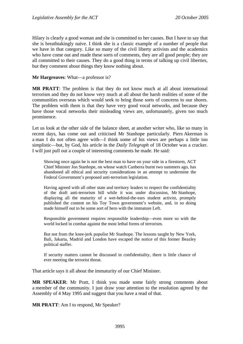Hilary is clearly a good woman and she is committed to her causes. But I have to say that she is breathtakingly naive. I think she is a classic example of a number of people that we have in that category. Like so many of the civil liberty activists and the academics who have come out and made these sorts of comments, they are all good people; they are all committed to their causes. They do a good thing in terms of talking up civil liberties, but they comment about things they know nothing about.

#### **Mr Hargreaves**: What—a professor is?

**MR PRATT**: The problem is that they do not know much at all about international terrorism and they do not know very much at all about the harsh realities of some of the communities overseas which would seek to bring those sorts of concerns to our shores. The problem with them is that they have very good vocal networks, and because they have those vocal networks their misleading views are, unfortunately, given too much prominence.

Let us look at the other side of the balance sheet, at another writer who, like so many in recent days, has come out and criticised Mr Stanhope particularly. Piers Akerman is a man I do not often agree with—I think some of his views are perhaps a little too simplistic—but, by God, his article in the *Daily Telegraph* of 18 October was a cracker. I will just pull out a couple of interesting comments he made. He said:

Showing once again he is not the best man to have on your side in a firestorm, ACT Chief Minister Jon Stanhope, on whose watch Canberra burnt two summers ago, has abandoned all ethical and security considerations in an attempt to undermine the Federal Government's proposed anti-terrorism legislation.

Having agreed with all other state and territory leaders to respect the confidentiality of the draft anti-terrorism bill while it was under discussion, Mr Stanhope, displaying all the maturity of a wet-behind-the-ears student activist, promptly published the content on his Toy Town government's website, and, in so doing made himself out to be some sort of hero with the immature Left.

Responsible government requires responsible leadership—even more so with the world locked in combat against the most lethal forms of terrorism.

But not from the knee-jerk populist Mr Stanhope. The lessons taught by New York, Bali, Jakarta, Madrid and London have escaped the notice of this former Beazley political staffer.

If security matters cannot be discussed in confidentiality, there is little chance of ever meeting the terrorist threat.

That article says it all about the immaturity of our Chief Minister.

**MR SPEAKER**: Mr Pratt, I think you made some fairly strong comments about a member of the community. I just draw your attention to the resolution agreed by the Assembly of 4 May 1995 and suggest that you have a read of that.

**MR PRATT**: Am I to respond, Mr Speaker?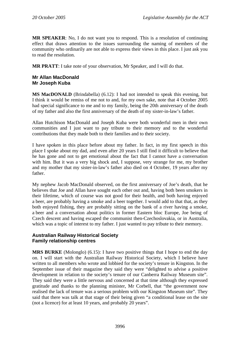**MR SPEAKER**: No, I do not want you to respond. This is a resolution of continuing effect that draws attention to the issues surrounding the naming of members of the community who ordinarily are not able to express their views in this place. I just ask you to read the resolution.

**MR PRATT**: I take note of your observation, Mr Speaker, and I will do that.

### **Mr Allan MacDonald Mr Joseph Kuba**

**MS MacDONALD** (Brindabella) (6.12): I had not intended to speak this evening, but I think it would be remiss of me not to and, for my own sake, note that 4 October 2005 had special significance to me and to my family, being the 20th anniversary of the death of my father and also the first anniversary of the death of my sister-in-law's father.

Allan Hutchison MacDonald and Joseph Kuba were both wonderful men in their own communities and I just want to pay tribute to their memory and to the wonderful contributions that they made both to their families and to their society.

I have spoken in this place before about my father. In fact, in my first speech in this place I spoke about my dad, and even after 20 years I still find it difficult to believe that he has gone and not to get emotional about the fact that I cannot have a conversation with him. But it was a very big shock and, I suppose, very strange for me, my brother and my mother that my sister-in-law's father also died on 4 October, 19 years after my father.

My nephew Jacob MacDonald observed, on the first anniversary of Joe's death, that he believes that Joe and Allan have sought each other out and, having both been smokers in their lifetime, which of course was not good for their health, and both having enjoyed a beer, are probably having a smoke and a beer together. I would add to that that, as they both enjoyed fishing, they are probably sitting on the bank of a river having a smoke, a beer and a conversation about politics in former Eastern bloc Europe, Joe being of Czech descent and having escaped the communist then-Czechoslovakia, or in Australia, which was a topic of interest to my father. I just wanted to pay tribute to their memory.

## **Australian Railway Historical Society Family relationship centres**

**MRS BURKE** (Molonglo) (6.15): I have two positive things that I hope to end the day on. I will start with the Australian Railway Historical Society, which I believe have written to all members who wrote and lobbied for the society's tenure in Kingston. In the September issue of their magazine they said they were "delighted to advise a positive development in relation to the society's tenure of our Canberra Railway Museum site". They said they were a little nervous and concerned at that time although they expressed gratitude and thanks to the planning minister, Mr Corbell, that "the government now realised the lack of tenure was a serious problem with our Kingston Museum site". They said that there was talk at that stage of their being given "a conditional lease on the site (not a licence) for at least 10 years, and probably 20 years".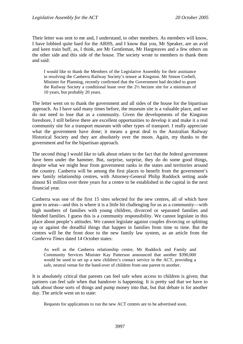Their letter was sent to me and, I understand, to other members. As members will know, I have lobbied quite hard for the ARHS, and I know that you, Mr Speaker, are an avid and keen train buff, as, I think, are Mr Gentleman, Mr Hargreaves and a few others on the other side and this side of the house. The society wrote to members to thank them and said:

I would like to thank the Members of the Legislative Assembly for their assistance in resolving the Canberra Railway Society's tenure at Kingston. Mr Simon Corbell, Minister for Planning, recently confirmed that the Government had decided to grant the Railway Society a conditional lease over the 2½ hectare site for a minimum of 10 years, but probably 20 years.

The letter went on to thank the government and all sides of the house for the bipartisan approach. As I have said many times before, the museum site is a valuable place, and we do not need to lose that as a community. Given the developments of the Kingston foreshore, I still believe there are excellent opportunities to develop it and make it a real community site for a transport museum with other types of transport. I really appreciate what the government have done; it means a great deal to the Australian Railway Historical Society and they are absolutely over the moon. Again, my thanks to the government and for the bipartisan approach.

The second thing I would like to talk about relates to the fact that the federal government have been under the hammer. But, surprise, surprise, they do do some good things, despite what we might hear from government ranks in the states and territories around the country. Canberra will be among the first places to benefit from the government's new family relationship centres, with Attorney-General Philip Ruddock setting aside almost \$1 million over three years for a centre to be established in the capital in the next financial year.

Canberra was one of the first 15 sites selected for the new centres, all of which have gone to areas—and this is where it is a little bit challenging for us as a community—with high numbers of families with young children, divorced or separated families and blended families. I guess this is a community responsibility. We cannot legislate in this place about people's attitudes. We cannot legislate against couples divorcing or splitting up or against the dreadful things that happen in families from time to time. But the centres will be the front door to the new family law system, as an article from the *Canberra Times* dated 14 October states:

As well as the Canberra relationship centre, Mr Ruddock and Family and Community Services Minister Kay Patterson announced that another \$390,000 would be used to set up a new children's contact service in the ACT, providing a safe, neutral venue for the hand-over of children from one parent to another.

It is absolutely critical that parents can feel safe when access to children is given; that partners can feel safe when that handover is happening. It is pretty sad that we have to talk about those sorts of things and pump money into that, but that debate is for another day. The article went on to state:

Requests for applications to run the new ACT centres are to be advertised soon.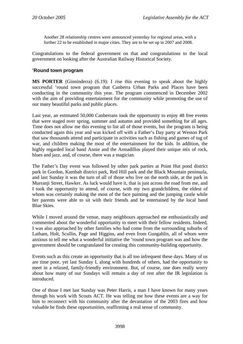Another 28 relationship centres were announced yesterday for regional areas, with a further 22 to be established in major cities. They are to be set up in 2007 and 2008.

Congratulations to the federal government on that and congratulations to the local government on looking after the Australian Railway Historical Society.

## **'Round town program**

**MS PORTER** (Ginninderra) (6.19): I rise this evening to speak about the highly successful 'round town program that Canberra Urban Parks and Places have been conducting in the community this year. The program commenced in December 2002 with the aim of providing entertainment for the community while promoting the use of our many beautiful parks and public places.

Last year, an estimated 50,000 Canberrans took the opportunity to enjoy 48 free events that were staged over spring, summer and autumn and provided something for all ages. Time does not allow me this evening to list all of those events, but the program is being conducted again this year and was kicked off with a Father's Day party at Weston Park that saw thousands attend and participate in activities such as fishing and games of tug of war, and children making the most of the entertainment for the kids. In addition, the highly regarded local band Annie and the Armadillos played their unique mix of rock, blues and jazz, and, of course, there was a magician.

The Father's Day event was followed by other park parties at Point Hut pond district park in Gordon, Kambah district park, Red Hill park and the Black Mountain peninsula, and last Sunday it was the turn of all of those who live on the north side, at the park in Murranji Street, Hawker. As luck would have it, that is just across the road from me, and I took the opportunity to attend, of course, with my two grandchildren, the eldest of whom was certainly making the most of the face painting and the jumping castle while her parents were able to sit with their friends and be entertained by the local band Blue Skies.

While I moved around the venue, many neighbours approached me enthusiastically and commented about the wonderful opportunity to meet with their fellow residents. Indeed, I was also approached by other families who had come from the surrounding suburbs of Latham, Holt, Scullin, Page and Higgins, and even from Gungahlin, all of whom were anxious to tell me what a wonderful initiative the 'round town program was and how the government should be congratulated for creating this community-building opportunity.

Events such as this create an opportunity that is all too infrequent these days. Many of us are time poor, yet last Sunday I, along with hundreds of others, had the opportunity to meet in a relaxed, family-friendly environment. But, of course, one does really worry about how many of our Sundays will remain a day of rest after the IR legislation is introduced.

One of those I met last Sunday was Peter Harris, a man I have known for many years through his work with Scouts ACT. He was telling me how these events are a way for him to reconnect with his community after the devastation of the 2003 fires and how valuable he finds these opportunities, reaffirming a real sense of community.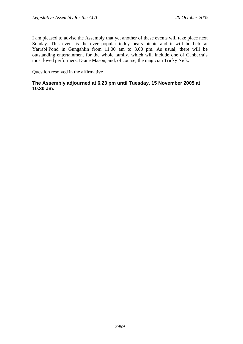I am pleased to advise the Assembly that yet another of these events will take place next Sunday. This event is the ever popular teddy bears picnic and it will be held at Yarrabi Pond in Gungahlin from 11.00 am to 3.00 pm. As usual, there will be outstanding entertainment for the whole family, which will include one of Canberra's most loved performers, Diane Mason, and, of course, the magician Tricky Nick.

Question resolved in the affirmative

## **The Assembly adjourned at 6.23 pm until Tuesday, 15 November 2005 at 10.30 am.**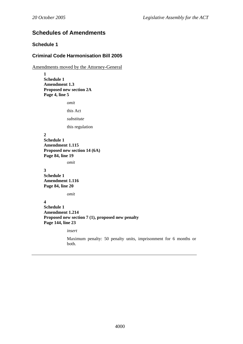# **Schedules of Amendments**

## **Schedule 1**

## **Criminal Code Harmonisation Bill 2005**

Amendments moved by the Attorney-General

**1 Schedule 1 Amendment 1.3 Proposed new section 2A Page 4, line 5** 

*omit* 

this Act

*substitute* 

this regulation

#### **2**

**Schedule 1 Amendment 1.115 Proposed new section 14 (6A) Page 84, line 19** 

*omit* 

#### **3**

**Schedule 1 Amendment 1.116 Page 84, line 20** 

*omit* 

## **4**

**Schedule 1 Amendment 1.214 Proposed new section 7 (1), proposed new penalty Page 144, line 23** 

*insert* 

Maximum penalty: 50 penalty units, imprisonment for 6 months or both.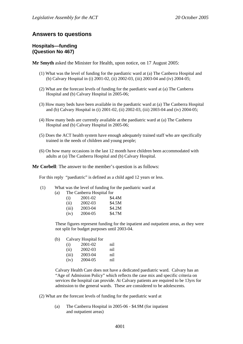## **Answers to questions**

## **Hospitals—funding (Question No 467)**

**Mr Smyth** asked the Minister for Health, upon notice, on 17 August 2005:

- (1) What was the level of funding for the paediatric ward at (a) The Canberra Hospital and (b) Calvary Hospital in (i) 2001-02, (ii) 2002-03, (iii) 2003-04 and (iv) 2004-05;
- (2) What are the forecast levels of funding for the paediatric ward at (a) The Canberra Hospital and (b) Calvary Hospital in 2005-06;
- (3) How many beds have been available in the paediatric ward at (a) The Canberra Hospital and (b) Calvary Hospital in (i) 2001-02, (ii) 2002-03, (iii) 2003-04 and (iv) 2004-05;
- (4) How many beds are currently available at the paediatric ward at (a) The Canberra Hospital and (b) Calvary Hospital in 2005-06;
- (5) Does the ACT health system have enough adequately trained staff who are specifically trained in the needs of children and young people;
- (6) On how many occasions in the last 12 month have children been accommodated with adults at (a) The Canberra Hospital and (b) Calvary Hospital.

**Mr Corbell**: The answer to the member's question is as follows:

For this reply "paediatric" is defined as a child aged 12 years or less.

| What was the level of funding for the paediatric ward at<br>(1) |  |
|-----------------------------------------------------------------|--|
|-----------------------------------------------------------------|--|

|     |     | $\cdots$ and $\cdots$ and $\cdots$ are $\cdots$ are $\cdots$ are $\cdots$ and $\cdots$ |        |  |
|-----|-----|----------------------------------------------------------------------------------------|--------|--|
| (a) |     | The Canberra Hospital for                                                              |        |  |
|     | (i) | 2001-02                                                                                | \$4.4M |  |

| <b>A</b> | 2001 OZ | <b>PILITI</b> |
|----------|---------|---------------|
| (i)      | 2002-03 | \$4.5M        |
| (iii)    | 2003-04 | \$4.2M        |
| (iv)     | 2004-05 | \$4.7M        |
|          |         |               |

These figures represent funding for the inpatient and outpatient areas, as they were not split for budget purposes until 2003-04.

(b) Calvary Hospital for

| (i)   | 2001-02 | nil |
|-------|---------|-----|
| (ii)  | 2002-03 | nil |
| (iii) | 2003-04 | nil |
| (iv)  | 2004-05 | nil |

Calvary Health Care does not have a dedicated paediatric ward. Calvary has an "Age of Admission Policy" which reflects the case mix and specific criteria on services the hospital can provide. At Calvary patients are required to be 13yrs for admission to the general wards. These are considered to be adolescents.

- (2) What are the forecast levels of funding for the paediatric ward at
	- (a) The Canberra Hospital in 2005-06 \$4.9M (for inpatient and outpatient areas)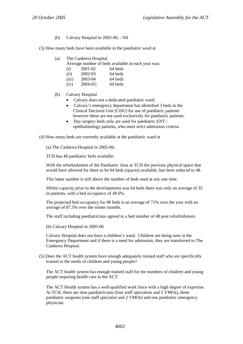(b) Calvary Hospital in 2005-06; - Nil

(3) How many beds have been available in the paediatric ward at

- (a) The Canberra Hospital
	- Average number of beds available in each year was:

| (i)   | 2001-02 | 64 beds |
|-------|---------|---------|
| (ii)  | 2002-03 | 64 beds |
| (iii) | 2003-04 | 64 beds |

- (iv) 2004-05; 64 beds
- (b) Calvary Hospital
	- Calvary does not a dedicated paediatric ward.
	- Calvary's emergency department has identified 3 beds in the Clinical Decision Unit (CDU) for use of paediatric patients however these are not used exclusively for paediatric patients.
	- Day surgery beds only are used for paediatric ENT / ophthalmology patients, who meet strict admission criteria.

(4) How many beds are currently available at the paediatric ward at

(a) The Canberra Hospital in 2005-06;

TCH has 48 paediatric beds available.

With the refurbishment of the Paediatric Area at TCH the previous physical space that would have allowed for there to be 64 beds (spaces) available, has been reduced to 48.

This latter number is still above the number of beds used at any one time.

Whilst capacity prior to the developments was 64 beds there was only an average of 32 in-patients, with a bed occupancy of 49.6%.

The projected bed occupancy for 48 beds is an average of 71% over the year with an average of 87.5% over the winter months.

The staff including paediatricians agreed to a bed number of 48 post refurbishment.

(b) Calvary Hospital in 2005-06

Calvary Hospital does not have a children's ward. Children are being seen in the Emergency Department and if there is a need for admission, they are transferred to The Canberra Hospital.

(5) Does the ACT health system have enough adequately trained staff who are specifically trained in the needs of children and young people?

The ACT health system has enough trained staff for the numbers of children and young people requiring health care in the ACT.

The ACT Health system has a well-qualified work force with a high degree of expertise. At TCH, there are nine paediatricians (four staff specialists and 5 VMOs), three paediatric surgeons (one staff specialist and 2 VMOs) and one paediatric emergency physician.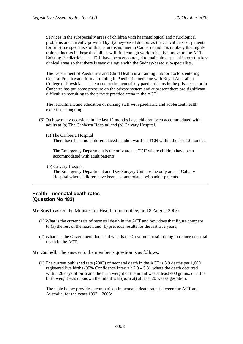Services in the subspecialty areas of children with haematological and neurological problems are currently provided by Sydney-based doctors as the critical mass of patients for full-time specialists of this nature is not met in Canberra and it is unlikely that highly trained doctors in these disciplines will find enough work to justify a move to the ACT. Existing Paediatricians at TCH have been encouraged to maintain a special interest in key clinical areas so that there is easy dialogue with the Sydney-based sub-specialists.

The Department of Paediatrics and Child Health is a training hub for doctors entering General Practice and formal training in Paediatric medicine with Royal Australian College of Physicians. The recent retirement of key paediatricians in the private sector in Canberra has put some pressure on the private system and at present there are significant difficulties recruiting to the private practice arena in the ACT.

The recruitment and education of nursing staff with paediatric and adolescent health expertise is ongoing.

- (6) On how many occasions in the last 12 months have children been accommodated with adults at (a) The Canberra Hospital and (b) Calvary Hospital.
	- (a) The Canberra Hospital

There have been no children placed in adult wards at TCH within the last 12 months.

The Emergency Department is the only area at TCH where children have been accommodated with adult patients.

(b) Calvary Hospital

The Emergency Department and Day Surgery Unit are the only area at Calvary Hospital where children have been accommodated with adult patients.

#### **Health—neonatal death rates (Question No 482)**

**Mr Smyth** asked the Minister for Health, upon notice, on 18 August 2005:

- (1) What is the current rate of neonatal death in the ACT and how does that figure compare to (a) the rest of the nation and (b) previous results for the last five years;
- (2) What has the Government done and what is the Government still doing to reduce neonatal death in the ACT.

**Mr Corbell**: The answer to the member's question is as follows:

(1) The current published rate (2003) of neonatal death in the ACT is 3.9 deaths per 1,000 registered live births (95% Confidence Interval:  $2.0 - 5.8$ ), where the death occurred within 28 days of birth and the birth weight of the infant was at least 400 grams, or if the birth weight was unknown the infant was (born at) at least 20 weeks gestation.

The table below provides a comparison in neonatal death rates between the ACT and Australia, for the years 1997 – 2003: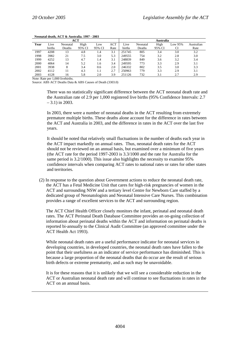| ACT  |        |          |        |        |            | Australia |          |        |         |            |
|------|--------|----------|--------|--------|------------|-----------|----------|--------|---------|------------|
| Year | Live   | Neonatal | High   | Low    | <b>ACT</b> | Live      | Neonatal | High   | Low 95% | Australian |
|      | births | Deaths   | 95% CI | 95% CI | Rate       | births    | Deaths   | 95% CI | CI      | Rate       |
| 1997 | 4208   | 13       | 4.8    | 1.4    | 3.1        | 251745    | 805      | 3.4    | 3.0     | 3.2        |
| 1998 | 3982   | 21       | 7.5    | 3.0    | 5.3        | 249555    | 754      | 3.2    | 2.8     | 3.0        |
| 1999 | 4252   | 13       | 4.7    | 1.4    | 3.1        | 248839    | 849      | 3.6    | 3.2     | 3.4        |
| 2000 | 4064   | 14       | 5.2    | 1.6    | 3.4        | 249595    | 773      | 3.3    | 2.9     | 3.1        |
| 2001 | 3938   | 8        | 3.4    | 0.6    | 2.0        | 246332    | 802      | 3.5    | 3.0     | 3.3        |
| 2002 | 4112   |          | 4.3    | 1.1    | 2.7        | 250963    | 779      | 3.3    | 2.9     | 3.1        |
| 2003 | 4128   | 16       | 5.8    | 2.0    | 3.9        | 251126    | 732      | 3.1    | 2.7     | 2.9        |

#### **Neonatal death, ACT & Australia. 1997 - 2003**

Note: Rate per 1,000 livebirths.

Source: ABS ACT Deaths Data & ABS Causes of Death (3303.0)

There was no statistically significant difference between the ACT neonatal death rate and the Australian rate of 2.9 per 1,000 registered live births (95% Confidence Intervals: 2.7 – 3.1) in 2003.

In 2003, there were a number of neonatal deaths in the ACT resulting from extremely premature multiple births. These deaths alone account for the difference in rates between the ACT and Australia in 2003, and the difference in rates in the ACT over the last five years.

It should be noted that relatively small fluctuations in the number of deaths each year in the ACT impact markedly on annual rates. Thus, neonatal death rates for the ACT should not be reviewed on an annual basis, but examined over a minimum of five years (the ACT rate for the period 1997-2003 is 3.3/1000 and the rate for Australia for the same period is 3.2/1000). This issue also highlights the necessity to examine 95% confidence intervals when comparing ACT rates to national rates or rates for other states and territories.

(2) In response to the question about Government actions to reduce the neonatal death rate, the ACT has a Fetal Medicine Unit that cares for high-risk pregnancies of women in the ACT and surrounding NSW and a tertiary level Centre for Newborn Care staffed by a dedicated group of Neonatologists and Neonatal Intensive Care Nurses. This combination provides a range of excellent services to the ACT and surrounding region.

The ACT Chief Health Officer closely monitors the infant, perinatal and neonatal death rates. The ACT Perinatal Death Database Committee provides an on-going collection of information about perinatal deaths within the ACT and information on perinatal deaths is reported bi-annually to the Clinical Audit Committee (an approved committee under the ACT Health Act 1993).

While neonatal death rates are a useful performance indicator for neonatal services in developing countries, in developed countries, the neonatal death rates have fallen to the point that their usefulness as an indicator of service performance has diminished. This is because a large proportion of the neonatal deaths that do occur are the result of serious birth defects or extreme prematurity, and as such may be unavoidable.

It is for these reasons that it is unlikely that we will see a considerable reduction in the ACT or Australian neonatal death rate and will continue to see fluctuations in rates in the ACT on an annual basis.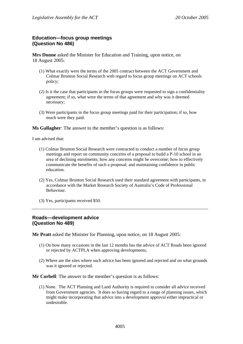## **Education—focus group meetings (Question No 486)**

**Mrs Dunne** asked the Minister for Education and Training, upon notice, on 18 August 2005:

- (1) What exactly were the terms of the 2005 contract between the ACT Government and Colmar Brunton Social Research with regard to focus group meetings on ACT schools policy;
- (2) Is it the case that participants in the focus groups were requested to sign a confidentiality agreement; if so, what were the terms of that agreement and why was it deemed necessary;
- (3) Were participants in the focus group meetings paid for their participation; if so, how much were they paid.

**Ms Gallagher**: The answer to the member's question is as follows:

I am advised that:

- (1) Colmar Brunton Social Research were contracted to conduct a number of focus group meetings and report on community concerns of a proposal to build a P-10 school in an area of declining enrolments; how any concerns might be overcome; how to effectively communicate the benefits of such a proposal; and maintaining confidence in public education.
- (2) Yes, Colmar Brunton Social Research used their standard agreement with participants, in accordance with the Market Research Society of Australia's Code of Professional Behaviour.
- (3) Yes, participants received \$50.

#### **Roads—development advice (Question No 489)**

**Mr Pratt** asked the Minister for Planning, upon notice, on 18 August 2005:

- (1) On how many occasions in the last 12 months has the advice of ACT Roads been ignored or rejected by ACTPLA when approving developments;
- (2) Where are the sites where such advice has been ignored and rejected and on what grounds was it ignored or rejected.

**Mr Corbell**: The answer to the member's question is as follows:

(1) None. The ACT Planning and Land Authority is required to consider all advice received from Government agencies. It does so having regard to a range of planning issues, which might make incorporating that advice into a development approval either impractical or undesirable.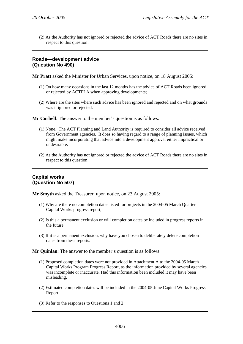(2) As the Authority has not ignored or rejected the advice of ACT Roads there are no sites in respect to this question.

### **Roads—development advice (Question No 490)**

**Mr Pratt** asked the Minister for Urban Services, upon notice, on 18 August 2005:

- (1) On how many occasions in the last 12 months has the advice of ACT Roads been ignored or rejected by ACTPLA when approving developments;
- (2) Where are the sites where such advice has been ignored and rejected and on what grounds was it ignored or rejected.

**Mr Corbell**: The answer to the member's question is as follows:

- (1) None. The ACT Planning and Land Authority is required to consider all advice received from Government agencies. It does so having regard to a range of planning issues, which might make incorporating that advice into a development approval either impractical or undesirable.
- (2) As the Authority has not ignored or rejected the advice of ACT Roads there are no sites in respect to this question.

## **Capital works (Question No 507)**

**Mr Smyth** asked the Treasurer, upon notice, on 23 August 2005:

- (1) Why are there no completion dates listed for projects in the 2004-05 March Quarter Capital Works progress report;
- (2) Is this a permanent exclusion or will completion dates be included in progress reports in the future;
- (3) If it is a permanent exclusion, why have you chosen to deliberately delete completion dates from these reports.

**Mr Quinlan**: The answer to the member's question is as follows:

- (1) Proposed completion dates were not provided in Attachment A to the 2004-05 March Capital Works Program Progress Report, as the information provided by several agencies was incomplete or inaccurate. Had this information been included it may have been misleading.
- (2) Estimated completion dates will be included in the 2004-05 June Capital Works Progress Report.
- (3) Refer to the responses to Questions 1 and 2.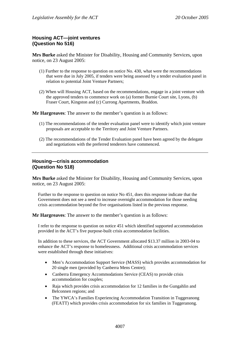## **Housing ACT—joint ventures (Question No 516)**

**Mrs Burke** asked the Minister for Disability, Housing and Community Services, upon notice, on 23 August 2005:

- (1) Further to the response to question on notice No. 430, what were the recommendations that were due in July 2005, if tenders were being assessed by a tender evaluation panel in relation to potential Joint Venture Partners;
- (2) When will Housing ACT, based on the recommendations, engage in a joint venture with the approved tenders to commence work on (a) former Burnie Court site, Lyons, (b) Fraser Court, Kingston and (c) Currong Apartments, Braddon.

**Mr Hargreaves**: The answer to the member's question is as follows:

- (1) The recommendations of the tender evaluation panel were to identify which joint venture proposals are acceptable to the Territory and Joint Venture Partners.
- (2) The recommendations of the Tender Evaluation panel have been agreed by the delegate and negotiations with the preferred tenderers have commenced.

### **Housing—crisis accommodation (Question No 518)**

**Mrs Burke** asked the Minister for Disability, Housing and Community Services, upon notice, on 23 August 2005:

Further to the response to question on notice No 451, does this response indicate that the Government does not see a need to increase overnight accommodation for those needing crisis accommodation beyond the five organisations listed in the previous response.

**Mr Hargreaves**: The answer to the member's question is as follows:

I refer to the response to question on notice 451 which identified supported accommodation provided in the ACT's five purpose-built crisis accommodation facilities.

In addition to these services, the ACT Government allocated \$13.37 million in 2003-04 to enhance the ACT's response to homelessness. Additional crisis accommodation services were established through these initiatives:

- Men's Accommodation Support Service (MASS) which provides accommodation for 20 single men (provided by Canberra Mens Centre);
- Canberra Emergency Accommodations Service (CEAS) to provide crisis accommodation for couples;
- Raja which provides crisis accommodation for 12 families in the Gungahlin and Belconnen regions; and
- The YWCA's Families Experiencing Accommodation Transition in Tuggeranong (FEATT) which provides crisis accommodation for six families in Tuggeranong.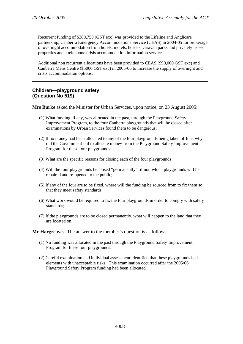Recurrent funding of \$380,758 (GST exc) was provided to the Lifeline and Anglicare partnership, Canberra Emergency Accommodations Service (CEAS) in 2004-05 for brokerage of overnight accommodation from hotels, motels, hostels, caravan parks and privately leased properties and a telephone crisis accommodation information service.

Additional non recurrent allocations have been provided to CEAS (\$90,000 GST exc) and Canberra Mens Centre (\$5000 GST exc) in 2005-06 to increase the supply of overnight and crisis accommodation options.

## **Children—playground safety (Question No 519)**

**Mrs Burke** asked the Minister for Urban Services, upon notice, on 23 August 2005:

- (1) What funding, if any, was allocated in the past, through the Playground Safety Improvement Program, to the four Canberra playgrounds that will be closed after examinations by Urban Services found them to be dangerous;
- (2) If no money had been allocated to any of the four playgrounds being taken offline, why did the Government fail to allocate money from the Playground Safety Improvement Program for these four playgrounds;
- (3) What are the specific reasons for closing each of the four playgrounds;
- (4) Will the four playgrounds be closed "permanently"; if not, which playgrounds will be repaired and re-opened to the public;
- (5) If any of the four are to be fixed, where will the funding be sourced from to fix them so that they meet safety standards;
- (6) What work would be required to fix the four playgrounds in order to comply with safety standards;
- (7) If the playgrounds are to be closed permanently, what will happen to the land that they are located on.

**Mr Hargreaves**: The answer to the member's question is as follows:

- (1) No funding was allocated in the past through the Playground Safety Improvement Program for these four playgrounds.
- (2) Careful examination and individual assessment identified that these playgrounds had elements with unacceptable risks. This examination occurred after the 2005/06 Playground Safety Program funding had been allocated.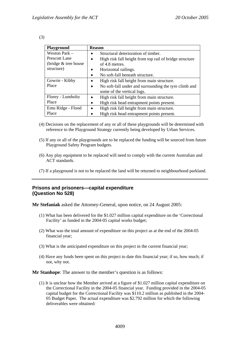| ۹ |  |
|---|--|

| Playground                     | <b>Reason</b>                                                        |
|--------------------------------|----------------------------------------------------------------------|
| Weston Park –                  | Structural deterioration of timber.                                  |
| <b>Prescott Lane</b>           | High risk fall height from top rail of bridge structure<br>$\bullet$ |
| $\int$ (bridge $\&$ tree house | of 4.8 metres.                                                       |
| structure)                     | Horizontal railings.<br>$\bullet$                                    |
|                                | No soft-fall beneath structure.                                      |
| Gowrie - Kibby                 | High risk fall height from main structure.<br>$\bullet$              |
| Place                          | No soft-fall under and surrounding the tyre climb and<br>$\bullet$   |
|                                | some of the vertical logs.                                           |
| Florey - Lumholtz              | High risk fall height from main structure.                           |
| Place                          | High risk head entrapment points present.<br>٠                       |
| Emu Ridge - Flood              | High risk fall height from main structure.<br>$\bullet$              |
| Place                          | High risk head entrapment points present.                            |

- (4) Decisions on the replacement of any or all of these playgrounds will be determined with reference to the Playground Strategy currently being developed by Urban Services.
- (5) If any or all of the playgrounds are to be replaced the funding will be sourced from future Playground Safety Program budgets.
- (6) Any play equipment to be replaced will need to comply with the current Australian and ACT standards.
- (7) If a playground is not to be replaced the land will be returned to neighbourhood parkland.

## **Prisons and prisoners—capital expenditure (Question No 528)**

**Mr Stefaniak** asked the Attorney-General, upon notice, on 24 August 2005:

- (1) What has been delivered for the \$1.027 million capital expenditure on the 'Correctional Facility' as funded in the 2004-05 capital works budget;
- (2) What was the total amount of expenditure on this project as at the end of the 2004-05 financial year;
- (3) What is the anticipated expenditure on this project in the current financial year;
- (4) Have any funds been spent on this project to date this financial year; if so, how much; if not, why not.

**Mr Stanhope**: The answer to the member's question is as follows:

(1) It is unclear how the Member arrived at a figure of \$1.027 million capital expenditure on the Correctional Facility in the 2004-05 financial year. Funding provided in the 2004-05 capital budget for the Correctional Facility was \$110.2 million as published in the 2004- 05 Budget Paper. The actual expenditure was \$2.792 million for which the following deliverables were obtained: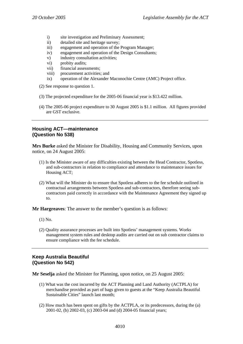- i) site investigation and Preliminary Assessment;
- ii) detailed site and heritage survey;
- iii) engagement and operation of the Program Manager;
- iv) engagement and operation of the Design Consultants;
- v) industry consultation activities;
- vi) probity audits;
- vii) financial assessments;
- viii) procurement activities; and
- ix) operation of the Alexander Maconochie Centre (AMC) Project office.
- (2) See response to question 1.
- (3) The projected expenditure for the 2005-06 financial year is \$13.422 million.
- (4) The 2005-06 project expenditure to 30 August 2005 is \$1.1 million. All figures provided are GST exclusive.

## **Housing ACT—maintenance (Question No 538)**

**Mrs Burke** asked the Minister for Disability, Housing and Community Services, upon notice, on 24 August 2005:

- (1) Is the Minister aware of any difficulties existing between the Head Contractor, Spotless, and sub-contractors in relation to compliance and attendance to maintenance issues for Housing ACT;
- (2) What will the Minister do to ensure that Spotless adheres to the fee schedule outlined in contractual arrangements between Spotless and sub-contractors, therefore seeing subcontractors paid correctly in accordance with the Maintenance Agreement they signed up to.

**Mr Hargreaves**: The answer to the member's question is as follows:

- (1) No.
- (2) Quality assurance processes are built into Spotless' management systems. Works management system rules and desktop audits are carried out on sub contractor claims to ensure compliance with the fee schedule.

## **Keep Australia Beautiful (Question No 542)**

**Mr Seselja** asked the Minister for Planning, upon notice, on 25 August 2005:

- (1) What was the cost incurred by the ACT Planning and Land Authority (ACTPLA) for merchandise provided as part of bags given to guests at the "Keep Australia Beautiful Sustainable Cities" launch last month;
- (2) How much has been spent on gifts by the ACTPLA, or its predecessors, during the (a) 2001-02, (b) 2002-03, (c) 2003-04 and (d) 2004-05 financial years;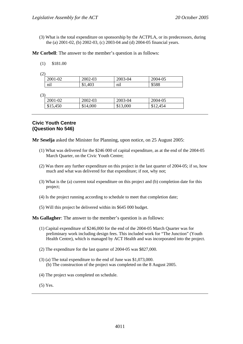(3) What is the total expenditure on sponsorship by the ACTPLA, or its predecessors, during the (a) 2001-02, (b) 2002-03, (c) 2003-04 and (d) 2004-05 financial years.

**Mr Corbell**: The answer to the member's question is as follows:

| (1) | \$181.00 |
|-----|----------|
|     |          |

|--|

| 2001-02          | 2002-03 | 2003-04                | 2004-05 |
|------------------|---------|------------------------|---------|
| $\cdot$ .<br>nıl | \$1,403 | $\cdot$ $\cdot$<br>nıl | \$588   |

(3)

| ້ |          |          |          |                |
|---|----------|----------|----------|----------------|
|   | 2001-02  | 2002-03  | 2003-04  | 2004-05        |
|   | \$15,450 | \$14,000 | \$13,000 | .454<br>\$12.4 |
|   |          |          |          |                |

## **Civic Youth Centre (Question No 546)**

**Mr Seselja** asked the Minister for Planning, upon notice, on 25 August 2005:

- (1) What was delivered for the \$246 000 of capital expenditure, as at the end of the 2004-05 March Quarter, on the Civic Youth Centre;
- (2) Was there any further expenditure on this project in the last quarter of 2004-05; if so, how much and what was delivered for that expenditure; if not, why not;
- (3) What is the (a) current total expenditure on this project and (b) completion date for this project;
- (4) Is the project running according to schedule to meet that completion date;
- (5) Will this project be delivered within its \$645 000 budget.

**Ms Gallagher**: The answer to the member's question is as follows:

- (1) Capital expenditure of \$246,000 for the end of the 2004-05 March Quarter was for preliminary work including design fees. This included work for "The Junction" (Youth Health Centre), which is managed by ACT Health and was incorporated into the project.
- (2) The expenditure for the last quarter of 2004-05 was \$827,000.
- (3) (a) The total expenditure to the end of June was \$1,073,000. (b) The construction of the project was completed on the 8 August 2005.
- (4) The project was completed on schedule.
- (5) Yes.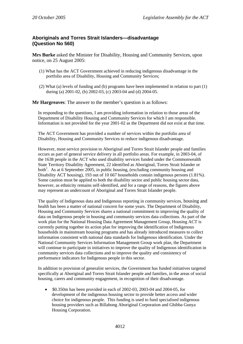# **Aboriginals and Torres Strait Islanders—disadvantage (Question No 560)**

**Mrs Burke** asked the Minister for Disability, Housing and Community Services, upon notice, on 25 August 2005:

- (1) What has the ACT Government achieved in reducing indigenous disadvantage in the portfolio area of Disability, Housing and Community Services;
- (2) What (a) levels of funding and (b) programs have been implemented in relation to part (1) during (a) 2001-02, (b) 2002-03, (c) 2003-04 and (d) 2004-05.

**Mr Hargreaves**: The answer to the member's question is as follows:

In responding to the questions, I am providing information in relation to those areas of the Department of Disability Housing and Community Services for which I am responsible. Information is not provided for the year 2001-02 as the Department did not exist at that time.

The ACT Government has provided a number of services within the portfolio area of Disability, Housing and Community Services to reduce indigenous disadvantage.

However, most service provision to Aboriginal and Torres Strait Islander people and families occurs as part of general service delivery in all portfolio areas. For example, in 2003-04, of the 1638 people in the ACT who used disability services funded under the Commonwealth State Territory Disability Agreement, 22 identified as Aboriginal, Torres Strait Islander or both<sup>1</sup>. As at 6 September 2005, in public housing, (excluding community housing and Disability ACT housing), 193 out of 10 667 households contain indigenous persons (1.81%). Some caution must be applied to both the disability sector and public housing sector data, however, as ethnicity remains self-identified, and for a range of reasons, the figures above may represent an undercount of Aboriginal and Torres Strait Islander people.

The quality of Indigenous data and Indigenous reporting in community services, housing and health has been a matter of national concern for some years. The Department of Disability, Housing and Community Services shares a national commitment to improving the quality of data on Indigenous people in housing and community services data collections. As part of the work plan for the National Housing Data Agreement Management Group, Housing ACT is currently putting together its action plan for improving the identification of Indigenous households in mainstream housing programs and has already introduced measures to collect information consistent with national data standards for Indigenous identification. Under the National Community Services Information Management Group work plan, the Department will continue to participate in initiatives to improve the quality of Indigenous identification in community services data collections and to improve the quality and consistency of performance indicators for Indigenous people in this sector.

In addition to provision of generalist services, the Government has funded initiatives targeted specifically at Aboriginal and Torres Strait Islander people and families, in the areas of social housing, carers and community engagement, in recognition of their disadvantage.

• \$0.350m has been provided in each of 2002-03, 2003-04 and 2004-05, for development of the indigenous housing sector to provide better access and wider choice for indigenous people. This funding is used to fund specialised indigenous housing providers such as Billabong Aboriginal Corporation and Ghibba Gunya Housing Corporation.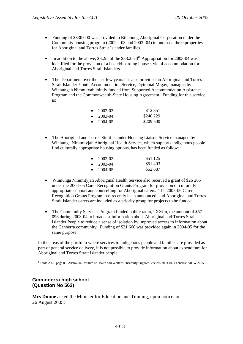- Funding of \$830 000 was provided to Billabong Aboriginal Corporation under the Community housing program (2002 – 03 and 2003- 04) to purchase three properties for Aboriginal and Torres Strait Islander families.
- In addition to the above,  $$3.2m$  of the  $$33.2m$  3<sup>rd</sup> Appropriation for 2003-04 was identified for the provision of a hostel/boarding house style of accommodation for Aboriginal and Torres Strait Islanders.
- The Department over the last few years has also provided an Aboriginal and Torres Strait Islander Youth Accommodation Service, Dyiramal Migay, managed by Winnungah Nimmityah jointly funded from Supported Accommodation Assistance Program and the Commonwealth-State Housing Agreement. Funding for this service is:

| $\bullet$ | $2002 - 03:$  | \$12 851  |
|-----------|---------------|-----------|
| $\bullet$ | $2003 - 04:$  | \$240 229 |
| $\bullet$ | $2004 - 05$ : | \$209.500 |

• The Aboriginal and Torres Strait Islander Housing Liaison Service managed by Winnunga Nimmityjah Aboriginal Health Service, which supports indigenous people find culturally appropriate housing options, has been funded as follows:

| $\bullet$ | $2002 - 03:$  | \$51 125 |
|-----------|---------------|----------|
| $\bullet$ | $2003 - 04$ : | \$51403  |
| $\bullet$ | $2004 - 05$ : | \$52.687 |

- Winnunga Nimmityjah Aboriginal Health Service also received a grant of \$26 265 under the 2004-05 Carer Recognition Grants Program for provision of culturally appropriate support and counselling for Aboriginal carers. The 2005-06 Carer Recognition Grants Program has recently been announced, and Aboriginal and Torres Strait Islander carers are included as a priority group for projects to be funded.
- The Community Services Program funded public radio, 2XXfm, the amount of \$57 096 during 2003-04 to broadcast information about Aboriginal and Torres Strait Islander People to reduce a sense of isolation by improved access to information about the Canberra community. Funding of \$21 660 was provided again in 2004-05 for the same purpose.

In the areas of the portfolio where services to indigenous people and families are provided as part of general service delivery, it is not possible to provide information about expenditure for Aboriginal and Torres Strait Islander people.

<sup>1</sup> Table A1.1, page 83, Australian Institute of Health and Welfare, Disability Support Services 2003-04, Canberra: AIHW 2005

# **Ginninderra high school (Question No 562)**

**Mrs Dunne** asked the Minister for Education and Training, upon notice, on 26 August 2005: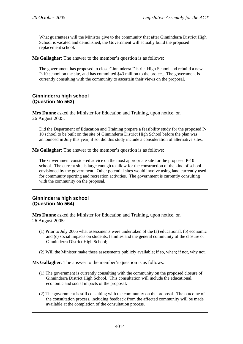What guarantees will the Minister give to the community that after Ginninderra District High School is vacated and demolished, the Government will actually build the proposed replacement school.

**Ms Gallagher**: The answer to the member's question is as follows:

The government has proposed to close Ginninderra District High School and rebuild a new P-10 school on the site, and has committed \$43 million to the project. The government is currently consulting with the community to ascertain their views on the proposal.

# **Ginninderra high school (Question No 563)**

**Mrs Dunne** asked the Minister for Education and Training, upon notice, on 26 August 2005:

Did the Department of Education and Training prepare a feasibility study for the proposed P-10 school to be built on the site of Ginninderra District High School before the plan was announced in July this year; if so, did this study include a consideration of alternative sites.

**Ms Gallagher**: The answer to the member's question is as follows:

The Government considered advice on the most appropriate site for the proposed P-10 school. The current site is large enough to allow for the construction of the kind of school envisioned by the government. Other potential sites would involve using land currently used for community sporting and recreation activities. The government is currently consulting with the community on the proposal.

# **Ginninderra high school (Question No 564)**

**Mrs Dunne** asked the Minister for Education and Training, upon notice, on 26 August 2005:

- (1) Prior to July 2005 what assessments were undertaken of the (a) educational, (b) economic and (c) social impacts on students, families and the general community of the closure of Ginninderra District High School;
- (2) Will the Minister make these assessments publicly available; if so, when; if not, why not.

**Ms Gallagher**: The answer to the member's question is as follows:

- (1) The government is currently consulting with the community on the proposed closure of Ginninderra District High School. This consultation will include the educational, economic and social impacts of the proposal.
- (2) The government is still consulting with the community on the proposal. The outcome of the consultation process, including feedback from the affected community will be made available at the completion of the consultation process.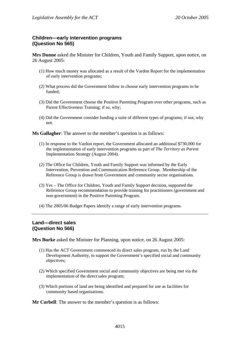# **Children—early intervention programs (Question No 565)**

**Mrs Dunne** asked the Minister for Children, Youth and Family Support, upon notice, on 26 August 2005:

- (1) How much money was allocated as a result of the Vardon Report for the implementation of early intervention programs;
- (2) What process did the Government follow to choose early intervention programs to be funded;
- (3) Did the Government choose the Positive Parenting Program over other programs, such as Parent Effectiveness Training; if so, why;
- (4) Did the Government consider funding a suite of different types of programs; if not, why not.

**Ms Gallagher**: The answer to the member's question is as follows:

- (1) In response to the Vardon report, the Government allocated an additional \$730,000 for the implementation of early intervention programs as part of *The Territory as Parent* Implementation Strategy (August 2004).
- (2) The Office for Children, Youth and Family Support was informed by the Early Intervention, Prevention and Communication Reference Group. Membership of the Reference Group is drawn from Government and community sector organisations.
- (3) Yes The Office for Children, Youth and Family Support decision, supported the Reference Group recommendation to provide training for practitioners (government and non-government) in the Positive Parenting Program.
- (4) The 2005/06 Budget Papers identify a range of early intervention programs.

# **Land—direct sales (Question No 566)**

**Mrs Burke** asked the Minister for Planning, upon notice, on 26 August 2005:

- (1) Has the ACT Government commenced its direct sales program, run by the Land Development Authority, to support the Government's specified social and community objectives;
- (2) Which specified Government social and community objectives are being met via the implementation of the direct sales program;
- (3) Which portions of land are being identified and prepared for use as facilities for community based organisations.

**Mr Corbell**: The answer to the member's question is as follows: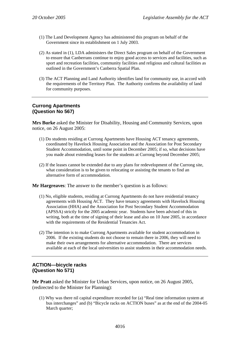- (1) The Land Development Agency has administered this program on behalf of the Government since its establishment on 1 July 2003.
- (2) As stated in (1), LDA administers the Direct Sales program on behalf of the Government to ensure that Canberrans continue to enjoy good access to services and facilities, such as sport and recreation facilities, community facilities and religious and cultural facilities as outlined in the Government's Canberra Spatial Plan.
- (3) The ACT Planning and Land Authority identifies land for community use, in accord with the requirements of the Territory Plan. The Authority confirms the availability of land for community purposes.

## **Currong Apartments (Question No 567)**

**Mrs Burke** asked the Minister for Disability, Housing and Community Services, upon notice, on 26 August 2005:

- (1) Do students residing at Currong Apartments have Housing ACT tenancy agreements, coordinated by Havelock Housing Association and the Association for Post Secondary Student Accommodation, until some point in December 2005; if so, what decisions have you made about extending leases for the students at Currong beyond December 2005;
- (2) If the leases cannot be extended due to any plans for redevelopment of the Currong site, what consideration is to be given to relocating or assisting the tenants to find an alternative form of accommodation.

**Mr Hargreaves**: The answer to the member's question is as follows:

- (1) No, eligible students, residing at Currong Apartments do not have residential tenancy agreements with Housing ACT. They have tenancy agreements with Havelock Housing Association (HHA) and the Association for Post Secondary Student Accommodation (APSSA) strictly for the 2005 academic year. Students have been advised of this in writing, both at the time of signing of their lease and also on 10 June 2005, in accordance with the requirements of the Residential Tenancies Act.
- (2) The intention is to make Currong Apartments available for student accommodation in 2006. If the existing students do not choose to remain there in 2006, they will need to make their own arrangements for alternative accommodation. There are services available at each of the local universities to assist students in their accommodation needs.

# **ACTION—bicycle racks (Question No 571)**

**Mr Pratt** asked the Minister for Urban Services, upon notice, on 26 August 2005, (redirected to the Minister for Planning):

(1) Why was there nil capital expenditure recorded for (a) "Real time information system at bus interchanges" and (b) "Bicycle racks on ACTION buses" as at the end of the 2004-05 March quarter;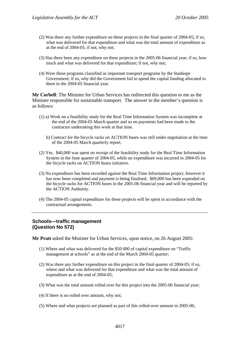- (2) Was there any further expenditure on these projects in the final quarter of 2004-05; if so, what was delivered for that expenditure and what was the total amount of expenditure as at the end of 2004-05; if not, why not;
- (3) Has there been any expenditure on these projects in the 2005-06 financial year; if so, how much and what was delivered for that expenditure; if not, why not;
- (4) Were these programs classified as important transport programs by the Stanhope Government; if so, why did the Government fail to spend the capital funding allocated to them in the 2004-05 financial year.

**Mr Corbell**: The Minister for Urban Services has redirected this question to me as the Minister responsible for sustainable transport. The answer to the member's question is as follows:

- (1) a) Work on a feasibility study for the Real Time Information System was incomplete at the end of the 2004-05 March quarter and so no payments had been made to the contractor undertaking this work at that time.
	- b) Contract for the bicycle racks on ACTION buses was still under negotiation at the time of the 2004-05 March quarterly report.
- (2) Yes. \$40,000 was spent on receipt of the feasibility study for the Real Time Information System in the June quarter of 2004-05, while no expenditure was incurred in 2004-05 for the bicycle racks on ACTION buses initiative.
- (3) No expenditure has been recorded against the Real Time Information project, however it has now been completed and payment is being finalised. \$69,000 has been expended on the bicycle racks for ACTION buses in the 2005-06 financial year and will be reported by the ACTION Authority.
- (4) The 2004-05 capital expenditure for these projects will be spent in accordance with the contractual arrangements.

# **Schools—traffic management (Question No 572)**

**Mr Pratt** asked the Minister for Urban Services, upon notice, on 26 August 2005:

- (1) Where and what was delivered for the \$50 000 of capital expenditure on "Traffic management at schools" as at the end of the March 2004-05 quarter;
- (2) Was there any further expenditure on this project in the final quarter of 2004-05; if so, where and what was delivered for that expenditure and what was the total amount of expenditure as at the end of 2004-05;
- (3) What was the total amount rolled over for this project into the 2005-06 financial year;
- (4) If there is no rolled over amount, why not;
- (5) Where and what projects are planned as part of this rolled-over amount in 2005-06;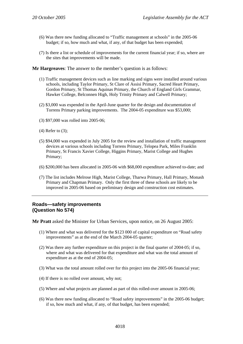- (6) Was there new funding allocated to "Traffic management at schools" in the 2005-06 budget; if so, how much and what, if any, of that budget has been expended;
- (7) Is there a list or schedule of improvements for the current financial year; if so, where are the sites that improvements will be made.

**Mr Hargreaves**: The answer to the member's question is as follows:

- (1) Traffic management devices such as line marking and signs were installed around various schools, including Taylor Primary, St Clare of Assisi Primary, Sacred Heart Primary, Gordon Primary, St Thomas Aquinas Primary, the Church of England Girls Grammar, Hawker College, Belconnen High, Holy Trinity Primary and Calwell Primary;
- (2) \$3,000 was expended in the April-June quarter for the design and documentation of Torrens Primary parking improvements. The 2004-05 expenditure was \$53,000;
- (3) \$97,000 was rolled into 2005-06;
- (4) Refer to (3);
- (5) \$94,000 was expended in July 2005 for the review and installation of traffic management devices at various schools including Torrens Primary, Telopea Park, Miles Franklin Primary, St Francis Xavier College, Higgins Primary, Marist College and Hughes Primary;
- (6) \$200,000 has been allocated in 2005-06 with \$68,000 expenditure achieved to-date; and
- (7) The list includes Melrose High, Marist College, Tharwa Primary, Hall Primary, Monash Primary and Chapman Primary. Only the first three of these schools are likely to be improved in 2005-06 based on preliminary design and construction cost estimates.

### **Roads—safety improvements (Question No 574)**

**Mr Pratt** asked the Minister for Urban Services, upon notice, on 26 August 2005:

- (1) Where and what was delivered for the \$123 000 of capital expenditure on "Road safety improvements" as at the end of the March 2004-05 quarter;
- (2) Was there any further expenditure on this project in the final quarter of 2004-05; if so, where and what was delivered for that expenditure and what was the total amount of expenditure as at the end of 2004-05;
- (3) What was the total amount rolled over for this project into the 2005-06 financial year;
- (4) If there is no rolled over amount, why not;
- (5) Where and what projects are planned as part of this rolled-over amount in 2005-06;
- (6) Was there new funding allocated to "Road safety improvements" in the 2005-06 budget; if so, how much and what, if any, of that budget, has been expended;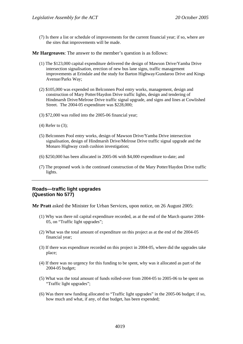(7) Is there a list or schedule of improvements for the current financial year; if so, where are the sites that improvements will be made.

**Mr Hargreaves**: The answer to the member's question is as follows:

- (1) The \$123,000 capital expenditure delivered the design of Mawson Drive/Yamba Drive intersection signalisation, erection of new bus lane signs, traffic management improvements at Erindale and the study for Barton Highway/Gundaroo Drive and Kings Avenue/Parks Way;
- (2) \$105,000 was expended on Belconnen Pool entry works, management, design and construction of Mary Potter/Haydon Drive traffic lights, design and tendering of Hindmarsh Drive/Melrose Drive traffic signal upgrade, and signs and lines at Cowlished Street. The 2004-05 expenditure was \$228,000;
- (3) \$72,000 was rolled into the 2005-06 financial year;
- (4) Refer to (3);
- (5) Belconnen Pool entry works, design of Mawson Drive/Yamba Drive intersection signalisation, design of Hindmarsh Drive/Melrose Drive traffic signal upgrade and the Monaro Highway crash cushion investigation;
- (6) \$250,000 has been allocated in 2005-06 with \$4,000 expenditure to-date; and
- (7) The proposed work is the continued construction of the Mary Potter/Haydon Drive traffic lights.

# **Roads—traffic light upgrades (Question No 577)**

**Mr Pratt** asked the Minister for Urban Services, upon notice, on 26 August 2005:

- (1) Why was there nil capital expenditure recorded, as at the end of the March quarter 2004- 05, on "Traffic light upgrades";
- (2) What was the total amount of expenditure on this project as at the end of the 2004-05 financial year;
- (3) If there was expenditure recorded on this project in 2004-05, where did the upgrades take place;
- (4) If there was no urgency for this funding to be spent, why was it allocated as part of the 2004-05 budget;
- (5) What was the total amount of funds rolled-over from 2004-05 to 2005-06 to be spent on "Traffic light upgrades";
- (6) Was there new funding allocated to "Traffic light upgrades" in the 2005-06 budget; if so, how much and what, if any, of that budget, has been expended;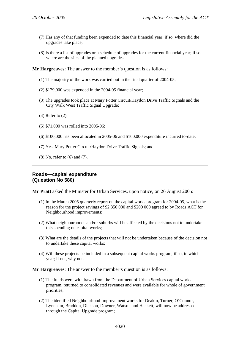- (7) Has any of that funding been expended to date this financial year; if so, where did the upgrades take place;
- (8) Is there a list of upgrades or a schedule of upgrades for the current financial year; if so, where are the sites of the planned upgrades.

**Mr Hargreaves**: The answer to the member's question is as follows:

- (1) The majority of the work was carried out in the final quarter of 2004-05;
- (2) \$179,000 was expended in the 2004-05 financial year;
- (3) The upgrades took place at Mary Potter Circuit/Haydon Drive Traffic Signals and the City Walk West Traffic Signal Upgrade;
- (4) Refer to (2);
- (5) \$71,000 was rolled into 2005-06;
- (6) \$100,000 has been allocated in 2005-06 and \$100,000 expenditure incurred to-date;
- (7) Yes, Mary Potter Circuit/Haydon Drive Traffic Signals; and
- (8) No, refer to (6) and (7).

# **Roads—capital expenditure (Question No 580)**

**Mr Pratt** asked the Minister for Urban Services, upon notice, on 26 August 2005:

- (1) In the March 2005 quarterly report on the capital works program for 2004-05, what is the reason for the project savings of \$2 350 000 and \$200 000 agreed to by Roads ACT for Neighbourhood improvements;
- (2) What neighbourhoods and/or suburbs will be affected by the decisions not to undertake this spending on capital works;
- (3) What are the details of the projects that will not be undertaken because of the decision not to undertake these capital works;
- (4) Will these projects be included in a subsequent capital works program; if so, in which year; if not, why not.

**Mr Hargreaves**: The answer to the member's question is as follows:

- (1) The funds were withdrawn from the Department of Urban Services capital works program, returned to consolidated revenues and were available for whole of government priorities;
- (2) The identified Neighbourhood Improvement works for Deakin, Turner, O'Connor, Lyneham, Braddon, Dickson, Downer, Watson and Hackett, will now be addressed through the Capital Upgrade program;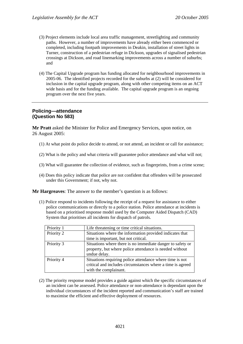- (3) Project elements include local area traffic management, streetlighting and community paths. However, a number of improvements have already either been commenced or completed, including footpath improvements in Deakin, installation of street lights in Turner, construction of a pedestrian refuge in Dickson, upgrades of signalised pedestrian crossings at Dickson, and road linemarking improvements across a number of suburbs; and
- (4) The Capital Upgrade program has funding allocated for neighbourhood improvements in 2005-06. The identified projects recorded for the suburbs at (2) will be considered for inclusion in the capital upgrade program, along with other competing items on an ACT wide basis and for the funding available. The capital upgrade program is an ongoing program over the next five years.

# **Policing—attendance (Question No 583)**

**Mr Pratt** asked the Minister for Police and Emergency Services, upon notice, on 26 August 2005:

- (1) At what point do police decide to attend, or not attend, an incident or call for assistance;
- (2) What is the policy and what criteria will guarantee police attendance and what will not;
- (3) What will guarantee the collection of evidence, such as fingerprints, from a crime scene;
- (4) Does this policy indicate that police are not confident that offenders will be prosecuted under this Government; if not, why not.

**Mr Hargreaves**: The answer to the member's question is as follows:

(1) Police respond to incidents following the receipt of a request for assistance to either police communications or directly to a police station. Police attendance at incidents is based on a prioritised response model used by the Computer Aided Dispatch (CAD) System that prioritises all incidents for dispatch of patrols.

| Priority 1 | Life threatening or time critical situations.              |  |
|------------|------------------------------------------------------------|--|
| Priority 2 | Situations where the information provided indicates that   |  |
|            | time is important, but not critical.                       |  |
| Priority 3 | Situations where there is no immediate danger to safety or |  |
|            | property, but where police attendance is needed without    |  |
|            | undue delay.                                               |  |
| Priority 4 | Situations requiring police attendance where time is not   |  |
|            | critical and includes circumstances where a time is agreed |  |
|            | with the complainant.                                      |  |

(2) The priority response model provides a guide against which the specific circumstances of an incident can be assessed. Police attendance or non-attendance is dependant upon the individual circumstances of the incident reported and communication's staff are trained to maximise the efficient and effective deployment of resources.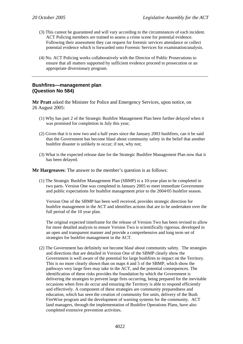- (3) This cannot be guaranteed and will vary according to the circumstances of each incident. ACT Policing members are trained to assess a crime scene for potential evidence. Following their assessment they can request for forensic services attendance or collect potential evidence which is forwarded onto Forensic Services for examination/analysis.
- (4) No. ACT Policing works collaboratively with the Director of Public Prosecutions to ensure that all matters supported by sufficient evidence proceed to prosecution or an appropriate diversionary program.

# **Bushfires—management plan (Question No 584)**

**Mr Pratt** asked the Minister for Police and Emergency Services, upon notice, on 26 August 2005:

- (1) Why has part 2 of the Strategic Bushfire Management Plan been further delayed when it was promised for completion in July this year;
- (2) Given that it is now two and a half years since the January 2003 bushfires, can it be said that the Government has become blasé about community safety in the belief that another bushfire disaster is unlikely to occur; if not, why not;
- (3) What is the expected release date for the Strategic Bushfire Management Plan now that it has been delayed.

**Mr Hargreaves**: The answer to the member's question is as follows:

(1) The Strategic Bushfire Management Plan (SBMP) is a 10-year plan to be completed in two parts. Version One was completed in January 2005 to meet immediate Government and public expectations for bushfire management prior to the 2004/05 bushfire season.

Version One of the SBMP has been well received, provides strategic direction for bushfire management in the ACT and identifies actions that are to be undertaken over the full period of the 10 year plan.

The original expected timeframe for the release of Version Two has been revised to allow for more detailed analysis to ensure Version Two is scientifically rigorous, developed in an open and transparent manner and provide a comprehensive and long term set of strategies for bushfire management in the ACT.

(2) The Government has definitely not become blasé about community safety. The strategies and directions that are detailed in Version One of the SBMP clearly show the Government is well aware of the potential for large bushfires to impact on the Territory. This is no more clearly shown than on maps 4 and 5 of the SBMP, which show the pathways very large fires may take in the ACT, and the potential consequences. The identification of these risks provides the foundation by which the Government is delivering the strategies to prevent large fires occurring, being prepared for the inevitable occasions when fires do occur and ensuring the Territory is able to respond efficiently and effectively. A component of these strategies are community preparedness and education, which has seen the creation of community fire units, delivery of the Bush FireWise program and the development of warning systems for the community. ACT land managers, through the implementation of Bushfire Operations Plans, have also completed extensive prevention activities.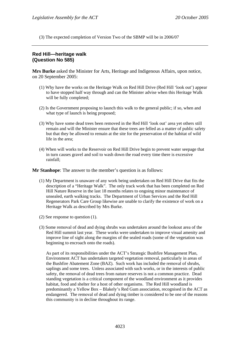(3) The expected completion of Version Two of the SBMP will be in 2006/07

# **Red Hill—heritage walk (Question No 585)**

**Mrs Burke** asked the Minister for Arts, Heritage and Indigenous Affairs, upon notice, on 20 September 2005:

- (1) Why have the works on the Heritage Walk on Red Hill Drive (Red Hill 'look out') appear to have stopped half way through and can the Minister advise when this Heritage Walk will be fully completed;
- (2) Is the Government proposing to launch this walk to the general public; if so, when and what type of launch is being proposed;
- (3) Why have some dead trees been removed in the Red Hill 'look out' area yet others still remain and will the Minister ensure that these trees are felled as a matter of public safety but that they be allowed to remain at the site for the preservation of the habitat of wild life in the area;
- (4) When will works to the Reservoir on Red Hill Drive begin to prevent water seepage that in turn causes gravel and soil to wash down the road every time there is excessive rainfall;

**Mr Stanhope**: The answer to the member's question is as follows:

- (1) My Department is unaware of any work being undertaken on Red Hill Drive that fits the description of a "Heritage Walk". The only track work that has been completed on Red Hill Nature Reserve in the last 18 months relates to ongoing minor maintenance of unsealed, earth walking tracks. The Department of Urban Services and the Red Hill Regenerators Park Care Group likewise are unable to clarify the existence of work on a Heritage Walk as described by Mrs Burke.
- (2) See response to question (1).
- (3) Some removal of dead and dying shrubs was undertaken around the lookout area of the Red Hill summit last year. These works were undertaken to improve visual amenity and improve line of sight along the margins of the sealed roads (some of the vegetation was beginning to encroach onto the roads).

As part of its responsibilities under the ACT's Strategic Bushfire Management Plan, Environment ACT has undertaken targeted vegetation removal, particularly in areas of the Bushfire Abatement Zone (BAZ). Such work has included the removal of shrubs, saplings and some trees. Unless associated with such works, or in the interests of public safety, the removal of dead trees from nature reserves is not a common practice. Dead standing vegetation is a critical component of the woodland environment as it provides habitat, food and shelter for a host of other organisms. The Red Hill woodland is predominantly a Yellow Box – Blakely's Red Gum association, recognised in the ACT as endangered. The removal of dead and dying timber is considered to be one of the reasons this community is in decline throughout its range.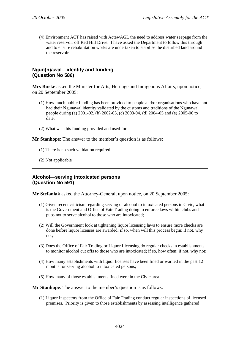(4) Environment ACT has raised with ActewAGL the need to address water seepage from the water reservoir off Red Hill Drive. I have asked the Department to follow this through and to ensure rehabilitation works are undertaken to stabilise the disturbed land around the reservoir.

# **Ngun(n)awal—identity and funding (Question No 586)**

**Mrs Burke** asked the Minister for Arts, Heritage and Indigenous Affairs, upon notice, on 20 September 2005:

- (1) How much public funding has been provided to people and/or organisations who have not had their Ngunawal identity validated by the customs and traditions of the Ngunawal people during (a) 2001-02, (b) 2002-03, (c) 2003-04, (d) 2004-05 and (e) 2005-06 to date.
- (2) What was this funding provided and used for.

### **Mr Stanhope**: The answer to the member's question is as follows:

- (1) There is no such validation required.
- (2) Not applicable

# **Alcohol—serving intoxicated persons (Question No 591)**

**Mr Stefaniak** asked the Attorney-General, upon notice, on 20 September 2005:

- (1) Given recent criticism regarding serving of alcohol to intoxicated persons in Civic, what is the Government and Office of Fair Trading doing to enforce laws within clubs and pubs not to serve alcohol to those who are intoxicated;
- (2) Will the Government look at tightening liquor licensing laws to ensure more checks are done before liquor licenses are awarded; if so, when will this process begin; if not, why not;
- (3) Does the Office of Fair Trading or Liquor Licensing do regular checks in establishments to monitor alcohol cut offs to those who are intoxicated; if so, how often; if not, why not;
- (4) How many establishments with liquor licenses have been fined or warned in the past 12 months for serving alcohol to intoxicated persons;
- (5) How many of those establishments fined were in the Civic area.

**Mr Stanhope**: The answer to the member's question is as follows:

(1) Liquor Inspectors from the Office of Fair Trading conduct regular inspections of licensed premises. Priority is given to those establishments by assessing intelligence gathered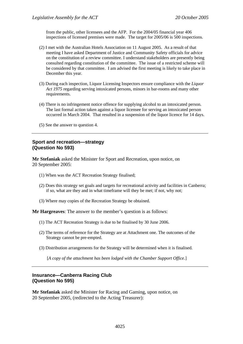from the public, other licensees and the AFP. For the 2004/05 financial year 406 inspections of licensed premises were made. The target for 2005/06 is 500 inspections.

- (2) I met with the Australian Hotels Association on 11 August 2005. As a result of that meeting I have asked Department of Justice and Community Safety officials for advice on the constitution of a review committee. I understand stakeholders are presently being consulted regarding constitution of the committee. The issue of a restricted scheme will be considered by that committee. I am advised the first meeting is likely to take place in December this year.
- (3) During each inspection, Liquor Licensing Inspectors ensure compliance with the *Liquor Act 1975* regarding serving intoxicated persons, minors in bar-rooms and many other requirements.
- (4) There is no infringement notice offence for supplying alcohol to an intoxicated person. The last formal action taken against a liquor licensee for serving an intoxicated person occurred in March 2004. That resulted in a suspension of the liquor licence for 14 days.
- (5) See the answer to question 4.

### **Sport and recreation—strategy (Question No 593)**

**Mr Stefaniak** asked the Minister for Sport and Recreation, upon notice, on 20 September 2005:

- (1) When was the ACT Recreation Strategy finalised;
- (2) Does this strategy set goals and targets for recreational activity and facilities in Canberra; if so, what are they and in what timeframe will they be met; if not, why not;
- (3) Where may copies of the Recreation Strategy be obtained.

**Mr Hargreaves**: The answer to the member's question is as follows:

- (1) The ACT Recreation Strategy is due to be finalised by 30 June 2006.
- (2) The terms of reference for the Strategy are at Attachment one. The outcomes of the Strategy cannot be pre-empted.
- (3) Distribution arrangements for the Strategy will be determined when it is finalised.

[*A copy of the attachment has been lodged with the Chamber Support Office.*]

### **Insurance—Canberra Racing Club (Question No 595)**

**Mr Stefaniak** asked the Minister for Racing and Gaming, upon notice, on 20 September 2005, (redirected to the Acting Treasurer):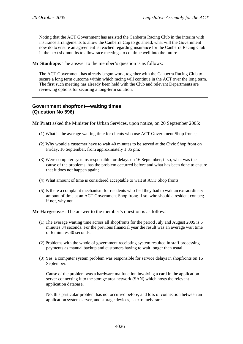Noting that the ACT Government has assisted the Canberra Racing Club in the interim with insurance arrangements to allow the Canberra Cup to go ahead, what will the Government now do to ensure an agreement is reached regarding insurance for the Canberra Racing Club in the next six months to allow race meetings to continue well into the future.

**Mr Stanhope**: The answer to the member's question is as follows:

The ACT Government has already begun work, together with the Canberra Racing Club to secure a long term outcome within which racing will continue in the ACT over the long term. The first such meeting has already been held with the Club and relevant Departments are reviewing options for securing a long-term solution.

# **Government shopfront—waiting times (Question No 596)**

**Mr Pratt** asked the Minister for Urban Services, upon notice, on 20 September 2005:

- (1) What is the average waiting time for clients who use ACT Government Shop fronts;
- (2) Why would a customer have to wait 40 minutes to be served at the Civic Shop front on Friday, 16 September, from approximately 1:35 pm;
- (3) Were computer systems responsible for delays on 16 September; if so, what was the cause of the problems, has the problem occurred before and what has been done to ensure that it does not happen again;
- (4) What amount of time is considered acceptable to wait at ACT Shop fronts;
- (5) Is there a complaint mechanism for residents who feel they had to wait an extraordinary amount of time at an ACT Government Shop front; if so, who should a resident contact; if not, why not.

**Mr Hargreaves**: The answer to the member's question is as follows:

- (1) The average waiting time across all shopfronts for the period July and August 2005 is 6 minutes 34 seconds. For the previous financial year the result was an average wait time of 6 minutes 40 seconds.
- (2) Problems with the whole of government receipting system resulted in staff processing payments as manual backup and customers having to wait longer than usual.
- (3) Yes, a computer system problem was responsible for service delays in shopfronts on 16 September.

Cause of the problem was a hardware malfunction involving a card in the application server connecting it to the storage area network (SAN) which hosts the relevant application database.

No, this particular problem has not occurred before, and loss of connection between an application system server, and storage devices, is extremely rare.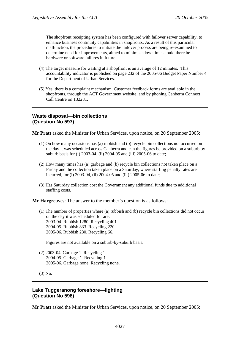The shopfront receipting system has been configured with failover server capability, to enhance business continuity capabilities in shopfronts. As a result of this particular malfunction, the procedures to initiate the failover process are being re-examined to determine need for improvements, aimed to minimise downtime should there be hardware or software failures in future.

- (4) The target measure for waiting at a shopfront is an average of 12 minutes. This accountability indicator is published on page 232 of the 2005-06 Budget Paper Number 4 for the Department of Urban Services.
- (5) Yes, there is a complaint mechanism. Customer feedback forms are available in the shopfronts, through the ACT Government website, and by phoning Canberra Connect Call Centre on 132281.

# **Waste disposal—bin collections (Question No 597)**

**Mr Pratt** asked the Minister for Urban Services, upon notice, on 20 September 2005:

- (1) On how many occasions has (a) rubbish and (b) recycle bin collections not occurred on the day it was scheduled across Canberra and can the figures be provided on a suburb by suburb basis for (i) 2003-04, (ii) 2004-05 and (iii) 2005-06 to date;
- (2) How many times has (a) garbage and (b) recycle bin collections not taken place on a Friday and the collection taken place on a Saturday, where staffing penalty rates are incurred, for (i) 2003-04, (ii) 2004-05 and (iii) 2005-06 to date;
- (3) Has Saturday collection cost the Government any additional funds due to additional staffing costs.

**Mr Hargreaves**: The answer to the member's question is as follows:

(1) The number of properties where (a) rubbish and (b) recycle bin collections did not occur on the day it was scheduled for are: 2003-04. Rubbish 1280. Recycling 401. 2004-05. Rubbish 833. Recycling 220. 2005-06. Rubbish 230. Recycling 66.

Figures are not available on a suburb-by-suburb basis.

(2) 2003-04. Garbage 1. Recycling 1. 2004-05. Garbage 1. Recycling 1. 2005-06. Garbage none. Recycling none.

(3) No.

# **Lake Tuggeranong foreshore—lighting (Question No 598)**

**Mr Pratt** asked the Minister for Urban Services, upon notice, on 20 September 2005: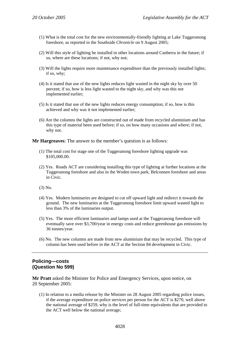- (1) What is the total cost for the new environmentally-friendly lighting at Lake Tuggeranong foreshore, as reported in the Southside *Chronicle* on 9 August 2005;
- (2) Will this style of lighting be installed in other locations around Canberra in the future; if so, where are these locations; if not, why not;
- (3) Will the lights require more maintenance expenditure than the previously installed lights; if so, why;
- (4) Is it stated that use of the new lights reduces light wasted in the night sky by over 50 percent; if so, how is less light wasted to the night sky, and why was this not implemented earlier;
- (5) Is it stated that use of the new lights reduces energy consumption; if so, how is this achieved and why was it not implemented earlier;
- (6) Are the columns the lights are constructed out of made from recycled aluminium and has this type of material been used before; if so, on how many occasions and where; if not, why not.

**Mr Hargreaves**: The answer to the member's question is as follows:

- (1) The total cost for stage one of the Tuggeranong foreshore lighting upgrade was \$105,000.00.
- (2) Yes. Roads ACT are considering installing this type of lighting at further locations at the Tuggeranong foreshore and also in the Woden town park, Belconnen foreshore and areas in Civic.
- (3) No.
- (4) Yes. Modern luminaries are designed to cut off upward light and redirect it towards the ground. The new luminaries at the Tuggeranong foreshore limit upward wasted light to less than 3% of the luminaries output.
- (5) Yes. The more efficient luminaries and lamps used at the Tuggeranong foreshore will eventually save over \$3,700/year in energy costs and reduce greenhouse gas emissions by 36 tonnes/year.
- (6) No. The new columns are made from new aluminium that may be recycled. This type of column has been used before in the ACT at the Section 84 development in Civic.

# **Policing—costs (Question No 599)**

**Mr Pratt** asked the Minister for Police and Emergency Services, upon notice, on 20 September 2005:

(1) In relation to a media release by the Minister on 28 August 2005 regarding police issues, if the average expenditure on police services per person for the ACT is \$270, well above the national average of \$259, why is the level of full-time equivalents that are provided to the ACT well below the national average;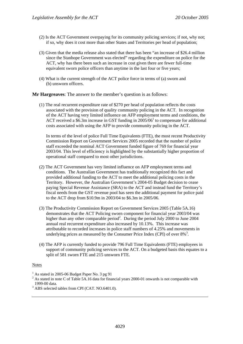- (2) Is the ACT Government overpaying for its community policing services; if not, why not; if so, why does it cost more than other States and Territories per head of population;
- (3) Given that the media release also stated that there has been "an increase of \$26.4 million since the Stanhope Government was elected" regarding the expenditure on police for the ACT, why has there been such an increase in cost given there are fewer full-time equivalent sworn police officers than anytime in the last four or five years;
- (4) What is the current strength of the ACT police force in terms of (a) sworn and (b) unsworn officers.

**Mr Hargreaves**: The answer to the member's question is as follows:

(1) The real recurrent expenditure rate of \$270 per head of population reflects the costs associated with the provision of quality community policing in the ACT. In recognition of the ACT having very limited influence on AFP employment terms and conditions, the ACT received a  $$6.3m$  increase in GST funding in  $2005/06<sup>1</sup>$  to compensate for additional costs associated with using the AFP to provide community policing in the ACT.

In terms of the level of police Full Time Equivalents (FTE), the most recent Productivity Commission Report on Government Services 2005 recorded that the number of police staff exceeded the nominal ACT Government funded figure of 769 for financial year 2003/04. This level of efficiency is highlighted by the substantially higher proportion of operational staff compared to most other jurisdictions.

- (2) The ACT Government has very limited influence on AFP employment terms and conditions. The Australian Government has traditionally recognized this fact and provided additional funding to the ACT to meet the additional policing costs in the Territory. However, the Australian Government's 2004-05 Budget decision to cease paying Special Revenue Assistance (SRA) to the ACT and instead fund the Territory's fiscal needs from the GST revenue pool has seen the additional payment for police paid to the ACT drop from \$10.9m in 2003/04 to \$6.3m in 2005/06.
- (3) The Productivity Commission Report on Government Services 2005 (Table 5A.16) demonstrates that the ACT Policing sworn component for financial year 2003/04 was higher than any other comparable period<sup>2</sup>. During the period July 2000 to June 2004 annual real recurrent expenditure also increased by 10.13%. This increase was attributable to recorded increases in police staff numbers of 4.25% and movements in underlying prices as measured by the Consumer Price Index (CPI) of over  $8\%$ <sup>3</sup>.
- (4) The AFP is currently funded to provide 796 Full Time Equivalents (FTE) employees in support of community policing services to the ACT. On a budgeted basis this equates to a split of 581 sworn FTE and 215 unsworn FTE.

#### Notes

<sup>&</sup>lt;sup>1</sup> As stated in 2005-06 Budget Paper No. 3 pg 91

 $2^2$  As stated in note C of Table 5A.16 data for financial years 2000-01 onwards is not comparable with 1999-00 data.

<sup>&</sup>lt;sup>3</sup> ABS selected tables from CPI (CAT. NO.6401.0).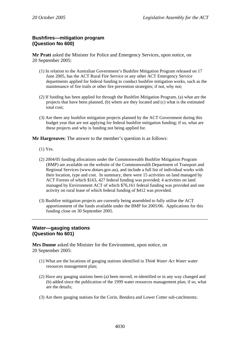# **Bushfires—mitigation program (Question No 600)**

**Mr Pratt** asked the Minister for Police and Emergency Services, upon notice, on 20 September 2005:

- (1) In relation to the Australian Government's Bushfire Mitigation Program released on 17 June 2005, has the ACT Rural Fire Service or any other ACT Emergency Service departments applied for federal funding to conduct bushfire mitigation works, such as the maintenance of fire trails or other fire prevention strategies; if not, why not;
- (2) If funding has been applied for through the Bushfire Mitigation Program, (a) what are the projects that have been planned, (b) where are they located and (c) what is the estimated total cost;
- (3) Are there any bushfire mitigation projects planned by the ACT Government during this budget year that are not applying for federal bushfire mitigation funding; if so, what are these projects and why is funding not being applied for.

**Mr Hargreaves**: The answer to the member's question is as follows:

- (1) Yes.
- (2) 2004/05 funding allocations under the Commonwealth Bushfire Mitigation Program (BMP) are available on the website of the Commonwealth Department of Transport and Regional Services (www.dotars.gov.au), and include a full list of individual works with their location, type and cost. In summary, there were 15 activities on land managed by ACT Forests of which \$163, 427 federal funding was provided; 4 activities on land managed by Environment ACT of which \$76,161 federal funding was provided and one activity on rural lease of which federal funding of \$412 was provided.
- (3) Bushfire mitigation projects are currently being assembled to fully utilise the ACT apportionment of the funds available under the BMP for 2005/06. Applications for this funding close on 30 September 2005.

# **Water—gauging stations (Question No 601)**

**Mrs Dunne** asked the Minister for the Environment, upon notice, on 20 September 2005:

- (1) What are the locations of gauging stations identified in *Think Water Act Water* water resources management plan;
- (2) Have any gauging stations been (a) been moved, re-identified or in any way changed and (b) added since the publication of the 1999 water resources management plan; if so, what are the details;
- (3) Are there gauging stations for the Corin, Bendora and Lower Cotter sub-catchments;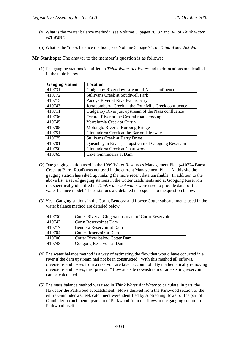- (4) What is the "water balance method", see Volume 3, pages 30, 32 and 34, of *Think Water Act Water*;
- (5) What is the "mass balance method", see Volume 3, page 74, of *Think Water Act Water*.

**Mr Stanhope**: The answer to the member's question is as follows:

(1) The gauging stations identified in *Think Water Act Water* and their locations are detailed in the table below.

| <b>Gauging station</b> | <b>Location</b>                                       |
|------------------------|-------------------------------------------------------|
| 410731                 | Gudgenby River downstream of Naas confluence          |
| 410772                 | <b>Sullivans Creek at Southwell Park</b>              |
| 410713                 | Paddys River at Riverlea property                     |
| 410743                 | Jerrabomberra Creek at the Four Mile Creek confluence |
| 410711                 | Gudgenby River just upstream of the Naas confluence   |
| 410736                 | Orroral River at the Orroral road crossing            |
| 410745                 | Yarralumla Creek at Curtin                            |
| 410705                 | Molonglo River at Burbong Bridge                      |
| 410751                 | Ginninderra Creek at the Barton Highway               |
| 410775                 | Sullivans Creek at Barry Drive                        |
| 410781                 | Queanbeyan River just upstream of Googong Reservoir   |
| 410750                 | Ginninderra Creek at Charnwood                        |
| 410765                 | Lake Ginninderra at Dam                               |

- (2) One gauging station used in the 1999 Water Resources Management Plan (410774 Burra Creek at Burra Road) was not used in the current Management Plan. At this site the gauging station has silted up making the more recent data unreliable. In addition to the above list, a set of gauging stations in the Cotter catchments and at Googong Reservoir not specifically identified in *Think water act water* were used to provide data for the water balance model. These stations are detailed in response to the question below.
- (3) Yes. Gauging stations in the Corin, Bendora and Lower Cotter subcatchments used in the water balance method are detailed below

| 410730 | Cotter River at Gingera upstream of Corin Reservoir |
|--------|-----------------------------------------------------|
| 410742 | Corin Reservoir at Dam                              |
| 410717 | Bendora Reservoir at Dam                            |
| 410704 | Cotter Reservoir at Dam                             |
| 410700 | <b>Cotter River below Cotter Dam</b>                |
| 410748 | Googong Reservoir at Dam                            |

- (4) The water balance method is a way of estimating the flow that would have occurred in a river if the dam upstream had not been constructed. With this method all inflows, diversions and losses from a reservoir are taken account of. By mathematically removing diversions and losses, the "pre-dam" flow at a site downstream of an existing reservoir can be calculated.
- (5) The mass balance method was used in *Think Water Act Water* to calculate, in part, the flows for the Parkwood subcatchment. Flows derived from the Parkwood section of the entire Ginninderra Creek catchment were identified by subtracting flows for the part of Ginninderra catchment upstream of Parkwood from the flows at the gauging station in Parkwood itself.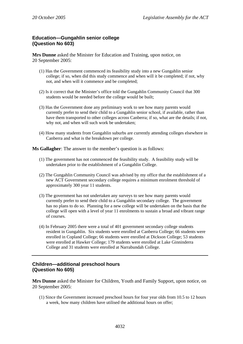# **Education—Gungahlin senior college (Question No 603)**

**Mrs Dunne** asked the Minister for Education and Training, upon notice, on 20 September 2005:

- (1) Has the Government commenced its feasibility study into a new Gungahlin senior college; if so, when did this study commence and when will it be completed; if not, why not, and when will it commence and be completed;
- (2) Is it correct that the Minister's office told the Gungahlin Community Council that 300 students would be needed before the college would be built;
- (3) Has the Government done any preliminary work to see how many parents would currently prefer to send their child to a Gungahlin senior school, if available, rather than have them transported to other colleges across Canberra; if so, what are the details; if not, why not, and when will such work be undertaken;
- (4) How many students from Gungahlin suburbs are currently attending colleges elsewhere in Canberra and what is the breakdown per college.

**Ms Gallagher**: The answer to the member's question is as follows:

- (1) The government has not commenced the feasibility study. A feasibility study will be undertaken prior to the establishment of a Gungahlin College.
- (2) The Gungahlin Community Council was advised by my office that the establishment of a new ACT Government secondary college requires a minimum enrolment threshold of approximately 300 year 11 students.
- (3) The government has not undertaken any surveys to see how many parents would currently prefer to send their child to a Gungahlin secondary college. The government has no plans to do so. Planning for a new college will be undertaken on the basis that the college will open with a level of year 11 enrolments to sustain a broad and vibrant range of courses.
- (4) In February 2005 there were a total of 401 government secondary college students resident in Gungahlin. Six students were enrolled at Canberra College; 66 students were enrolled in Copland College; 66 students were enrolled at Dickson College; 53 students were enrolled at Hawker College; 179 students were enrolled at Lake Ginninderra College and 31 students were enrolled at Narrabundah College.

# **Children—additional preschool hours (Question No 605)**

**Mrs Dunne** asked the Minister for Children, Youth and Family Support, upon notice, on 20 September 2005:

(1) Since the Government increased preschool hours for four year olds from 10.5 to 12 hours a week, how many children have utilised the additional hours on offer;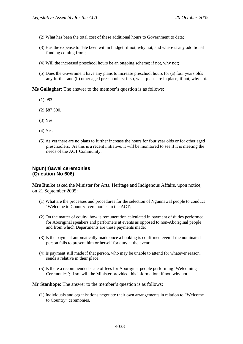- (2) What has been the total cost of these additional hours to Government to date;
- (3) Has the expense to date been within budget; if not, why not, and where is any additional funding coming from;
- (4) Will the increased preschool hours be an ongoing scheme; if not, why not;
- (5) Does the Government have any plans to increase preschool hours for (a) four years olds any further and (b) other aged preschoolers; if so, what plans are in place; if not, why not.

**Ms Gallagher**: The answer to the member's question is as follows:

- (1) 983.
- (2) \$87 500.
- (3) Yes.
- (4) Yes.
- (5) As yet there are no plans to further increase the hours for four year olds or for other aged preschoolers. As this is a recent initiative, it will be monitored to see if it is meeting the needs of the ACT Community.

# **Ngun(n)awal ceremonies (Question No 606)**

**Mrs Burke** asked the Minister for Arts, Heritage and Indigenous Affairs, upon notice, on 21 September 2005:

- (1) What are the processes and procedures for the selection of Ngunnawal people to conduct 'Welcome to Country' ceremonies in the ACT;
- (2) On the matter of equity, how is remuneration calculated in payment of duties performed for Aboriginal speakers and performers at events as opposed to non-Aboriginal people and from which Departments are these payments made;
- (3) Is the payment automatically made once a booking is confirmed even if the nominated person fails to present him or herself for duty at the event;
- (4) Is payment still made if that person, who may be unable to attend for whatever reason, sends a relative in their place;
- (5) Is there a recommended scale of fees for Aboriginal people performing 'Welcoming Ceremonies'; if so, will the Minister provided this information; if not, why not.

**Mr Stanhope**: The answer to the member's question is as follows:

(1) Individuals and organisations negotiate their own arrangements in relation to "Welcome to Country" ceremonies.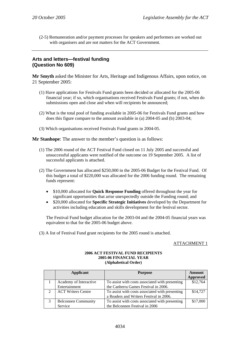(2-5) Remuneration and/or payment processes for speakers and performers are worked out with organisers and are not matters for the ACT Government.

# **Arts and letters—festival funding (Question No 609)**

**Mr Smyth** asked the Minister for Arts, Heritage and Indigenous Affairs, upon notice, on 21 September 2005:

- (1) Have applications for Festivals Fund grants been decided or allocated for the 2005-06 financial year; if so, which organisations received Festivals Fund grants; if not, when do submissions open and close and when will recipients be announced;
- (2) What is the total pool of funding available in 2005-06 for Festivals Fund grants and how does this figure compare to the amount available in (a) 2004-05 and (b) 2003-04;
- (3) Which organisations received Festivals Fund grants in 2004-05.

**Mr Stanhope**: The answer to the member's question is as follows:

- (1) The 2006 round of the ACT Festival Fund closed on 11 July 2005 and successful and unsuccessful applicants were notified of the outcome on 19 September 2005. A list of successful applicants is attached.
- (2) The Government has allocated \$250,000 in the 2005-06 Budget for the Festival Fund. Of this budget a total of \$220,000 was allocated for the 2006 funding round. The remaining funds represent:
	- \$10,000 allocated for **Quick Response Funding** offered throughout the year for significant opportunities that arise unexpectedly outside the Funding round; and
	- \$20,000 allocated for **Specific Strategic Initiatives** developed by the Department for activities including education and skills development for the festival sector.

The Festival Fund budget allocation for the 2003-04 and the 2004-05 financial years was equivalent to that for the 2005-06 budget above.

(3) A list of Festival Fund grant recipients for the 2005 round is attached.

### ATTACHMENT 1

#### **2006 ACT FESTIVAL FUND RECIPIENTS 2005-06 FINANCIAL YEAR (Alphabetical Order)**

| <b>Applicant</b>           | <b>Purpose</b>                                  | Amount          |
|----------------------------|-------------------------------------------------|-----------------|
|                            |                                                 | <b>Approved</b> |
| Academy of Interactive     | To assist with costs associated with presenting | \$12,764        |
| Entertainment              | the Canberra Games Festival in 2006.            |                 |
| <b>ACT Writers Centre</b>  | To assist with costs associated with presenting | \$14,727        |
|                            | a Readers and Writers Festival in 2006.         |                 |
| <b>Belconnen Community</b> | To assist with costs associated with presenting | \$17,000        |
| Service                    | the Belconnen Festival in 2006                  |                 |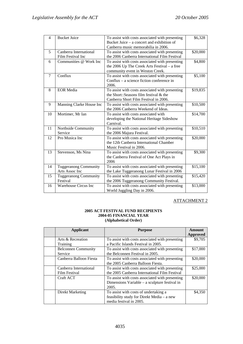| $\overline{4}$ | <b>Bucket Juice</b>                            | To assist with costs associated with presenting<br>Bucket Juice – a concert and exhibition of                                           | \$6,328  |
|----------------|------------------------------------------------|-----------------------------------------------------------------------------------------------------------------------------------------|----------|
| 5              | Canberra International<br>Film Festival Inc    | Canberra music memorabilia in 2006.<br>To assist with costs associated with presenting<br>the 2006 Canberra International Film Festival | \$20,000 |
| 6              | Communities @ Work Inc                         | To assist with costs associated with presenting<br>the 2006 Up The Creek Arts Festival - a free<br>community event in Weston Creek.     | \$4,800  |
| $\tau$         | Conflux                                        | To assist with costs associated with presenting<br>Conflux $-$ a science fiction conference in<br>2006.                                 | \$5,100  |
| 8              | <b>EOR</b> Media                               | To assist with costs associated with presenting<br>the Short::Seasons film festival & the<br>Canberra Short Film Festival in 2006.      | \$19,835 |
| 9              | Manning Clarke House Inc                       | To assist with costs associated with presenting<br>the 2006 Canberra Weekend of Ideas.                                                  | \$10,500 |
| 10             | Mortimer, Mr Ian                               | To assist with costs associated with<br>developing the National Heritage Sideshow<br>Carnival.                                          | \$14,700 |
| 11             | Northside Community<br>Service                 | To assist with costs associated with presenting<br>the 2006 Majura Festival.                                                            | \$10,510 |
| 12             | Pro Musica Inc                                 | To assist with costs associated with presenting<br>the 12th Canberra International Chamber<br>Music Festival in 2006.                   | \$20,000 |
| 13             | Stevenson, Ms Nina                             | To assist with costs associated with presenting<br>the Canberra Festival of One Act Plays in<br>2006                                    | \$9,300  |
| 14             | <b>Tuggeranong Community</b><br>Arts Assoc Inc | To assist with costs associated with presenting<br>the Lake Tuggeranong Lunar Festival in 2006                                          | \$15,100 |
| 15             | <b>Tuggeranong Community</b><br>Festival       | To assist with costs associated with presenting<br>the 2006 Tuggeranong Community Festival.                                             | \$15,420 |
| 16             | Warehouse Circus Inc                           | To assist with costs associated with presenting<br>World Juggling Day in 2006.                                                          | \$13,000 |

### ATTACHMENT 2

#### **2005 ACT FESTIVAL FUND RECIPIENTS 2004-05 FINANCIAL YEAR (Alphabetical Order)**

| Applicant                  | <b>Purpose</b>                                  | Amount<br><b>Approved</b> |
|----------------------------|-------------------------------------------------|---------------------------|
| Arts & Recreation          | To assist with costs associated with presenting | \$9,705                   |
| Training                   | a Pacific Islands Festival in 2005.             |                           |
| <b>Belconnen Community</b> | To assist with costs associated with presenting | \$17,000                  |
| Service                    | the Belconnen Festival in 2005.                 |                           |
| Canberra Balloon Fiesta    | To assist with costs associated with presenting | \$20,000                  |
|                            | the 2005 Canberra Balloon Fiesta.               |                           |
| Canberra International     | To assist with costs associated with presenting | \$25,000                  |
| Film Festival              | the 2005 Canberra International Film Festival   |                           |
| Craft ACT                  | To assist with costs associated with presenting | \$20,000                  |
|                            | Dimensions Variable $-$ a sculpture festival in |                           |
|                            | 2005.                                           |                           |
| Direkt Marketing           | To assist with costs of undertaking a           | \$4,350                   |
|                            | feasibility study for Direkt Media - a new      |                           |
|                            | media festival in 2005.                         |                           |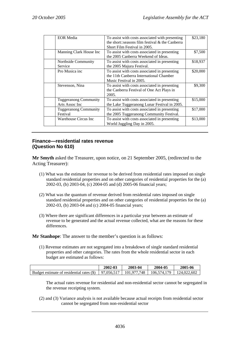| <b>EOR</b> Media             |                                                 |          |
|------------------------------|-------------------------------------------------|----------|
|                              | To assist with costs associated with presenting | \$23,180 |
|                              | the short::seasons film festival & the Canberra |          |
|                              | Short Film Festival in 2005.                    |          |
| Manning Clark House Inc      | To assist with costs associated in presenting   | \$7,500  |
|                              | the 2005 Canberra Weekend of Ideas.             |          |
| Northside Community          | To assist with costs associated in presenting   | \$18,937 |
| Service                      | the 2005 Majura Festival.                       |          |
| Pro Musica inc               | To assist with costs associated in presenting   | \$20,000 |
|                              | the 11th Canberra International Chamber         |          |
|                              | Music Festival in 2005.                         |          |
| Stevenson, Nina              | To assist with costs associated in presenting   | \$9,300  |
|                              | the Canberra Festival of One Act Plays in       |          |
|                              | 2005.                                           |          |
| <b>Tuggeranong Community</b> | To assist with costs associated in presenting   | \$15,000 |
| Arts Assoc Inc               | the Lake Tuggeranong Lunar Festival in 2005.    |          |
| <b>Tuggeranong Community</b> | To assist with costs associated in presenting   | \$17,000 |
| Festival                     | the 2005 Tuggeranong Community Festival.        |          |
| Warehouse Circus Inc         | To assist with costs associated in presenting   | \$13,000 |
|                              | World Juggling Day in 2005.                     |          |

# **Finance—residential rates revenue (Question No 610)**

**Mr Smyth** asked the Treasurer, upon notice, on 21 September 2005, (redirected to the Acting Treasurer):

- (1) What was the estimate for revenue to be derived from residential rates imposed on single standard residential properties and on other categories of residential properties for the (a) 2002-03, (b) 2003-04, (c) 2004-05 and (d) 2005-06 financial years;
- (2) What was the quantum of revenue derived from residential rates imposed on single standard residential properties and on other categories of residential properties for the (a) 2002-03, (b) 2003-04 and (c) 2004-05 financial years;
- (3) Where there are significant differences in a particular year between an estimate of revenue to be generated and the actual revenue collected, what are the reasons for these differences.

**Mr Stanhope**: The answer to the member's question is as follows:

(1) Revenue estimates are not segregated into a breakdown of single standard residential properties and other categories. The rates from the whole residential sector in each budget are estimated as follows:

|                                           | 2002-03    | 2003-04     | 2004-05     | 2005-06     |
|-------------------------------------------|------------|-------------|-------------|-------------|
| Budget estimate of residential rates (\$) | 97,056,517 | 101.977.748 | 106,574,179 | 124,022,602 |

The actual rates revenue for residential and non-residential sector cannot be segregated in the revenue receipting system.

(2) and (3) Variance analysis is not available because actual receipts from residential sector cannot be segregated from non-residential sector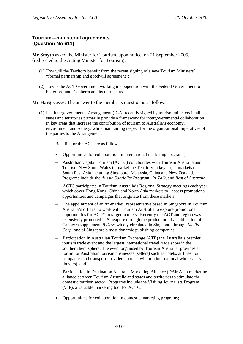# **Tourism—ministerial agreements (Question No 611)**

**Mr Smyth** asked the Minister for Tourism, upon notice, on 21 September 2005, (redirected to the Acting Minister for Tourism):

- (1) How will the Territory benefit from the recent signing of a new Tourism Ministers' "formal partnership and goodwill agreement";
- (2) How is the ACT Government working in cooperation with the Federal Government to better promote Canberra and its tourism assets.

**Mr Hargreaves**: The answer to the member's question is as follows:

(1) The Intergovernmental Arrangement (IGA) recently signed by tourism ministers in all states and territories primarily provide a framework for intergovernmental collaboration in key areas that increase the contribution of tourism to Australia's economy, environment and society, while maintaining respect for the organisational imperatives of the parties to the Arrangement.

Benefits for the ACT are as follows:

- Opportunities for collaboration in international marketing programs;
- − Australian Capital Tourism (ACTC) collaborates with Tourism Australia and Tourism New South Wales to market the Territory in key target markets of South East Asia including Singapore, Malaysia, China and New Zealand. Programs include the *Aussie Specialist Program, Oz Talk,* and *Best of Australia*,
- − ACTC participates in Tourism Australia's Regional Strategy meetings each year which cover Hong Kong, China and North Asia markets to access promotional opportunities and campaigns that originate from these markets,
- − The appointment of an 'in-market' representative based in Singapore in Tourism Australia's offices, to work with Tourism Australia to explore promotional opportunities for ACTC in target markets. Recently the ACT and region was extensively promoted in Singapore through the production of a publication of a Canberra supplement, *8 Days* widely circulated in Singapore through *Media Corp*, one of Singapore's most dynamic publishing companies,
- − Participation in Australian Tourism Exchange (ATE) the Australia's premier tourism trade event and the largest international travel trade show in the southern hemisphere. The event organised by Tourism Australia provides a forum for Australian tourism businesses (sellers) such as hotels, airlines, tour companies and transport providers to meet with top international wholesalers (buyers), and
- − Participation in Destination Australia Marketing Alliance (DAMA), a marketing alliance between Tourism Australia and states and territories to stimulate the domestic tourism sector. Programs include the Visiting Journalists Program (VJP), a valuable marketing tool for ACTC.
- Opportunities for collaboration in domestic marketing programs: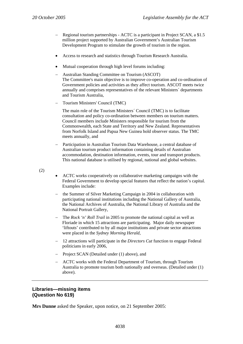- − Regional tourism partnerships ACTC is a participant in Project SCAN, a \$1.5 million project supported by Australian Government's Australian Tourism Development Program to stimulate the growth of tourism in the region.
- Access to research and statistics through Tourism Research Australia.
- Mutual cooperation through high level forums including:
- − Australian Standing Committee on Tourism (ASCOT) The Committee's main objective is to improve co-operation and co-ordination of Government policies and activities as they affect tourism. ASCOT meets twice annually and comprises representatives of the relevant Ministers´ departments and Tourism Australia,
- − Tourism Ministers' Council (TMC)

The main role of the Tourism Ministers´ Council (TMC) is to facilitate consultation and policy co-ordination between members on tourism matters. Council members include Ministers responsible for tourism from the Commonwealth, each State and Territory and New Zealand. Representatives from Norfolk Island and Papua New Guinea hold observer status. The TMC meets annually, and

− Participation in Australian Tourism Data Warehouse, a central database of Australian tourism product information containing details of Australian accommodation, destination information, events, tour and transport products. This national database is utilised by regional, national and global websites.

(2)

- ACTC works cooperatively on collaborative marketing campaigns with the Federal Government to develop special features that reflect the nation's capital. Examples include:
- − the Summer of Silver Marketing Campaign in 2004 in collaboration with participating national institutions including the National Gallery of Australia, the National Archives of Australia, the National Library of Australia and the National Portrait Gallery,
- − The *Rock 'n' Roll Trail* in 2005 to promote the national capital as well as Floriade in which 15 attractions are participating. Major daily newspaper 'liftouts' contributed to by all major institutions and private sector attractions were placed in the *Sydney Morning Herald*,
- − 12 attractions will participate in the *Directors Cut* function to engage Federal politicians in early 2006,
- − Project SCAN (Detailed under (1) above), and
- − ACTC works with the Federal Department of Tourism, through Tourism Australia to promote tourism both nationally and overseas. (Detailed under (1) above).

## **Libraries—missing items (Question No 619)**

**Mrs Dunne** asked the Speaker, upon notice, on 21 September 2005: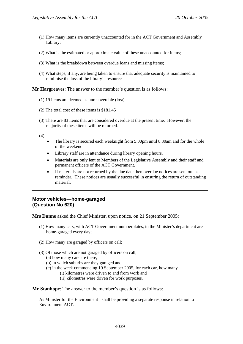- (1) How many items are currently unaccounted for in the ACT Government and Assembly Library;
- (2) What is the estimated or approximate value of these unaccounted for items;
- (3) What is the breakdown between overdue loans and missing items;
- (4) What steps, if any, are being taken to ensure that adequate security is maintained to minimise the loss of the library's resources.

### **Mr Hargreaves**: The answer to the member's question is as follows:

- (1) 19 items are deemed as unrecoverable (lost)
- (2) The total cost of these items is \$181.45
- (3) There are 83 items that are considered overdue at the present time. However, the majority of these items will be returned.

(4)

- The library is secured each weeknight from 5.00pm until 8.30am and for the whole of the weekend.
- Library staff are in attendance during library opening hours.
- Materials are only lent to Members of the Legislative Assembly and their staff and permanent officers of the ACT Government.
- If materials are not returned by the due date then overdue notices are sent out as a reminder. These notices are usually successful in ensuring the return of outstanding material.

# **Motor vehicles—home-garaged (Question No 620)**

**Mrs Dunne** asked the Chief Minister, upon notice, on 21 September 2005:

- (1) How many cars, with ACT Government numberplates, in the Minister's department are home-garaged every day;
- (2) How many are garaged by officers on call;
- (3) Of those which are not garaged by officers on call,
	- (a) how many cars are there,
	- (b) in which suburbs are they garaged and
	- (c) in the week commencing 19 September 2005, for each car, how many
		- (i) kilometres were driven to and from work and
		- (ii) kilometres were driven for work purposes.

**Mr Stanhope:** The answer to the member's question is as follows:

As Minister for the Environment I shall be providing a separate response in relation to Environment ACT.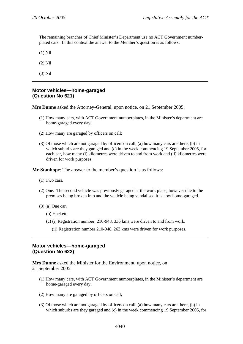The remaining branches of Chief Minister's Department use no ACT Government numberplated cars. In this context the answer to the Member's question is as follows:

(1) Nil

(2) Nil

(3) Nil

# **Motor vehicles—home-garaged (Question No 621)**

**Mrs Dunne** asked the Attorney-General, upon notice, on 21 September 2005:

- (1) How many cars, with ACT Government numberplates, in the Minister's department are home-garaged every day;
- (2) How many are garaged by officers on call;
- (3) Of those which are not garaged by officers on call, (a) how many cars are there, (b) in which suburbs are they garaged and (c) in the week commencing 19 September 2005, for each car, how many (i) kilometres were driven to and from work and (ii) kilometres were driven for work purposes.

**Mr Stanhope**: The answer to the member's question is as follows:

- (1) Two cars.
- (2) One. The second vehicle was previously garaged at the work place, however due to the premises being broken into and the vehicle being vandalised it is now home-garaged.
- (3) (a) One car.
	- (b) Hackett.
	- (c) (i) Registration number: 210-948, 336 kms were driven to and from work.
		- (ii) Registration number 210-948, 263 kms were driven for work purposes.

# **Motor vehicles—home-garaged (Question No 622)**

**Mrs Dunne** asked the Minister for the Environment, upon notice, on 21 September 2005:

- (1) How many cars, with ACT Government numberplates, in the Minister's department are home-garaged every day;
- (2) How many are garaged by officers on call;
- (3) Of those which are not garaged by officers on call, (a) how many cars are there, (b) in which suburbs are they garaged and (c) in the week commencing 19 September 2005, for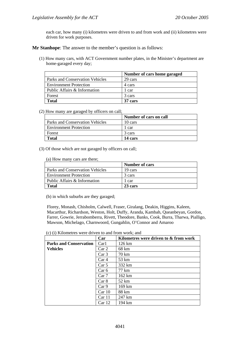each car, how many (i) kilometres were driven to and from work and (ii) kilometres were driven for work purposes.

**Mr Stanhope**: The answer to the member's question is as follows:

(1) How many cars, with ACT Government number plates, in the Minister's department are home-garaged every day;

|                                 | Number of cars home garaged |
|---------------------------------|-----------------------------|
| Parks and Conservation Vehicles | 29 cars                     |
| <b>Environment Protection</b>   | 4 cars                      |
| Public Affairs & Information    | 1 car                       |
| Forest                          | 3 cars                      |
| <b>Total</b>                    | 37 cars                     |

#### (2) How many are garaged by officers on call;

|                                 | Number of cars on call |
|---------------------------------|------------------------|
| Parks and Conservation Vehicles | 10 cars                |
| <b>Environment Protection</b>   | 1 car                  |
| Forest                          | 3 cars                 |
| Total                           | 14 cars                |

(3) Of those which are not garaged by officers on call;

(a) How many cars are there;

|                                 | <b>Number of cars</b> |
|---------------------------------|-----------------------|
| Parks and Conservation Vehicles | 19 cars               |
| <b>Environment Protection</b>   | 3 cars                |
| Public Affairs & Information    | 1 car                 |
| <b>Total</b>                    | 23 cars               |

(b) in which suburbs are they garaged;

Florey, Monash, Chisholm, Calwell, Fraser, Giralang, Deakin, Higgins, Kaleen, Macarthur, Richardson, Weston, Holt, Duffy, Aranda, Kambah, Queanbeyan, Gordon, Farrer, Gowrie, Jerrabomberra, Rivett, Theodore, Banks, Cook, Burra, Tharwa, Pialligo, Mawson, Michelago, Charnwoord, Gungahlin, O'Connor and Amaroo

(c) (i) Kilometres were driven to and from work; and

| $(v)$ (i) implies were anyon to and from work, and | Car               | Kilometres were driven to & from work |
|----------------------------------------------------|-------------------|---------------------------------------|
| <b>Parks and Conservation</b>                      | Car1              | 126 km                                |
| <b>Vehicles</b>                                    | Car <sub>2</sub>  | 68 km                                 |
|                                                    | Car <sub>3</sub>  | 70 km                                 |
|                                                    | Car <sub>4</sub>  | 53 km                                 |
|                                                    | Car 5             | 332 km                                |
|                                                    | Car 6             | 77 km                                 |
|                                                    | Car7              | 162 km                                |
|                                                    | Car 8             | 52 km                                 |
|                                                    | Car <sub>9</sub>  | 169 km                                |
|                                                    | Car10             | 88 km                                 |
|                                                    | Car 11            | 247 km                                |
|                                                    | Car <sub>12</sub> | 194 km                                |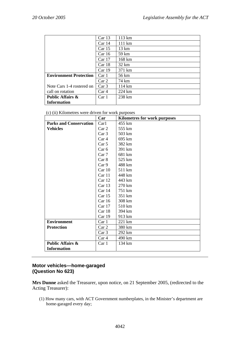|                               | Car <sub>13</sub> | 113 km          |
|-------------------------------|-------------------|-----------------|
|                               | Car <sub>14</sub> | 111 km          |
|                               | Car <sub>15</sub> | 13 km           |
|                               | Car16             | 59 km           |
|                               | Car <sub>17</sub> | 168 km          |
|                               | Car18             | $32 \text{ km}$ |
|                               | Car <sub>19</sub> | 371 km          |
| <b>Environment Protection</b> | Car1              | 56 km           |
|                               | Car <sub>2</sub>  | 74 km           |
| Note Cars 1-4 rostered on     | Car <sub>3</sub>  | 114 km          |
| call on rotation              | Car <sub>4</sub>  | 224 km          |
| <b>Public Affairs &amp;</b>   | Car 1             | 238 km          |
| <b>Information</b>            |                   |                 |

| (c) (ii) Kilometres were driven for work purposes |  |
|---------------------------------------------------|--|
|---------------------------------------------------|--|

|                               | Car               | <b>Kilometres for work purposes</b> |
|-------------------------------|-------------------|-------------------------------------|
| <b>Parks and Conservation</b> | Car1              | 455 km                              |
| <b>Vehicles</b>               | Car <sub>2</sub>  | 555 km                              |
|                               | Car <sub>3</sub>  | 503 km                              |
|                               | Car <sub>4</sub>  | 695 km                              |
|                               | Car <sub>5</sub>  | 382 km                              |
|                               | Car 6             | 391 km                              |
|                               | Car7              | 681 km                              |
|                               | Car 8             | 525 km                              |
|                               | Car <sub>9</sub>  | 488 km                              |
|                               | Car 10            | 511 km                              |
|                               | Car 11            | 448 km                              |
|                               | Car 12            | 443 km                              |
|                               | Car 13            | 270 km                              |
|                               | Car 14            | 751 km                              |
|                               | Car 15            | 351 km                              |
|                               | Car 16            | 308 km                              |
|                               | Car <sub>17</sub> | 510 km                              |
|                               | Car 18            | 394 km                              |
|                               | Car 19            | 913 km                              |
| <b>Environment</b>            | Car 1             | 221 km                              |
| <b>Protection</b>             | Car 2             | 380 km                              |
|                               | Car <sub>3</sub>  | 292 km                              |
|                               | Car 4             | 490 km                              |
| <b>Public Affairs &amp;</b>   | Car 1             | 134 km                              |
| <b>Information</b>            |                   |                                     |

# **Motor vehicles—home-garaged (Question No 623)**

**Mrs Dunne** asked the Treasurer, upon notice, on 21 September 2005, (redirected to the Acting Treasurer):

(1) How many cars, with ACT Government numberplates, in the Minister's department are home-garaged every day;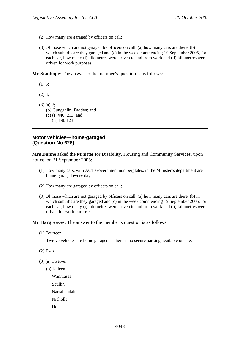- (2) How many are garaged by officers on call;
- (3) Of those which are not garaged by officers on call, (a) how many cars are there, (b) in which suburbs are they garaged and (c) in the week commencing 19 September 2005, for each car, how many (i) kilometres were driven to and from work and (ii) kilometres were driven for work purposes.

**Mr Stanhope**: The answer to the member's question is as follows:

(1) 5;

(2) 3;

- (3) (a) 2;
	- (b) Gungahlin; Fadden; and
	- (c) (i) 440; 213; and
	- (ii) 190;123.

# **Motor vehicles—home-garaged (Question No 628)**

**Mrs Dunne** asked the Minister for Disability, Housing and Community Services, upon notice, on 21 September 2005:

- (1) How many cars, with ACT Government numberplates, in the Minister's department are home-garaged every day;
- (2) How many are garaged by officers on call;
- (3) Of those which are not garaged by officers on call, (a) how many cars are there, (b) in which suburbs are they garaged and (c) in the week commencing 19 September 2005, for each car, how many (i) kilometres were driven to and from work and (ii) kilometres were driven for work purposes.

**Mr Hargreaves**: The answer to the member's question is as follows:

(1) Fourteen.

Twelve vehicles are home garaged as there is no secure parking available on site.

- (2) Two.
- (3) (a) Twelve.

(b) Kaleen

Wanniassa

Scullin

Narrabundah

Nicholls

Holt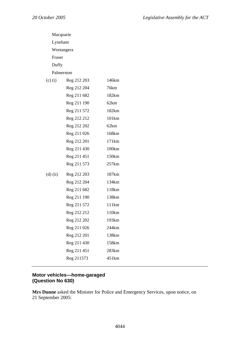|             | Macquarie   |                   |  |  |  |
|-------------|-------------|-------------------|--|--|--|
|             | Lyneham     |                   |  |  |  |
|             | Weetangera  |                   |  |  |  |
| Fraser      |             |                   |  |  |  |
| Duffy       |             |                   |  |  |  |
|             | Palmerston  |                   |  |  |  |
| $(c)$ $(i)$ | Reg 212 203 | 146km             |  |  |  |
|             | Reg 212 204 | 76km              |  |  |  |
|             | Reg 211 682 | 182km             |  |  |  |
|             | Reg 211 190 | 62km              |  |  |  |
|             | Reg 211 572 | 182km             |  |  |  |
|             | Reg 212 212 | 101 <sub>km</sub> |  |  |  |
|             | Reg 212 202 | 62km              |  |  |  |
|             | Reg 211 026 | 168km             |  |  |  |
|             | Reg 212 201 | 171km             |  |  |  |
|             | Reg 211 430 | 100km             |  |  |  |
|             | Reg 211 451 | 150km             |  |  |  |
|             | Reg 211 573 | 257km             |  |  |  |
| $(d)$ (ii)  | Reg 212 203 | 187km             |  |  |  |
|             | Reg 212 204 | 134km             |  |  |  |
|             | Reg 211 682 | 118km             |  |  |  |
|             | Reg 211 190 | 138km             |  |  |  |
|             | Reg 211 572 | 111km             |  |  |  |
|             | Reg 212 212 | 110km             |  |  |  |
|             | Reg 212 202 | 193km             |  |  |  |
|             | Reg 211 026 | 244km             |  |  |  |
|             | Reg 212 201 | 138km             |  |  |  |
|             | Reg 211 430 | 158km             |  |  |  |
|             | Reg 211 451 | 283 <sub>km</sub> |  |  |  |
|             | Reg 211573  | 451km             |  |  |  |
|             |             |                   |  |  |  |

# **Motor vehicles—home-garaged (Question No 630)**

**Mrs Dunne** asked the Minister for Police and Emergency Services, upon notice, on 21 September 2005: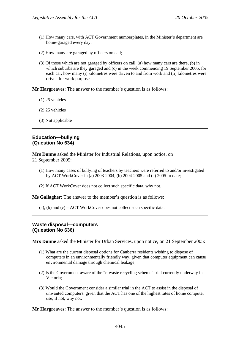- (1) How many cars, with ACT Government numberplates, in the Minister's department are home-garaged every day;
- (2) How many are garaged by officers on call;
- (3) Of those which are not garaged by officers on call, (a) how many cars are there, (b) in which suburbs are they garaged and (c) in the week commencing 19 September 2005, for each car, how many (i) kilometres were driven to and from work and (ii) kilometres were driven for work purposes.

**Mr Hargreaves**: The answer to the member's question is as follows:

- (1) 25 vehicles
- (2) 25 vehicles
- (3) Not applicable

### **Education—bullying (Question No 634)**

**Mrs Dunne** asked the Minister for Industrial Relations, upon notice, on 21 September 2005:

- (1) How many cases of bullying of teachers by teachers were referred to and/or investigated by ACT WorkCover in (a) 2003-2004, (b) 2004-2005 and (c) 2005-to date;
- (2) If ACT WorkCover does not collect such specific data, why not.

**Ms Gallagher**: The answer to the member's question is as follows:

(a), (b) and  $(c)$  – ACT WorkCover does not collect such specific data.

# **Waste disposal—computers (Question No 636)**

**Mrs Dunne** asked the Minister for Urban Services, upon notice, on 21 September 2005:

- (1) What are the current disposal options for Canberra residents wishing to dispose of computers in an environmentally friendly way, given that computer equipment can cause environmental damage through chemical leakage;
- (2) Is the Government aware of the "e-waste recycling scheme" trial currently underway in Victoria;
- (3) Would the Government consider a similar trial in the ACT to assist in the disposal of unwanted computers, given that the ACT has one of the highest rates of home computer use; if not, why not.

**Mr Hargreaves**: The answer to the member's question is as follows: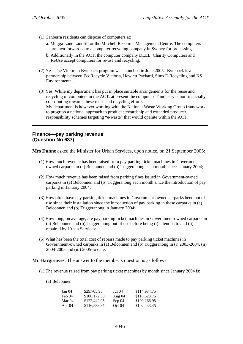- (1) Canberra residents can dispose of computers at:
	- a. Mugga Lane Landfill or the Mitchell Resource Management Centre. The computers are then forwarded to a computer recycling company in Sydney for processing.
	- b. Additionally in the ACT, the computer company DELL, Charity Computers and ReUse accept computers for re-use and recycling.
- (2) Yes. The Victorian Byteback program was launched in June 2005. Byteback is a partnership between EcoRecycle Victoria, Hewlett Packard, Sims E-Recycling and KS Environmental.
- (3) Yes. While my department has put in place suitable arrangements for the reuse and recycling of computers in the ACT, at present the computer/IT industry is not financially contributing towards these reuse and recycling efforts. My department is however working with the National Waste Working Group framework to progress a national approach to product stewardship and extended producer responsibility schemes targeting "e-waste" that would operate within the ACT.

# **Finance—pay parking revenue (Question No 637)**

**Mrs Dunne** asked the Minister for Urban Services, upon notice, on 21 September 2005:

- (1) How much revenue has been raised from pay parking ticket machines in Governmentowned carparks in (a) Belconnen and (b) Tuggeranong each month since January 2004;
- (2) How much revenue has been raised from parking fines issued in Government-owned carparks in (a) Belconnen and (b) Tuggeranong each month since the introduction of pay parking in January 2004;
- (3) How often have pay parking ticket machines in Government-owned carparks been out of use since their installation since the introduction of pay parking in these carparks in (a) Belconnen and (b) Tuggeranong in January 2004;
- (4) How long, on average, are pay parking ticket machines in Government-owned carparks in (a) Belconnen and (b) Tuggeranong out of use before being (i) attended to and (ii) repaired by Urban Services;
- (5) What has been the total cost of repairs made to pay parking ticket machines in Government-owned carparks in (a) Belconnen and (b) Tuggeranong in (i) 2003-2004, (ii) 2004-2005 and (iii) 2005-to date.

**Mr Hargreaves**: The answer to the member's question is as follows:

(1) The revenue raised from pay parking ticket machines by month since January 2004 is:

(a) Belconnen

| Jan 04 | \$29,705.95  | Jul 04   | \$114,984.75 |
|--------|--------------|----------|--------------|
| Feb 04 | \$106,172.30 | Aug $04$ | \$110,523.75 |
| Mar 04 | \$122,442.05 | Sep 04   | \$109,266.95 |
| Apr 04 | \$116,838.35 | Oct 04   | \$102,433.45 |
|        |              |          |              |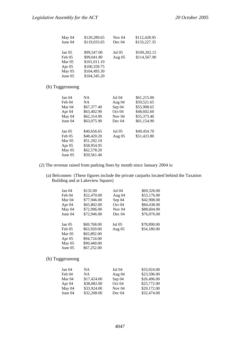| May 04   | \$120,289.65 | Nov $04$ | \$112,428.95 |
|----------|--------------|----------|--------------|
| June 04  | \$119,033.65 | Dec 04   | \$133,227.35 |
| Jan 05   | \$99,547.00  | Jul 05   | \$109,202.15 |
| Feb 05   | \$99,041.80  | Aug $05$ | \$114,567.90 |
| Mar $05$ | \$101,011.10 |          |              |
| Apr $05$ | \$100,359.75 |          |              |
| May 05   | \$104,495.30 |          |              |
| June 05  | \$104,345.20 |          |              |

# (b) Tuggeranong

| Jan 04  | NA          | Jul 04   | \$61,215.00 |
|---------|-------------|----------|-------------|
| Feb 04  | NA.         | Aug 04   | \$59,521.65 |
| Mar 04  | \$67,377.40 | Sep 04   | \$55,908.65 |
| Apr 04  | \$63,402.90 | Oct 04   | \$48,602.60 |
| May 04  | \$62,314.90 | Nov $04$ | \$55,373.40 |
| June 04 | \$63,075.90 | Dec 04   | \$61,154.90 |
| Jan 05  | \$40,656.65 | Jul 05   | \$49,454.70 |
| Feb 05  | \$48,420.20 | Aug $05$ | \$51,423.80 |
| Mar 05  | \$51,292.10 |          |             |
| Apr 05  | \$58,954.95 |          |             |
| May 05  | \$62,578.20 |          |             |
| June 05 | \$59,561.40 |          |             |
|         |             |          |             |

- (2) The revenue raised from parking fines by month since January 2004 is:
	- (a) Belconnen (These figures include the private carparks located behind the Taxation Building and at Lakeview Square)

| Jan 04  | \$132.00    | Jul 04   | \$69,326.00 |
|---------|-------------|----------|-------------|
| Feb 04  | \$52,470.00 | Aug 04   | \$53,176.00 |
| Mar 04  | \$77,946.00 | Sep 04   | \$42,908.00 |
| Apr 04  | \$65,802.00 | Oct 04   | \$84,438.00 |
| May 04  | \$72,996.00 | Nov $04$ | \$88,604.00 |
| June 04 | \$72,946.00 | Dec 04   | \$76,976.00 |
| Jan 05  | \$69,768.00 | Jul 05   | \$78,890.00 |
| Feb 05  | \$63,920.00 | Aug $05$ | \$54,180.00 |
| Mar 05  | \$65,892.00 |          |             |
| Apr 05  | \$94,724.00 |          |             |
| May 05  | \$90,440.00 |          |             |
| June 05 | \$67,252.00 |          |             |
|         |             |          |             |

(b) Tuggeranong

| Jan 04   | NA          | Jul 04            | \$33,924.00 |
|----------|-------------|-------------------|-------------|
| Feb 04   | NА          | Aug $04$          | \$23,596.00 |
| Mar 04   | \$17,424.00 | Sep 04            | \$26,496.00 |
| Apr $04$ | \$38,082.00 | Oct <sub>04</sub> | \$25,772.00 |
| May 04   | \$33,924.00 | Nov $04$          | \$29,172.00 |
| June 04  | \$32,208.00 | Dec 04            | \$32,474.00 |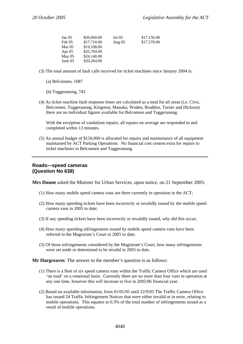| Jan 05  | \$20,060.00 | Jul 05   | \$17,150.00 |
|---------|-------------|----------|-------------|
| Feb 05  | \$17,710.00 | Aug $05$ | \$17,570.00 |
| Mar 05  | \$19,108.00 |          |             |
| Apr 05  | \$25,704.00 |          |             |
| May 05  | \$24,140.00 |          |             |
| June 05 | \$20,264.00 |          |             |

- (3) The total amount of fault calls received for ticket machines since January 2004 is:
	- (a) Belconnen, 1087
	- (b) Tuggeranong, 743
- (4) As ticket machine fault response times are calculated as a total for all areas (i.e. Civic, Belconnen, Tuggeranong, Kingston, Manuka, Woden, Braddon, Turner and Dickson) there are no individual figures available for Belconnen and Tuggeranong.

With the exception of vandalism repairs, all repairs on average are responded to and completed within 13 minutes.

(5) An annual budget of \$150,000 is allocated for repairs and maintenance of all equipment maintained by ACT Parking Operations. No financial cost centres exist for repairs to ticket machines in Belconnen and Tuggeranong.

## **Roads—speed cameras (Question No 638)**

**Mrs Dunne** asked the Minister for Urban Services, upon notice, on 21 September 2005:

- (1) How many mobile speed camera vans are there currently in operation in the ACT;
- (2) How many speeding tickets have been incorrectly or invalidly issued by the mobile speed camera vans in 2005 to date;
- (3) If any speeding tickets have been incorrectly or invalidly issued, why did this occur;
- (4) How many speeding infringements issued by mobile speed camera vans have been referred to the Magistrate's Court in 2005 to date;
- (5) Of those infringements considered by the Magistrate's Court, how many infringements were set aside or determined to be invalid in 2005 to date.

**Mr Hargreaves**: The answer to the member's question is as follows:

- (1) There is a fleet of six speed camera vans within the Traffic Camera Office which are used 'on road' on a rotational basis. Currently there are no more than four vans in operation at any one time, however this will increase to five in 2005/06 financial year.
- (2) Based on available information, from 01/01/05 until 22/9/05 The Traffic Camera Office has issued 24 Traffic Infringement Notices that were either invalid or in error, relating to mobile operations. This equates to 0.3% of the total number of infringements issued as a result of mobile operations.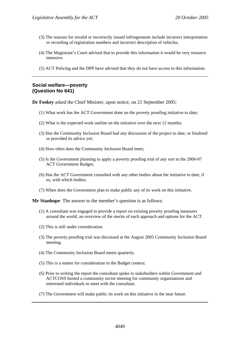- (3) The reasons for invalid or incorrectly issued infringements include incorrect interpretation or recording of registration numbers and incorrect description of vehicles.
- (4) The Magistrate's Court advised that to provide this information it would be very resource intensive.
- (5) ACT Policing and the DPP have advised that they do not have access to this information.

# **Social welfare—poverty (Question No 641)**

**Dr Foskey** asked the Chief Minister, upon notice, on 21 September 2005:

- (1) What work has the ACT Government done on the poverty proofing initiative to date;
- (2) What is the expected work outline on the initiative over the next 12 months;
- (3) Has the Community Inclusion Board had any discussion of the project to date, or finalised or provided its advice yet;
- (4) How often does the Community Inclusion Board meet;
- (5) Is the Government planning to apply a poverty proofing trial of any sort to the 2006-07 ACT Government Budget;
- (6) Has the ACT Government consulted with any other bodies about the initiative to date; if so, with which bodies;
- (7) When does the Government plan to make public any of its work on this initiative.

**Mr Stanhope**: The answer to the member's question is as follows:

- (1) A consultant was engaged to provide a report on existing poverty proofing measures around the world, an overview of the merits of each approach and options for the ACT.
- (2) This is still under consideration.
- (3) The poverty proofing trial was discussed at the August 2005 Community Inclusion Board meeting.
- (4) The Community Inclusion Board meets quarterly.
- (5) This is a matter for consideration in the Budget context.
- (6) Prior to writing the report the consultant spoke to stakeholders within Government and ACTCOSS hosted a community sector meeting for community organisations and interested individuals to meet with the consultant.
- (7) The Government will make public its work on this initiative in the near future.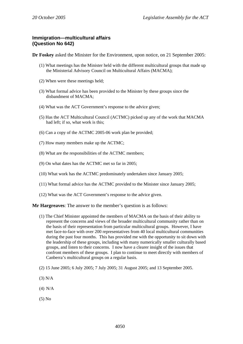# **Immigration—multicultural affairs (Question No 642)**

**Dr Foskey** asked the Minister for the Environment, upon notice, on 21 September 2005:

- (1) What meetings has the Minister held with the different multicultural groups that made up the Ministerial Advisory Council on Multicultural Affairs (MACMA);
- (2) When were these meetings held;
- (3) What formal advice has been provided to the Minister by these groups since the disbandment of MACMA;
- (4) What was the ACT Government's response to the advice given;
- (5) Has the ACT Multicultural Council (ACTMC) picked up any of the work that MACMA had left; if so, what work is this;
- (6) Can a copy of the ACTMC 2005-06 work plan be provided;
- (7) How many members make up the ACTMC;
- (8) What are the responsibilities of the ACTMC members;
- (9) On what dates has the ACTMC met so far in 2005;
- (10) What work has the ACTMC predominately undertaken since January 2005;
- (11) What formal advice has the ACTMC provided to the Minister since January 2005;
- (12) What was the ACT Government's response to the advice given.

## **Mr Hargreaves**: The answer to the member's question is as follows:

- (1) The Chief Minister appointed the members of MACMA on the basis of their ability to represent the concerns and views of the broader multicultural community rather than on the basis of their representation from particular multicultural groups. However, I have met face-to-face with over 200 representatives from 40 local multicultural communities during the past four months. This has provided me with the opportunity to sit down with the leadership of these groups, including with many numerically smaller culturally based groups, and listen to their concerns. I now have a clearer insight of the issues that confront members of these groups. I plan to continue to meet directly with members of Canberra's multicultural groups on a regular basis.
- (2) 15 June 2005; 6 July 2005; 7 July 2005; 31 August 2005; and 13 September 2005.
- (3) N/A
- (4) N/A
- (5) No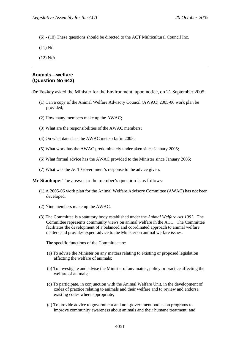(6) - (10) These questions should be directed to the ACT Multicultural Council Inc.

(11) Nil

(12) N/A

### **Animals—welfare (Question No 643)**

**Dr Foskey** asked the Minister for the Environment, upon notice, on 21 September 2005:

- (1) Can a copy of the Animal Welfare Advisory Council (AWAC) 2005-06 work plan be provided;
- (2) How many members make up the AWAC;
- (3) What are the responsibilities of the AWAC members;
- (4) On what dates has the AWAC met so far in 2005;
- (5) What work has the AWAC predominately undertaken since January 2005;
- (6) What formal advice has the AWAC provided to the Minister since January 2005;
- (7) What was the ACT Government's response to the advice given.

**Mr Stanhope**: The answer to the member's question is as follows:

- (1) A 2005-06 work plan for the Animal Welfare Advisory Committee (AWAC) has not been developed.
- (2) Nine members make up the AWAC.
- (3) The Committee is a statutory body established under the *Animal Welfare Act 1992*. The Committee represents community views on animal welfare in the ACT. The Committee facilitates the development of a balanced and coordinated approach to animal welfare matters and provides expert advice to the Minister on animal welfare issues.

The specific functions of the Committee are:

- (a) To advise the Minister on any matters relating to existing or proposed legislation affecting the welfare of animals;
- (b) To investigate and advise the Minister of any matter, policy or practice affecting the welfare of animals;
- (c) To participate, in conjunction with the Animal Welfare Unit, in the development of codes of practice relating to animals and their welfare and to review and endorse existing codes where appropriate;
- (d) To provide advice to government and non-government bodies on programs to improve community awareness about animals and their humane treatment; and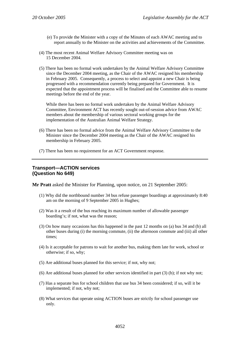- (e) To provide the Minister with a copy of the Minutes of each AWAC meeting and to report annually to the Minister on the activities and achievements of the Committee.
- (4) The most recent Animal Welfare Advisory Committee meeting was on 15 December 2004.
- (5) There has been no formal work undertaken by the Animal Welfare Advisory Committee since the December 2004 meeting, as the Chair of the AWAC resigned his membership in February 2005. Consequently, a process to select and appoint a new Chair is being progressed with a recommendation currently being prepared for Government. It is expected that the appointment process will be finalised and the Committee able to resume meetings before the end of the year.

While there has been no formal work undertaken by the Animal Welfare Advisory Committee, Environment ACT has recently sought out-of-session advice from AWAC members about the membership of various sectoral working groups for the implementation of the Australian Animal Welfare Strategy.

- (6) There has been no formal advice from the Animal Welfare Advisory Committee to the Minister since the December 2004 meeting as the Chair of the AWAC resigned his membership in February 2005.
- (7) There has been no requirement for an ACT Government response.

# **Transport—ACTION services (Question No 649)**

**Mr Pratt** asked the Minister for Planning, upon notice, on 21 September 2005:

- (1) Why did the northbound number 34 bus refuse passenger boardings at approximately 8:40 am on the morning of 9 September 2005 in Hughes;
- (2) Was it a result of the bus reaching its maximum number of allowable passenger boarding's; if not, what was the reason;
- (3) On how many occasions has this happened in the past 12 months on (a) bus 34 and (b) all other buses during (i) the morning commute, (ii) the afternoon commute and (iii) all other times;
- (4) Is it acceptable for patrons to wait for another bus, making them late for work, school or otherwise; if so, why;
- (5) Are additional buses planned for this service; if not, why not;
- (6) Are additional buses planned for other services identified in part (3) (b); if not why not;
- (7) Has a separate bus for school children that use bus 34 been considered; if so, will it be implemented; if not, why not;
- (8) What services that operate using ACTION buses are strictly for school passenger use only.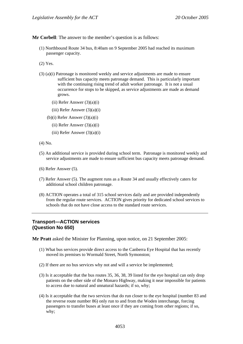**Mr Corbell**: The answer to the member's question is as follows:

- (1) Northbound Route 34 bus, 8:40am on 9 September 2005 had reached its maximum passenger capacity.
- (2) Yes.
- (3) (a)(i) Patronage is monitored weekly and service adjustments are made to ensure sufficient bus capacity meets patronage demand. This is particularly important with the continuing rising trend of adult worker patronage. It is not a usual occurrence for stops to be skipped, as service adjustments are made as demand grows.
	- $(ii)$  Refer Answer  $(3)(a)(i)$
	- (iii) Refer Answer (3)(a)(i)
	- (b)(i) Refer Answer (3)(a)(i)
		- $(ii)$  Refer Answer  $(3)(a)(i)$
		- $(iii)$  Refer Answer  $(3)(a)(i)$
- (4) No.
- (5) An additional service is provided during school term. Patronage is monitored weekly and service adjustments are made to ensure sufficient bus capacity meets patronage demand.
- (6) Refer Answer (5).
- (7) Refer Answer (5). The augment runs as a Route 34 and usually effectively caters for additional school children patronage.
- (8) ACTION operates a total of 315 school services daily and are provided independently from the regular route services. ACTION gives priority for dedicated school services to schools that do not have close access to the standard route services.

## **Transport—ACTION services (Question No 650)**

**Mr Pratt** asked the Minister for Planning, upon notice, on 21 September 2005:

- (1) What bus services provide direct access to the Canberra Eye Hospital that has recently moved its premises to Wormald Street, North Symonston;
- (2) If there are no bus services why not and will a service be implemented;
- (3) Is it acceptable that the bus routes 35, 36, 38, 39 listed for the eye hospital can only drop patients on the other side of the Monaro Highway, making it near impossible for patients to access due to natural and unnatural hazards; if so, why;
- (4) Is it acceptable that the two services that do run closer to the eye hospital (number 83 and the reverse route number 86) only run to and from the Woden interchange, forcing passengers to transfer buses at least once if they are coming from other regions; if so, why;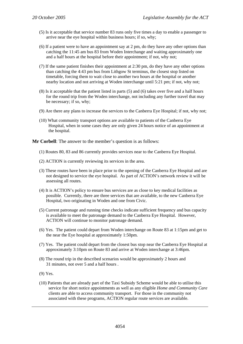- (5) Is it acceptable that service number 83 runs only five times a day to enable a passenger to arrive near the eye hospital within business hours; if so, why;
- (6) If a patient were to have an appointment say at 2 pm, do they have any other options than catching the 11:45 am bus 83 from Woden Interchange and waiting approximately one and a half hours at the hospital before their appointment; if not, why not;
- (7) If the same patient finishes their appointment at 2:30 pm, do they have any other options than catching the 4:43 pm bus from Lithgow St terminus, the closest stop listed on timetable, forcing them to wait close to another two hours at the hospital or another nearby location and not arriving at Woden interchange until 5:21 pm; if not, why not;
- (8) Is it acceptable that the patient listed in parts (5) and (6) takes over five and a half hours for the round trip from the Woden interchange, not including any further travel that may be necessary; if so, why;
- (9) Are there any plans to increase the services to the Canberra Eye Hospital; if not, why not;
- (10) What community transport options are available to patients of the Canberra Eye Hospital, when in some cases they are only given 24 hours notice of an appointment at the hospital.

**Mr Corbell**: The answer to the member's question is as follows:

- (1) Routes 80, 83 and 86 currently provides services near to the Canberra Eye Hospital.
- (2) ACTION is currently reviewing its services in the area.
- (3) These routes have been in place prior to the opening of the Canberra Eye Hospital and are not designed to service the eye hospital. As part of ACTION's network review it will be assessing all routes.
- (4) It is ACTION's policy to ensure bus services are as close to key medical facilities as possible. Currently, there are three services that are available, to the new Canberra Eye Hospital, two originating in Woden and one from Civic.
- (5) Current patronage and running time checks indicate sufficient frequency and bus capacity is available to meet the patronage demand to the Canberra Eye Hospital. However, ACTION will continue to monitor patronage demand.
- (6) Yes. The patient could depart from Woden interchange on Route 83 at 1:15pm and get to the near the Eye hospital at approximately 1:50pm.
- (7) Yes. The patient could depart from the closest bus stop near the Canberra Eye Hospital at approximately 3:10pm on Route 83 and arrive at Woden interchange at 3:46pm.
- (8) The round trip in the described scenarios would be approximately 2 hours and 31 minutes, not over 5 and a half hours .
- (9) Yes.
- (10) Patients that are already part of the Taxi Subsidy Scheme would be able to utilise this service for short notice appointments as well as any eligible *Home and Community Care* clients are able to access community transport. For those in the community not associated with these programs, ACTION regular route services are available.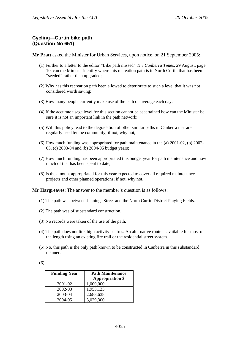# **Cycling—Curtin bike path (Question No 651)**

**Mr Pratt** asked the Minister for Urban Services, upon notice, on 21 September 2005:

- (1) Further to a letter to the editor "Bike path missed" *The Canberra Times*, 29 August, page 10, can the Minister identify where this recreation path is in North Curtin that has been "seeded" rather than upgraded;
- (2) Why has this recreation path been allowed to deteriorate to such a level that it was not considered worth saving;
- (3) How many people currently make use of the path on average each day;
- (4) If the accurate usage level for this section cannot be ascertained how can the Minister be sure it is not an important link in the path network;
- (5) Will this policy lead to the degradation of other similar paths in Canberra that are regularly used by the community; if not, why not;
- (6) How much funding was appropriated for path maintenance in the (a) 2001-02, (b) 2002- 03, (c) 2003-04 and (b) 2004-05 budget years;
- (7) How much funding has been appropriated this budget year for path maintenance and how much of that has been spent to date;
- (8) Is the amount appropriated for this year expected to cover all required maintenance projects and other planned operations; if not, why not.

**Mr Hargreaves**: The answer to the member's question is as follows:

- (1) The path was between Jennings Street and the North Curtin District Playing Fields.
- (2) The path was of substandard construction.
- (3) No records were taken of the use of the path.
- (4) The path does not link high activity centres. An alternative route is available for most of the length using an existing fire trail or the residential street system.
- (5) No, this path is the only path known to be constructed in Canberra in this substandard manner.

(6)

| <b>Funding Year</b> | <b>Path Maintenance</b><br><b>Appropriation \$</b> |
|---------------------|----------------------------------------------------|
| 2001-02             | 1,000,000                                          |
| 2002-03             | 1,953,125                                          |
| 2003-04             | 2,683,638                                          |
| 2004-05             | 3,029,300                                          |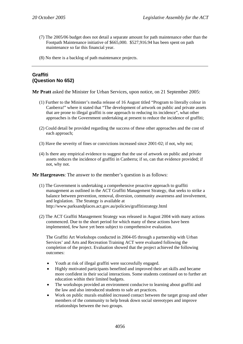- (7) The 2005/06 budget does not detail a separate amount for path maintenance other than the Footpath Maintenance initiative of \$665,000. \$527,916.94 has been spent on path maintenance so far this financial year.
- (8) No there is a backlog of path maintenance projects.

# **Graffiti (Question No 652)**

**Mr Pratt** asked the Minister for Urban Services, upon notice, on 21 September 2005:

- (1) Further to the Minister's media release of 16 August titled "Program to literally colour in Canberra!" where it stated that "The development of artwork on public and private assets that are prone to illegal graffiti is one approach to reducing its incidence", what other approaches is the Government undertaking at present to reduce the incidence of graffiti;
- (2) Could detail be provided regarding the success of these other approaches and the cost of each approach;
- (3) Have the severity of fines or convictions increased since 2001-02; if not, why not;
- (4) Is there any empirical evidence to suggest that the use of artwork on public and private assets reduces the incidence of graffiti in Canberra; if so, can that evidence provided; if not, why not.

**Mr Hargreaves**: The answer to the member's question is as follows:

- (1) The Government is undertaking a comprehensive proactive approach to graffiti management as outlined in the ACT Graffiti Management Strategy, that seeks to strike a balance between prevention, removal, diversion, community awareness and involvement, and legislation. The Strategy is available at http://www.parksandplaces.act.gov.au/policies/graffitistrategy.html
- (2) The ACT Graffiti Management Strategy was released in August 2004 with many actions commenced. Due to the short period for which many of these actions have been implemented, few have yet been subject to comprehensive evaluation.

The Graffiti Art Workshops conducted in 2004-05 through a partnership with Urban Services' and Arts and Recreation Training ACT were evaluated following the completion of the project. Evaluation showed that the project achieved the following outcomes:

- Youth at risk of illegal graffiti were successfully engaged.
- Highly motivated participants benefited and improved their art skills and became more confident in their social interactions. Some students continued on to further art education within their limited budgets.
- The workshops provided an environment conducive to learning about graffiti and the law and also introduced students to safe art practices.
- Work on public murals enabled increased contact between the target group and other members of the community to help break down social stereotypes and improve relationships between the two groups.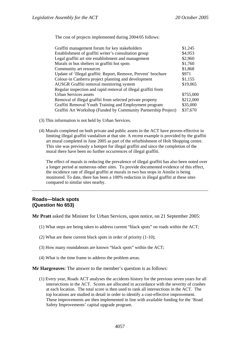The cost of projects implemented during 2004/05 follows:

| Graffiti management forum for key stakeholders                  | \$1,245   |
|-----------------------------------------------------------------|-----------|
| Establishment of graffiti writer's consultation group           | \$4,953   |
| Legal graffiti art site establishment and management            | \$2,960   |
| Murals in bus shelters in graffiti hot spots                    | \$1,760   |
| Community art resources                                         | \$1,868   |
| Update of 'Illegal graffiti: Report, Remove, Prevent' brochure  | \$971     |
| Colour-in Canberra project planning and development             | \$1,155   |
| AUSGR Graffiti removal monitoring system                        | \$19,065  |
| Regular inspection and rapid removal of illegal graffiti from   |           |
| Urban Services assets                                           | \$755,000 |
| Removal of illegal graffiti from selected private property      | \$212,000 |
| Graffiti Removal Youth Training and Employment program          | \$35,000  |
| Graffiti Art Workshop (Funded by Community Partnership Project) | \$37,670  |

- (3) This information is not held by Urban Services.
- (4) Murals completed on both private and public assets in the ACT have proven effective in limiting illegal graffiti vandalism at that site. A recent example is provided by the graffiti art mural completed in June 2005 as part of the refurbishment of Holt Shopping centre. This site was previously a hotspot for illegal graffiti and since the completion of the mural there have been no further occurrences of illegal graffiti.

The effect of murals in reducing the prevalence of illegal graffiti has also been noted over a longer period at numerous other sites. To provide documented evidence of this effect, the incidence rate of illegal graffiti at murals in two bus stops in Ainslie is being monitored. To date, there has been a 100% reduction in illegal graffiti at these sites compared to similar sites nearby.

# **Roads—black spots (Question No 653)**

**Mr Pratt** asked the Minister for Urban Services, upon notice, on 21 September 2005:

- (1) What steps are being taken to address current "black spots" on roads within the ACT;
- (2) What are these current black spots in order of priority (1-10);
- (3) How many roundabouts are known "black spots" within the ACT;
- (4) What is the time frame to address the problem areas.

## **Mr Hargreaves**: The answer to the member's question is as follows:

(1) Every year, Roads ACT analyses the accidents history for the previous seven years for all intersections in the ACT. Scores are allocated in accordance with the severity of crashes at each location. The total score is then used to rank all intersections in the ACT. The top locations are studied in detail in order to identify a cost-effective improvement. These improvements are then implemented in line with available funding for the 'Road Safety Improvements' capital upgrade program.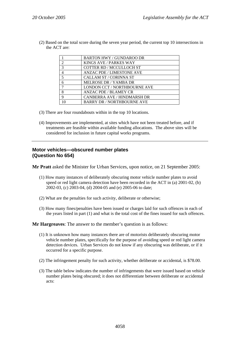|                | <b>BARTON HWY / GUNDAROO DR</b>    |
|----------------|------------------------------------|
| $\overline{2}$ | <b>KINGS AVE / PARKES WAY</b>      |
| 3              | COTTER RD / MCCULLOCH ST           |
| 4              | <b>ANZAC PDE / LIMESTONE AVE</b>   |
| 5              | <b>CALLAM ST / CORINNA ST</b>      |
| 6              | <b>MELROSE DR / YAMBA DR</b>       |
| 7              | LONDON CCT / NORTHBOURNE AVE       |
| 8              | <b>ANZAC PDE / BLAMEY CR</b>       |
| 9              | <b>CANBERRA AVE / HINDMARSH DR</b> |
|                | <b>BARRY DR / NORTHBOURNE AVE</b>  |

(2) Based on the total score during the seven year period, the current top 10 intersections in the ACT are:

- (3) There are four roundabouts within in the top 10 locations.
- (4) Improvements are implemented, at sites which have not been treated before, and if treatments are feasible within available funding allocations. The above sites will be considered for inclusion in future capital works programs.

# **Motor vehicles—obscured number plates (Question No 654)**

**Mr Pratt** asked the Minister for Urban Services, upon notice, on 21 September 2005:

- (1) How many instances of deliberately obscuring motor vehicle number plates to avoid speed or red light camera detection have been recorded in the ACT in (a) 2001-02, (b) 2002-03, (c) 2003-04, (d) 2004-05 and (e) 2005-06 to date;
- (2) What are the penalties for such activity, deliberate or otherwise;
- (3) How many fines/penalties have been issued or charges laid for such offences in each of the years listed in part (1) and what is the total cost of the fines issued for such offences.

**Mr Hargreaves**: The answer to the member's question is as follows:

- (1) It is unknown how many instances there are of motorists deliberately obscuring motor vehicle number plates, specifically for the purpose of avoiding speed or red light camera detection devices. Urban Services do not know if any obscuring was deliberate, or if it occurred for a specific purpose.
- (2) The infringement penalty for such activity, whether deliberate or accidental, is \$78.00.
- (3) The table below indicates the number of infringements that were issued based on vehicle number plates being obscured; it does not differentiate between deliberate or accidental acts: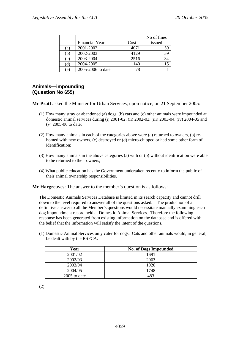|     |                       |      | No of fines |
|-----|-----------------------|------|-------------|
|     | <b>Financial Year</b> | Cost | issued      |
| (a) | 2001-2002             | 4071 | 59          |
| (b) | 2002-2003             | 4129 | 59          |
| (c) | 2003-2004             | 2516 | 34          |
| (d) | 2004-2005             | 1140 |             |
| e)  | 2005-2006 to date     | 78   |             |

# **Animals—impounding (Question No 655)**

**Mr Pratt** asked the Minister for Urban Services, upon notice, on 21 September 2005:

- (1) How many stray or abandoned (a) dogs, (b) cats and (c) other animals were impounded at domestic animal services during (i) 2001-02, (ii) 2002-03, (iii) 2003-04, (iv) 2004-05 and (v) 2005-06 to date;
- (2) How many animals in each of the categories above were (a) returned to owners, (b) rehomed with new owners, (c) destroyed or (d) micro-chipped or had some other form of identification;
- (3) How many animals in the above categories (a) with or (b) without identification were able to be returned to their owners;
- (4) What public education has the Government undertaken recently to inform the public of their animal ownership responsibilities.

**Mr Hargreaves**: The answer to the member's question is as follows:

The Domestic Animals Services Database is limited in its search capacity and cannot drill down to the level required to answer all of the questions asked. The production of a definitive answer to all the Member's questions would necessitate manually examining each dog impoundment record held at Domestic Animal Services. Therefore the following response has been generated from existing information on the database and is offered with the belief that the information will satisfy the intent of the questions.

(1) Domestic Animal Services only cater for dogs. Cats and other animals would, in general, be dealt with by the RSPCA.

| Year         | <b>No. of Dogs Impounded</b> |
|--------------|------------------------------|
| 2001/02      | 1691                         |
| 2002/03      | 2063                         |
| 2003/04      | 1920                         |
| 2004/05      | 1748                         |
| 2005 to date | 483                          |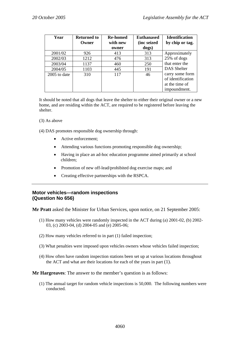| Year         | <b>Returned to</b> | <b>Re-homed</b> | <b>Euthanased</b> | <b>Identification</b> |
|--------------|--------------------|-----------------|-------------------|-----------------------|
|              | Owner              | with new        | (inc seized       | by chip or tag.       |
|              |                    | owner           | dogs)             |                       |
| 2001/02      | 926                | 413             | 313               | Approximately         |
| 2002/03      | 1212               | 476             | 313               | 25% of dogs           |
| 2003/04      | 1137               | 460             | 250               | that enter the        |
| 2004/05      | 1103               | 445             | 191               | DAS Shelter           |
| 2005 to date | 310                | 117             | 46                | carry some form       |
|              |                    |                 |                   | of identification     |
|              |                    |                 |                   | at the time of        |
|              |                    |                 |                   | impoundment.          |

It should be noted that all dogs that leave the shelter to either their original owner or a new home, and are residing within the ACT, are required to be registered before leaving the shelter.

(3) As above

(4) DAS promotes responsible dog ownership through:

- Active enforcement:
- Attending various functions promoting responsible dog ownership;
- Having in place an ad-hoc education programme aimed primarily at school children;
- Promotion of new off-lead/prohibited dog exercise maps; and
- Creating effective partnerships with the RSPCA.

# **Motor vehicles—random inspections (Question No 656)**

**Mr Pratt** asked the Minister for Urban Services, upon notice, on 21 September 2005:

- (1) How many vehicles were randomly inspected in the ACT during (a) 2001-02, (b) 2002- 03, (c) 2003-04, (d) 2004-05 and (e) 2005-06;
- (2) How many vehicles referred to in part (1) failed inspection;
- (3) What penalties were imposed upon vehicles owners whose vehicles failed inspection;
- (4) How often have random inspection stations been set up at various locations throughout the ACT and what are their locations for each of the years in part (1).

## **Mr Hargreaves**: The answer to the member's question is as follows:

(1) The annual target for random vehicle inspections is 50,000. The following numbers were conducted.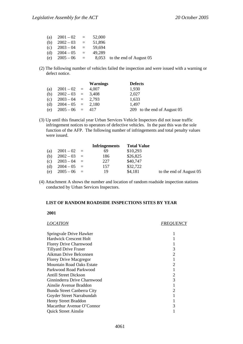| (a) | $2001 - 02$     | $\alpha_{\rm c} \equiv 0.000$ | 52,000 |                               |
|-----|-----------------|-------------------------------|--------|-------------------------------|
| (b) | $2002 - 03$     | $\alpha = 1$                  | 51.896 |                               |
|     | (c) $2003 - 04$ | $\alpha = 1$                  | 59.694 |                               |
| (d) | $2004 - 05$     | $\alpha = 1$                  | 49.289 |                               |
| (e) | $2005 - 06$     | $\mathbf{r} = \mathbf{r}$     |        | 8,053 to the end of August 05 |

(2) The following number of vehicles failed the inspection and were issued with a warning or defect notice.

|                         | <b>Warnings</b> | <b>Defects</b>              |
|-------------------------|-----------------|-----------------------------|
| (a) $2001 - 02 = 4.007$ |                 | 1,930                       |
| (b) $2002 - 03 = 3,408$ |                 | 2,027                       |
| (c) $2003 - 04 = 2,793$ |                 | 1,633                       |
| (d) $2004-05 = 2,180$   |                 | 1.497                       |
| (e) $2005 - 06 = 417$   |                 | 209 to the end of August 05 |

(3) Up until this financial year Urban Services Vehicle Inspectors did not issue traffic infringement notices to operators of defective vehicles. In the past this was the sole function of the AFP. The following number of infringements and total penalty values were issued.

|     |               | <b>Infringements</b> | <b>Total Value</b> |                         |
|-----|---------------|----------------------|--------------------|-------------------------|
| (a) | $2001 - 02 =$ | 69                   | \$10,293           |                         |
| (b) | $2002 - 03 =$ | 186                  | \$26,825           |                         |
| (c) | $2003 - 04 =$ | 227                  | \$40,747           |                         |
| (d) | $2004 - 05 =$ | 157                  | \$32,722           |                         |
| (e) | $2005 - 06 =$ | 19                   | \$4,181            | to the end of August 05 |

(4) Attachment A shows the number and location of random roadside inspection stations conducted by Urban Services Inspectors.

### **LIST OF RANDOM ROADSIDE INSPECTIONS SITES BY YEAR**

**2001** 

| LOCATION                         | <i>FREOUENCY</i> |
|----------------------------------|------------------|
| Springvale Drive Hawker          |                  |
| Hardwick Crescent Holt           |                  |
| Florey Drive Charnwood           |                  |
| <b>Tillyard Drive Fraser</b>     | 3                |
| Aikman Drive Belconnen           | 2                |
| <b>Florey Drive Macgregor</b>    |                  |
| <b>Mountain Road Oaks Estate</b> | 2                |
| Parkwood Road Parkwood           |                  |
| Antill Street Dickson            | 2                |
| Ginninderra Drive Charnwood      | 3                |
| Ainslie Avenue Braddon           |                  |
| Bunda Street Canberra City       | 2                |
| Goyder Street Narrabundah        |                  |
| <b>Henty Street Braddon</b>      |                  |
| Macarthur Avenue O'Connor        |                  |
| <b>Quick Street Ainslie</b>      |                  |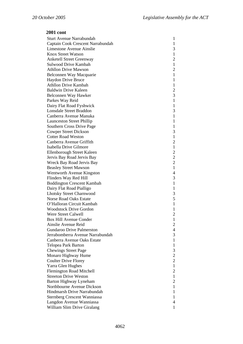| Sturt Avenue Narrabundah            | $\mathbf{1}$                               |
|-------------------------------------|--------------------------------------------|
| Captain Cook Crescent Narrabundah   | $\mathbf{1}$                               |
| Limestone Avenue Ainslie            | 3                                          |
| <b>Knox Street Watson</b>           | $\mathbf{1}$                               |
| <b>Anketell Street Greenway</b>     | $\overline{2}$                             |
| Sulwood Drive Kambah                | $\mathbf{1}$                               |
| <b>Athllon Drive Mawson</b>         | $\overline{c}$                             |
| Belconnen Way Macquarie             | $\mathbf{1}$                               |
| Haydon Drive Bruce                  | $\mathbf{1}$                               |
| <b>Athllon Drive Kambah</b>         | $\mathbf{1}$                               |
| <b>Baldwin Drive Kaleen</b>         |                                            |
| Belconnen Way Hawker                | $\frac{2}{3}$                              |
| Parkes Way Reid                     | $\mathbf{1}$                               |
| Dairy Flat Road Fyshwick            | $\mathbf{1}$                               |
| <b>Lonsdale Street Braddon</b>      | 3                                          |
| Canberra Avenue Manuka              | $\mathbf{1}$                               |
| <b>Launceston Street Phillip</b>    | $\mathbf{1}$                               |
| Southern Cross Drive Page           | $\mathbf{1}$                               |
| <b>Cowper Street Dickson</b>        | 3                                          |
| <b>Cotter Road Weston</b>           | $\mathbf{1}$                               |
| Canberra Avenue Griffith            | $\overline{c}$                             |
| Isabella Drive Gilmore              | $\mathbf{1}$                               |
| Ellenborough Street Kaleen          |                                            |
| Jervis Bay Road Jervis Bay          |                                            |
| Wreck Bay Road Jervis Bay           | $\begin{array}{c} 2 \\ 2 \\ 2 \end{array}$ |
| <b>Beasley Street Mawson</b>        | $\mathbf{1}$                               |
| Wentworth Avenue Kingston           | $\overline{\mathcal{L}}$                   |
| Flinders Way Red Hill               | 3                                          |
| <b>Boddington Crescent Kambah</b>   | $\mathbf{1}$                               |
| Dairy Flat Road Pialligo            | $\mathbf{1}$                               |
| <b>Lhotsky Street Charnwood</b>     | 3                                          |
| <b>Norse Road Oaks Estate</b>       | 5                                          |
| O'Halloran Circuit Kambah           | $\mathbf{1}$                               |
| <b>Woodstock Drive Gordon</b>       | $\mathbf{1}$                               |
| Were Street Calwell                 | $\overline{c}$                             |
| Box Hill Avenue Conder              | $\mathbf{1}$                               |
| Ainslie Avenue Reid                 | $\mathbf{2}$                               |
| <b>Gundaroo Drive Palmerston</b>    | $\overline{4}$                             |
| Jerrabomberra Avenue Narrabundah    | 3                                          |
| Canberra Avenue Oaks Estate         | $\mathbf{1}$                               |
| Telopea Park Barton                 | $\mathbf{1}$                               |
| <b>Chewings Street Page</b>         | 3                                          |
| Monaro Highway Hume                 | $\overline{c}$                             |
| <b>Coulter Drive Florey</b>         | $\overline{c}$                             |
| Yarra Glen Hughes                   | $\mathbf{1}$                               |
| <b>Flemington Road Mitchell</b>     | $\overline{2}$                             |
| <b>Streeton Drive Weston</b>        | $\mathbf{1}$                               |
| <b>Barton Highway Lyneham</b>       | $\overline{c}$                             |
| Northbourne Avenue Dickson          | $\mathbf{1}$                               |
| Hindmarsh Drive Narrabundah         | 1                                          |
| <b>Sternberg Crescent Wanniassa</b> | 1                                          |
| Langdon Avenue Wanniassa            | 4                                          |
| William Slim Drive Giralang         | 1                                          |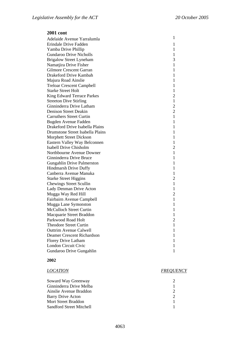| Adelaide Avenue Yarralumla             | 1              |
|----------------------------------------|----------------|
| Erindale Drive Fadden                  | 1              |
| Yamba Drive Phillip                    | 1              |
| <b>Gundaroo Drive Nicholls</b>         | 1              |
| <b>Brigalow Street Lyneham</b>         | 3              |
| Namatjira Drive Fisher                 | $\mathbf{1}$   |
| <b>Gilmore Crescent Garran</b>         | $\mathbf{1}$   |
| Drakeford Drive Kambah                 | $\mathbf{1}$   |
| Majura Road Ainslie                    | $\mathbf{1}$   |
| <b>Treloar Crescent Campbell</b>       | $\mathbf{1}$   |
| <b>Starke Street Holt</b>              | 1              |
| <b>King Edward Terrace Parkes</b>      | $\overline{2}$ |
| <b>Streeton Dive Stirling</b>          | $\mathbf{1}$   |
| Ginninderra Drive Latham               | $\overline{2}$ |
| <b>Denison Street Deakin</b>           | $\overline{2}$ |
| <b>Carruthers Street Curtin</b>        | $\mathbf{1}$   |
| Bugden Avenue Fadden                   | $\mathbf{1}$   |
| <b>Drakeford Drive Isabella Plains</b> | 1              |
| Drumstone Street Isabella Plains       | $\mathbf{1}$   |
| <b>Morphett Street Dickson</b>         | 1              |
| Eastern Valley Way Belconnen           | 1              |
| <b>Isabell Drive Chisholm</b>          | $\overline{2}$ |
| Northbourne Avenue Downer              | $\mathbf{1}$   |
| Ginninderra Drive Bruce                | $\mathbf{1}$   |
| <b>Gungahlin Drive Palmerston</b>      | $\mathbf{1}$   |
| <b>Hindmarsh Drive Duffy</b>           | $\mathbf{1}$   |
| Canberra Avenue Manuka                 | $\mathbf{1}$   |
| <b>Starke Street Higgins</b>           | $\overline{2}$ |
| <b>Chewings Street Scullin</b>         | $\mathbf{1}$   |
| Lady Denman Drive Acton                | 1              |
| Mugga Way Red Hill                     | $\overline{2}$ |
| Fairbairn Avenue Campbell              | $\mathbf{1}$   |
| Mugga Lane Symonston                   | $\mathbf{1}$   |
| <b>McCulloch Street Curtin</b>         | 1              |
| Macquarie Street Braddon               | 1              |
| Parkwood Road Holt                     | $\overline{c}$ |
| <b>Theodore Street Curtin</b>          | 1              |
| <b>Outtrim Avenue Calwell</b>          | 1              |
| <b>Deamer Crescent Richardson</b>      | 1              |
| <b>Florey Drive Latham</b>             | 1              |
| <b>London Circuit Civic</b>            | 1              |
| Gundaroo Drive Gungahlin               | 1              |
|                                        |                |

### **2002**

# *LOCATION FREQUENCY*

| Soward Way Greenway        |   |
|----------------------------|---|
| Ginninderra Drive Melba    |   |
| Ainslie Avenue Braddon     |   |
| Barry Drive Acton          | ∍ |
| <b>Mort Street Braddon</b> |   |
| Sandford Street Mitchell   |   |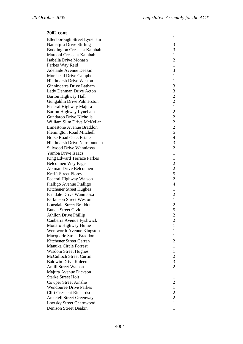| Ellenborough Street Lyneham       | $\mathbf{1}$                     |
|-----------------------------------|----------------------------------|
| Namatjira Drive Stirling          | 3                                |
| <b>Boddington Crescent Kambah</b> | 3                                |
| Marconi Crescent Kambah           | $\mathbf{1}$                     |
| Isabella Drive Monash             | $\overline{c}$                   |
| Parkes Way Reid                   | $\mathbf{1}$                     |
| Adelaide Avenue Deakin            | 3                                |
| Morshead Drive Campbell           | $\mathbf{1}$                     |
| <b>Hindmarsh Drive Weston</b>     | $\mathbf{1}$                     |
| Ginninderra Drive Latham          | 3                                |
| Lady Denman Drive Acton           | 3                                |
| <b>Barton Highway Hall</b>        | $\overline{c}$                   |
|                                   | $\overline{c}$                   |
| Gungahlin Drive Palmerston        | $\mathbf{1}$                     |
| Federal Highway Majura            |                                  |
| Barton Highway Lyneham            | $\overline{c}$<br>$\overline{c}$ |
| <b>Gundaroo Drive Nicholls</b>    |                                  |
| William Slim Drive McKellar       | $\overline{c}$                   |
| Limestone Avenue Braddon          | $rac{2}{5}$                      |
| <b>Flemington Road Mitchell</b>   |                                  |
| <b>Norse Road Oaks Estate</b>     | $\overline{4}$                   |
| Hindmarsh Drive Narrabundah       | 3                                |
| Sulwood Drive Wanniassa           | $\overline{c}$                   |
| Yamba Drive Isaacs                | $\mathbf{1}$                     |
| King Edward Terrace Parkes        | $\mathbf{1}$                     |
| Belconnen Way Page                | $\overline{c}$                   |
| Aikman Drive Belconnen            | $rac{2}{5}$                      |
| Krefft Street Florey              |                                  |
| Federal Highway Watson            | $\overline{c}$                   |
| Pialligo Avenue Pialligo          | $\overline{4}$                   |
| Kitchener Street Hughes           | $\mathbf{1}$                     |
| Erindale Drive Wanniassa          | $\overline{2}$                   |
| Parkinson Street Weston           | $\mathbf{1}$                     |
| <b>Lonsdale Street Braddon</b>    | $\overline{c}$                   |
| <b>Bunda Street Civic</b>         | 5                                |
| <b>Athllon Drive Phillip</b>      | $\overline{2}$                   |
| Canberra Avenue Fyshwick          | $\overline{\mathbf{c}}$          |
| Monaro Highway Hume               | 1                                |
| Wentworth Avenue Kingston         | 1                                |
| Macquarie Street Braddon          | 1                                |
| Kitchener Street Garran           | $\overline{2}$                   |
| Manuka Circle Forrest             | 1                                |
| <b>Wisdom Street Hughes</b>       | 1                                |
| <b>McCulloch Street Curtin</b>    | $\overline{c}$                   |
| <b>Baldwin Drive Kaleen</b>       | 3                                |
| Antill Street Watson              | $\overline{c}$                   |
| Majura Avenue Dickson             | $\mathbf{1}$                     |
| <b>Starke Street Holt</b>         | 1                                |
| <b>Cowper Street Ainslie</b>      | $\overline{2}$                   |
| <b>Wendouree Drive Parkes</b>     | $\mathbf{1}$                     |
| <b>Clift Crescent Richardson</b>  | $\overline{c}$                   |
| <b>Anketell Street Greenway</b>   | $\overline{c}$                   |
| <b>Lhotsky Street Charnwood</b>   | $\mathbf{1}$                     |
| Denison Street Deakin             | $\mathbf{1}$                     |
|                                   |                                  |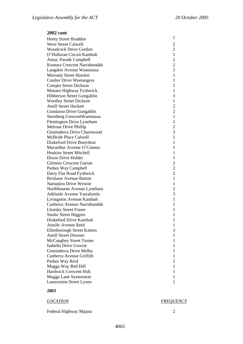| <b>Henty Street Braddon</b>     | 1              |
|---------------------------------|----------------|
| Were Street Calwell             | $\overline{c}$ |
| <b>Woodcock Drive Gordon</b>    | $\overline{c}$ |
| O'Halloran Circuit Kambah       | $\mathbf{1}$   |
| <b>Anzac Parade Campbell</b>    | $\overline{c}$ |
| Kootara Crescent Narrabundah    | $\overline{c}$ |
| Langdon Avenue Wanniassa        | $\overline{2}$ |
| Murranji Street Hawker          | $\mathbf{1}$   |
| Coulter Drive Weetangera        | $\mathbf{1}$   |
| <b>Cowper Street Dickson</b>    | $\overline{c}$ |
| Monaro Highway Fyshwick         | $\mathbf{1}$   |
| Hibberson Street Gungahlin      | 3              |
| <b>Woolley Street Dickson</b>   | $\mathbf{1}$   |
| <b>Antill Street Hackett</b>    | $\overline{c}$ |
|                                 | $\overline{c}$ |
| Gundaroo Drive Gungahlin        | $\mathbf{1}$   |
| Sternberg CrescentWanniassa     |                |
| Flemington Drive Lyneham        | $\frac{2}{2}$  |
| Melrose Drive Phillip           |                |
| Ginninderra Drive Charnwood     | $\overline{3}$ |
| McBride Place Calwell           | $\mathbf{1}$   |
| <b>Drakeford Drive Bonython</b> | $\mathbf{1}$   |
| Macarthur Avenue O'Connor       | $\mathbf{1}$   |
| <b>Hoskins Street Mitchell</b>  | $\mathbf{1}$   |
| Dixon Drive Holder              | $\mathbf{1}$   |
| <b>Gilmore Crescent Garran</b>  | $\overline{c}$ |
| Parkes Way Campbell             | $\overline{c}$ |
| Dairy Flat Road Fyshwick        | $\overline{c}$ |
| <b>Brisbane Avenue Barton</b>   | $\mathbf{1}$   |
| Namatjira Drive Weston          | $\mathbf{1}$   |
| Northbourne Avenue Lyneham      | $\overline{c}$ |
| Adelaide Avenue Yarralumla      | 3              |
| Livingston Avenue Kambah        | $\mathbf{1}$   |
| Canberra Avenue Narrabundah     | $\mathbf{1}$   |
| <b>Lhotsky Street Fraser</b>    | $\overline{c}$ |
| <b>Starke Street Higgins</b>    | $\mathbf{1}$   |
| Drakeford Drive Kambah          | I              |
| Ainslie Avenue Reid             | 1              |
| Ellenborough Street Kaleen      | 3              |
| <b>Antill Street Downer</b>     | 1              |
| McCaughey Street Turner         | 1              |
| Isabella Drive Gowrie           | 1              |
| Ginninderra Drive Melba         | 1              |
| Canberra Avenue Griffith        | 1              |
| Parkes Way Reid                 | $\overline{2}$ |
| Mugga Way Red Hill              | 1              |
| <b>Hardwick Crescent Holt</b>   | 1              |
| Mugga Lane Symonston            | 1              |
| <b>Launceston Street Lyons</b>  | 1              |
|                                 |                |

# **2003**

| <i>LOCATION</i> | <b>FREQUENCY</b> |
|-----------------|------------------|
|                 |                  |

Federal Highway Majura 2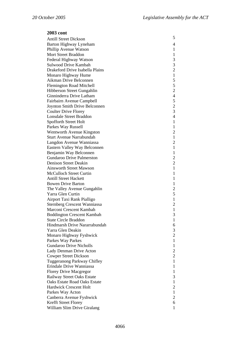| <b>2003 cont</b>                                 |                                            |
|--------------------------------------------------|--------------------------------------------|
| <b>Antill Street Dickson</b>                     | 5                                          |
| Barton Highway Lyneham                           | 4                                          |
| Phillip Avenue Watson                            | 1                                          |
| Mort Street Braddon                              | $\mathbf{1}$                               |
| Federal Highway Watson                           | 3                                          |
| Sulwood Drive Kambah                             |                                            |
| Drakeford Drive Isabella Plains                  | $\begin{array}{c} 3 \\ 2 \\ 1 \end{array}$ |
| Monaro Highway Hume                              |                                            |
| Aikman Drive Belconnen                           | 5                                          |
| <b>Flemington Road Mitchell</b>                  | 5                                          |
| Hibberson Street Gungahlin                       | $\overline{c}$                             |
| Ginninderra Drive Latham                         | $\overline{4}$                             |
| Fairbairn Avenue Campbell                        |                                            |
| Joynton Smith Drive Belconnen                    |                                            |
| <b>Coulter Drive Florey</b>                      | $\frac{5}{2}$                              |
| Lonsdale Street Braddon                          | $\overline{4}$                             |
| Spofforth Street Holt                            | $\mathbf{1}$                               |
| Parkes Way Russell                               | $\mathbf{1}$                               |
| Wentworth Avenue Kingston                        | $\overline{c}$                             |
| <b>Sturt Avenue Narrabundah</b>                  | $\mathbf{1}$                               |
| Langdon Avenue Wanniassa                         | $\overline{c}$                             |
| Eastern Valley Way Belconnen                     | $\mathbf{1}$                               |
| Benjamin Way Belconnen                           | $\mathbf{1}$                               |
| <b>Gundaroo Drive Palmerston</b>                 | $\overline{c}$                             |
| Denison Street Deakin                            | $\overline{c}$                             |
| <b>Ainsworth Street Mawson</b>                   | $\mathbf{1}$                               |
| <b>McCulloch Street Curtin</b>                   | $\mathbf{1}$                               |
| <b>Antill Street Hackett</b>                     | $\mathbf{1}$                               |
| <b>Bowen Drive Barton</b>                        | $\mathbf{1}$                               |
| The Valley Avenue Gungahlin                      | $\overline{c}$                             |
| Yarra Glen Curtin                                | 5                                          |
| Airport Taxi Rank Pialligo                       | $\mathbf{1}$                               |
| <b>Sternberg Crescent Wanniassa</b>              | $\overline{2}$                             |
| Marconi Crescent Kambah                          | $\mathbf 1$                                |
| <b>Boddington Crescent Kambah</b>                | 3                                          |
| <b>State Circle Braddon</b>                      | 1                                          |
| Hindmarsh Drive Nararrabundah                    | 6                                          |
| Yarra Glen Deakin                                | 3                                          |
| Monaro Highway Fyshwick                          | $\overline{2}$                             |
| Parkes Way Parkes                                | 1                                          |
| <b>Gundaroo Drive Nicholls</b>                   | $\mathbf{1}$                               |
| Lady Denman Drive Acton                          | $\overline{c}$                             |
| <b>Cowper Street Dickson</b>                     | $\overline{c}$                             |
| Tuggeranong Parkway Chifley                      | $\mathbf{1}$                               |
| Erindale Drive Wanniassa                         | $\mathbf{1}$                               |
| <b>Florey Drive Macgregor</b>                    | $\mathbf{1}$                               |
| Railway Street Oaks Estate                       | 3                                          |
| <b>Oaks Estate Road Oaks Estate</b>              | $\mathbf{1}$                               |
| Hardwick Crescent Holt                           | $\mathbf{2}$<br>$\mathbf{1}$               |
| Parkes Way Acton                                 | $\overline{c}$                             |
| Canberra Avenue Fyshwick<br>Krefft Street Florey | 6                                          |
| William Slim Drive Giralang                      | 1                                          |
|                                                  |                                            |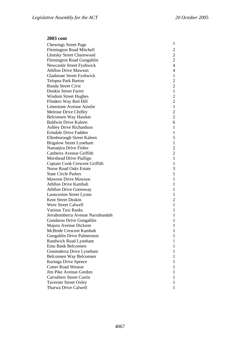Chewings Street Page 1 Flemington Road Mitchell 2<br>
Lhotsky Street Charnwood 2 Lhotsky Street Charnwood 2 Flemington Road Gungahlin 2 Newcastle Street Fyshwick 4 Athllon Drive Mawson 4 Gladstone Street Fyshwick 1 Telopea Park Barton 2 Bunda Street Civic 2 Dookie Street Farrer 1<br>Wisdom Street Hughes 2 Wisdom Street Hughes 2<br>
Flinders Way Red Hill 2 Flinders Way Red Hill 2 Limestone Avenue Ainslie 1 Melrose Drive Chifley 2 Belconnen Way Hawker 2 Baldwin Drive Kaleen 6 Ashley Drive Richardson 1 Erindale Drive Fadden 1<br>Ellenborough Street Kaleen 5 Ellenborough Street Kaleen Brigalow Street Lyneham 1 Namatjira Drive Fisher 2 Canberra Avenue Griffith 2 Morshead Drive Pialligo 1 Captain Cook Crescent Griffith 1 Norse Road Oaks Estate 3 State Circle Parkes 1 Mawson Drive Mawson 1 Athllon Drive Kambah 1 Athllon Drive Greenway 1 Launceston Street Lyons 1 Kent Street Deakin 2 Were Street Calwell 1 Various Taxi Ranks 1 Jerrabomberra Avenue Narrabundah 1 Gundaroo Drive Gungahlin 1 Majura Avenue Dickson 1 McBride Crescent Kambah 1 Gungahlin Drive Palmerston 1 Randwick Road Lyneham 1 Emu Bank Belconnen 1 Ginninderra Drive Lyneham 1 Belconnen Way Belconnen 1 Kuringa Drive Spence 1 **Cotter Road Weston** 1 Jim Pike Avenue Gordon 1 Carruthers Street Curtin 1 Taverner Street Oxley 1 Tharwa Drive Calwell 1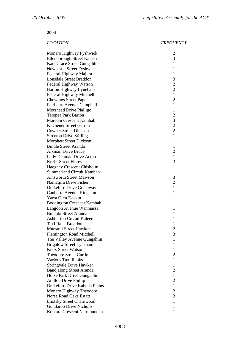### **2004**

## *LOCATION FREQUENCY*

| Monaro Highway Fyshwick           | $\overline{\mathbf{c}}$ |
|-----------------------------------|-------------------------|
| Ellenborough Street Kaleen        | 3                       |
| Kate Crace Street Gungahlin       | $\mathbf{1}$            |
| Newcastle Street Fyshwick         | 1                       |
| Federal Highway Majura            | $\mathbf{1}$            |
| <b>Lonsdale Street Braddon</b>    | 3                       |
| Federal Highway Watson            | $\overline{2}$          |
| Barton Highway Lyneham            | $\overline{2}$          |
| Federal Highway Mitchell          | $\mathbf{1}$            |
| <b>Chewings Street Page</b>       | $\overline{2}$          |
| Fairbairn Avenue Campbell         | $\mathbf{1}$            |
| Morshead Drive Pialligo           | $\mathbf{1}$            |
| Telopea Park Barton               | $\overline{c}$          |
| Marconi Crescent Kambah           | 3                       |
| Kitchener Street Garran           | $\overline{2}$          |
| <b>Cowper Street Dickson</b>      | $\overline{2}$          |
| <b>Streeton Drive Stirling</b>    | 1                       |
| <b>Morphett Street Dickson</b>    | 1                       |
| <b>Bindle Street Aranda</b>       | $\mathbf{1}$            |
| Aikman Drive Bruce                | $\overline{c}$          |
| Lady Denman Drive Acton           | $\mathbf{1}$            |
| Krefft Street Florey              | 3                       |
| <b>Haegney Crescent Chisholm</b>  | 1                       |
| Summerland Circuit Kambah         | 1                       |
| <b>Ainsworth Street Mawson</b>    | 3                       |
| Namatjira Drive Fisher            | $\overline{c}$          |
| Drakeford Drive Greenway          | $\mathbf{1}$            |
| Canberra Avenue Kingston          | 1                       |
| Yarra Glen Deakin                 | 1                       |
| <b>Boddington Crescent Kambah</b> | 1                       |
| Langdon Avenue Wanniassa          | 1                       |
| <b>Bindubi Street Aranda</b>      | 1                       |
| <b>Ashburton Circuit Kaleen</b>   | 1                       |
| Taxi Rank Braddon                 | 1                       |
| Murranji Street Hawker            | $\overline{2}$          |
| <b>Flemington Road Mitchell</b>   | 3                       |
| The Valley Avenue Gungahlin       | 1                       |
| <b>Brigalow Street Lyneham</b>    | 1                       |
| <b>Knox Street Watson</b>         | 1                       |
| <b>Theodore Street Curtin</b>     | $\overline{2}$          |
| Various Taxi Ranks                | $\mathbf{1}$            |
| Springvale Drive Hawker           | 1                       |
| <b>Bandjalong Street Aranda</b>   | $\overline{c}$          |
| Horse Park Drive Gungahlin        | 1                       |
| <b>Athllon Drive Phillip</b>      | $\overline{2}$          |
| Drakeford Drive Isabella Plains   | $\mathbf{1}$            |
| Monaro Highway Theodore           | 2                       |
| Norse Road Oaks Estate            | 3                       |
| <b>Lhotsky Street Charnwood</b>   | $\mathbf{1}$            |
| <b>Gundaroo Drive Nicholls</b>    | 1                       |
| Kootara Crescent Narrabundah      | 1                       |
|                                   |                         |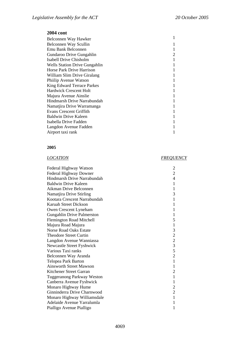| Belconnen Way Hawker                 |  |
|--------------------------------------|--|
| Belconnen Way Scullin                |  |
| <b>Emu Bank Belconnen</b>            |  |
| Gundaroo Drive Gungahlin             |  |
| Isabell Drive Chisholm               |  |
| <b>Wells Station Drive Gungahlin</b> |  |
| Horse Park Drive Harrison            |  |
| William Slim Drive Giralang          |  |
| Phiilip Avenue Watson                |  |
| <b>King Edward Terrace Parkes</b>    |  |
| Hardwick Crescent Holt               |  |
| Majura Avenue Ainslie                |  |
| Hindmarsh Drive Narrabundah          |  |
| Namatjira Drive Warramanga           |  |
| Evans Crescent Griffith              |  |
| Baldwin Drive Kaleen                 |  |
| Isabella Drive Fadden                |  |
| Langdon Avenue Fadden                |  |
| Airport taxi rank                    |  |

### **2005**

# *LOCATION FREQUENCY*

| Federal Highway Watson            | $\overline{c}$                             |
|-----------------------------------|--------------------------------------------|
| Federal Highway Downer            | $\overline{2}$                             |
| Hindmarsh Drive Narrabundah       | 4                                          |
| Baldwin Drive Kaleen              | 1                                          |
| Aikman Drive Belconnen            | 1                                          |
| Namatjira Drive Stirling          | 3                                          |
| Kootara Crescent Narrabundah      | 1                                          |
| Karuah Street Dickson             | 1                                          |
| Owen Crescent Lyneham             | 1                                          |
| Gungahlin Drive Palmerston        | 1                                          |
| <b>Flemington Road Mitchell</b>   | 5                                          |
| Majura Road Majura                | $\mathbf{1}$                               |
| <b>Norse Road Oaks Estate</b>     | 3                                          |
| <b>Theodore Street Curtin</b>     |                                            |
| Langdon Avenue Wanniassa          | $\begin{array}{c} 2 \\ 2 \\ 3 \end{array}$ |
| Newcastle Street Fyshwick         |                                            |
| Various Taxi ranks                | $\frac{5}{2}$                              |
| Belconnen Way Aranda              |                                            |
| Telopea Park Barton               | $\mathbf{1}$                               |
| <b>Ainsworth Street Mawson</b>    | $\mathbf{1}$                               |
| Kitchener Street Garran           | $\overline{2}$                             |
| <b>Tuggeranong Parkway Weston</b> | $\mathbf{1}$                               |
| Canberra Avenue Fyshwick          | 1                                          |
| Monaro Highway Hume               | $\overline{c}$                             |
| Ginninderra Drive Charnwood       | $\overline{2}$                             |
| Monaro Highway Williamsdale       | $\mathbf{1}$                               |
| Adelaide Avenue Yarralumla        | $\mathbf{1}$                               |
| Pialligo Avenue Pialligo          | 1                                          |
|                                   |                                            |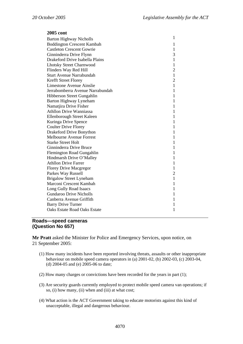| 2005 cont                         |                |
|-----------------------------------|----------------|
| <b>Barton Highway Nicholls</b>    | 1              |
| <b>Boddington Crescent Kambah</b> | 1              |
| <b>Castleton Crescent Gowrie</b>  | 1              |
| Ginninderra Drive Flynn           | 3              |
| Drakeford Drive Isabella Plains   | 1              |
| <b>Lhotsky Street Charnwood</b>   | 1              |
| Flinders Way Red Hill             | $\overline{2}$ |
| <b>Sturt Avenue Narrabundah</b>   | $\mathbf{1}$   |
| <b>Krefft Street Florey</b>       | 2              |
| Limestone Avenue Ainslie          | $\mathbf{1}$   |
| Jerrabomberra Avenue Narrabundah  | 1              |
| Hibberson Street Gungahlin        | 1              |
| Barton Highway Lyneham            | 1              |
| Namatjira Drive Fisher            | 1              |
| <b>Athllon Drive Wanniassa</b>    | 1              |
| Ellenborough Street Kaleen        | 1              |
| Kuringa Drive Spence              | 1              |
| <b>Coulter Drive Florey</b>       | 1              |
| Drakeford Drive Bonython          | 1              |
| <b>Melbourne Avenue Forrest</b>   | 1              |
| <b>Starke Street Holt</b>         | 1              |
| Ginninderra Drive Bruce           | 1              |
| Flemington Road Gungahlin         | 1              |
| Hindmarsh Drive O'Malley          | 1              |
| <b>Athllon Drive Farrer</b>       | 1              |
| <b>Florey Drive Macgregor</b>     | 1              |
| Parkes Way Russell                | $\overline{2}$ |
| <b>Brigalow Street Lyneham</b>    | 1              |
| Marconi Crescent Kambah           | 1              |
| Long Gully Road Isaacs            | 1              |
| <b>Gundaroo Drive Nicholls</b>    | 1              |
| Canberra Avenue Griffith          | 1              |
| <b>Barry Drive Turner</b>         | 1              |
| Oaks Estate Road Oaks Estate      | 1              |

# **Roads—speed cameras (Question No 657)**

**Mr Pratt** asked the Minister for Police and Emergency Services, upon notice, on 21 September 2005:

- (1) How many incidents have been reported involving threats, assaults or other inappropriate behaviour on mobile speed camera operators in (a) 2001-02, (b) 2002-03, (c) 2003-04, (d) 2004-05 and (e) 2005-06 to date;
- (2) How many charges or convictions have been recorded for the years in part (1);
- (3) Are security guards currently employed to protect mobile speed camera van operations; if so, (i) how many, (ii) when and (iii) at what cost;
- (4) What action is the ACT Government taking to educate motorists against this kind of unacceptable, illegal and dangerous behaviour.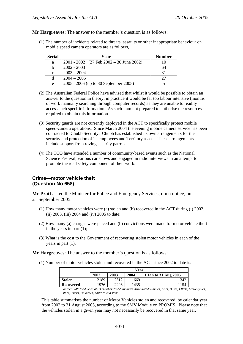**Mr Hargreaves**: The answer to the member's question is as follows:

(1) The number of incidents related to threats, assaults or other inappropriate behaviour on mobile speed camera operators are as follows,

| <b>Serial</b> | Year                                         | <b>Number</b> |
|---------------|----------------------------------------------|---------------|
| a             | $2001 - 2002$ (27 Feb $2002 - 30$ June 2002) |               |
| b             | $2002 - 2003$                                | 64            |
| $\mathbf{c}$  | $2003 - 2004$                                |               |
| d             | $2004 - 2005$                                |               |
| e             | 2005–2006 (up to 30 September 2005)          |               |

- (2) The Australian Federal Police have advised that whilst it would be possible to obtain an answer to the question in theory, in practice it would be far too labour intensive (months of work manually searching through computer records) as they are unable to readily access such specific information. As such I am not prepared to authorise the resources required to obtain this information.
- (3) Security guards are not currently deployed in the ACT to specifically protect mobile speed-camera operations. Since March 2004 the evening mobile camera service has been contracted to Chubb Security. Chubb has established its own arrangements for the security and protection of its employees and Territory assets. These arrangements include support from roving security patrols.
- (4) The TCO have attended a number of community-based events such as the National Science Festival, various car shows and engaged in radio interviews in an attempt to promote the road safety component of their work.

# **Crime—motor vehicle theft (Question No 658)**

**Mr Pratt** asked the Minister for Police and Emergency Services, upon notice, on 21 September 2005:

- (1) How many motor vehicles were (a) stolen and (b) recovered in the ACT during (i) 2002, (ii) 2003, (iii) 2004 and (iv) 2005 to date;
- (2) How many (a) charges were placed and (b) convictions were made for motor vehicle theft in the years in part (1);
- (3) What is the cost to the Government of recovering stolen motor vehicles in each of the years in part (1).

**Mr Hargreaves**: The answer to the member's question is as follows:

(1) Number of motor vehicles stolen and recovered in the ACT since 2002 to date is:

|                       | Year            |        |          |                                                         |
|-----------------------|-----------------|--------|----------|---------------------------------------------------------|
|                       | 2002            | 2003   | 2004     | 1 Jan to 31 Aug 2005                                    |
| <b>Stolen</b>         | 2189            | 2512   | 1669     | 342                                                     |
| <b>Recovered</b>      | 1976            | 2206   | 1435     | 154                                                     |
| 0.101111111<br>$\sim$ | $0.02 \times 1$ | 0.005h | $\cdots$ | $\cdots$<br>$\sqrt{ }$<br>$T^{\dagger}$<br>$\mathbf{r}$ |

*Source: SMV Module as at 03 October 2005\* Includes Articulated vehicles, Cars, Buses, FWDs, Motorcycles, Other,Trucks, Unknown, Utilities and Vans* 

This table summarises the number of Motor Vehicles stolen and recovered, by calendar year from 2002 to 31 August 2005, according to the SMV Module on PROMIS. Please note that the vehicles stolen in a given year may not necessarily be recovered in that same year.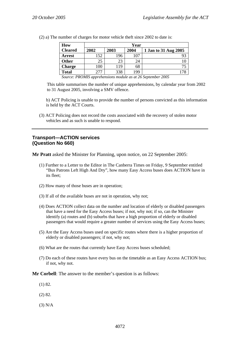| How            |      | Year |      |                      |  |  |  |
|----------------|------|------|------|----------------------|--|--|--|
| <b>Cleared</b> | 2002 | 2003 | 2004 | 1 Jan to 31 Aug 2005 |  |  |  |
| <b>Arrest</b>  | 152  | 196  |      |                      |  |  |  |
| <b>Other</b>   | 25   | 23   | 24   |                      |  |  |  |
| <b>Charge</b>  | 100  | 119  | 68   |                      |  |  |  |
| <b>Total</b>   | 277  | 338  | 199  |                      |  |  |  |

(2) a) The number of charges for motor vehicle theft since 2002 to date is:

*Source: PROMIS apprehensions module as at 26 September 2005* 

This table summarises the number of unique apprehensions, by calendar year from 2002 to 31 August 2005, involving a SMV offence.

b) ACT Policing is unable to provide the number of persons convicted as this information is held by the ACT Courts.

(3) ACT Policing does not record the costs associated with the recovery of stolen motor vehicles and as such is unable to respond.

## **Transport—ACTION services (Question No 660)**

**Mr Pratt** asked the Minister for Planning, upon notice, on 22 September 2005:

- (1) Further to a Letter to the Editor in The Canberra Times on Friday, 9 September entitled "Bus Patrons Left High And Dry", how many Easy Access buses does ACTION have in its fleet;
- (2) How many of those buses are in operation;
- (3) If all of the available buses are not in operation, why not;
- (4) Does ACTION collect data on the number and location of elderly or disabled passengers that have a need for the Easy Access buses; if not, why not; if so, can the Minister identify (a) routes and (b) suburbs that have a high proportion of elderly or disabled passengers that would require a greater number of services using the Easy Access buses;
- (5) Are the Easy Access buses used on specific routes where there is a higher proportion of elderly or disabled passengers; if not, why not;
- (6) What are the routes that currently have Easy Access buses scheduled;
- (7) Do each of these routes have every bus on the timetable as an Easy Access ACTION bus; if not, why not.

**Mr Corbell**: The answer to the member's question is as follows:

- (1) 82.
- (2) 82.
- (3) N/A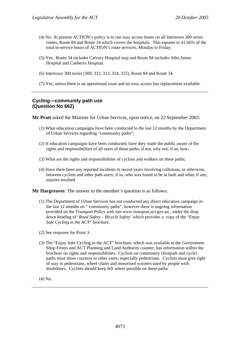- (4) No. At present ACTION's policy is to run easy access buses on all Intertown 300 series routes, Route 84 and Route 34 which covers the hospitals. This equates to 41.66% of the total in-service hours of ACTION's route services, Monday to Friday.
- (5) Yes. Route 34 includes Calvary Hospital stop and Route 84 includes John James Hospital and Canberra Hospital.
- (6) Intertown 300 series (300, 312, 313, 314, 315), Route 84 and Route 34.
- (7) Yes, unless there is an operational issue and no easy access bus replacement available.

## **Cycling—community path use (Question No 662)**

**Mr Pratt** asked the Minister for Urban Services, upon notice, on 22 September 2005:

- (1) What education campaigns have been conducted in the last 12 months by the Department of Urban Services regarding "community paths";
- (2) If education campaigns have been conducted, have they made the public aware of the rights and responsibilities of all users of these paths; if not, why not; if so, how;
- (3) What are the rights and responsibilities of cyclists and walkers on these paths;
- (4) Have there been any reported incidents in recent years involving collisions, or otherwise, between cyclists and other path users; if so, who was found to be at fault and what, if any, injuries resulted.

**Mr Hargreaves**: The answer to the member's question is as follows:

- (1) The Department of Urban Services has not conducted any direct education campaign in the last 12 months on " community paths", however there is ongoing information provided on the Transport Policy web site www.transport.act.gov.au , under the drop down heading of '*Road Safety – Bicycle Safety*' which provides a copy of the "*Enjoy Safe Cycling in the ACT*" brochure.
- (2) See response for Point 3.
- (3) The "Enjoy Safe Cycling in the ACT" brochure, which was available at the Government Shop Fronts and ACT Planning and Land Authority counter, has information within the brochure on rights and responsibilities. Cyclists on community (footpath and cycle) paths must show courtesy to other users, especially pedestrians. Cyclists must give right of way to pedestrians, wheel chairs and motorised scooters used by people with disabilities. Cyclists should keep left where possible on these paths.

(4) No.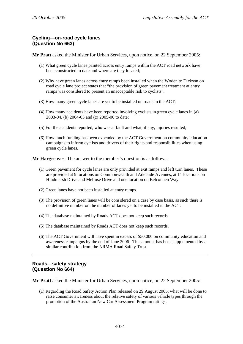# **Cycling—on-road cycle lanes (Question No 663)**

**Mr Pratt** asked the Minister for Urban Services, upon notice, on 22 September 2005:

- (1) What green cycle lanes painted across entry ramps within the ACT road network have been constructed to date and where are they located;
- (2) Why have green lanes across entry ramps been installed when the Woden to Dickson on road cycle lane project states that "the provision of green pavement treatment at entry ramps was considered to present an unacceptable risk to cyclists";
- (3) How many green cycle lanes are yet to be installed on roads in the ACT;
- (4) How many accidents have been reported involving cyclists in green cycle lanes in (a) 2003-04, (b) 2004-05 and (c) 2005-06 to date;
- (5) For the accidents reported, who was at fault and what, if any, injuries resulted;
- (6) How much funding has been expended by the ACT Government on community education campaigns to inform cyclists and drivers of their rights and responsibilities when using green cycle lanes.

**Mr Hargreaves**: The answer to the member's question is as follows:

- (1) Green pavement for cycle lanes are only provided at exit ramps and left turn lanes. These are provided at 9 locations on Commonwealth and Adelaide Avenues, at 11 locations on Hindmarsh Drive and Melrose Drive and one location on Belconnen Way.
- (2) Green lanes have not been installed at entry ramps.
- (3) The provision of green lanes will be considered on a case by case basis, as such there is no definitive number on the number of lanes yet to be installed in the ACT.
- (4) The database maintained by Roads ACT does not keep such records.
- (5) The database maintained by Roads ACT does not keep such records.
- (6) The ACT Government will have spent in excess of \$50,000 on community education and awareness campaigns by the end of June 2006. This amount has been supplemented by a similar contribution from the NRMA Road Safety Trust.

## **Roads—safety strategy (Question No 664)**

**Mr Pratt** asked the Minister for Urban Services, upon notice, on 22 September 2005:

(1) Regarding the Road Safety Action Plan released on 29 August 2005, what will be done to raise consumer awareness about the relative safety of various vehicle types through the promotion of the Australian New Car Assessment Program ratings;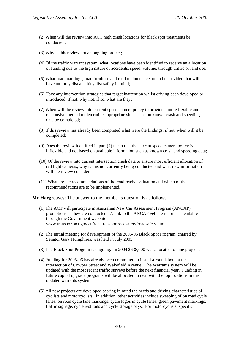- (2) When will the review into ACT high crash locations for black spot treatments be conducted;
- (3) Why is this review not an ongoing project;
- (4) Of the traffic warrant system, what locations have been identified to receive an allocation of funding due to the high nature of accidents, speed, volume, through traffic or land use;
- (5) What road markings, road furniture and road maintenance are to be provided that will have motorcyclist and bicyclist safety in mind;
- (6) Have any intervention strategies that target inattention whilst driving been developed or introduced; if not, why not; if so, what are they;
- (7) When will the review into current speed camera policy to provide a more flexible and responsive method to determine appropriate sites based on known crash and speeding data be completed;
- (8) If this review has already been completed what were the findings; if not, when will it be completed;
- (9) Does the review identified in part (7) mean that the current speed camera policy is inflexible and not based on available information such as known crash and speeding data;
- (10) Of the review into current intersection crash data to ensure most efficient allocation of red light cameras, why is this not currently being conducted and what new information will the review consider;
- (11) What are the recommendations of the road ready evaluation and which of the recommendations are to be implemented.

**Mr Hargreaves**: The answer to the member's question is as follows:

- (1) The ACT will participate in Australian New Car Assessment Program (ANCAP) promotions as they are conducted. A link to the ANCAP vehicle reports is available through the Government web site www.transport.act.gov.au/roadtransportroadsafety/roadsafety.html
- (2) The initial meeting for development of the 2005-06 Black Spot Program, chaired by Senator Gary Humphries, was held in July 2005.
- (3) The Black Spot Program is ongoing. In 2004 \$638,000 was allocated to nine projects.
- (4) Funding for 2005-06 has already been committed to install a roundabout at the intersection of Cowper Street and Wakefield Avenue. The Warrants system will be updated with the most recent traffic surveys before the next financial year. Funding in future capital upgrade programs will be allocated to deal with the top locations in the updated warrants system.
- (5) All new projects are developed bearing in mind the needs and driving characteristics of cyclists and motorcyclists. In addition, other activities include sweeping of on road cycle lanes, on road cycle lane markings, cycle logos in cycle lanes, green pavement markings, traffic signage, cycle rest rails and cycle storage bays. For motorcyclists, specific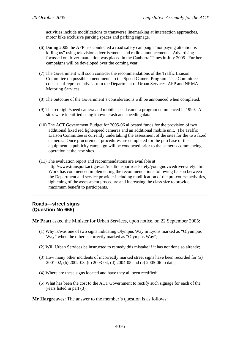activities include modifications to transverse linemarking at intersection approaches, motor bike exclusive parking spaces and parking signage.

- (6) During 2005 the AFP has conducted a road safety campaign "not paying attention is killing us" using television advertisements and radio announcements. Advertising focussed on driver inattention was placed in the Canberra Times in July 2005. Further campaigns will be developed over the coming year.
- (7) The Government will soon consider the recommendations of the Traffic Liaison Committee on possible amendments to the Speed Camera Program. The Committee consists of representatives from the Department of Urban Services, AFP and NRMA Motoring Services.
- (8) The outcome of the Government's considerations will be announced when completed.
- (9) The red light/speed camera and mobile speed camera program commenced in 1999. All sites were identified using known crash and speeding data.
- (10) The ACT Government Budget for 2005-06 allocated funds for the provision of two additional fixed red light/speed cameras and an additional mobile unit. The Traffic Liaison Committee is currently undertaking the assessment of the sites for the two fixed cameras. Once procurement procedures are completed for the purchase of the equipment, a publicity campaign will be conducted prior to the cameras commencing operation at the new sites.
- (11) The evaluation report and recommendations are available at http://www.transport.act.gov.au/roadtransportroadsafety/youngnovicedriversafety.html Work has commenced implementing the recommendations following liaison between the Department and service provider including modification of the pre-course activities, tightening of the assessment procedure and increasing the class size to provide maximum benefit to participants.

## **Roads—street signs (Question No 665)**

**Mr Pratt** asked the Minister for Urban Services, upon notice, on 22 September 2005:

- (1) Why is/was one of two signs indicating Olympus Way in Lyons marked as "Olyumpus Way" when the other is correctly marked as "Olympus Way";
- (2) Will Urban Services be instructed to remedy this mistake if it has not done so already;
- (3) How many other incidents of incorrectly marked street signs have been recorded for (a) 2001-02, (b) 2002-03, (c) 2003-04, (d) 2004-05 and (e) 2005-06 to date;
- (4) Where are these signs located and have they all been rectified;
- (5) What has been the cost to the ACT Government to rectify such signage for each of the years listed in part (3).

**Mr Hargreaves**: The answer to the member's question is as follows: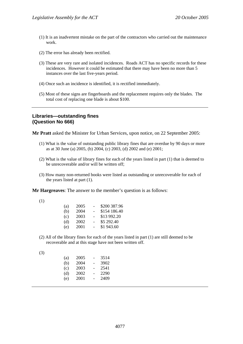- (1) It is an inadvertent mistake on the part of the contractors who carried out the maintenance work.
- (2) The error has already been rectified.
- (3) These are very rare and isolated incidences. Roads ACT has no specific records for these incidences. However it could be estimated that there may have been no more than 5 instances over the last five-years period.
- (4) Once such an incidence is identified, it is rectified immediately.
- (5) Most of these signs are fingerboards and the replacement requires only the blades. The total cost of replacing one blade is about \$100.

## **Libraries—outstanding fines (Question No 666)**

**Mr Pratt** asked the Minister for Urban Services, upon notice, on 22 September 2005:

- (1) What is the value of outstanding public library fines that are overdue by 90 days or more as at 30 June (a) 2005, (b) 2004, (c) 2003, (d) 2002 and (e) 2001;
- (2) What is the value of library fines for each of the years listed in part (1) that is deemed to be unrecoverable and/or will be written off:
- (3) How many non-returned books were listed as outstanding or unrecoverable for each of the years listed at part (1).

**Mr Hargreaves**: The answer to the member's question is as follows:

| (a) | 2005 | ۰                        | \$200 387.96 |
|-----|------|--------------------------|--------------|
| (b) | 2004 | $\overline{\phantom{0}}$ | \$154 186.40 |
| (c) | 2003 | $\overline{\phantom{0}}$ | \$13 992.20  |
| (d) | 2002 | ۰                        | \$5 292.40   |
| (e) | 2001 | $\overline{\phantom{0}}$ | \$1 943.60   |

(2) All of the library fines for each of the years listed in part (1) are still deemed to be recoverable and at this stage have not been written off.

|         | ×      |                   |
|---------|--------|-------------------|
| ×<br>M. | I<br>٠ | ٦<br>۰,<br>I<br>٣ |

| (a) | 2005 | $\overline{\phantom{0}}$ | 3514 |
|-----|------|--------------------------|------|
| (b) | 2004 | -                        | 3902 |
| (c) | 2003 | -                        | 2541 |
| (d) | 2002 | -                        | 2290 |
| (e) | 2001 | -                        | 2409 |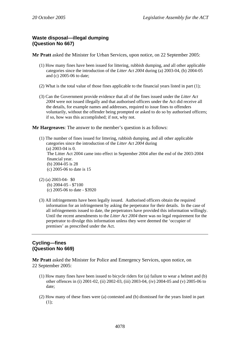# **Waste disposal—illegal dumping (Question No 667)**

**Mr Pratt** asked the Minister for Urban Services, upon notice, on 22 September 2005:

- (1) How many fines have been issued for littering, rubbish dumping, and all other applicable categories since the introduction of the *Litter Act 2004* during (a) 2003-04, (b) 2004-05 and (c) 2005-06 to date;
- (2) What is the total value of those fines applicable to the financial years listed in part (1);
- (3) Can the Government provide evidence that all of the fines issued under the *Litter Act 2004* were not issued illegally and that authorised officers under the Act did receive all the details, for example names and addresses, required to issue fines to offenders voluntarily, without the offender being prompted or asked to do so by authorised officers; if so, how was this accomplished; if not, why not.

**Mr Hargreaves**: The answer to the member's question is as follows:

- (1) The number of fines issued for littering, rubbish dumping, and all other applicable categories since the introduction of the *Litter Act 2004* during (a) 2003-04 is 0. The Litter Act 2004 came into effect in September 2004 after the end of the 2003-2004 financial year. (b) 2004-05 is 28 (c) 2005-06 to date is 15
- (2) (a) 2003-04- \$0 (b) 2004-05 - \$7100 (c) 2005-06 to date - \$3920
- (3) All infringements have been legally issued. Authorised officers obtain the required information for an infringement by asking the perpetrator for their details. In the case of all infringements issued to date, the perpetrators have provided this information willingly. Until the recent amendments to the *Litter Act 2004* there was no legal requirement for the perpetrator to divulge this information unless they were deemed the 'occupier of premises' as prescribed under the Act.

# **Cycling—fines (Question No 669)**

**Mr Pratt** asked the Minister for Police and Emergency Services, upon notice, on 22 September 2005:

- (1) How many fines have been issued to bicycle riders for (a) failure to wear a helmet and (b) other offences in (i) 2001-02, (ii) 2002-03, (iii) 2003-04, (iv) 2004-05 and (v) 2005-06 to date;
- (2) How many of these fines were (a) contested and (b) dismissed for the years listed in part  $(1);$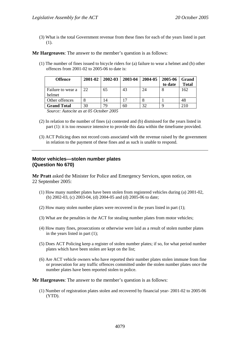(3) What is the total Government revenue from these fines for each of the years listed in part (1).

**Mr Hargreaves**: The answer to the member's question is as follows:

(1) The number of fines issued to bicycle riders for (a) failure to wear a helmet and (b) other offences from 2001-02 to 2005-06 to date is:

| <b>Offence</b>     | 2001-02 | 2002-03 | 2003-04 | 2004-05 | 2005-06 | Grand        |
|--------------------|---------|---------|---------|---------|---------|--------------|
|                    |         |         |         |         | to date | <b>Total</b> |
| Failure to wear a  | 22      | 65      | 43      | 24      | 8       | 162          |
| helmet             |         |         |         |         |         |              |
| Other offences     |         | 14      |         |         |         | 48           |
| <b>Grand Total</b> | 30      | 79      | 60      | 32      |         | 210          |

*Source: Autocite as at 05 October 2005* 

- (2) In relation to the number of fines (a) contested and (b) dismissed for the years listed in part (1): it is too resource intensive to provide this data within the timeframe provided.
- (3) ACT Policing does not record costs associated with the revenue raised by the government in relation to the payment of these fines and as such is unable to respond.

## **Motor vehicles—stolen number plates (Question No 670)**

**Mr Pratt** asked the Minister for Police and Emergency Services, upon notice, on 22 September 2005:

- (1) How many number plates have been stolen from registered vehicles during (a) 2001-02, (b) 2002-03, (c) 2003-04, (d) 2004-05 and (d) 2005-06 to date;
- (2) How many stolen number plates were recovered in the years listed in part (1);
- (3) What are the penalties in the ACT for stealing number plates from motor vehicles;
- (4) How many fines, prosecutions or otherwise were laid as a result of stolen number plates in the years listed in part (1);
- (5) Does ACT Policing keep a register of stolen number plates; if so, for what period number plates which have been stolen are kept on the list;
- (6) Are ACT vehicle owners who have reported their number plates stolen immune from fine or prosecution for any traffic offences committed under the stolen number plates once the number plates have been reported stolen to police.

**Mr Hargreaves**: The answer to the member's question is as follows:

(1) Number of registration plates stolen and recovered by financial year- 2001-02 to 2005-06 (YTD).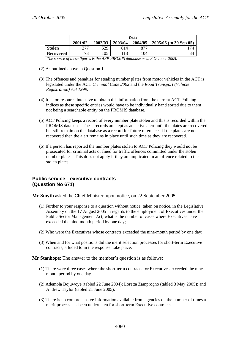| 2004/05<br>2001/02<br>2002/03<br>2003/04<br>377<br>529<br><b>Stolen</b><br>877<br>614 |  | Year |  |  |                        |  |  |
|---------------------------------------------------------------------------------------|--|------|--|--|------------------------|--|--|
|                                                                                       |  |      |  |  | 2005/06 (to 30 Sep 05) |  |  |
|                                                                                       |  |      |  |  | 74                     |  |  |
| $\overline{\phantom{a}}$<br>105<br>13<br>104<br>Recovered                             |  |      |  |  | 34                     |  |  |

*The source of these figures is the AFP PROMIS database as at 3 October 2005.* 

- (2) As outlined above in Question 1.
- (3) The offences and penalties for stealing number plates from motor vehicles in the ACT is legislated under the ACT *Criminal Code 2002* and the *Road Transport (Vehicle Registration) Act 1999*.
- (4) It is too resource intensive to obtain this information from the current ACT Policing indices as these specific entries would have to be individually hand sorted due to them not being a searchable entity on the PROMIS database.
- (5) ACT Policing keeps a record of every number plate stolen and this is recorded within the PROMIS database. These records are kept as an active alert until the plates are recovered but still remain on the database as a record for future reference. If the plates are not recovered then the alert remains in place until such time as they are recovered.
- (6) If a person has reported the number plates stolen to ACT Policing they would not be prosecuted for criminal acts or fined for traffic offences committed under the stolen number plates. This does not apply if they are implicated in an offence related to the stolen plates.

## **Public service—executive contracts (Question No 671)**

**Mr Smyth** asked the Chief Minister, upon notice, on 22 September 2005:

- (1) Further to your response to a question without notice, taken on notice, in the Legislative Assembly on the 17 August 2005 in regards to the employment of Executives under the Public Sector Management Act, what is the number of cases where Executives have exceeded the nine-month period by one day;
- (2) Who were the Executives whose contracts exceeded the nine-month period by one day;
- (3) When and for what positions did the merit selection processes for short-term Executive contracts, alluded to in the response, take place.

**Mr Stanhope**: The answer to the member's question is as follows:

- (1) There were three cases where the short-term contracts for Executives exceeded the ninemonth period by one day.
- (2) Ademola Bojuwoye (tabled 22 June 2004); Loretta Zamprogno (tabled 3 May 2005); and Andrew Taylor (tabled 21 June 2005).
- (3) There is no comprehensive information available from agencies on the number of times a merit process has been undertaken for short-term Executive contracts.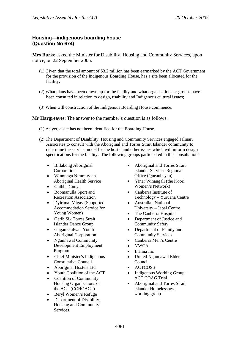# **Housing—indigenous boarding house (Question No 674)**

**Mrs Burke** asked the Minister for Disability, Housing and Community Services, upon notice, on 22 September 2005:

- (1) Given that the total amount of \$3.2 million has been earmarked by the ACT Government for the provision of the Indigenous Boarding House, has a site been allocated for the facility;
- (2) What plans have been drawn up for the facility and what organisations or groups have been consulted in relation to design, usability and Indigenous cultural issues;
- (3) When will construction of the Indigenous Boarding House commence.

**Mr Hargreaves**: The answer to the member's question is as follows:

- (1) As yet, a site has not been identified for the Boarding House.
- (2) The Department of Disability, Housing and Community Services engaged Jalinari Associates to consult with the Aboriginal and Torres Strait Islander community to determine the service model for the hostel and other issues which will inform design specifications for the facility. The following groups participated in this consultation:
	- Billabong Aboriginal Corporation
	- Winnunga Nimmityjah Aboriginal Health Service
	- Ghibba Gunya
	- Boomanulla Sport and Recreation Association
	- Dyirimal Migay (Supported Accommodation Service for Young Women)
	- Gerib Sik Torres Strait Islander Dance Group
	- Gugan Gulwan Youth Aboriginal Corporation
	- Ngunnawal Community Development Employment Program
	- Chief Minister's Indigenous Consultative Council
	- Aboriginal Hostels Ltd
	- Youth Coalition of the ACT
	- Coalition of Community Housing Organisations of the ACT (CCHOACT)
	- Beryl Women's Refuge
	- Department of Disability, Housing and Community Services
- Aboriginal and Torres Strait Islander Services Regional Office (Queanbeyan)
- Yinar Winangali (the Koori Women's Network)
- Canberra Institute of Technology – Yuruana Centre
- Australian National University – Jabal Centre
- The Canberra Hospital
- Department of Justice and Community Safety
- Department of Family and Community Services
- Canberra Men's Centre
- YWCA
- Inanna Inc
- United Ngunnawal Elders Council
- ACTCOSS
- Indigenous Working Group ACT COAG Trial
- Aboriginal and Torres Strait Islander Homelessness working group